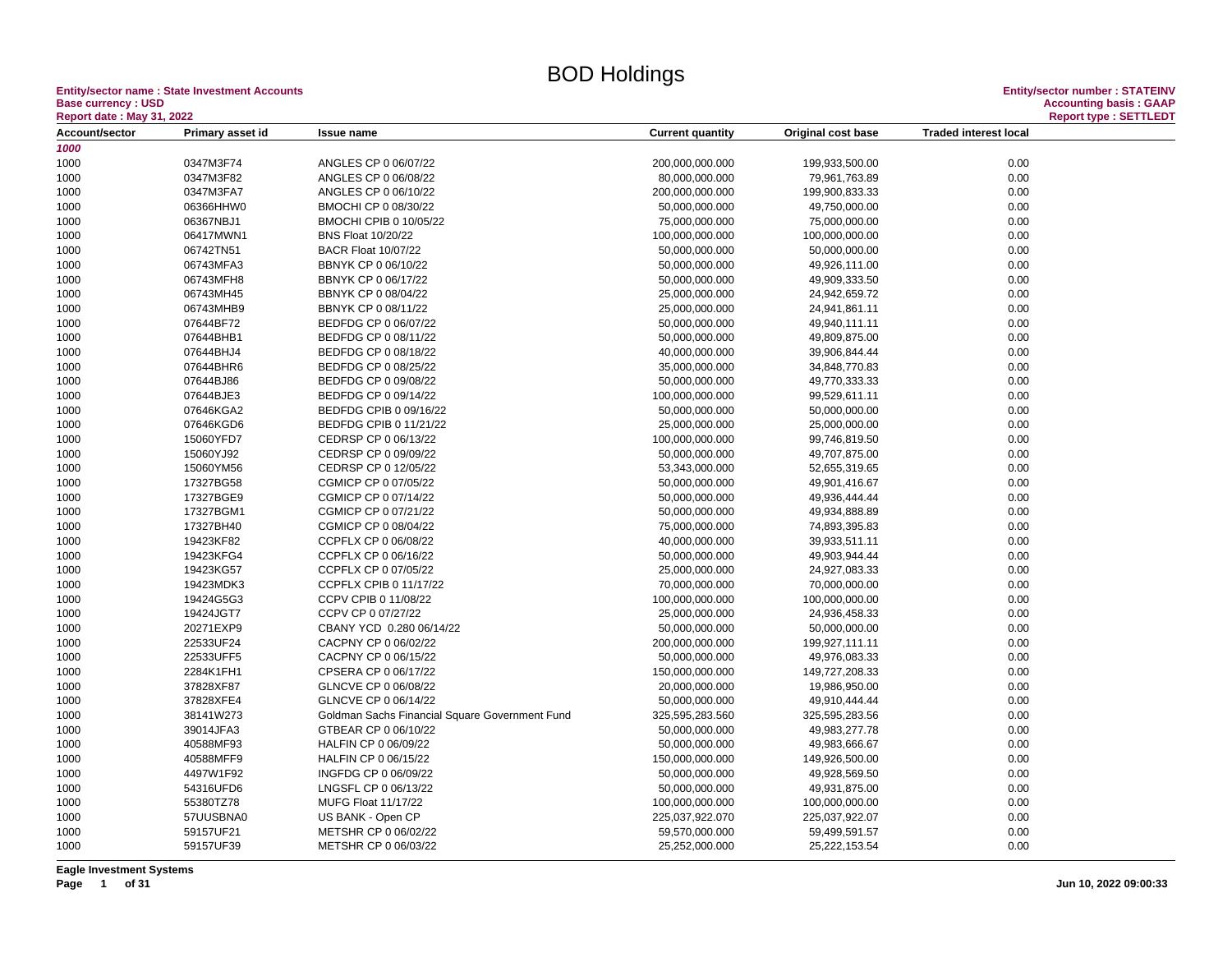Entity/sector name : State Investment Accounts<br>Base currency : USD Accounting basis : GAAP Accounting basis : GAAP Accounting basis : GAAP<br>Report date : May 31, 2022 Report type : SETTLEDT **Base currency : USD Accounting basis : GAAP**

| <b>Report date : May 31, 2022</b> |                        |                                                |                         |                    | <b>Report type: SETTLEDT</b> |  |
|-----------------------------------|------------------------|------------------------------------------------|-------------------------|--------------------|------------------------------|--|
| Account/sector                    | Primary asset id       | <b>Issue name</b>                              | <b>Current quantity</b> | Original cost base | <b>Traded interest local</b> |  |
| 1000                              |                        |                                                |                         |                    |                              |  |
| 1000                              | 0347M3F74              | ANGLES CP 0 06/07/22                           | 200,000,000.000         | 199,933,500.00     | 0.00                         |  |
| 1000                              | 0347M3F82              | ANGLES CP 0 06/08/22                           | 80,000,000.000          | 79,961,763.89      | 0.00                         |  |
| 1000                              | 0347M3FA7              | ANGLES CP 0 06/10/22                           | 200,000,000.000         | 199,900,833.33     | 0.00                         |  |
| 1000                              | 06366HHW0              | BMOCHI CP 0 08/30/22                           | 50,000,000.000          | 49,750,000.00      | 0.00                         |  |
| 1000                              | 06367NBJ1              | BMOCHI CPIB 0 10/05/22                         | 75,000,000.000          | 75,000,000.00      | 0.00                         |  |
| 1000                              | 06417MWN1              | <b>BNS Float 10/20/22</b>                      | 100,000,000.000         | 100,000,000.00     | 0.00                         |  |
| 1000                              | 06742TN51              | <b>BACR Float 10/07/22</b>                     | 50,000,000.000          | 50,000,000.00      | 0.00                         |  |
| 1000                              | 06743MFA3              | BBNYK CP 0 06/10/22                            | 50,000,000.000          | 49,926,111.00      | 0.00                         |  |
| 1000                              | 06743MFH8              | BBNYK CP 0 06/17/22                            | 50,000,000.000          | 49,909,333.50      | 0.00                         |  |
| 1000                              | 06743MH45              | BBNYK CP 0 08/04/22                            | 25,000,000.000          | 24,942,659.72      | 0.00                         |  |
| 1000                              | 06743MHB9              | BBNYK CP 0 08/11/22                            | 25,000,000.000          | 24,941,861.11      | 0.00                         |  |
| 1000                              | 07644BF72              | BEDFDG CP 0 06/07/22                           | 50,000,000.000          | 49,940,111.11      | 0.00                         |  |
| 1000                              | 07644BHB1              | BEDFDG CP 0 08/11/22                           | 50,000,000.000          | 49,809,875.00      | 0.00                         |  |
| 1000                              | 07644BHJ4              | BEDFDG CP 0 08/18/22                           | 40,000,000.000          | 39,906,844.44      | 0.00                         |  |
| 1000                              | 07644BHR6              | BEDFDG CP 0 08/25/22                           | 35,000,000.000          | 34,848,770.83      | 0.00                         |  |
| 1000                              | 07644BJ86              | BEDFDG CP 0 09/08/22                           | 50,000,000.000          | 49,770,333.33      | 0.00                         |  |
| 1000                              | 07644BJE3              | BEDFDG CP 0 09/14/22                           | 100,000,000.000         | 99,529,611.11      | 0.00                         |  |
| 1000                              | 07646KGA2              | BEDFDG CPIB 0 09/16/22                         | 50,000,000.000          | 50,000,000.00      | 0.00                         |  |
| 1000                              | 07646KGD6              | BEDFDG CPIB 0 11/21/22                         | 25,000,000.000          | 25,000,000.00      | 0.00                         |  |
| 1000                              | 15060YFD7              | CEDRSP CP 0 06/13/22                           | 100,000,000.000         | 99,746,819.50      | 0.00                         |  |
| 1000                              | 15060YJ92              | CEDRSP CP 0 09/09/22                           | 50,000,000.000          | 49,707,875.00      | 0.00                         |  |
| 1000                              | 15060YM56              | CEDRSP CP 0 12/05/22                           | 53,343,000.000          | 52,655,319.65      | 0.00                         |  |
| 1000                              | 17327BG58              | CGMICP CP 0 07/05/22                           | 50,000,000.000          | 49,901,416.67      | 0.00                         |  |
| 1000                              | 17327BGE9              | CGMICP CP 0 07/14/22                           | 50,000,000.000          | 49,936,444.44      | 0.00                         |  |
| 1000                              | 17327BGM1              | CGMICP CP 0 07/21/22                           | 50,000,000.000          | 49,934,888.89      | 0.00                         |  |
| 1000                              | 17327BH40              | CGMICP CP 0 08/04/22                           | 75,000,000.000          | 74,893,395.83      | 0.00                         |  |
| 1000                              | 19423KF82              | CCPFLX CP 0 06/08/22                           | 40,000,000.000          | 39,933,511.11      | 0.00                         |  |
| 1000                              | 19423KFG4              | CCPFLX CP 0 06/16/22                           | 50,000,000.000          | 49,903,944.44      | 0.00                         |  |
| 1000                              | 19423KG57              | CCPFLX CP 0 07/05/22                           | 25,000,000.000          | 24,927,083.33      | 0.00                         |  |
|                                   | 19423MDK3              |                                                |                         |                    | 0.00                         |  |
| 1000                              |                        | CCPFLX CPIB 0 11/17/22<br>CCPV CPIB 0 11/08/22 | 70,000,000.000          | 70,000,000.00      |                              |  |
| 1000                              | 19424G5G3              |                                                | 100,000,000.000         | 100,000,000.00     | 0.00                         |  |
| 1000                              | 19424JGT7<br>20271EXP9 | CCPV CP 0 07/27/22<br>CBANY YCD 0.280 06/14/22 | 25,000,000.000          | 24,936,458.33      | 0.00                         |  |
| 1000                              |                        |                                                | 50,000,000.000          | 50,000,000.00      | 0.00                         |  |
| 1000                              | 22533UF24              | CACPNY CP 0 06/02/22<br>CACPNY CP 0 06/15/22   | 200,000,000.000         | 199,927,111.11     | 0.00<br>0.00                 |  |
| 1000                              | 22533UFF5              |                                                | 50,000,000.000          | 49,976,083.33      |                              |  |
| 1000                              | 2284K1FH1              | CPSERA CP 0 06/17/22                           | 150,000,000.000         | 149,727,208.33     | 0.00                         |  |
| 1000                              | 37828XF87              | GLNCVE CP 0 06/08/22                           | 20,000,000.000          | 19,986,950.00      | 0.00                         |  |
| 1000                              | 37828XFE4              | GLNCVE CP 0 06/14/22                           | 50,000,000.000          | 49,910,444.44      | 0.00                         |  |
| 1000                              | 38141W273              | Goldman Sachs Financial Square Government Fund | 325,595,283.560         | 325,595,283.56     | 0.00                         |  |
| 1000                              | 39014JFA3              | GTBEAR CP 0 06/10/22                           | 50,000,000.000          | 49,983,277.78      | 0.00                         |  |
| 1000                              | 40588MF93              | HALFIN CP 0 06/09/22                           | 50,000,000.000          | 49,983,666.67      | 0.00                         |  |
| 1000                              | 40588MFF9              | HALFIN CP 0 06/15/22                           | 150,000,000.000         | 149,926,500.00     | 0.00                         |  |
| 1000                              | 4497W1F92              | INGFDG CP 0 06/09/22                           | 50,000,000.000          | 49,928,569.50      | 0.00                         |  |
| 1000                              | 54316UFD6              | LNGSFL CP 0 06/13/22                           | 50,000,000.000          | 49,931,875.00      | 0.00                         |  |
| 1000                              | 55380TZ78              | <b>MUFG Float 11/17/22</b>                     | 100,000,000.000         | 100,000,000.00     | 0.00                         |  |
| 1000                              | 57UUSBNA0              | US BANK - Open CP                              | 225,037,922.070         | 225,037,922.07     | 0.00                         |  |
| 1000                              | 59157UF21              | METSHR CP 0 06/02/22                           | 59,570,000.000          | 59,499,591.57      | 0.00                         |  |
| 1000                              | 59157UF39              | METSHR CP 0 06/03/22                           | 25,252,000.000          | 25,222,153.54      | 0.00                         |  |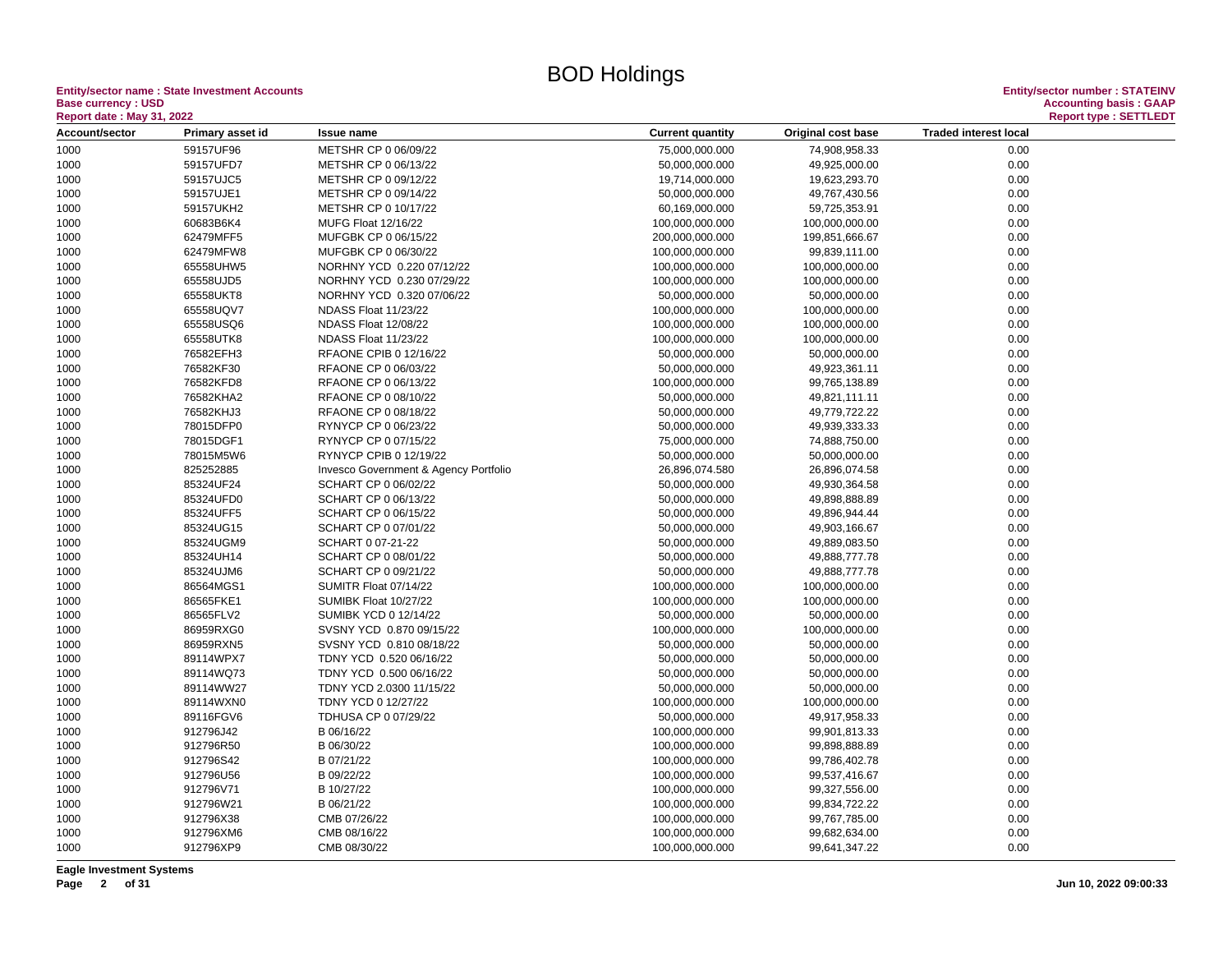**Entity/sector name : State Investment Accounts Entity/sector number : STATEINV Base currency : USD<br>
Report date : May 31, 2022** 

| Report date : May 31, 2022 |                  |                                       |                         |                    |                              | Report type : SETTLEDT |
|----------------------------|------------------|---------------------------------------|-------------------------|--------------------|------------------------------|------------------------|
| Account/sector             | Primary asset id | <b>Issue name</b>                     | <b>Current quantity</b> | Original cost base | <b>Traded interest local</b> |                        |
| 1000                       | 59157UF96        | METSHR CP 0 06/09/22                  | 75,000,000.000          | 74,908,958.33      | 0.00                         |                        |
| 1000                       | 59157UFD7        | METSHR CP 0 06/13/22                  | 50,000,000.000          | 49,925,000.00      | 0.00                         |                        |
| 1000                       | 59157UJC5        | METSHR CP 0 09/12/22                  | 19,714,000.000          | 19,623,293.70      | 0.00                         |                        |
| 1000                       | 59157UJE1        | METSHR CP 0 09/14/22                  | 50,000,000.000          | 49,767,430.56      | 0.00                         |                        |
| 1000                       | 59157UKH2        | METSHR CP 0 10/17/22                  | 60,169,000.000          | 59,725,353.91      | 0.00                         |                        |
| 1000                       | 60683B6K4        | MUFG Float 12/16/22                   | 100,000,000.000         | 100,000,000.00     | 0.00                         |                        |
| 1000                       | 62479MFF5        | MUFGBK CP 0 06/15/22                  | 200,000,000.000         | 199,851,666.67     | 0.00                         |                        |
| 1000                       | 62479MFW8        | MUFGBK CP 0 06/30/22                  | 100,000,000.000         | 99,839,111.00      | 0.00                         |                        |
| 1000                       | 65558UHW5        | NORHNY YCD 0.220 07/12/22             | 100,000,000.000         | 100,000,000.00     | 0.00                         |                        |
| 1000                       | 65558UJD5        | NORHNY YCD 0.230 07/29/22             | 100,000,000.000         | 100,000,000.00     | 0.00                         |                        |
| 1000                       | 65558UKT8        | NORHNY YCD 0.320 07/06/22             | 50,000,000.000          | 50,000,000.00      | 0.00                         |                        |
| 1000                       | 65558UQV7        | NDASS Float 11/23/22                  | 100,000,000.000         | 100,000,000.00     | 0.00                         |                        |
| 1000                       | 65558USQ6        | NDASS Float 12/08/22                  | 100,000,000.000         | 100,000,000.00     | 0.00                         |                        |
| 1000                       | 65558UTK8        | NDASS Float 11/23/22                  | 100,000,000.000         | 100,000,000.00     | 0.00                         |                        |
| 1000                       | 76582EFH3        | RFAONE CPIB 0 12/16/22                | 50,000,000.000          | 50,000,000.00      | 0.00                         |                        |
| 1000                       | 76582KF30        | RFAONE CP 0 06/03/22                  | 50,000,000.000          | 49,923,361.11      | 0.00                         |                        |
| 1000                       | 76582KFD8        | RFAONE CP 0 06/13/22                  | 100,000,000.000         | 99,765,138.89      | 0.00                         |                        |
| 1000                       | 76582KHA2        | RFAONE CP 0 08/10/22                  | 50,000,000.000          | 49,821,111.11      | 0.00                         |                        |
| 1000                       | 76582KHJ3        | RFAONE CP 0 08/18/22                  | 50,000,000.000          | 49,779,722.22      | 0.00                         |                        |
| 1000                       | 78015DFP0        | RYNYCP CP 0 06/23/22                  | 50,000,000.000          | 49,939,333.33      | 0.00                         |                        |
| 1000                       | 78015DGF1        | RYNYCP CP 0 07/15/22                  | 75,000,000.000          | 74,888,750.00      | 0.00                         |                        |
| 1000                       | 78015M5W6        | RYNYCP CPIB 0 12/19/22                | 50,000,000.000          | 50,000,000.00      | 0.00                         |                        |
| 1000                       | 825252885        | Invesco Government & Agency Portfolio | 26,896,074.580          | 26,896,074.58      | 0.00                         |                        |
| 1000                       | 85324UF24        | SCHART CP 0 06/02/22                  | 50,000,000.000          | 49,930,364.58      | 0.00                         |                        |
| 1000                       | 85324UFD0        | SCHART CP 0 06/13/22                  | 50,000,000.000          | 49,898,888.89      | 0.00                         |                        |
| 1000                       | 85324UFF5        | SCHART CP 0 06/15/22                  | 50,000,000.000          | 49,896,944.44      | 0.00                         |                        |
| 1000                       | 85324UG15        | SCHART CP 0 07/01/22                  | 50,000,000.000          | 49,903,166.67      | 0.00                         |                        |
| 1000                       | 85324UGM9        | SCHART 0 07-21-22                     | 50,000,000.000          | 49,889,083.50      | 0.00                         |                        |
| 1000                       | 85324UH14        | SCHART CP 0 08/01/22                  | 50,000,000.000          | 49,888,777.78      | 0.00                         |                        |
| 1000                       | 85324UJM6        | SCHART CP 0 09/21/22                  | 50,000,000.000          | 49,888,777.78      | 0.00                         |                        |
| 1000                       | 86564MGS1        | SUMITR Float 07/14/22                 | 100,000,000.000         | 100,000,000.00     | 0.00                         |                        |
| 1000                       | 86565FKE1        | SUMIBK Float 10/27/22                 | 100,000,000.000         | 100,000,000.00     | 0.00                         |                        |
| 1000                       | 86565FLV2        | SUMIBK YCD 0 12/14/22                 | 50,000,000.000          | 50,000,000.00      | 0.00                         |                        |
| 1000                       | 86959RXG0        | SVSNY YCD 0.870 09/15/22              | 100,000,000.000         | 100,000,000.00     | 0.00                         |                        |
| 1000                       | 86959RXN5        | SVSNY YCD 0.810 08/18/22              | 50,000,000.000          | 50,000,000.00      | 0.00                         |                        |
| 1000                       | 89114WPX7        | TDNY YCD 0.520 06/16/22               | 50,000,000.000          | 50,000,000.00      | 0.00                         |                        |
| 1000                       | 89114WQ73        | TDNY YCD 0.500 06/16/22               | 50,000,000.000          | 50,000,000.00      | 0.00                         |                        |
| 1000                       | 89114WW27        | TDNY YCD 2.0300 11/15/22              | 50,000,000.000          | 50,000,000.00      | 0.00                         |                        |
| 1000                       | 89114WXN0        | TDNY YCD 0 12/27/22                   | 100,000,000.000         | 100,000,000.00     | 0.00                         |                        |
| 1000                       | 89116FGV6        | TDHUSA CP 0 07/29/22                  | 50,000,000.000          | 49,917,958.33      | 0.00                         |                        |
| 1000                       | 912796J42        | B 06/16/22                            | 100,000,000.000         | 99,901,813.33      | 0.00                         |                        |
| 1000                       | 912796R50        | B 06/30/22                            | 100,000,000.000         | 99,898,888.89      | 0.00                         |                        |
| 1000                       | 912796S42        | B 07/21/22                            | 100,000,000.000         | 99,786,402.78      | 0.00                         |                        |
| 1000                       | 912796U56        | B 09/22/22                            | 100,000,000.000         | 99,537,416.67      | 0.00                         |                        |
| 1000                       | 912796V71        | B 10/27/22                            | 100,000,000.000         | 99,327,556.00      | 0.00                         |                        |
| 1000                       | 912796W21        | B 06/21/22                            | 100,000,000.000         | 99,834,722.22      | 0.00                         |                        |
| 1000                       | 912796X38        | CMB 07/26/22                          | 100,000,000.000         | 99,767,785.00      | 0.00                         |                        |
| 1000                       | 912796XM6        | CMB 08/16/22                          | 100,000,000.000         | 99,682,634.00      | 0.00                         |                        |
| 1000                       | 912796XP9        | CMB 08/30/22                          | 100,000,000.000         | 99,641,347.22      | 0.00                         |                        |
|                            |                  |                                       |                         |                    |                              |                        |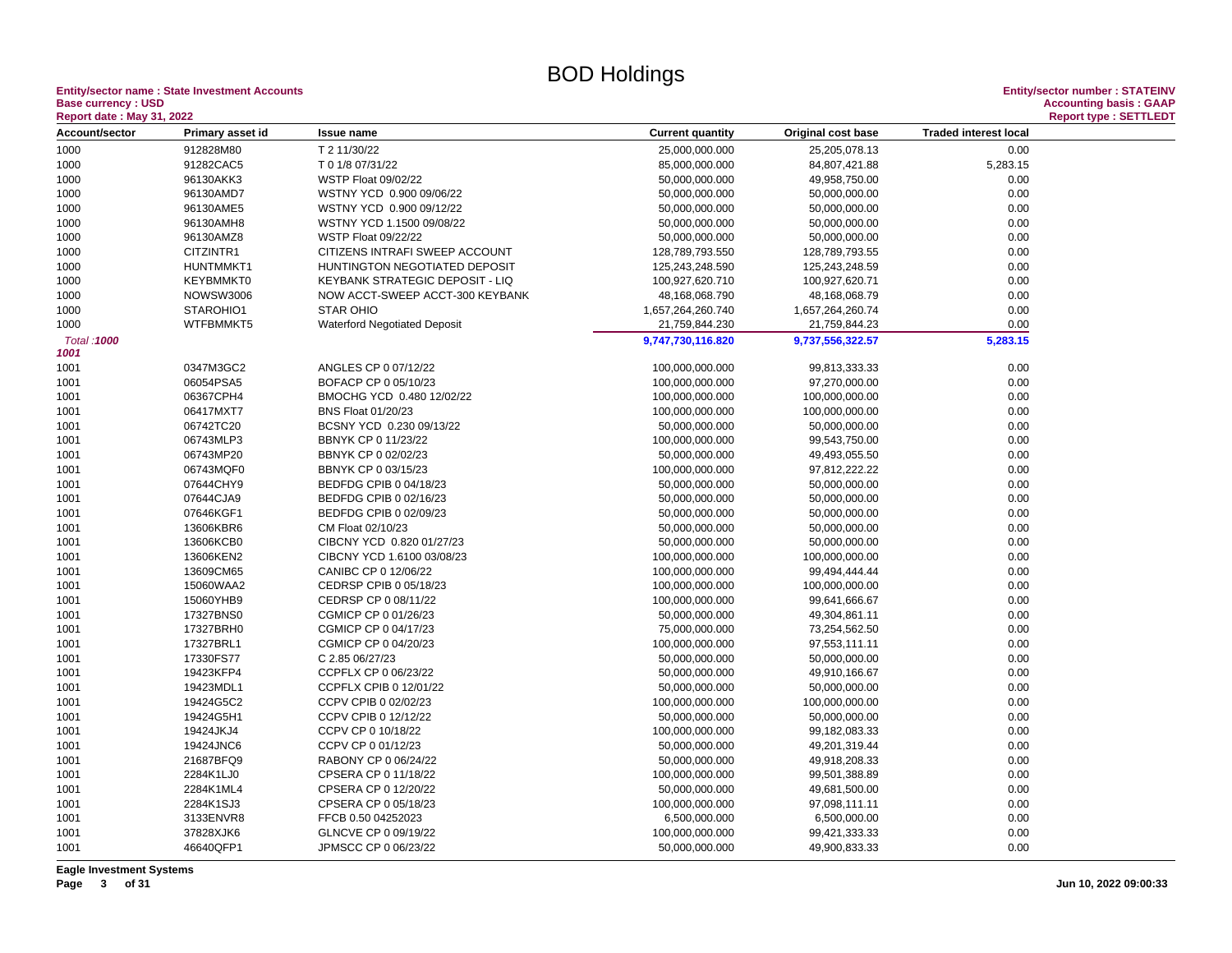## **Entity/sector name : State Investment Accounts<br>Base currency : USD**

| <b>Report date: May 31, 2022</b> |                  |                                     |                         |                    |                              | <b>Report type: SETTLEDT</b> |
|----------------------------------|------------------|-------------------------------------|-------------------------|--------------------|------------------------------|------------------------------|
| Account/sector                   | Primary asset id | <b>Issue name</b>                   | <b>Current quantity</b> | Original cost base | <b>Traded interest local</b> |                              |
| 1000                             | 912828M80        | T 2 11/30/22                        | 25,000,000.000          | 25,205,078.13      | 0.00                         |                              |
| 1000                             | 91282CAC5        | T 0 1/8 07/31/22                    | 85,000,000.000          | 84,807,421.88      | 5,283.15                     |                              |
| 1000                             | 96130AKK3        | WSTP Float 09/02/22                 | 50,000,000.000          | 49,958,750.00      | 0.00                         |                              |
| 1000                             | 96130AMD7        | WSTNY YCD 0.900 09/06/22            | 50,000,000.000          | 50,000,000.00      | 0.00                         |                              |
| 1000                             | 96130AME5        | WSTNY YCD 0.900 09/12/22            | 50,000,000.000          | 50,000,000.00      | 0.00                         |                              |
| 1000                             | 96130AMH8        | WSTNY YCD 1.1500 09/08/22           | 50,000,000.000          | 50,000,000.00      | 0.00                         |                              |
| 1000                             | 96130AMZ8        | WSTP Float 09/22/22                 | 50,000,000.000          | 50,000,000.00      | 0.00                         |                              |
| 1000                             | CITZINTR1        | CITIZENS INTRAFI SWEEP ACCOUNT      | 128,789,793.550         | 128,789,793.55     | 0.00                         |                              |
| 1000                             | HUNTMMKT1        | HUNTINGTON NEGOTIATED DEPOSIT       | 125,243,248.590         | 125,243,248.59     | 0.00                         |                              |
| 1000                             | KEYBMMKT0        | KEYBANK STRATEGIC DEPOSIT - LIQ     | 100,927,620.710         | 100,927,620.71     | 0.00                         |                              |
| 1000                             | <b>NOWSW3006</b> | NOW ACCT-SWEEP ACCT-300 KEYBANK     | 48,168,068.790          | 48,168,068.79      | 0.00                         |                              |
| 1000                             | STAROHIO1        | <b>STAR OHIO</b>                    | 1,657,264,260.740       | 1,657,264,260.74   | 0.00                         |                              |
| 1000                             | WTFBMMKT5        | <b>Waterford Negotiated Deposit</b> | 21,759,844.230          | 21,759,844.23      | 0.00                         |                              |
| Total: 1000                      |                  |                                     | 9,747,730,116.820       | 9,737,556,322.57   | 5,283.15                     |                              |
| 1001                             |                  |                                     |                         |                    |                              |                              |
| 1001                             | 0347M3GC2        | ANGLES CP 0 07/12/22                | 100,000,000.000         | 99,813,333.33      | 0.00                         |                              |
| 1001                             | 06054PSA5        | BOFACP CP 0 05/10/23                | 100,000,000.000         | 97,270,000.00      | 0.00                         |                              |
| 1001                             | 06367CPH4        | BMOCHG YCD 0.480 12/02/22           | 100,000,000.000         | 100,000,000.00     | 0.00                         |                              |
| 1001                             | 06417MXT7        | <b>BNS Float 01/20/23</b>           | 100,000,000.000         | 100,000,000.00     | 0.00                         |                              |
| 1001                             | 06742TC20        | BCSNY YCD 0.230 09/13/22            | 50,000,000.000          | 50,000,000.00      | 0.00                         |                              |
| 1001                             | 06743MLP3        | BBNYK CP 0 11/23/22                 | 100,000,000.000         | 99,543,750.00      | 0.00                         |                              |
| 1001                             | 06743MP20        | BBNYK CP 0 02/02/23                 | 50,000,000.000          | 49,493,055.50      | 0.00                         |                              |
| 1001                             | 06743MQF0        | BBNYK CP 0 03/15/23                 | 100,000,000.000         | 97,812,222.22      | 0.00                         |                              |
| 1001                             | 07644CHY9        | BEDFDG CPIB 0 04/18/23              | 50,000,000.000          | 50,000,000.00      | 0.00                         |                              |
| 1001                             | 07644CJA9        | BEDFDG CPIB 0 02/16/23              | 50,000,000.000          | 50,000,000.00      | 0.00                         |                              |
| 1001                             | 07646KGF1        | BEDFDG CPIB 0 02/09/23              | 50,000,000.000          | 50,000,000.00      | 0.00                         |                              |
| 1001                             | 13606KBR6        | CM Float 02/10/23                   | 50,000,000.000          | 50,000,000.00      | 0.00                         |                              |
| 1001                             | 13606KCB0        | CIBCNY YCD 0.820 01/27/23           | 50,000,000.000          | 50,000,000.00      | 0.00                         |                              |
| 1001                             | 13606KEN2        | CIBCNY YCD 1.6100 03/08/23          | 100,000,000.000         | 100,000,000.00     | 0.00                         |                              |
| 1001                             | 13609CM65        | CANIBC CP 0 12/06/22                | 100,000,000.000         | 99,494,444.44      | 0.00                         |                              |
| 1001                             | 15060WAA2        | CEDRSP CPIB 0 05/18/23              | 100,000,000.000         | 100,000,000.00     | 0.00                         |                              |
| 1001                             | 15060YHB9        | CEDRSP CP 0 08/11/22                | 100,000,000.000         | 99,641,666.67      | 0.00                         |                              |
| 1001                             | 17327BNS0        | CGMICP CP 0 01/26/23                | 50,000,000.000          | 49,304,861.11      | 0.00                         |                              |
| 1001                             | 17327BRH0        | CGMICP CP 0 04/17/23                | 75,000,000.000          | 73,254,562.50      | 0.00                         |                              |
| 1001                             | 17327BRL1        | CGMICP CP 0 04/20/23                | 100,000,000.000         | 97,553,111.11      | 0.00                         |                              |
| 1001                             | 17330FS77        | C 2.85 06/27/23                     | 50,000,000.000          | 50,000,000.00      | 0.00                         |                              |
| 1001                             | 19423KFP4        | CCPFLX CP 0 06/23/22                | 50,000,000.000          | 49,910,166.67      | 0.00                         |                              |
| 1001                             | 19423MDL1        | CCPFLX CPIB 0 12/01/22              | 50,000,000.000          | 50,000,000.00      | 0.00                         |                              |
| 1001                             | 19424G5C2        | CCPV CPIB 0 02/02/23                | 100,000,000.000         | 100,000,000.00     | 0.00                         |                              |
| 1001                             | 19424G5H1        | CCPV CPIB 0 12/12/22                | 50,000,000.000          | 50,000,000.00      | 0.00                         |                              |
| 1001                             | 19424JKJ4        | CCPV CP 0 10/18/22                  | 100,000,000.000         | 99,182,083.33      | 0.00                         |                              |
| 1001                             | 19424JNC6        | CCPV CP 0 01/12/23                  | 50,000,000.000          | 49,201,319.44      | 0.00                         |                              |
| 1001                             | 21687BFQ9        | RABONY CP 0 06/24/22                | 50,000,000.000          | 49,918,208.33      | 0.00                         |                              |
| 1001                             | 2284K1LJ0        | CPSERA CP 0 11/18/22                | 100,000,000.000         | 99,501,388.89      | 0.00                         |                              |
| 1001                             | 2284K1ML4        | CPSERA CP 0 12/20/22                | 50,000,000.000          | 49,681,500.00      | 0.00                         |                              |
| 1001                             | 2284K1SJ3        | CPSERA CP 0 05/18/23                | 100,000,000.000         | 97,098,111.11      | 0.00                         |                              |
| 1001                             | 3133ENVR8        | FFCB 0.50 04252023                  | 6,500,000.000           | 6,500,000.00       | 0.00                         |                              |
| 1001                             | 37828XJK6        | GLNCVE CP 0 09/19/22                | 100,000,000.000         | 99,421,333.33      | 0.00                         |                              |
| 1001                             | 46640QFP1        | JPMSCC CP 0 06/23/22                | 50,000,000.000          | 49,900,833.33      | 0.00                         |                              |
|                                  |                  |                                     |                         |                    |                              |                              |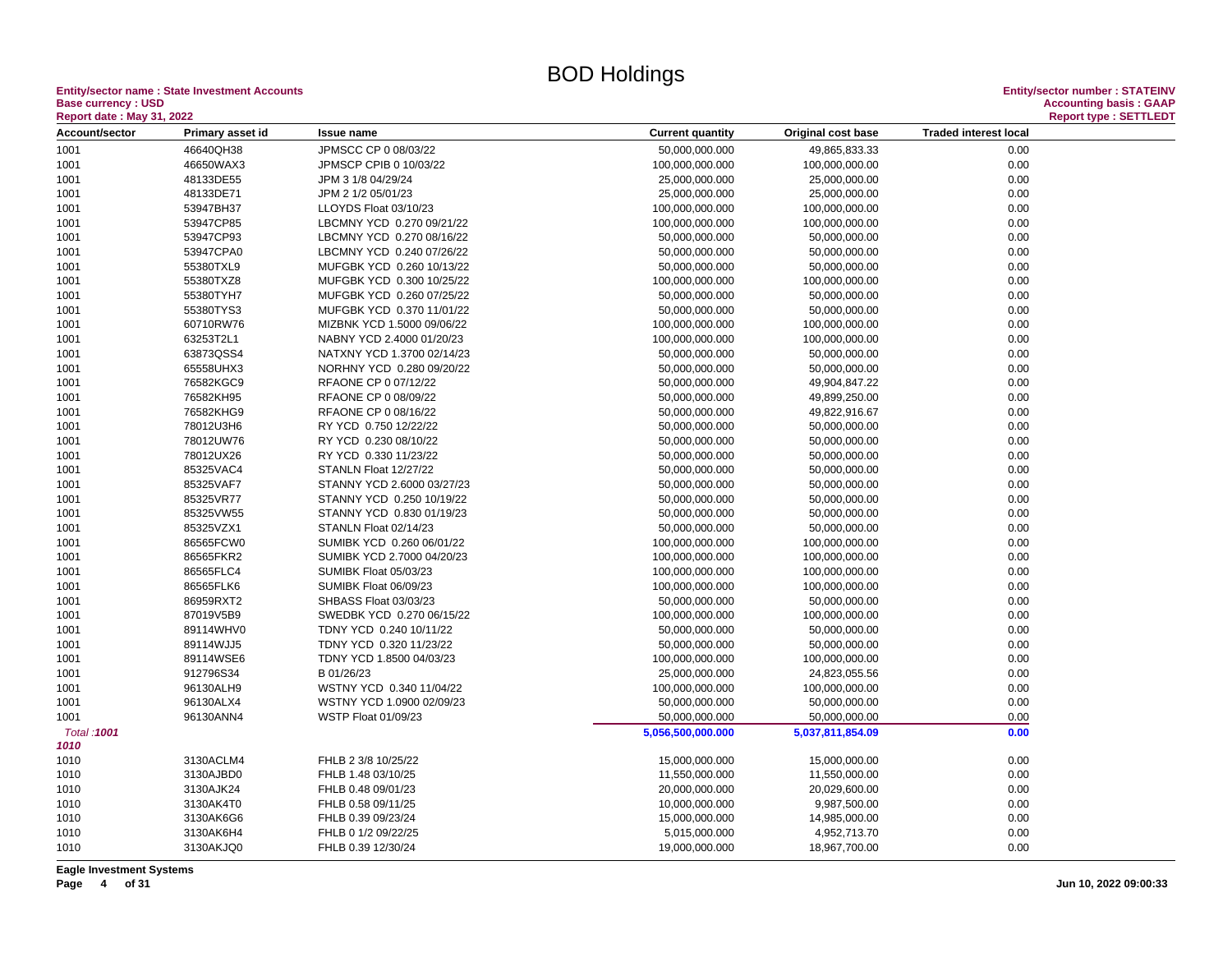**Entity/sector name : State Investment Accounts Entity/sector number : STATEINV Base currency : USD<br>
Report date : May 31, 2022** 

| Report date: May 31, 2022 |                        |                                               |                         |                    |                              | Report type : SETTLEDT |
|---------------------------|------------------------|-----------------------------------------------|-------------------------|--------------------|------------------------------|------------------------|
| Account/sector            | Primary asset id       | Issue name                                    | <b>Current quantity</b> | Original cost base | <b>Traded interest local</b> |                        |
| 1001                      | 46640QH38              | JPMSCC CP 0 08/03/22                          | 50,000,000.000          | 49,865,833.33      | 0.00                         |                        |
| 1001                      | 46650WAX3              | JPMSCP CPIB 0 10/03/22                        | 100,000,000.000         | 100,000,000.00     | 0.00                         |                        |
| 1001                      | 48133DE55              | JPM 3 1/8 04/29/24                            | 25,000,000.000          | 25,000,000.00      | 0.00                         |                        |
| 1001                      | 48133DE71              | JPM 2 1/2 05/01/23                            | 25,000,000.000          | 25,000,000.00      | 0.00                         |                        |
| 1001                      | 53947BH37              | LLOYDS Float 03/10/23                         | 100,000,000.000         | 100,000,000.00     | 0.00                         |                        |
| 1001                      | 53947CP85              | LBCMNY YCD 0.270 09/21/22                     | 100,000,000.000         | 100,000,000.00     | 0.00                         |                        |
| 1001                      | 53947CP93              | LBCMNY YCD 0.270 08/16/22                     | 50,000,000.000          | 50,000,000.00      | 0.00                         |                        |
| 1001                      | 53947CPA0              | LBCMNY YCD 0.240 07/26/22                     | 50,000,000.000          | 50,000,000.00      | 0.00                         |                        |
| 1001                      | 55380TXL9              | MUFGBK YCD 0.260 10/13/22                     | 50,000,000.000          | 50,000,000.00      | 0.00                         |                        |
| 1001                      | 55380TXZ8              | MUFGBK YCD 0.300 10/25/22                     | 100,000,000.000         | 100,000,000.00     | 0.00                         |                        |
| 1001                      | 55380TYH7              | MUFGBK YCD 0.260 07/25/22                     | 50,000,000.000          | 50,000,000.00      | 0.00                         |                        |
| 1001                      | 55380TYS3              | MUFGBK YCD 0.370 11/01/22                     | 50,000,000.000          | 50,000,000.00      | 0.00                         |                        |
| 1001                      | 60710RW76              | MIZBNK YCD 1.5000 09/06/22                    | 100,000,000.000         | 100,000,000.00     | 0.00                         |                        |
| 1001                      | 63253T2L1              | NABNY YCD 2.4000 01/20/23                     | 100,000,000.000         | 100,000,000.00     | 0.00                         |                        |
| 1001                      | 63873QSS4              | NATXNY YCD 1.3700 02/14/23                    | 50,000,000.000          | 50,000,000.00      | 0.00                         |                        |
| 1001                      | 65558UHX3              | NORHNY YCD 0.280 09/20/22                     | 50,000,000.000          | 50,000,000.00      | 0.00                         |                        |
| 1001                      | 76582KGC9              | RFAONE CP 0 07/12/22                          | 50,000,000.000          | 49,904,847.22      | 0.00                         |                        |
|                           | 76582KH95              | RFAONE CP 0 08/09/22                          | 50,000,000.000          | 49,899,250.00      | 0.00                         |                        |
| 1001                      |                        |                                               |                         |                    |                              |                        |
| 1001                      | 76582KHG9<br>78012U3H6 | RFAONE CP 0 08/16/22<br>RY YCD 0.750 12/22/22 | 50,000,000.000          | 49,822,916.67      | 0.00                         |                        |
| 1001                      |                        |                                               | 50,000,000.000          | 50,000,000.00      | 0.00                         |                        |
| 1001                      | 78012UW76              | RY YCD 0.230 08/10/22                         | 50,000,000.000          | 50,000,000.00      | 0.00                         |                        |
| 1001                      | 78012UX26              | RY YCD 0.330 11/23/22                         | 50,000,000.000          | 50,000,000.00      | 0.00                         |                        |
| 1001                      | 85325VAC4              | STANLN Float 12/27/22                         | 50,000,000.000          | 50,000,000.00      | 0.00                         |                        |
| 1001                      | 85325VAF7              | STANNY YCD 2.6000 03/27/23                    | 50,000,000.000          | 50,000,000.00      | 0.00                         |                        |
| 1001                      | 85325VR77              | STANNY YCD 0.250 10/19/22                     | 50,000,000.000          | 50,000,000.00      | 0.00                         |                        |
| 1001                      | 85325VW55              | STANNY YCD 0.830 01/19/23                     | 50,000,000.000          | 50,000,000.00      | 0.00                         |                        |
| 1001                      | 85325VZX1              | STANLN Float 02/14/23                         | 50,000,000.000          | 50,000,000.00      | 0.00                         |                        |
| 1001                      | 86565FCW0              | SUMIBK YCD 0.260 06/01/22                     | 100,000,000.000         | 100,000,000.00     | 0.00                         |                        |
| 1001                      | 86565FKR2              | SUMIBK YCD 2.7000 04/20/23                    | 100,000,000.000         | 100,000,000.00     | 0.00                         |                        |
| 1001                      | 86565FLC4              | SUMIBK Float 05/03/23                         | 100,000,000.000         | 100,000,000.00     | 0.00                         |                        |
| 1001                      | 86565FLK6              | SUMIBK Float 06/09/23                         | 100,000,000.000         | 100,000,000.00     | 0.00                         |                        |
| 1001                      | 86959RXT2              | SHBASS Float 03/03/23                         | 50,000,000.000          | 50,000,000.00      | 0.00                         |                        |
| 1001                      | 87019V5B9              | SWEDBK YCD 0.270 06/15/22                     | 100,000,000.000         | 100,000,000.00     | 0.00                         |                        |
| 1001                      | 89114WHV0              | TDNY YCD 0.240 10/11/22                       | 50,000,000.000          | 50,000,000.00      | 0.00                         |                        |
| 1001                      | 89114WJJ5              | TDNY YCD 0.320 11/23/22                       | 50,000,000.000          | 50,000,000.00      | 0.00                         |                        |
| 1001                      | 89114WSE6              | TDNY YCD 1.8500 04/03/23                      | 100,000,000.000         | 100,000,000.00     | 0.00                         |                        |
| 1001                      | 912796S34              | B 01/26/23                                    | 25,000,000.000          | 24,823,055.56      | 0.00                         |                        |
| 1001                      | 96130ALH9              | WSTNY YCD 0.340 11/04/22                      | 100,000,000.000         | 100,000,000.00     | 0.00                         |                        |
| 1001                      | 96130ALX4              | WSTNY YCD 1.0900 02/09/23                     | 50,000,000.000          | 50,000,000.00      | 0.00                         |                        |
| 1001                      | 96130ANN4              | WSTP Float 01/09/23                           | 50,000,000.000          | 50,000,000.00      | 0.00                         |                        |
| Total: 1001<br>1010       |                        |                                               | 5,056,500,000.000       | 5,037,811,854.09   | 0.00                         |                        |
| 1010                      | 3130ACLM4              | FHLB 2 3/8 10/25/22                           | 15,000,000.000          | 15,000,000.00      | 0.00                         |                        |
| 1010                      | 3130AJBD0              | FHLB 1.48 03/10/25                            | 11,550,000.000          | 11,550,000.00      | 0.00                         |                        |
| 1010                      | 3130AJK24              | FHLB 0.48 09/01/23                            | 20,000,000.000          | 20,029,600.00      | 0.00                         |                        |
| 1010                      | 3130AK4T0              | FHLB 0.58 09/11/25                            | 10,000,000.000          | 9,987,500.00       | 0.00                         |                        |
| 1010                      | 3130AK6G6              | FHLB 0.39 09/23/24                            | 15,000,000.000          | 14,985,000.00      | 0.00                         |                        |
| 1010                      | 3130AK6H4              | FHLB 0 1/2 09/22/25                           | 5,015,000.000           | 4,952,713.70       | 0.00                         |                        |
| 1010                      | 3130AKJQ0              | FHLB 0.39 12/30/24                            | 19,000,000.000          | 18,967,700.00      | 0.00                         |                        |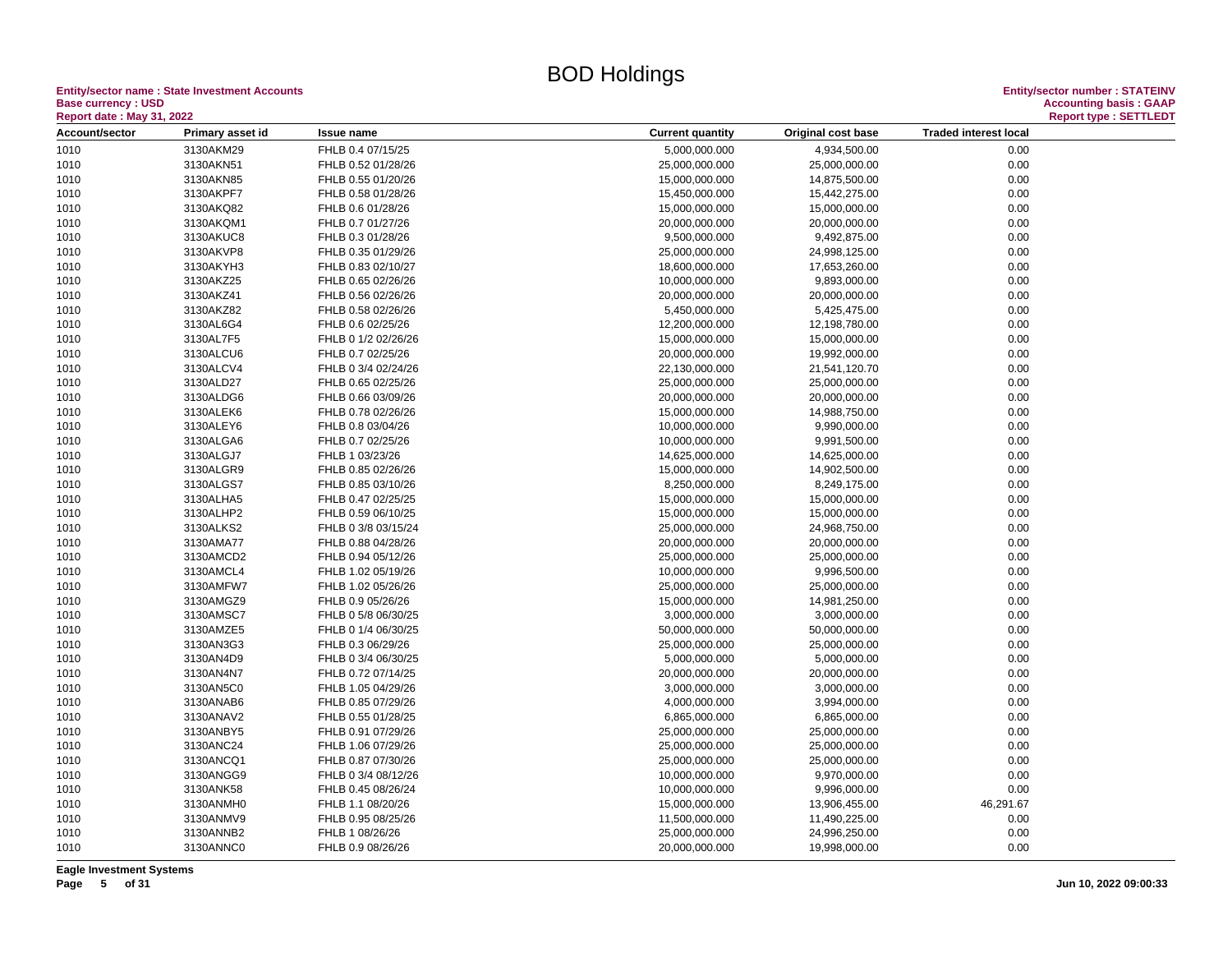**Entity/sector name : State Investment Accounts<br>Base currency : USD<br>Report date : May 31, 2022 Base currency : USD Accounting basis : GAAP**

| <b>Report date : May 31, 2022</b> |                  |                     |                                                                               | <b>Report type: SETTLEDT</b> |
|-----------------------------------|------------------|---------------------|-------------------------------------------------------------------------------|------------------------------|
| Account/sector                    | Primary asset id | <b>Issue name</b>   | <b>Traded interest local</b><br><b>Current quantity</b><br>Original cost base |                              |
| 1010                              | 3130AKM29        | FHLB 0.4 07/15/25   | 5,000,000.000<br>4,934,500.00                                                 | 0.00                         |
| 1010                              | 3130AKN51        | FHLB 0.52 01/28/26  | 25,000,000.000<br>25,000,000.00                                               | 0.00                         |
| 1010                              | 3130AKN85        | FHLB 0.55 01/20/26  | 15,000,000.000<br>14,875,500.00                                               | 0.00                         |
| 1010                              | 3130AKPF7        | FHLB 0.58 01/28/26  | 15,450,000.000<br>15,442,275.00                                               | 0.00                         |
| 1010                              | 3130AKQ82        | FHLB 0.6 01/28/26   | 15,000,000.000<br>15,000,000.00                                               | 0.00                         |
| 1010                              | 3130AKQM1        | FHLB 0.7 01/27/26   | 20,000,000.000<br>20,000,000.00                                               | 0.00                         |
| 1010                              | 3130AKUC8        | FHLB 0.3 01/28/26   | 9,500,000.000<br>9,492,875.00                                                 | 0.00                         |
| 1010                              | 3130AKVP8        | FHLB 0.35 01/29/26  | 25,000,000.000<br>24,998,125.00                                               | 0.00                         |
| 1010                              | 3130AKYH3        | FHLB 0.83 02/10/27  | 18,600,000.000<br>17,653,260.00                                               | 0.00                         |
| 1010                              | 3130AKZ25        | FHLB 0.65 02/26/26  | 10,000,000.000<br>9,893,000.00                                                | 0.00                         |
| 1010                              | 3130AKZ41        | FHLB 0.56 02/26/26  | 20,000,000.000<br>20,000,000.00                                               | 0.00                         |
| 1010                              | 3130AKZ82        | FHLB 0.58 02/26/26  | 5,450,000.000<br>5,425,475.00                                                 | 0.00                         |
| 1010                              | 3130AL6G4        | FHLB 0.6 02/25/26   | 12,200,000.000<br>12,198,780.00                                               | 0.00                         |
| 1010                              | 3130AL7F5        | FHLB 0 1/2 02/26/26 | 15,000,000.000<br>15,000,000.00                                               | 0.00                         |
| 1010                              | 3130ALCU6        | FHLB 0.7 02/25/26   | 20,000,000.000<br>19,992,000.00                                               | 0.00                         |
| 1010                              | 3130ALCV4        | FHLB 0 3/4 02/24/26 | 22,130,000.000<br>21,541,120.70                                               | 0.00                         |
| 1010                              | 3130ALD27        | FHLB 0.65 02/25/26  | 25,000,000.000<br>25,000,000.00                                               | 0.00                         |
| 1010                              | 3130ALDG6        | FHLB 0.66 03/09/26  | 20,000,000.000<br>20,000,000.00                                               | 0.00                         |
| 1010                              | 3130ALEK6        | FHLB 0.78 02/26/26  | 15,000,000.000<br>14,988,750.00                                               | 0.00                         |
| 1010                              | 3130ALEY6        | FHLB 0.8 03/04/26   | 9,990,000.00<br>10,000,000.000                                                | 0.00                         |
| 1010                              | 3130ALGA6        | FHLB 0.7 02/25/26   | 10,000,000.000<br>9,991,500.00                                                | 0.00                         |
| 1010                              | 3130ALGJ7        | FHLB 1 03/23/26     | 14,625,000.000<br>14,625,000.00                                               | 0.00                         |
| 1010                              | 3130ALGR9        | FHLB 0.85 02/26/26  | 15,000,000.000<br>14,902,500.00                                               | 0.00                         |
| 1010                              | 3130ALGS7        | FHLB 0.85 03/10/26  | 8,250,000.000<br>8,249,175.00                                                 | 0.00                         |
| 1010                              | 3130ALHA5        | FHLB 0.47 02/25/25  | 15,000,000.000<br>15,000,000.00                                               | 0.00                         |
| 1010                              | 3130ALHP2        | FHLB 0.59 06/10/25  | 15,000,000.000<br>15,000,000.00                                               | 0.00                         |
| 1010                              | 3130ALKS2        | FHLB 0 3/8 03/15/24 | 25,000,000.000<br>24,968,750.00                                               | 0.00                         |
| 1010                              | 3130AMA77        | FHLB 0.88 04/28/26  | 20,000,000.000<br>20,000,000.00                                               | 0.00                         |
| 1010                              | 3130AMCD2        | FHLB 0.94 05/12/26  | 25,000,000.000<br>25,000,000.00                                               | 0.00                         |
| 1010                              | 3130AMCL4        | FHLB 1.02 05/19/26  | 10,000,000.000<br>9,996,500.00                                                | 0.00                         |
| 1010                              | 3130AMFW7        | FHLB 1.02 05/26/26  | 25,000,000.000<br>25,000,000.00                                               | 0.00                         |
| 1010                              | 3130AMGZ9        | FHLB 0.9 05/26/26   | 15,000,000.000<br>14,981,250.00                                               | 0.00                         |
| 1010                              | 3130AMSC7        | FHLB 0 5/8 06/30/25 | 3,000,000.000<br>3,000,000.00                                                 | 0.00                         |
| 1010                              | 3130AMZE5        | FHLB 0 1/4 06/30/25 | 50,000,000.000<br>50,000,000.00                                               | 0.00                         |
| 1010                              | 3130AN3G3        | FHLB 0.3 06/29/26   | 25,000,000.000<br>25,000,000.00                                               | 0.00                         |
| 1010                              | 3130AN4D9        | FHLB 0 3/4 06/30/25 | 5,000,000.000<br>5,000,000.00                                                 | 0.00                         |
| 1010                              | 3130AN4N7        | FHLB 0.72 07/14/25  | 20,000,000.000<br>20,000,000.00                                               | 0.00                         |
| 1010                              | 3130AN5C0        | FHLB 1.05 04/29/26  | 3,000,000.000<br>3,000,000.00                                                 | 0.00                         |
| 1010                              | 3130ANAB6        | FHLB 0.85 07/29/26  | 4,000,000.000<br>3,994,000.00                                                 | 0.00                         |
| 1010                              | 3130ANAV2        | FHLB 0.55 01/28/25  | 6,865,000.000<br>6,865,000.00                                                 | 0.00                         |
| 1010                              | 3130ANBY5        | FHLB 0.91 07/29/26  | 25,000,000.000<br>25,000,000.00                                               | 0.00                         |
| 1010                              | 3130ANC24        | FHLB 1.06 07/29/26  | 25,000,000.000<br>25,000,000.00                                               | 0.00                         |
| 1010                              | 3130ANCQ1        | FHLB 0.87 07/30/26  | 25,000,000.000<br>25,000,000.00                                               | 0.00                         |
| 1010                              | 3130ANGG9        | FHLB 0 3/4 08/12/26 | 10,000,000.000<br>9,970,000.00                                                | 0.00                         |
| 1010                              | 3130ANK58        | FHLB 0.45 08/26/24  | 10,000,000.000<br>9,996,000.00                                                | 0.00                         |
| 1010                              | 3130ANMH0        | FHLB 1.1 08/20/26   | 46,291.67<br>15,000,000.000<br>13,906,455.00                                  |                              |
| 1010                              | 3130ANMV9        | FHLB 0.95 08/25/26  | 11,500,000.000<br>11,490,225.00                                               | 0.00                         |
| 1010                              | 3130ANNB2        | FHLB 1 08/26/26     | 25,000,000.000<br>24,996,250.00                                               | 0.00                         |
| 1010                              | 3130ANNC0        | FHLB 0.9 08/26/26   | 20,000,000.000<br>19,998,000.00                                               | 0.00                         |
|                                   |                  |                     |                                                                               |                              |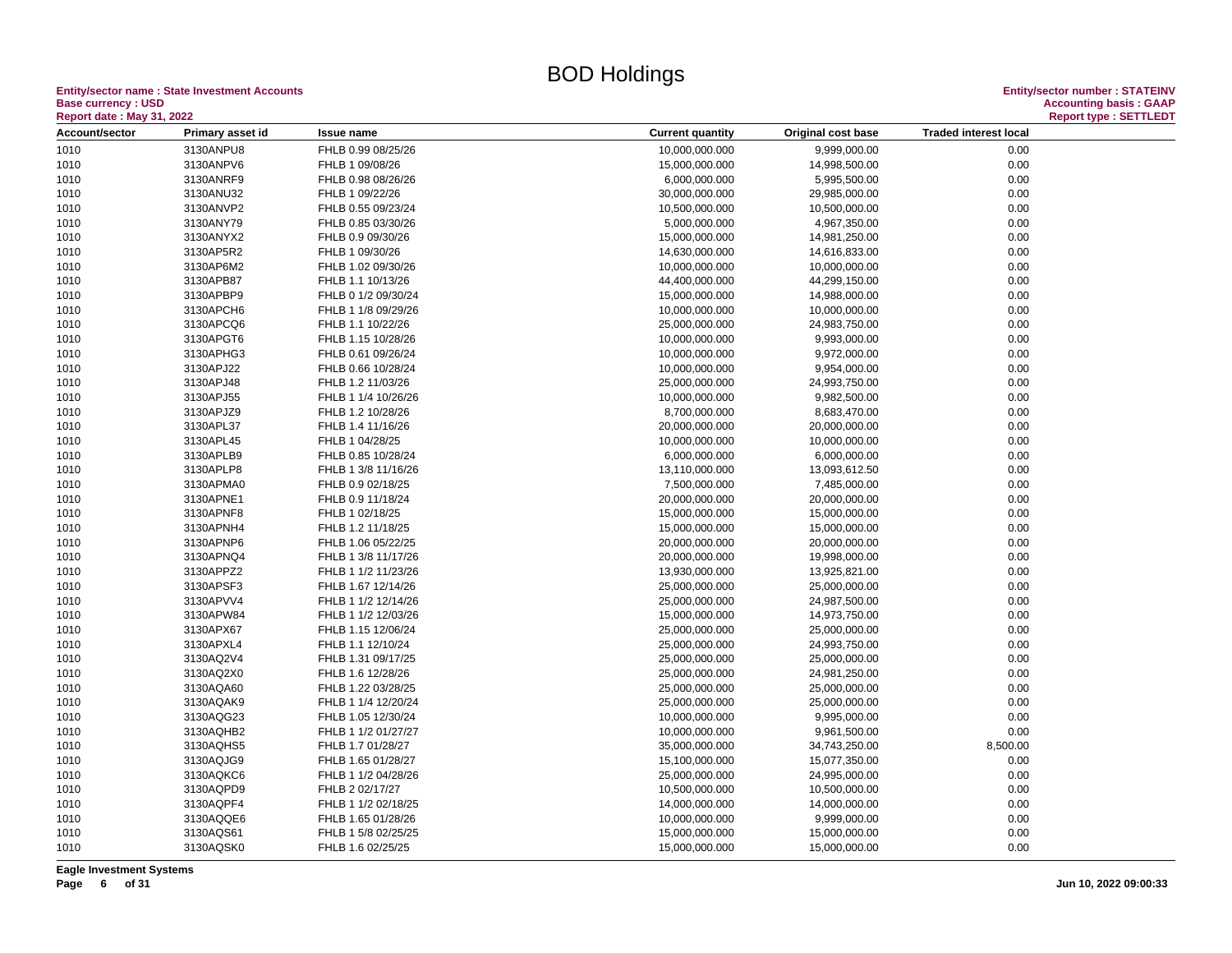**Entity/sector name : State Investment Accounts<br>Base currency : USD<br>Report date : May 31, 2022 Base currency : USD Accounting basis : GAAP**

| <b>Report date : May 31, 2022</b> |                  |                     |                         |                    | <b>Report type: SETTLEDT</b> |  |
|-----------------------------------|------------------|---------------------|-------------------------|--------------------|------------------------------|--|
| Account/sector                    | Primary asset id | <b>Issue name</b>   | <b>Current quantity</b> | Original cost base | <b>Traded interest local</b> |  |
| 1010                              | 3130ANPU8        | FHLB 0.99 08/25/26  | 10,000,000.000          | 9,999,000.00       | 0.00                         |  |
| 1010                              | 3130ANPV6        | FHLB 1 09/08/26     | 15,000,000.000          | 14,998,500.00      | 0.00                         |  |
| 1010                              | 3130ANRF9        | FHLB 0.98 08/26/26  | 6,000,000.000           | 5,995,500.00       | 0.00                         |  |
| 1010                              | 3130ANU32        | FHLB 1 09/22/26     | 30,000,000.000          | 29,985,000.00      | 0.00                         |  |
| 1010                              | 3130ANVP2        | FHLB 0.55 09/23/24  | 10,500,000.000          | 10,500,000.00      | 0.00                         |  |
| 1010                              | 3130ANY79        | FHLB 0.85 03/30/26  | 5,000,000.000           | 4,967,350.00       | 0.00                         |  |
| 1010                              | 3130ANYX2        | FHLB 0.9 09/30/26   | 15,000,000.000          | 14,981,250.00      | 0.00                         |  |
| 1010                              | 3130AP5R2        | FHLB 1 09/30/26     | 14,630,000.000          | 14,616,833.00      | 0.00                         |  |
| 1010                              | 3130AP6M2        | FHLB 1.02 09/30/26  | 10,000,000.000          | 10,000,000.00      | 0.00                         |  |
| 1010                              | 3130APB87        | FHLB 1.1 10/13/26   | 44,400,000.000          | 44,299,150.00      | 0.00                         |  |
| 1010                              | 3130APBP9        | FHLB 0 1/2 09/30/24 | 15,000,000.000          | 14,988,000.00      | 0.00                         |  |
| 1010                              | 3130APCH6        | FHLB 1 1/8 09/29/26 | 10,000,000.000          | 10,000,000.00      | 0.00                         |  |
| 1010                              | 3130APCQ6        | FHLB 1.1 10/22/26   | 25,000,000.000          | 24,983,750.00      | 0.00                         |  |
| 1010                              | 3130APGT6        | FHLB 1.15 10/28/26  | 10,000,000.000          | 9,993,000.00       | 0.00                         |  |
| 1010                              | 3130APHG3        | FHLB 0.61 09/26/24  | 10,000,000.000          | 9,972,000.00       | 0.00                         |  |
| 1010                              | 3130APJ22        | FHLB 0.66 10/28/24  | 10,000,000.000          | 9,954,000.00       | 0.00                         |  |
| 1010                              | 3130APJ48        | FHLB 1.2 11/03/26   | 25,000,000.000          | 24,993,750.00      | 0.00                         |  |
| 1010                              | 3130APJ55        | FHLB 1 1/4 10/26/26 | 10,000,000.000          | 9,982,500.00       | 0.00                         |  |
| 1010                              | 3130APJZ9        | FHLB 1.2 10/28/26   | 8,700,000.000           | 8,683,470.00       | 0.00                         |  |
| 1010                              | 3130APL37        | FHLB 1.4 11/16/26   | 20,000,000.000          | 20,000,000.00      | 0.00                         |  |
| 1010                              | 3130APL45        | FHLB 1 04/28/25     | 10,000,000.000          | 10,000,000.00      | 0.00                         |  |
| 1010                              | 3130APLB9        | FHLB 0.85 10/28/24  | 6,000,000.000           | 6,000,000.00       | 0.00                         |  |
| 1010                              | 3130APLP8        | FHLB 1 3/8 11/16/26 | 13,110,000.000          | 13,093,612.50      | 0.00                         |  |
|                                   | 3130APMA0        | FHLB 0.9 02/18/25   | 7,500,000.000           | 7,485,000.00       | 0.00                         |  |
| 1010                              |                  |                     |                         |                    |                              |  |
| 1010                              | 3130APNE1        | FHLB 0.9 11/18/24   | 20,000,000.000          | 20,000,000.00      | 0.00                         |  |
| 1010                              | 3130APNF8        | FHLB 1 02/18/25     | 15,000,000.000          | 15,000,000.00      | 0.00                         |  |
| 1010                              | 3130APNH4        | FHLB 1.2 11/18/25   | 15,000,000.000          | 15,000,000.00      | 0.00                         |  |
| 1010                              | 3130APNP6        | FHLB 1.06 05/22/25  | 20,000,000.000          | 20,000,000.00      | 0.00                         |  |
| 1010                              | 3130APNQ4        | FHLB 1 3/8 11/17/26 | 20,000,000.000          | 19,998,000.00      | 0.00                         |  |
| 1010                              | 3130APPZ2        | FHLB 1 1/2 11/23/26 | 13,930,000.000          | 13,925,821.00      | 0.00                         |  |
| 1010                              | 3130APSF3        | FHLB 1.67 12/14/26  | 25,000,000.000          | 25,000,000.00      | 0.00                         |  |
| 1010                              | 3130APVV4        | FHLB 1 1/2 12/14/26 | 25,000,000.000          | 24,987,500.00      | 0.00                         |  |
| 1010                              | 3130APW84        | FHLB 1 1/2 12/03/26 | 15,000,000.000          | 14,973,750.00      | 0.00                         |  |
| 1010                              | 3130APX67        | FHLB 1.15 12/06/24  | 25,000,000.000          | 25,000,000.00      | 0.00                         |  |
| 1010                              | 3130APXL4        | FHLB 1.1 12/10/24   | 25,000,000.000          | 24,993,750.00      | 0.00                         |  |
| 1010                              | 3130AQ2V4        | FHLB 1.31 09/17/25  | 25,000,000.000          | 25,000,000.00      | 0.00                         |  |
| 1010                              | 3130AQ2X0        | FHLB 1.6 12/28/26   | 25,000,000.000          | 24,981,250.00      | 0.00                         |  |
| 1010                              | 3130AQA60        | FHLB 1.22 03/28/25  | 25,000,000.000          | 25,000,000.00      | 0.00                         |  |
| 1010                              | 3130AQAK9        | FHLB 1 1/4 12/20/24 | 25,000,000.000          | 25,000,000.00      | 0.00                         |  |
| 1010                              | 3130AQG23        | FHLB 1.05 12/30/24  | 10,000,000.000          | 9,995,000.00       | 0.00                         |  |
| 1010                              | 3130AQHB2        | FHLB 1 1/2 01/27/27 | 10,000,000.000          | 9,961,500.00       | 0.00                         |  |
| 1010                              | 3130AQHS5        | FHLB 1.7 01/28/27   | 35,000,000.000          | 34,743,250.00      | 8,500.00                     |  |
| 1010                              | 3130AQJG9        | FHLB 1.65 01/28/27  | 15,100,000.000          | 15,077,350.00      | 0.00                         |  |
| 1010                              | 3130AQKC6        | FHLB 1 1/2 04/28/26 | 25,000,000.000          | 24,995,000.00      | 0.00                         |  |
| 1010                              | 3130AQPD9        | FHLB 2 02/17/27     | 10,500,000.000          | 10,500,000.00      | 0.00                         |  |
| 1010                              | 3130AQPF4        | FHLB 1 1/2 02/18/25 | 14,000,000.000          | 14,000,000.00      | 0.00                         |  |
| 1010                              | 3130AQQE6        | FHLB 1.65 01/28/26  | 10,000,000.000          | 9,999,000.00       | 0.00                         |  |
| 1010                              | 3130AQS61        | FHLB 1 5/8 02/25/25 | 15,000,000.000          | 15,000,000.00      | 0.00                         |  |
| 1010                              | 3130AQSK0        | FHLB 1.6 02/25/25   | 15,000,000.000          | 15,000,000.00      | 0.00                         |  |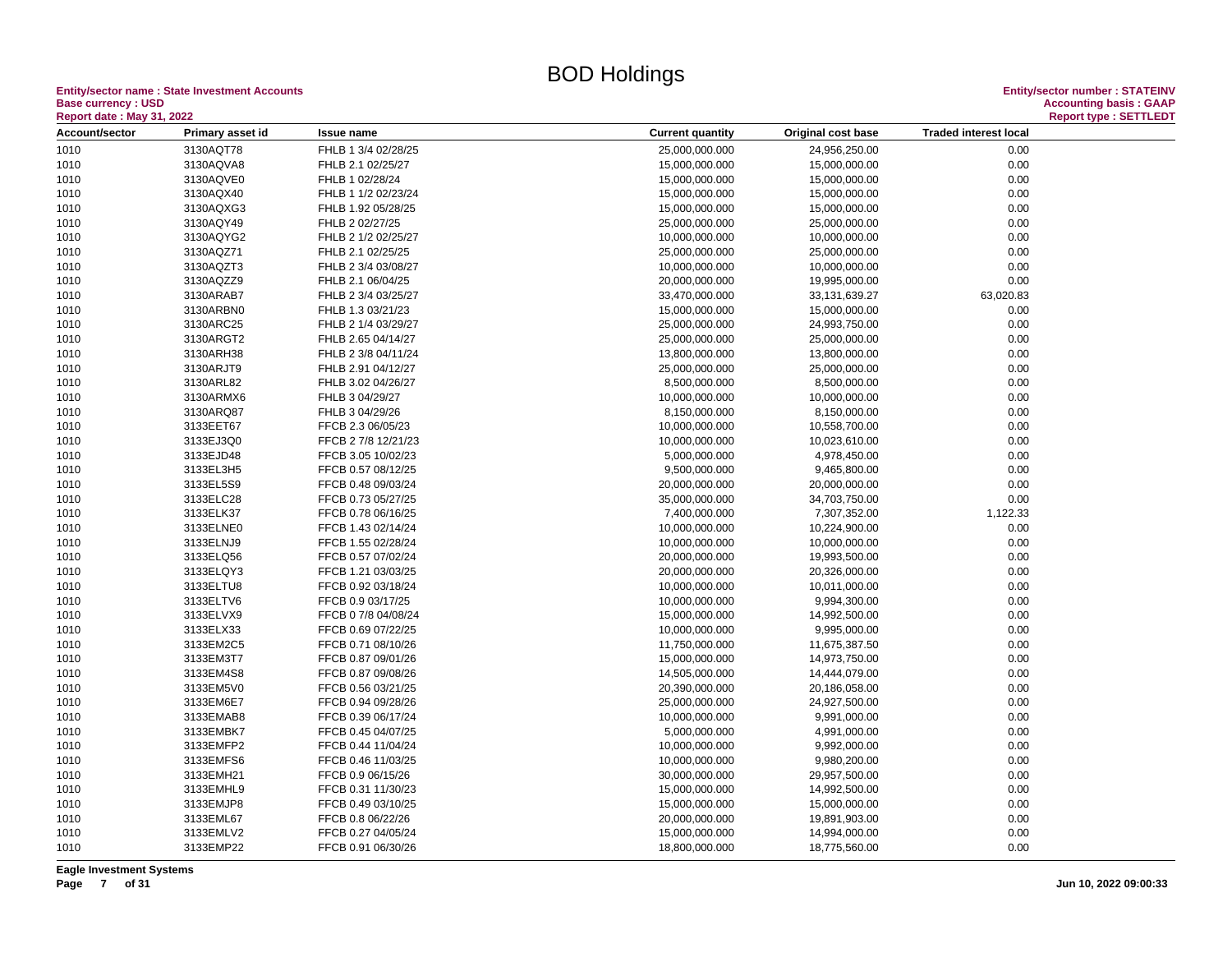**Entity/sector name : State Investment Accounts<br>Base currency : USD<br>Report date : May 31, 2022 Base currency : USD Accounting basis : GAAP**

| <b>Report date : May 31, 2022</b> |                  |                     |                                                                               |  |
|-----------------------------------|------------------|---------------------|-------------------------------------------------------------------------------|--|
| Account/sector                    | Primary asset id | <b>Issue name</b>   | <b>Traded interest local</b><br><b>Current quantity</b><br>Original cost base |  |
| 1010                              | 3130AQT78        | FHLB 1 3/4 02/28/25 | 25,000,000.000<br>24,956,250.00<br>0.00                                       |  |
| 1010                              | 3130AQVA8        | FHLB 2.1 02/25/27   | 0.00<br>15,000,000.000<br>15,000,000.00                                       |  |
| 1010                              | 3130AQVE0        | FHLB 1 02/28/24     | 15,000,000.000<br>15,000,000.00<br>0.00                                       |  |
| 1010                              | 3130AQX40        | FHLB 1 1/2 02/23/24 | 15,000,000.000<br>15,000,000.00<br>0.00                                       |  |
| 1010                              | 3130AQXG3        | FHLB 1.92 05/28/25  | 0.00<br>15,000,000.000<br>15,000,000.00                                       |  |
| 1010                              | 3130AQY49        | FHLB 2 02/27/25     | 0.00<br>25,000,000.000<br>25,000,000.00                                       |  |
| 1010                              | 3130AQYG2        | FHLB 2 1/2 02/25/27 | 10,000,000.000<br>10,000,000.00<br>0.00                                       |  |
| 1010                              | 3130AQZ71        | FHLB 2.1 02/25/25   | 25,000,000.000<br>25,000,000.00<br>0.00                                       |  |
| 1010                              | 3130AQZT3        | FHLB 2 3/4 03/08/27 | 10,000,000.000<br>10,000,000.00<br>0.00                                       |  |
| 1010                              | 3130AQZZ9        | FHLB 2.1 06/04/25   | 20,000,000.000<br>0.00<br>19,995,000.00                                       |  |
| 1010                              | 3130ARAB7        | FHLB 2 3/4 03/25/27 | 63,020.83<br>33,470,000.000<br>33,131,639.27                                  |  |
| 1010                              | 3130ARBN0        | FHLB 1.3 03/21/23   | 15,000,000.000<br>15,000,000.00<br>0.00                                       |  |
| 1010                              | 3130ARC25        | FHLB 2 1/4 03/29/27 | 24,993,750.00<br>0.00<br>25,000,000.000                                       |  |
| 1010                              | 3130ARGT2        | FHLB 2.65 04/14/27  | 25,000,000.000<br>25,000,000.00<br>0.00                                       |  |
| 1010                              | 3130ARH38        | FHLB 2 3/8 04/11/24 | 0.00<br>13,800,000.000<br>13,800,000.00                                       |  |
| 1010                              | 3130ARJT9        | FHLB 2.91 04/12/27  | 25,000,000.000<br>25,000,000.00<br>0.00                                       |  |
| 1010                              | 3130ARL82        | FHLB 3.02 04/26/27  | 8,500,000.000<br>8,500,000.00<br>0.00                                         |  |
| 1010                              | 3130ARMX6        | FHLB 3 04/29/27     | 0.00<br>10,000,000.000<br>10,000,000.00                                       |  |
| 1010                              | 3130ARQ87        | FHLB 3 04/29/26     | 0.00<br>8,150,000.000<br>8,150,000.00                                         |  |
| 1010                              | 3133EET67        | FFCB 2.3 06/05/23   | 10,000,000.000<br>10,558,700.00<br>0.00                                       |  |
| 1010                              | 3133EJ3Q0        | FFCB 2 7/8 12/21/23 | 10,000,000.000<br>10,023,610.00<br>0.00                                       |  |
| 1010                              | 3133EJD48        | FFCB 3.05 10/02/23  | 5,000,000.000<br>4,978,450.00<br>0.00                                         |  |
| 1010                              | 3133EL3H5        | FFCB 0.57 08/12/25  | 0.00<br>9,500,000.000<br>9,465,800.00                                         |  |
| 1010                              | 3133EL5S9        | FFCB 0.48 09/03/24  | 0.00<br>20,000,000.000<br>20,000,000.00                                       |  |
| 1010                              | 3133ELC28        | FFCB 0.73 05/27/25  | 0.00<br>35,000,000.000<br>34,703,750.00                                       |  |
| 1010                              | 3133ELK37        | FFCB 0.78 06/16/25  | 1,122.33<br>7,400,000.000<br>7,307,352.00                                     |  |
| 1010                              | 3133ELNE0        | FFCB 1.43 02/14/24  | 10,000,000.000<br>10,224,900.00<br>0.00                                       |  |
| 1010                              | 3133ELNJ9        | FFCB 1.55 02/28/24  | 0.00<br>10,000,000.000<br>10,000,000.00                                       |  |
| 1010                              | 3133ELQ56        | FFCB 0.57 07/02/24  | 20,000,000.000<br>19,993,500.00<br>0.00                                       |  |
| 1010                              | 3133ELQY3        | FFCB 1.21 03/03/25  | 20,000,000.000<br>20,326,000.00<br>0.00                                       |  |
| 1010                              | 3133ELTU8        | FFCB 0.92 03/18/24  | 0.00<br>10,000,000.000<br>10,011,000.00                                       |  |
| 1010                              | 3133ELTV6        | FFCB 0.9 03/17/25   | 0.00<br>10,000,000.000<br>9,994,300.00                                        |  |
| 1010                              | 3133ELVX9        | FFCB 0 7/8 04/08/24 | 15,000,000.000<br>14,992,500.00<br>0.00                                       |  |
| 1010                              | 3133ELX33        | FFCB 0.69 07/22/25  | 10,000,000.000<br>0.00<br>9,995,000.00                                        |  |
| 1010                              | 3133EM2C5        | FFCB 0.71 08/10/26  | 11,750,000.000<br>11,675,387.50<br>0.00                                       |  |
| 1010                              | 3133EM3T7        | FFCB 0.87 09/01/26  | 15,000,000.000<br>14,973,750.00<br>0.00                                       |  |
| 1010                              | 3133EM4S8        | FFCB 0.87 09/08/26  | 0.00<br>14,505,000.000<br>14,444,079.00                                       |  |
| 1010                              | 3133EM5V0        | FFCB 0.56 03/21/25  | 20,390,000.000<br>0.00<br>20,186,058.00                                       |  |
| 1010                              | 3133EM6E7        | FFCB 0.94 09/28/26  | 24,927,500.00<br>0.00<br>25,000,000.000                                       |  |
| 1010                              | 3133EMAB8        | FFCB 0.39 06/17/24  | 10,000,000.000<br>0.00<br>9,991,000.00                                        |  |
| 1010                              | 3133EMBK7        | FFCB 0.45 04/07/25  | 5,000,000.000<br>4,991,000.00<br>0.00                                         |  |
| 1010                              | 3133EMFP2        | FFCB 0.44 11/04/24  | 10,000,000.000<br>9,992,000.00<br>0.00                                        |  |
| 1010                              | 3133EMFS6        | FFCB 0.46 11/03/25  | 10,000,000.000<br>9,980,200.00<br>0.00                                        |  |
| 1010                              | 3133EMH21        | FFCB 0.9 06/15/26   | 30,000,000.000<br>0.00<br>29,957,500.00                                       |  |
| 1010                              | 3133EMHL9        | FFCB 0.31 11/30/23  | 0.00<br>15,000,000.000<br>14,992,500.00                                       |  |
| 1010                              | 3133EMJP8        | FFCB 0.49 03/10/25  | 15,000,000.000<br>15,000,000.00<br>0.00                                       |  |
| 1010                              | 3133EML67        | FFCB 0.8 06/22/26   | 20,000,000.000<br>0.00<br>19,891,903.00                                       |  |
| 1010                              | 3133EMLV2        | FFCB 0.27 04/05/24  | 15,000,000.000<br>14,994,000.00<br>0.00                                       |  |
| 1010                              | 3133EMP22        | FFCB 0.91 06/30/26  | 18,800,000.000<br>18,775,560.00<br>0.00                                       |  |
|                                   |                  |                     |                                                                               |  |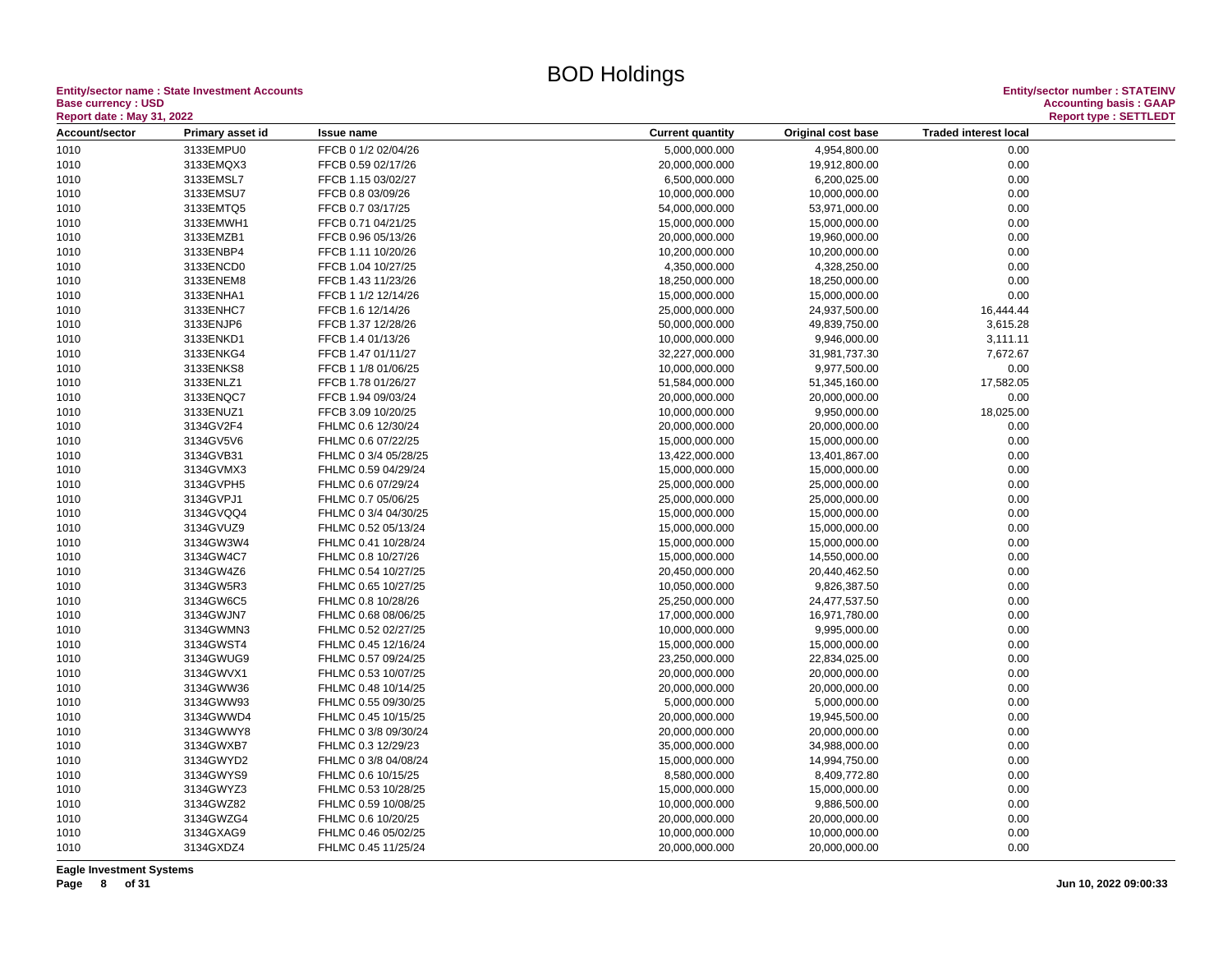**Entity/sector name : State Investment Accounts<br>Base currency : USD<br>Report date : May 31, 2022 Base currency : USD Accounting basis : GAAP**

| Report date : May 31, 2022 |                  |                      |                         |                    |                              | <b>Report type: SETTLEDT</b> |
|----------------------------|------------------|----------------------|-------------------------|--------------------|------------------------------|------------------------------|
| Account/sector             | Primary asset id | <b>Issue name</b>    | <b>Current quantity</b> | Original cost base | <b>Traded interest local</b> |                              |
| 1010                       | 3133EMPU0        | FFCB 0 1/2 02/04/26  | 5,000,000.000           | 4,954,800.00       | 0.00                         |                              |
| 1010                       | 3133EMQX3        | FFCB 0.59 02/17/26   | 20,000,000.000          | 19,912,800.00      | 0.00                         |                              |
| 1010                       | 3133EMSL7        | FFCB 1.15 03/02/27   | 6,500,000.000           | 6,200,025.00       | 0.00                         |                              |
| 1010                       | 3133EMSU7        | FFCB 0.8 03/09/26    | 10,000,000.000          | 10,000,000.00      | 0.00                         |                              |
| 1010                       | 3133EMTQ5        | FFCB 0.7 03/17/25    | 54,000,000.000          | 53,971,000.00      | 0.00                         |                              |
| 1010                       | 3133EMWH1        | FFCB 0.71 04/21/25   | 15,000,000.000          | 15,000,000.00      | 0.00                         |                              |
| 1010                       | 3133EMZB1        | FFCB 0.96 05/13/26   | 20,000,000.000          | 19,960,000.00      | 0.00                         |                              |
| 1010                       | 3133ENBP4        | FFCB 1.11 10/20/26   | 10,200,000.000          | 10,200,000.00      | 0.00                         |                              |
| 1010                       | 3133ENCD0        | FFCB 1.04 10/27/25   | 4,350,000.000           | 4,328,250.00       | 0.00                         |                              |
| 1010                       | 3133ENEM8        | FFCB 1.43 11/23/26   | 18,250,000.000          | 18,250,000.00      | 0.00                         |                              |
| 1010                       | 3133ENHA1        | FFCB 1 1/2 12/14/26  | 15,000,000.000          | 15,000,000.00      | 0.00                         |                              |
| 1010                       | 3133ENHC7        | FFCB 1.6 12/14/26    | 25,000,000.000          | 24,937,500.00      | 16,444.44                    |                              |
| 1010                       | 3133ENJP6        | FFCB 1.37 12/28/26   | 50,000,000.000          | 49,839,750.00      | 3,615.28                     |                              |
| 1010                       | 3133ENKD1        | FFCB 1.4 01/13/26    | 10,000,000.000          | 9,946,000.00       | 3,111.11                     |                              |
| 1010                       | 3133ENKG4        | FFCB 1.47 01/11/27   | 32,227,000.000          | 31,981,737.30      | 7,672.67                     |                              |
| 1010                       | 3133ENKS8        | FFCB 1 1/8 01/06/25  | 10,000,000.000          | 9,977,500.00       | 0.00                         |                              |
| 1010                       | 3133ENLZ1        | FFCB 1.78 01/26/27   | 51,584,000.000          | 51,345,160.00      | 17,582.05                    |                              |
| 1010                       | 3133ENQC7        | FFCB 1.94 09/03/24   | 20,000,000.000          | 20,000,000.00      | 0.00                         |                              |
| 1010                       | 3133ENUZ1        | FFCB 3.09 10/20/25   | 10,000,000.000          | 9,950,000.00       | 18,025.00                    |                              |
| 1010                       | 3134GV2F4        | FHLMC 0.6 12/30/24   | 20,000,000.000          | 20,000,000.00      | 0.00                         |                              |
| 1010                       | 3134GV5V6        | FHLMC 0.6 07/22/25   | 15,000,000.000          | 15,000,000.00      | 0.00                         |                              |
|                            | 3134GVB31        |                      |                         |                    | 0.00                         |                              |
| 1010                       |                  | FHLMC 0 3/4 05/28/25 | 13,422,000.000          | 13,401,867.00      |                              |                              |
| 1010                       | 3134GVMX3        | FHLMC 0.59 04/29/24  | 15,000,000.000          | 15,000,000.00      | 0.00                         |                              |
| 1010                       | 3134GVPH5        | FHLMC 0.6 07/29/24   | 25,000,000.000          | 25,000,000.00      | 0.00                         |                              |
| 1010                       | 3134GVPJ1        | FHLMC 0.7 05/06/25   | 25,000,000.000          | 25,000,000.00      | 0.00                         |                              |
| 1010                       | 3134GVQQ4        | FHLMC 0 3/4 04/30/25 | 15,000,000.000          | 15,000,000.00      | 0.00                         |                              |
| 1010                       | 3134GVUZ9        | FHLMC 0.52 05/13/24  | 15,000,000.000          | 15,000,000.00      | 0.00                         |                              |
| 1010                       | 3134GW3W4        | FHLMC 0.41 10/28/24  | 15,000,000.000          | 15,000,000.00      | 0.00                         |                              |
| 1010                       | 3134GW4C7        | FHLMC 0.8 10/27/26   | 15,000,000.000          | 14,550,000.00      | 0.00                         |                              |
| 1010                       | 3134GW4Z6        | FHLMC 0.54 10/27/25  | 20,450,000.000          | 20,440,462.50      | 0.00                         |                              |
| 1010                       | 3134GW5R3        | FHLMC 0.65 10/27/25  | 10,050,000.000          | 9,826,387.50       | 0.00                         |                              |
| 1010                       | 3134GW6C5        | FHLMC 0.8 10/28/26   | 25,250,000.000          | 24,477,537.50      | 0.00                         |                              |
| 1010                       | 3134GWJN7        | FHLMC 0.68 08/06/25  | 17,000,000.000          | 16,971,780.00      | 0.00                         |                              |
| 1010                       | 3134GWMN3        | FHLMC 0.52 02/27/25  | 10,000,000.000          | 9,995,000.00       | 0.00                         |                              |
| 1010                       | 3134GWST4        | FHLMC 0.45 12/16/24  | 15,000,000.000          | 15,000,000.00      | 0.00                         |                              |
| 1010                       | 3134GWUG9        | FHLMC 0.57 09/24/25  | 23,250,000.000          | 22,834,025.00      | 0.00                         |                              |
| 1010                       | 3134GWVX1        | FHLMC 0.53 10/07/25  | 20,000,000.000          | 20,000,000.00      | 0.00                         |                              |
| 1010                       | 3134GWW36        | FHLMC 0.48 10/14/25  | 20,000,000.000          | 20,000,000.00      | 0.00                         |                              |
| 1010                       | 3134GWW93        | FHLMC 0.55 09/30/25  | 5,000,000.000           | 5,000,000.00       | 0.00                         |                              |
| 1010                       | 3134GWWD4        | FHLMC 0.45 10/15/25  | 20,000,000.000          | 19,945,500.00      | 0.00                         |                              |
| 1010                       | 3134GWWY8        | FHLMC 0 3/8 09/30/24 | 20,000,000.000          | 20,000,000.00      | 0.00                         |                              |
| 1010                       | 3134GWXB7        | FHLMC 0.3 12/29/23   | 35,000,000.000          | 34,988,000.00      | 0.00                         |                              |
| 1010                       | 3134GWYD2        | FHLMC 0 3/8 04/08/24 | 15,000,000.000          | 14,994,750.00      | 0.00                         |                              |
| 1010                       | 3134GWYS9        | FHLMC 0.6 10/15/25   | 8,580,000.000           | 8,409,772.80       | 0.00                         |                              |
| 1010                       | 3134GWYZ3        | FHLMC 0.53 10/28/25  | 15,000,000.000          | 15,000,000.00      | 0.00                         |                              |
| 1010                       | 3134GWZ82        | FHLMC 0.59 10/08/25  | 10,000,000.000          | 9,886,500.00       | 0.00                         |                              |
| 1010                       | 3134GWZG4        | FHLMC 0.6 10/20/25   | 20,000,000.000          | 20,000,000.00      | 0.00                         |                              |
| 1010                       | 3134GXAG9        | FHLMC 0.46 05/02/25  | 10,000,000.000          | 10,000,000.00      | 0.00                         |                              |
| 1010                       | 3134GXDZ4        | FHLMC 0.45 11/25/24  | 20,000,000.000          | 20,000,000.00      | 0.00                         |                              |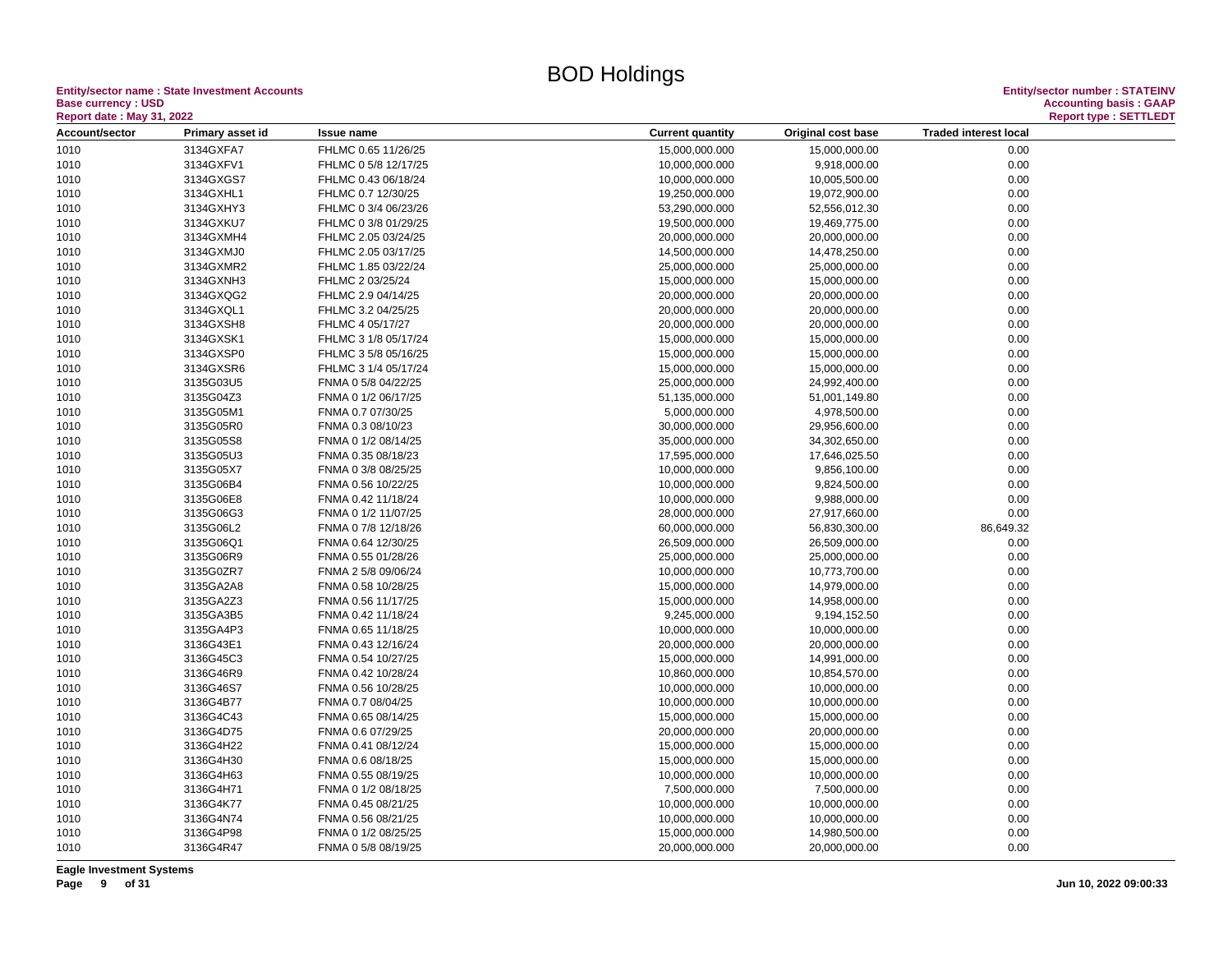**Entity/sector name : State Investment Accounts<br>Base currency : USD<br>Report date : May 31, 2022 Base currency : USD Accounting basis : GAAP**

| <b>Traded interest local</b><br>Account/sector<br>Primary asset id<br><b>Current quantity</b><br>Original cost base<br><b>Issue name</b><br>1010<br>3134GXFA7<br>FHLMC 0.65 11/26/25<br>15,000,000.000<br>15,000,000.00<br>0.00<br>3134GXFV1<br>0.00<br>1010<br>FHLMC 0 5/8 12/17/25<br>10,000,000.000<br>9,918,000.00<br>1010<br>3134GXGS7<br>FHLMC 0.43 06/18/24<br>10,000,000.000<br>10,005,500.00<br>0.00<br>1010<br>3134GXHL1<br>FHLMC 0.7 12/30/25<br>19,250,000.000<br>19,072,900.00<br>0.00<br>3134GXHY3<br>0.00<br>1010<br>FHLMC 0 3/4 06/23/26<br>53,290,000.000<br>52,556,012.30<br>0.00<br>1010<br>3134GXKU7<br>FHLMC 0 3/8 01/29/25<br>19,500,000.000<br>19,469,775.00<br>1010<br>3134GXMH4<br>FHLMC 2.05 03/24/25<br>20,000,000.000<br>20,000,000.00<br>0.00<br>3134GXMJ0<br>14,478,250.00<br>0.00<br>1010<br>FHLMC 2.05 03/17/25<br>14,500,000.000<br>1010<br>3134GXMR2<br>FHLMC 1.85 03/22/24<br>25,000,000.000<br>25,000,000.00<br>0.00<br>3134GXNH3<br>15,000,000.000<br>15,000,000.00<br>1010<br>FHLMC 2 03/25/24<br>0.00 |  |
|----------------------------------------------------------------------------------------------------------------------------------------------------------------------------------------------------------------------------------------------------------------------------------------------------------------------------------------------------------------------------------------------------------------------------------------------------------------------------------------------------------------------------------------------------------------------------------------------------------------------------------------------------------------------------------------------------------------------------------------------------------------------------------------------------------------------------------------------------------------------------------------------------------------------------------------------------------------------------------------------------------------------------------------------|--|
|                                                                                                                                                                                                                                                                                                                                                                                                                                                                                                                                                                                                                                                                                                                                                                                                                                                                                                                                                                                                                                              |  |
|                                                                                                                                                                                                                                                                                                                                                                                                                                                                                                                                                                                                                                                                                                                                                                                                                                                                                                                                                                                                                                              |  |
|                                                                                                                                                                                                                                                                                                                                                                                                                                                                                                                                                                                                                                                                                                                                                                                                                                                                                                                                                                                                                                              |  |
|                                                                                                                                                                                                                                                                                                                                                                                                                                                                                                                                                                                                                                                                                                                                                                                                                                                                                                                                                                                                                                              |  |
|                                                                                                                                                                                                                                                                                                                                                                                                                                                                                                                                                                                                                                                                                                                                                                                                                                                                                                                                                                                                                                              |  |
|                                                                                                                                                                                                                                                                                                                                                                                                                                                                                                                                                                                                                                                                                                                                                                                                                                                                                                                                                                                                                                              |  |
|                                                                                                                                                                                                                                                                                                                                                                                                                                                                                                                                                                                                                                                                                                                                                                                                                                                                                                                                                                                                                                              |  |
|                                                                                                                                                                                                                                                                                                                                                                                                                                                                                                                                                                                                                                                                                                                                                                                                                                                                                                                                                                                                                                              |  |
|                                                                                                                                                                                                                                                                                                                                                                                                                                                                                                                                                                                                                                                                                                                                                                                                                                                                                                                                                                                                                                              |  |
|                                                                                                                                                                                                                                                                                                                                                                                                                                                                                                                                                                                                                                                                                                                                                                                                                                                                                                                                                                                                                                              |  |
|                                                                                                                                                                                                                                                                                                                                                                                                                                                                                                                                                                                                                                                                                                                                                                                                                                                                                                                                                                                                                                              |  |
| 0.00<br>3134GXQG2<br>FHLMC 2.9 04/14/25<br>20,000,000.000<br>20,000,000.00<br>1010                                                                                                                                                                                                                                                                                                                                                                                                                                                                                                                                                                                                                                                                                                                                                                                                                                                                                                                                                           |  |
| 1010<br>3134GXQL1<br>20,000,000.000<br>20,000,000.00<br>0.00<br>FHLMC 3.2 04/25/25                                                                                                                                                                                                                                                                                                                                                                                                                                                                                                                                                                                                                                                                                                                                                                                                                                                                                                                                                           |  |
| 3134GXSH8<br>20,000,000.00<br>0.00<br>1010<br>FHLMC 4 05/17/27<br>20,000,000.000                                                                                                                                                                                                                                                                                                                                                                                                                                                                                                                                                                                                                                                                                                                                                                                                                                                                                                                                                             |  |
| 1010<br>3134GXSK1<br>FHLMC 3 1/8 05/17/24<br>15,000,000.000<br>15,000,000.00<br>0.00                                                                                                                                                                                                                                                                                                                                                                                                                                                                                                                                                                                                                                                                                                                                                                                                                                                                                                                                                         |  |
| 0.00<br>1010<br>3134GXSP0<br>FHLMC 3 5/8 05/16/25<br>15,000,000.000<br>15,000,000.00                                                                                                                                                                                                                                                                                                                                                                                                                                                                                                                                                                                                                                                                                                                                                                                                                                                                                                                                                         |  |
| 3134GXSR6<br>FHLMC 3 1/4 05/17/24<br>15,000,000.000<br>15,000,000.00<br>0.00<br>1010                                                                                                                                                                                                                                                                                                                                                                                                                                                                                                                                                                                                                                                                                                                                                                                                                                                                                                                                                         |  |
| 1010<br>3135G03U5<br>FNMA 0 5/8 04/22/25<br>25,000,000.000<br>24,992,400.00<br>0.00                                                                                                                                                                                                                                                                                                                                                                                                                                                                                                                                                                                                                                                                                                                                                                                                                                                                                                                                                          |  |
| 3135G04Z3<br>0.00<br>1010<br>FNMA 0 1/2 06/17/25<br>51,135,000.000<br>51,001,149.80                                                                                                                                                                                                                                                                                                                                                                                                                                                                                                                                                                                                                                                                                                                                                                                                                                                                                                                                                          |  |
| 3135G05M1<br>0.00<br>1010<br>FNMA 0.7 07/30/25<br>5,000,000.000<br>4,978,500.00                                                                                                                                                                                                                                                                                                                                                                                                                                                                                                                                                                                                                                                                                                                                                                                                                                                                                                                                                              |  |
| 3135G05R0<br>FNMA 0.3 08/10/23<br>30,000,000.000<br>29,956,600.00<br>0.00<br>1010                                                                                                                                                                                                                                                                                                                                                                                                                                                                                                                                                                                                                                                                                                                                                                                                                                                                                                                                                            |  |
| 3135G05S8<br>35,000,000.000<br>0.00<br>1010<br>FNMA 0 1/2 08/14/25<br>34,302,650.00                                                                                                                                                                                                                                                                                                                                                                                                                                                                                                                                                                                                                                                                                                                                                                                                                                                                                                                                                          |  |
| 3135G05U3<br>FNMA 0.35 08/18/23<br>17,595,000.000<br>17,646,025.50<br>0.00<br>1010                                                                                                                                                                                                                                                                                                                                                                                                                                                                                                                                                                                                                                                                                                                                                                                                                                                                                                                                                           |  |
| 3135G05X7<br>0.00<br>1010<br>FNMA 0 3/8 08/25/25<br>10,000,000.000<br>9,856,100.00                                                                                                                                                                                                                                                                                                                                                                                                                                                                                                                                                                                                                                                                                                                                                                                                                                                                                                                                                           |  |
| 3135G06B4<br>FNMA 0.56 10/22/25<br>10,000,000.000<br>9,824,500.00<br>0.00<br>1010                                                                                                                                                                                                                                                                                                                                                                                                                                                                                                                                                                                                                                                                                                                                                                                                                                                                                                                                                            |  |
| 0.00<br>1010<br>3135G06E8<br>10,000,000.000<br>9,988,000.00<br>FNMA 0.42 11/18/24                                                                                                                                                                                                                                                                                                                                                                                                                                                                                                                                                                                                                                                                                                                                                                                                                                                                                                                                                            |  |
| 3135G06G3<br>0.00<br>1010<br>FNMA 0 1/2 11/07/25<br>28,000,000.000<br>27,917,660.00                                                                                                                                                                                                                                                                                                                                                                                                                                                                                                                                                                                                                                                                                                                                                                                                                                                                                                                                                          |  |
| 1010<br>3135G06L2<br>FNMA 0 7/8 12/18/26<br>60,000,000.000<br>56,830,300.00<br>86,649.32                                                                                                                                                                                                                                                                                                                                                                                                                                                                                                                                                                                                                                                                                                                                                                                                                                                                                                                                                     |  |
| 3135G06Q1<br>1010<br>FNMA 0.64 12/30/25<br>26,509,000.000<br>26,509,000.00<br>0.00                                                                                                                                                                                                                                                                                                                                                                                                                                                                                                                                                                                                                                                                                                                                                                                                                                                                                                                                                           |  |
| 3135G06R9<br>FNMA 0.55 01/28/26<br>25,000,000.000<br>25,000,000.00<br>0.00<br>1010                                                                                                                                                                                                                                                                                                                                                                                                                                                                                                                                                                                                                                                                                                                                                                                                                                                                                                                                                           |  |
| 3135G0ZR7<br>1010<br>FNMA 2 5/8 09/06/24<br>10,000,000.000<br>10,773,700.00<br>0.00                                                                                                                                                                                                                                                                                                                                                                                                                                                                                                                                                                                                                                                                                                                                                                                                                                                                                                                                                          |  |
| 3135GA2A8<br>14,979,000.00<br>0.00<br>1010<br>FNMA 0.58 10/28/25<br>15,000,000.000                                                                                                                                                                                                                                                                                                                                                                                                                                                                                                                                                                                                                                                                                                                                                                                                                                                                                                                                                           |  |
| 3135GA2Z3<br>0.00<br>1010<br>FNMA 0.56 11/17/25<br>15,000,000.000<br>14,958,000.00                                                                                                                                                                                                                                                                                                                                                                                                                                                                                                                                                                                                                                                                                                                                                                                                                                                                                                                                                           |  |
| 1010<br>3135GA3B5<br>9,245,000.000<br>9,194,152.50<br>0.00<br>FNMA 0.42 11/18/24                                                                                                                                                                                                                                                                                                                                                                                                                                                                                                                                                                                                                                                                                                                                                                                                                                                                                                                                                             |  |
| 3135GA4P3<br>10,000,000.000<br>0.00<br>1010<br>FNMA 0.65 11/18/25<br>10,000,000.00                                                                                                                                                                                                                                                                                                                                                                                                                                                                                                                                                                                                                                                                                                                                                                                                                                                                                                                                                           |  |
| 1010<br>3136G43E1<br>FNMA 0.43 12/16/24<br>20,000,000.000<br>20,000,000.00<br>0.00                                                                                                                                                                                                                                                                                                                                                                                                                                                                                                                                                                                                                                                                                                                                                                                                                                                                                                                                                           |  |
| 3136G45C3<br>15,000,000.000<br>0.00<br>1010<br>FNMA 0.54 10/27/25<br>14,991,000.00                                                                                                                                                                                                                                                                                                                                                                                                                                                                                                                                                                                                                                                                                                                                                                                                                                                                                                                                                           |  |
| 0.00<br>1010<br>3136G46R9<br>FNMA 0.42 10/28/24<br>10,860,000.000<br>10,854,570.00                                                                                                                                                                                                                                                                                                                                                                                                                                                                                                                                                                                                                                                                                                                                                                                                                                                                                                                                                           |  |
| 1010<br>3136G46S7<br>FNMA 0.56 10/28/25<br>10,000,000.000<br>10,000,000.00<br>0.00                                                                                                                                                                                                                                                                                                                                                                                                                                                                                                                                                                                                                                                                                                                                                                                                                                                                                                                                                           |  |
| 3136G4B77<br>10,000,000.00<br>0.00<br>1010<br>FNMA 0.7 08/04/25<br>10,000,000.000                                                                                                                                                                                                                                                                                                                                                                                                                                                                                                                                                                                                                                                                                                                                                                                                                                                                                                                                                            |  |
| 3136G4C43<br>15,000,000.000<br>15,000,000.00<br>0.00<br>1010<br>FNMA 0.65 08/14/25                                                                                                                                                                                                                                                                                                                                                                                                                                                                                                                                                                                                                                                                                                                                                                                                                                                                                                                                                           |  |
| 1010<br>3136G4D75<br>FNMA 0.6 07/29/25<br>20,000,000.000<br>20,000,000.00<br>0.00                                                                                                                                                                                                                                                                                                                                                                                                                                                                                                                                                                                                                                                                                                                                                                                                                                                                                                                                                            |  |
| 3136G4H22<br>1010<br>FNMA 0.41 08/12/24<br>15,000,000.000<br>15,000,000.00<br>0.00                                                                                                                                                                                                                                                                                                                                                                                                                                                                                                                                                                                                                                                                                                                                                                                                                                                                                                                                                           |  |
| 1010<br>3136G4H30<br>FNMA 0.6 08/18/25<br>15,000,000.000<br>15,000,000.00<br>0.00                                                                                                                                                                                                                                                                                                                                                                                                                                                                                                                                                                                                                                                                                                                                                                                                                                                                                                                                                            |  |
| 3136G4H63<br>10,000,000.000<br>0.00<br>1010<br>FNMA 0.55 08/19/25<br>10,000,000.00                                                                                                                                                                                                                                                                                                                                                                                                                                                                                                                                                                                                                                                                                                                                                                                                                                                                                                                                                           |  |
| 3136G4H71<br>0.00<br>1010<br>FNMA 0 1/2 08/18/25<br>7,500,000.000<br>7,500,000.00                                                                                                                                                                                                                                                                                                                                                                                                                                                                                                                                                                                                                                                                                                                                                                                                                                                                                                                                                            |  |
| 1010<br>3136G4K77<br>10,000,000.000<br>10,000,000.00<br>0.00<br>FNMA 0.45 08/21/25                                                                                                                                                                                                                                                                                                                                                                                                                                                                                                                                                                                                                                                                                                                                                                                                                                                                                                                                                           |  |
| 3136G4N74<br>10,000,000.000<br>10,000,000.00<br>0.00<br>1010<br>FNMA 0.56 08/21/25                                                                                                                                                                                                                                                                                                                                                                                                                                                                                                                                                                                                                                                                                                                                                                                                                                                                                                                                                           |  |
| 1010<br>3136G4P98<br>FNMA 0 1/2 08/25/25<br>15,000,000.000<br>14,980,500.00<br>0.00                                                                                                                                                                                                                                                                                                                                                                                                                                                                                                                                                                                                                                                                                                                                                                                                                                                                                                                                                          |  |
| 3136G4R47<br>20,000,000.000<br>20,000,000.00<br>0.00<br>1010<br>FNMA 0 5/8 08/19/25                                                                                                                                                                                                                                                                                                                                                                                                                                                                                                                                                                                                                                                                                                                                                                                                                                                                                                                                                          |  |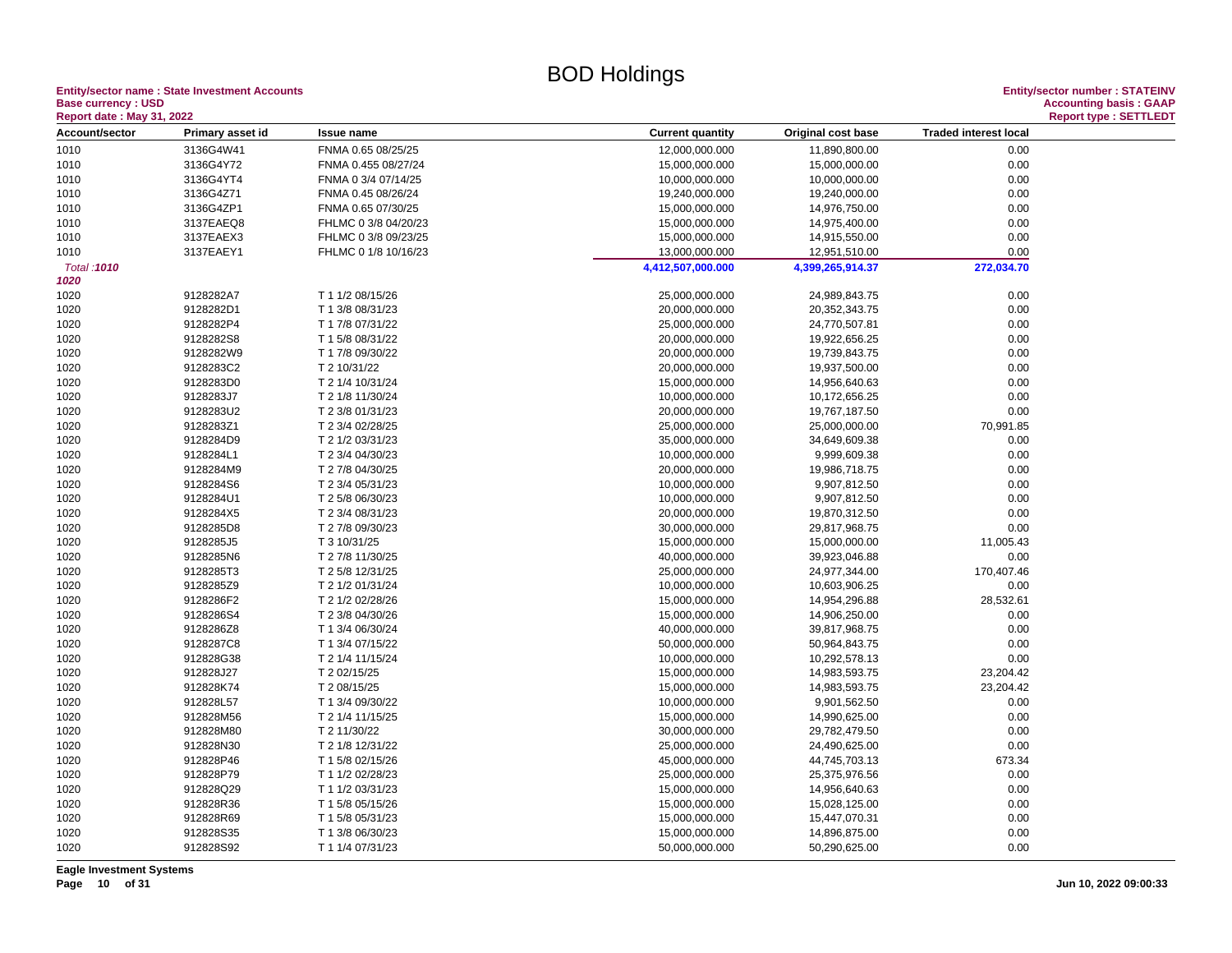#### **Entity/sector name : State Investment Accounts<br>Base currency : USD<br>Based date: May 24, 2000 Base currency : USD Accounting basis : GAAP**

| Account/sector<br><b>Traded interest local</b><br>Primary asset id<br><b>Current quantity</b><br>Original cost base<br><b>Issue name</b><br>1010<br>3136G4W41<br>FNMA 0.65 08/25/25<br>12,000,000.000<br>11,890,800.00<br>0.00<br>3136G4Y72<br>0.00<br>1010<br>FNMA 0.455 08/27/24<br>15,000,000.000<br>15,000,000.00<br>1010<br>3136G4YT4<br>FNMA 0 3/4 07/14/25<br>10,000,000.000<br>10,000,000.00<br>0.00<br>0.00<br>1010<br>3136G4Z71<br>FNMA 0.45 08/26/24<br>19,240,000.000<br>19,240,000.00<br>3136G4ZP1<br>FNMA 0.65 07/30/25<br>15,000,000.000<br>14,976,750.00<br>0.00<br>1010<br>3137EAEQ8<br>0.00<br>1010<br>FHLMC 0 3/8 04/20/23<br>15,000,000.000<br>14,975,400.00<br>3137EAEX3<br>0.00<br>1010<br>FHLMC 0 3/8 09/23/25<br>15,000,000.000<br>14,915,550.00<br>0.00<br>1010<br>3137EAEY1<br>FHLMC 0 1/8 10/16/23<br>13,000,000.000<br>12,951,510.00<br>272,034.70<br>Total: 1010<br>4,412,507,000.000<br>4,399,265,914.37<br>1020<br>1020<br>9128282A7<br>T 1 1/2 08/15/26<br>25,000,000.000<br>24,989,843.75<br>0.00<br>9128282D1<br>T 1 3/8 08/31/23<br>20,000,000.000<br>20,352,343.75<br>0.00<br>1020<br>9128282P4<br>T 1 7/8 07/31/22<br>25,000,000.000<br>24,770,507.81<br>0.00<br>1020<br>1020<br>9128282S8<br>T 1 5/8 08/31/22<br>20,000,000.000<br>19,922,656.25<br>0.00<br>9128282W9<br>T 1 7/8 09/30/22<br>20,000,000.000<br>19,739,843.75<br>0.00<br>1020<br>9128283C2<br>19,937,500.00<br>0.00<br>1020<br>T 2 10/31/22<br>20,000,000.000<br>9128283D0<br>0.00<br>1020<br>T 2 1/4 10/31/24<br>15,000,000.000<br>14,956,640.63<br>9128283J7<br>1020<br>T 2 1/8 11/30/24<br>10,000,000.000<br>10,172,656.25<br>0.00<br>9128283U2<br>20,000,000.000<br>0.00<br>1020<br>T 2 3/8 01/31/23<br>19,767,187.50<br>9128283Z1<br>T 2 3/4 02/28/25<br>25,000,000.000<br>25,000,000.00<br>70,991.85<br>1020<br>9128284D9<br>T 2 1/2 03/31/23<br>35,000,000.000<br>34,649,609.38<br>0.00<br>1020<br>9128284L1<br>0.00<br>1020<br>T 2 3/4 04/30/23<br>10,000,000.000<br>9,999,609.38<br>1020<br>9128284M9<br>T 2 7/8 04/30/25<br>20,000,000.000<br>19,986,718.75<br>0.00<br>9128284S6<br>0.00<br>1020<br>T 2 3/4 05/31/23<br>10,000,000.000<br>9,907,812.50<br>1020<br>9128284U1<br>T 2 5/8 06/30/23<br>10,000,000.000<br>9,907,812.50<br>0.00<br>0.00<br>1020<br>9128284X5<br>T 2 3/4 08/31/23<br>20,000,000.000<br>19,870,312.50<br>9128285D8<br>T 2 7/8 09/30/23<br>0.00<br>1020<br>30,000,000.000<br>29,817,968.75<br>1020<br>9128285J5<br>T 3 10/31/25<br>11,005.43<br>15,000,000.000<br>15,000,000.00<br>9128285N6<br>39,923,046.88<br>0.00<br>1020<br>T 2 7/8 11/30/25<br>40,000,000.000<br>1020<br>9128285T3<br>T 2 5/8 12/31/25<br>25,000,000.000<br>24,977,344.00<br>170,407.46<br>9128285Z9<br>T 2 1/2 01/31/24<br>10,000,000.000<br>10,603,906.25<br>0.00<br>1020<br>9128286F2<br>1020<br>T 2 1/2 02/28/26<br>15,000,000.000<br>14,954,296.88<br>28,532.61<br>9128286S4<br>15,000,000.000<br>14,906,250.00<br>0.00<br>1020<br>T 2 3/8 04/30/26<br>1020<br>9128286Z8<br>39,817,968.75<br>0.00<br>T 1 3/4 06/30/24<br>40,000,000.000<br>1020<br>9128287C8<br>T 1 3/4 07/15/22<br>50,000,000.000<br>50,964,843.75<br>0.00<br>912828G38<br>10,000,000.000<br>10,292,578.13<br>0.00<br>1020<br>T 2 1/4 11/15/24<br>1020<br>912828J27<br>T 2 02/15/25<br>15,000,000.000<br>14,983,593.75<br>23,204.42<br>912828K74<br>23,204.42<br>1020<br>T 2 08/15/25<br>15,000,000.000<br>14,983,593.75<br>1020<br>912828L57<br>T 1 3/4 09/30/22<br>10,000,000.000<br>9,901,562.50<br>0.00<br>912828M56<br>T 2 1/4 11/15/25<br>15,000,000.000<br>14,990,625.00<br>0.00<br>1020<br>1020<br>912828M80<br>30,000,000.000<br>0.00<br>T 2 11/30/22<br>29,782,479.50<br>0.00<br>1020<br>912828N30<br>T 2 1/8 12/31/22<br>25,000,000.000<br>24,490,625.00<br>1020<br>912828P46<br>T 1 5/8 02/15/26<br>45,000,000.000<br>44,745,703.13<br>673.34<br>912828P79<br>0.00<br>1020<br>T 1 1/2 02/28/23<br>25,000,000.000<br>25,375,976.56<br>912828Q29<br>1020<br>T 1 1/2 03/31/23<br>15,000,000.000<br>14,956,640.63<br>0.00<br>1020<br>912828R36<br>15,000,000.000<br>0.00<br>T 1 5/8 05/15/26<br>15,028,125.00<br>1020<br>912828R69<br>T 1 5/8 05/31/23<br>15,000,000.000<br>15,447,070.31<br>0.00<br>912828S35<br>15,000,000.000<br>14,896,875.00<br>0.00<br>1020<br>T 1 3/8 06/30/23<br>1020<br>912828S92<br>T 1 1/4 07/31/23<br>50,000,000.000<br>50,290,625.00<br>0.00 | <b>Report date: May 31, 2022</b> |  |  |  |  |  |
|---------------------------------------------------------------------------------------------------------------------------------------------------------------------------------------------------------------------------------------------------------------------------------------------------------------------------------------------------------------------------------------------------------------------------------------------------------------------------------------------------------------------------------------------------------------------------------------------------------------------------------------------------------------------------------------------------------------------------------------------------------------------------------------------------------------------------------------------------------------------------------------------------------------------------------------------------------------------------------------------------------------------------------------------------------------------------------------------------------------------------------------------------------------------------------------------------------------------------------------------------------------------------------------------------------------------------------------------------------------------------------------------------------------------------------------------------------------------------------------------------------------------------------------------------------------------------------------------------------------------------------------------------------------------------------------------------------------------------------------------------------------------------------------------------------------------------------------------------------------------------------------------------------------------------------------------------------------------------------------------------------------------------------------------------------------------------------------------------------------------------------------------------------------------------------------------------------------------------------------------------------------------------------------------------------------------------------------------------------------------------------------------------------------------------------------------------------------------------------------------------------------------------------------------------------------------------------------------------------------------------------------------------------------------------------------------------------------------------------------------------------------------------------------------------------------------------------------------------------------------------------------------------------------------------------------------------------------------------------------------------------------------------------------------------------------------------------------------------------------------------------------------------------------------------------------------------------------------------------------------------------------------------------------------------------------------------------------------------------------------------------------------------------------------------------------------------------------------------------------------------------------------------------------------------------------------------------------------------------------------------------------------------------------------------------------------------------------------------------------------------------------------------------------------------------------------------------------------------------------------------------------------------------------------------------------------------------------------------------------------------------------------------------------------------------------------------------------------------------------------------------------------------------------------------------------------------------------------------------------------------------------------------------------------------------------------------------------------------------------------|----------------------------------|--|--|--|--|--|
|                                                                                                                                                                                                                                                                                                                                                                                                                                                                                                                                                                                                                                                                                                                                                                                                                                                                                                                                                                                                                                                                                                                                                                                                                                                                                                                                                                                                                                                                                                                                                                                                                                                                                                                                                                                                                                                                                                                                                                                                                                                                                                                                                                                                                                                                                                                                                                                                                                                                                                                                                                                                                                                                                                                                                                                                                                                                                                                                                                                                                                                                                                                                                                                                                                                                                                                                                                                                                                                                                                                                                                                                                                                                                                                                                                                                                                                                                                                                                                                                                                                                                                                                                                                                                                                                                                                                                                     |                                  |  |  |  |  |  |
|                                                                                                                                                                                                                                                                                                                                                                                                                                                                                                                                                                                                                                                                                                                                                                                                                                                                                                                                                                                                                                                                                                                                                                                                                                                                                                                                                                                                                                                                                                                                                                                                                                                                                                                                                                                                                                                                                                                                                                                                                                                                                                                                                                                                                                                                                                                                                                                                                                                                                                                                                                                                                                                                                                                                                                                                                                                                                                                                                                                                                                                                                                                                                                                                                                                                                                                                                                                                                                                                                                                                                                                                                                                                                                                                                                                                                                                                                                                                                                                                                                                                                                                                                                                                                                                                                                                                                                     |                                  |  |  |  |  |  |
|                                                                                                                                                                                                                                                                                                                                                                                                                                                                                                                                                                                                                                                                                                                                                                                                                                                                                                                                                                                                                                                                                                                                                                                                                                                                                                                                                                                                                                                                                                                                                                                                                                                                                                                                                                                                                                                                                                                                                                                                                                                                                                                                                                                                                                                                                                                                                                                                                                                                                                                                                                                                                                                                                                                                                                                                                                                                                                                                                                                                                                                                                                                                                                                                                                                                                                                                                                                                                                                                                                                                                                                                                                                                                                                                                                                                                                                                                                                                                                                                                                                                                                                                                                                                                                                                                                                                                                     |                                  |  |  |  |  |  |
|                                                                                                                                                                                                                                                                                                                                                                                                                                                                                                                                                                                                                                                                                                                                                                                                                                                                                                                                                                                                                                                                                                                                                                                                                                                                                                                                                                                                                                                                                                                                                                                                                                                                                                                                                                                                                                                                                                                                                                                                                                                                                                                                                                                                                                                                                                                                                                                                                                                                                                                                                                                                                                                                                                                                                                                                                                                                                                                                                                                                                                                                                                                                                                                                                                                                                                                                                                                                                                                                                                                                                                                                                                                                                                                                                                                                                                                                                                                                                                                                                                                                                                                                                                                                                                                                                                                                                                     |                                  |  |  |  |  |  |
|                                                                                                                                                                                                                                                                                                                                                                                                                                                                                                                                                                                                                                                                                                                                                                                                                                                                                                                                                                                                                                                                                                                                                                                                                                                                                                                                                                                                                                                                                                                                                                                                                                                                                                                                                                                                                                                                                                                                                                                                                                                                                                                                                                                                                                                                                                                                                                                                                                                                                                                                                                                                                                                                                                                                                                                                                                                                                                                                                                                                                                                                                                                                                                                                                                                                                                                                                                                                                                                                                                                                                                                                                                                                                                                                                                                                                                                                                                                                                                                                                                                                                                                                                                                                                                                                                                                                                                     |                                  |  |  |  |  |  |
|                                                                                                                                                                                                                                                                                                                                                                                                                                                                                                                                                                                                                                                                                                                                                                                                                                                                                                                                                                                                                                                                                                                                                                                                                                                                                                                                                                                                                                                                                                                                                                                                                                                                                                                                                                                                                                                                                                                                                                                                                                                                                                                                                                                                                                                                                                                                                                                                                                                                                                                                                                                                                                                                                                                                                                                                                                                                                                                                                                                                                                                                                                                                                                                                                                                                                                                                                                                                                                                                                                                                                                                                                                                                                                                                                                                                                                                                                                                                                                                                                                                                                                                                                                                                                                                                                                                                                                     |                                  |  |  |  |  |  |
|                                                                                                                                                                                                                                                                                                                                                                                                                                                                                                                                                                                                                                                                                                                                                                                                                                                                                                                                                                                                                                                                                                                                                                                                                                                                                                                                                                                                                                                                                                                                                                                                                                                                                                                                                                                                                                                                                                                                                                                                                                                                                                                                                                                                                                                                                                                                                                                                                                                                                                                                                                                                                                                                                                                                                                                                                                                                                                                                                                                                                                                                                                                                                                                                                                                                                                                                                                                                                                                                                                                                                                                                                                                                                                                                                                                                                                                                                                                                                                                                                                                                                                                                                                                                                                                                                                                                                                     |                                  |  |  |  |  |  |
|                                                                                                                                                                                                                                                                                                                                                                                                                                                                                                                                                                                                                                                                                                                                                                                                                                                                                                                                                                                                                                                                                                                                                                                                                                                                                                                                                                                                                                                                                                                                                                                                                                                                                                                                                                                                                                                                                                                                                                                                                                                                                                                                                                                                                                                                                                                                                                                                                                                                                                                                                                                                                                                                                                                                                                                                                                                                                                                                                                                                                                                                                                                                                                                                                                                                                                                                                                                                                                                                                                                                                                                                                                                                                                                                                                                                                                                                                                                                                                                                                                                                                                                                                                                                                                                                                                                                                                     |                                  |  |  |  |  |  |
|                                                                                                                                                                                                                                                                                                                                                                                                                                                                                                                                                                                                                                                                                                                                                                                                                                                                                                                                                                                                                                                                                                                                                                                                                                                                                                                                                                                                                                                                                                                                                                                                                                                                                                                                                                                                                                                                                                                                                                                                                                                                                                                                                                                                                                                                                                                                                                                                                                                                                                                                                                                                                                                                                                                                                                                                                                                                                                                                                                                                                                                                                                                                                                                                                                                                                                                                                                                                                                                                                                                                                                                                                                                                                                                                                                                                                                                                                                                                                                                                                                                                                                                                                                                                                                                                                                                                                                     |                                  |  |  |  |  |  |
|                                                                                                                                                                                                                                                                                                                                                                                                                                                                                                                                                                                                                                                                                                                                                                                                                                                                                                                                                                                                                                                                                                                                                                                                                                                                                                                                                                                                                                                                                                                                                                                                                                                                                                                                                                                                                                                                                                                                                                                                                                                                                                                                                                                                                                                                                                                                                                                                                                                                                                                                                                                                                                                                                                                                                                                                                                                                                                                                                                                                                                                                                                                                                                                                                                                                                                                                                                                                                                                                                                                                                                                                                                                                                                                                                                                                                                                                                                                                                                                                                                                                                                                                                                                                                                                                                                                                                                     |                                  |  |  |  |  |  |
|                                                                                                                                                                                                                                                                                                                                                                                                                                                                                                                                                                                                                                                                                                                                                                                                                                                                                                                                                                                                                                                                                                                                                                                                                                                                                                                                                                                                                                                                                                                                                                                                                                                                                                                                                                                                                                                                                                                                                                                                                                                                                                                                                                                                                                                                                                                                                                                                                                                                                                                                                                                                                                                                                                                                                                                                                                                                                                                                                                                                                                                                                                                                                                                                                                                                                                                                                                                                                                                                                                                                                                                                                                                                                                                                                                                                                                                                                                                                                                                                                                                                                                                                                                                                                                                                                                                                                                     |                                  |  |  |  |  |  |
|                                                                                                                                                                                                                                                                                                                                                                                                                                                                                                                                                                                                                                                                                                                                                                                                                                                                                                                                                                                                                                                                                                                                                                                                                                                                                                                                                                                                                                                                                                                                                                                                                                                                                                                                                                                                                                                                                                                                                                                                                                                                                                                                                                                                                                                                                                                                                                                                                                                                                                                                                                                                                                                                                                                                                                                                                                                                                                                                                                                                                                                                                                                                                                                                                                                                                                                                                                                                                                                                                                                                                                                                                                                                                                                                                                                                                                                                                                                                                                                                                                                                                                                                                                                                                                                                                                                                                                     |                                  |  |  |  |  |  |
|                                                                                                                                                                                                                                                                                                                                                                                                                                                                                                                                                                                                                                                                                                                                                                                                                                                                                                                                                                                                                                                                                                                                                                                                                                                                                                                                                                                                                                                                                                                                                                                                                                                                                                                                                                                                                                                                                                                                                                                                                                                                                                                                                                                                                                                                                                                                                                                                                                                                                                                                                                                                                                                                                                                                                                                                                                                                                                                                                                                                                                                                                                                                                                                                                                                                                                                                                                                                                                                                                                                                                                                                                                                                                                                                                                                                                                                                                                                                                                                                                                                                                                                                                                                                                                                                                                                                                                     |                                  |  |  |  |  |  |
|                                                                                                                                                                                                                                                                                                                                                                                                                                                                                                                                                                                                                                                                                                                                                                                                                                                                                                                                                                                                                                                                                                                                                                                                                                                                                                                                                                                                                                                                                                                                                                                                                                                                                                                                                                                                                                                                                                                                                                                                                                                                                                                                                                                                                                                                                                                                                                                                                                                                                                                                                                                                                                                                                                                                                                                                                                                                                                                                                                                                                                                                                                                                                                                                                                                                                                                                                                                                                                                                                                                                                                                                                                                                                                                                                                                                                                                                                                                                                                                                                                                                                                                                                                                                                                                                                                                                                                     |                                  |  |  |  |  |  |
|                                                                                                                                                                                                                                                                                                                                                                                                                                                                                                                                                                                                                                                                                                                                                                                                                                                                                                                                                                                                                                                                                                                                                                                                                                                                                                                                                                                                                                                                                                                                                                                                                                                                                                                                                                                                                                                                                                                                                                                                                                                                                                                                                                                                                                                                                                                                                                                                                                                                                                                                                                                                                                                                                                                                                                                                                                                                                                                                                                                                                                                                                                                                                                                                                                                                                                                                                                                                                                                                                                                                                                                                                                                                                                                                                                                                                                                                                                                                                                                                                                                                                                                                                                                                                                                                                                                                                                     |                                  |  |  |  |  |  |
|                                                                                                                                                                                                                                                                                                                                                                                                                                                                                                                                                                                                                                                                                                                                                                                                                                                                                                                                                                                                                                                                                                                                                                                                                                                                                                                                                                                                                                                                                                                                                                                                                                                                                                                                                                                                                                                                                                                                                                                                                                                                                                                                                                                                                                                                                                                                                                                                                                                                                                                                                                                                                                                                                                                                                                                                                                                                                                                                                                                                                                                                                                                                                                                                                                                                                                                                                                                                                                                                                                                                                                                                                                                                                                                                                                                                                                                                                                                                                                                                                                                                                                                                                                                                                                                                                                                                                                     |                                  |  |  |  |  |  |
|                                                                                                                                                                                                                                                                                                                                                                                                                                                                                                                                                                                                                                                                                                                                                                                                                                                                                                                                                                                                                                                                                                                                                                                                                                                                                                                                                                                                                                                                                                                                                                                                                                                                                                                                                                                                                                                                                                                                                                                                                                                                                                                                                                                                                                                                                                                                                                                                                                                                                                                                                                                                                                                                                                                                                                                                                                                                                                                                                                                                                                                                                                                                                                                                                                                                                                                                                                                                                                                                                                                                                                                                                                                                                                                                                                                                                                                                                                                                                                                                                                                                                                                                                                                                                                                                                                                                                                     |                                  |  |  |  |  |  |
|                                                                                                                                                                                                                                                                                                                                                                                                                                                                                                                                                                                                                                                                                                                                                                                                                                                                                                                                                                                                                                                                                                                                                                                                                                                                                                                                                                                                                                                                                                                                                                                                                                                                                                                                                                                                                                                                                                                                                                                                                                                                                                                                                                                                                                                                                                                                                                                                                                                                                                                                                                                                                                                                                                                                                                                                                                                                                                                                                                                                                                                                                                                                                                                                                                                                                                                                                                                                                                                                                                                                                                                                                                                                                                                                                                                                                                                                                                                                                                                                                                                                                                                                                                                                                                                                                                                                                                     |                                  |  |  |  |  |  |
|                                                                                                                                                                                                                                                                                                                                                                                                                                                                                                                                                                                                                                                                                                                                                                                                                                                                                                                                                                                                                                                                                                                                                                                                                                                                                                                                                                                                                                                                                                                                                                                                                                                                                                                                                                                                                                                                                                                                                                                                                                                                                                                                                                                                                                                                                                                                                                                                                                                                                                                                                                                                                                                                                                                                                                                                                                                                                                                                                                                                                                                                                                                                                                                                                                                                                                                                                                                                                                                                                                                                                                                                                                                                                                                                                                                                                                                                                                                                                                                                                                                                                                                                                                                                                                                                                                                                                                     |                                  |  |  |  |  |  |
|                                                                                                                                                                                                                                                                                                                                                                                                                                                                                                                                                                                                                                                                                                                                                                                                                                                                                                                                                                                                                                                                                                                                                                                                                                                                                                                                                                                                                                                                                                                                                                                                                                                                                                                                                                                                                                                                                                                                                                                                                                                                                                                                                                                                                                                                                                                                                                                                                                                                                                                                                                                                                                                                                                                                                                                                                                                                                                                                                                                                                                                                                                                                                                                                                                                                                                                                                                                                                                                                                                                                                                                                                                                                                                                                                                                                                                                                                                                                                                                                                                                                                                                                                                                                                                                                                                                                                                     |                                  |  |  |  |  |  |
|                                                                                                                                                                                                                                                                                                                                                                                                                                                                                                                                                                                                                                                                                                                                                                                                                                                                                                                                                                                                                                                                                                                                                                                                                                                                                                                                                                                                                                                                                                                                                                                                                                                                                                                                                                                                                                                                                                                                                                                                                                                                                                                                                                                                                                                                                                                                                                                                                                                                                                                                                                                                                                                                                                                                                                                                                                                                                                                                                                                                                                                                                                                                                                                                                                                                                                                                                                                                                                                                                                                                                                                                                                                                                                                                                                                                                                                                                                                                                                                                                                                                                                                                                                                                                                                                                                                                                                     |                                  |  |  |  |  |  |
|                                                                                                                                                                                                                                                                                                                                                                                                                                                                                                                                                                                                                                                                                                                                                                                                                                                                                                                                                                                                                                                                                                                                                                                                                                                                                                                                                                                                                                                                                                                                                                                                                                                                                                                                                                                                                                                                                                                                                                                                                                                                                                                                                                                                                                                                                                                                                                                                                                                                                                                                                                                                                                                                                                                                                                                                                                                                                                                                                                                                                                                                                                                                                                                                                                                                                                                                                                                                                                                                                                                                                                                                                                                                                                                                                                                                                                                                                                                                                                                                                                                                                                                                                                                                                                                                                                                                                                     |                                  |  |  |  |  |  |
|                                                                                                                                                                                                                                                                                                                                                                                                                                                                                                                                                                                                                                                                                                                                                                                                                                                                                                                                                                                                                                                                                                                                                                                                                                                                                                                                                                                                                                                                                                                                                                                                                                                                                                                                                                                                                                                                                                                                                                                                                                                                                                                                                                                                                                                                                                                                                                                                                                                                                                                                                                                                                                                                                                                                                                                                                                                                                                                                                                                                                                                                                                                                                                                                                                                                                                                                                                                                                                                                                                                                                                                                                                                                                                                                                                                                                                                                                                                                                                                                                                                                                                                                                                                                                                                                                                                                                                     |                                  |  |  |  |  |  |
|                                                                                                                                                                                                                                                                                                                                                                                                                                                                                                                                                                                                                                                                                                                                                                                                                                                                                                                                                                                                                                                                                                                                                                                                                                                                                                                                                                                                                                                                                                                                                                                                                                                                                                                                                                                                                                                                                                                                                                                                                                                                                                                                                                                                                                                                                                                                                                                                                                                                                                                                                                                                                                                                                                                                                                                                                                                                                                                                                                                                                                                                                                                                                                                                                                                                                                                                                                                                                                                                                                                                                                                                                                                                                                                                                                                                                                                                                                                                                                                                                                                                                                                                                                                                                                                                                                                                                                     |                                  |  |  |  |  |  |
|                                                                                                                                                                                                                                                                                                                                                                                                                                                                                                                                                                                                                                                                                                                                                                                                                                                                                                                                                                                                                                                                                                                                                                                                                                                                                                                                                                                                                                                                                                                                                                                                                                                                                                                                                                                                                                                                                                                                                                                                                                                                                                                                                                                                                                                                                                                                                                                                                                                                                                                                                                                                                                                                                                                                                                                                                                                                                                                                                                                                                                                                                                                                                                                                                                                                                                                                                                                                                                                                                                                                                                                                                                                                                                                                                                                                                                                                                                                                                                                                                                                                                                                                                                                                                                                                                                                                                                     |                                  |  |  |  |  |  |
|                                                                                                                                                                                                                                                                                                                                                                                                                                                                                                                                                                                                                                                                                                                                                                                                                                                                                                                                                                                                                                                                                                                                                                                                                                                                                                                                                                                                                                                                                                                                                                                                                                                                                                                                                                                                                                                                                                                                                                                                                                                                                                                                                                                                                                                                                                                                                                                                                                                                                                                                                                                                                                                                                                                                                                                                                                                                                                                                                                                                                                                                                                                                                                                                                                                                                                                                                                                                                                                                                                                                                                                                                                                                                                                                                                                                                                                                                                                                                                                                                                                                                                                                                                                                                                                                                                                                                                     |                                  |  |  |  |  |  |
|                                                                                                                                                                                                                                                                                                                                                                                                                                                                                                                                                                                                                                                                                                                                                                                                                                                                                                                                                                                                                                                                                                                                                                                                                                                                                                                                                                                                                                                                                                                                                                                                                                                                                                                                                                                                                                                                                                                                                                                                                                                                                                                                                                                                                                                                                                                                                                                                                                                                                                                                                                                                                                                                                                                                                                                                                                                                                                                                                                                                                                                                                                                                                                                                                                                                                                                                                                                                                                                                                                                                                                                                                                                                                                                                                                                                                                                                                                                                                                                                                                                                                                                                                                                                                                                                                                                                                                     |                                  |  |  |  |  |  |
|                                                                                                                                                                                                                                                                                                                                                                                                                                                                                                                                                                                                                                                                                                                                                                                                                                                                                                                                                                                                                                                                                                                                                                                                                                                                                                                                                                                                                                                                                                                                                                                                                                                                                                                                                                                                                                                                                                                                                                                                                                                                                                                                                                                                                                                                                                                                                                                                                                                                                                                                                                                                                                                                                                                                                                                                                                                                                                                                                                                                                                                                                                                                                                                                                                                                                                                                                                                                                                                                                                                                                                                                                                                                                                                                                                                                                                                                                                                                                                                                                                                                                                                                                                                                                                                                                                                                                                     |                                  |  |  |  |  |  |
|                                                                                                                                                                                                                                                                                                                                                                                                                                                                                                                                                                                                                                                                                                                                                                                                                                                                                                                                                                                                                                                                                                                                                                                                                                                                                                                                                                                                                                                                                                                                                                                                                                                                                                                                                                                                                                                                                                                                                                                                                                                                                                                                                                                                                                                                                                                                                                                                                                                                                                                                                                                                                                                                                                                                                                                                                                                                                                                                                                                                                                                                                                                                                                                                                                                                                                                                                                                                                                                                                                                                                                                                                                                                                                                                                                                                                                                                                                                                                                                                                                                                                                                                                                                                                                                                                                                                                                     |                                  |  |  |  |  |  |
|                                                                                                                                                                                                                                                                                                                                                                                                                                                                                                                                                                                                                                                                                                                                                                                                                                                                                                                                                                                                                                                                                                                                                                                                                                                                                                                                                                                                                                                                                                                                                                                                                                                                                                                                                                                                                                                                                                                                                                                                                                                                                                                                                                                                                                                                                                                                                                                                                                                                                                                                                                                                                                                                                                                                                                                                                                                                                                                                                                                                                                                                                                                                                                                                                                                                                                                                                                                                                                                                                                                                                                                                                                                                                                                                                                                                                                                                                                                                                                                                                                                                                                                                                                                                                                                                                                                                                                     |                                  |  |  |  |  |  |
|                                                                                                                                                                                                                                                                                                                                                                                                                                                                                                                                                                                                                                                                                                                                                                                                                                                                                                                                                                                                                                                                                                                                                                                                                                                                                                                                                                                                                                                                                                                                                                                                                                                                                                                                                                                                                                                                                                                                                                                                                                                                                                                                                                                                                                                                                                                                                                                                                                                                                                                                                                                                                                                                                                                                                                                                                                                                                                                                                                                                                                                                                                                                                                                                                                                                                                                                                                                                                                                                                                                                                                                                                                                                                                                                                                                                                                                                                                                                                                                                                                                                                                                                                                                                                                                                                                                                                                     |                                  |  |  |  |  |  |
|                                                                                                                                                                                                                                                                                                                                                                                                                                                                                                                                                                                                                                                                                                                                                                                                                                                                                                                                                                                                                                                                                                                                                                                                                                                                                                                                                                                                                                                                                                                                                                                                                                                                                                                                                                                                                                                                                                                                                                                                                                                                                                                                                                                                                                                                                                                                                                                                                                                                                                                                                                                                                                                                                                                                                                                                                                                                                                                                                                                                                                                                                                                                                                                                                                                                                                                                                                                                                                                                                                                                                                                                                                                                                                                                                                                                                                                                                                                                                                                                                                                                                                                                                                                                                                                                                                                                                                     |                                  |  |  |  |  |  |
|                                                                                                                                                                                                                                                                                                                                                                                                                                                                                                                                                                                                                                                                                                                                                                                                                                                                                                                                                                                                                                                                                                                                                                                                                                                                                                                                                                                                                                                                                                                                                                                                                                                                                                                                                                                                                                                                                                                                                                                                                                                                                                                                                                                                                                                                                                                                                                                                                                                                                                                                                                                                                                                                                                                                                                                                                                                                                                                                                                                                                                                                                                                                                                                                                                                                                                                                                                                                                                                                                                                                                                                                                                                                                                                                                                                                                                                                                                                                                                                                                                                                                                                                                                                                                                                                                                                                                                     |                                  |  |  |  |  |  |
|                                                                                                                                                                                                                                                                                                                                                                                                                                                                                                                                                                                                                                                                                                                                                                                                                                                                                                                                                                                                                                                                                                                                                                                                                                                                                                                                                                                                                                                                                                                                                                                                                                                                                                                                                                                                                                                                                                                                                                                                                                                                                                                                                                                                                                                                                                                                                                                                                                                                                                                                                                                                                                                                                                                                                                                                                                                                                                                                                                                                                                                                                                                                                                                                                                                                                                                                                                                                                                                                                                                                                                                                                                                                                                                                                                                                                                                                                                                                                                                                                                                                                                                                                                                                                                                                                                                                                                     |                                  |  |  |  |  |  |
|                                                                                                                                                                                                                                                                                                                                                                                                                                                                                                                                                                                                                                                                                                                                                                                                                                                                                                                                                                                                                                                                                                                                                                                                                                                                                                                                                                                                                                                                                                                                                                                                                                                                                                                                                                                                                                                                                                                                                                                                                                                                                                                                                                                                                                                                                                                                                                                                                                                                                                                                                                                                                                                                                                                                                                                                                                                                                                                                                                                                                                                                                                                                                                                                                                                                                                                                                                                                                                                                                                                                                                                                                                                                                                                                                                                                                                                                                                                                                                                                                                                                                                                                                                                                                                                                                                                                                                     |                                  |  |  |  |  |  |
|                                                                                                                                                                                                                                                                                                                                                                                                                                                                                                                                                                                                                                                                                                                                                                                                                                                                                                                                                                                                                                                                                                                                                                                                                                                                                                                                                                                                                                                                                                                                                                                                                                                                                                                                                                                                                                                                                                                                                                                                                                                                                                                                                                                                                                                                                                                                                                                                                                                                                                                                                                                                                                                                                                                                                                                                                                                                                                                                                                                                                                                                                                                                                                                                                                                                                                                                                                                                                                                                                                                                                                                                                                                                                                                                                                                                                                                                                                                                                                                                                                                                                                                                                                                                                                                                                                                                                                     |                                  |  |  |  |  |  |
|                                                                                                                                                                                                                                                                                                                                                                                                                                                                                                                                                                                                                                                                                                                                                                                                                                                                                                                                                                                                                                                                                                                                                                                                                                                                                                                                                                                                                                                                                                                                                                                                                                                                                                                                                                                                                                                                                                                                                                                                                                                                                                                                                                                                                                                                                                                                                                                                                                                                                                                                                                                                                                                                                                                                                                                                                                                                                                                                                                                                                                                                                                                                                                                                                                                                                                                                                                                                                                                                                                                                                                                                                                                                                                                                                                                                                                                                                                                                                                                                                                                                                                                                                                                                                                                                                                                                                                     |                                  |  |  |  |  |  |
|                                                                                                                                                                                                                                                                                                                                                                                                                                                                                                                                                                                                                                                                                                                                                                                                                                                                                                                                                                                                                                                                                                                                                                                                                                                                                                                                                                                                                                                                                                                                                                                                                                                                                                                                                                                                                                                                                                                                                                                                                                                                                                                                                                                                                                                                                                                                                                                                                                                                                                                                                                                                                                                                                                                                                                                                                                                                                                                                                                                                                                                                                                                                                                                                                                                                                                                                                                                                                                                                                                                                                                                                                                                                                                                                                                                                                                                                                                                                                                                                                                                                                                                                                                                                                                                                                                                                                                     |                                  |  |  |  |  |  |
|                                                                                                                                                                                                                                                                                                                                                                                                                                                                                                                                                                                                                                                                                                                                                                                                                                                                                                                                                                                                                                                                                                                                                                                                                                                                                                                                                                                                                                                                                                                                                                                                                                                                                                                                                                                                                                                                                                                                                                                                                                                                                                                                                                                                                                                                                                                                                                                                                                                                                                                                                                                                                                                                                                                                                                                                                                                                                                                                                                                                                                                                                                                                                                                                                                                                                                                                                                                                                                                                                                                                                                                                                                                                                                                                                                                                                                                                                                                                                                                                                                                                                                                                                                                                                                                                                                                                                                     |                                  |  |  |  |  |  |
|                                                                                                                                                                                                                                                                                                                                                                                                                                                                                                                                                                                                                                                                                                                                                                                                                                                                                                                                                                                                                                                                                                                                                                                                                                                                                                                                                                                                                                                                                                                                                                                                                                                                                                                                                                                                                                                                                                                                                                                                                                                                                                                                                                                                                                                                                                                                                                                                                                                                                                                                                                                                                                                                                                                                                                                                                                                                                                                                                                                                                                                                                                                                                                                                                                                                                                                                                                                                                                                                                                                                                                                                                                                                                                                                                                                                                                                                                                                                                                                                                                                                                                                                                                                                                                                                                                                                                                     |                                  |  |  |  |  |  |
|                                                                                                                                                                                                                                                                                                                                                                                                                                                                                                                                                                                                                                                                                                                                                                                                                                                                                                                                                                                                                                                                                                                                                                                                                                                                                                                                                                                                                                                                                                                                                                                                                                                                                                                                                                                                                                                                                                                                                                                                                                                                                                                                                                                                                                                                                                                                                                                                                                                                                                                                                                                                                                                                                                                                                                                                                                                                                                                                                                                                                                                                                                                                                                                                                                                                                                                                                                                                                                                                                                                                                                                                                                                                                                                                                                                                                                                                                                                                                                                                                                                                                                                                                                                                                                                                                                                                                                     |                                  |  |  |  |  |  |
|                                                                                                                                                                                                                                                                                                                                                                                                                                                                                                                                                                                                                                                                                                                                                                                                                                                                                                                                                                                                                                                                                                                                                                                                                                                                                                                                                                                                                                                                                                                                                                                                                                                                                                                                                                                                                                                                                                                                                                                                                                                                                                                                                                                                                                                                                                                                                                                                                                                                                                                                                                                                                                                                                                                                                                                                                                                                                                                                                                                                                                                                                                                                                                                                                                                                                                                                                                                                                                                                                                                                                                                                                                                                                                                                                                                                                                                                                                                                                                                                                                                                                                                                                                                                                                                                                                                                                                     |                                  |  |  |  |  |  |
|                                                                                                                                                                                                                                                                                                                                                                                                                                                                                                                                                                                                                                                                                                                                                                                                                                                                                                                                                                                                                                                                                                                                                                                                                                                                                                                                                                                                                                                                                                                                                                                                                                                                                                                                                                                                                                                                                                                                                                                                                                                                                                                                                                                                                                                                                                                                                                                                                                                                                                                                                                                                                                                                                                                                                                                                                                                                                                                                                                                                                                                                                                                                                                                                                                                                                                                                                                                                                                                                                                                                                                                                                                                                                                                                                                                                                                                                                                                                                                                                                                                                                                                                                                                                                                                                                                                                                                     |                                  |  |  |  |  |  |
|                                                                                                                                                                                                                                                                                                                                                                                                                                                                                                                                                                                                                                                                                                                                                                                                                                                                                                                                                                                                                                                                                                                                                                                                                                                                                                                                                                                                                                                                                                                                                                                                                                                                                                                                                                                                                                                                                                                                                                                                                                                                                                                                                                                                                                                                                                                                                                                                                                                                                                                                                                                                                                                                                                                                                                                                                                                                                                                                                                                                                                                                                                                                                                                                                                                                                                                                                                                                                                                                                                                                                                                                                                                                                                                                                                                                                                                                                                                                                                                                                                                                                                                                                                                                                                                                                                                                                                     |                                  |  |  |  |  |  |
|                                                                                                                                                                                                                                                                                                                                                                                                                                                                                                                                                                                                                                                                                                                                                                                                                                                                                                                                                                                                                                                                                                                                                                                                                                                                                                                                                                                                                                                                                                                                                                                                                                                                                                                                                                                                                                                                                                                                                                                                                                                                                                                                                                                                                                                                                                                                                                                                                                                                                                                                                                                                                                                                                                                                                                                                                                                                                                                                                                                                                                                                                                                                                                                                                                                                                                                                                                                                                                                                                                                                                                                                                                                                                                                                                                                                                                                                                                                                                                                                                                                                                                                                                                                                                                                                                                                                                                     |                                  |  |  |  |  |  |
|                                                                                                                                                                                                                                                                                                                                                                                                                                                                                                                                                                                                                                                                                                                                                                                                                                                                                                                                                                                                                                                                                                                                                                                                                                                                                                                                                                                                                                                                                                                                                                                                                                                                                                                                                                                                                                                                                                                                                                                                                                                                                                                                                                                                                                                                                                                                                                                                                                                                                                                                                                                                                                                                                                                                                                                                                                                                                                                                                                                                                                                                                                                                                                                                                                                                                                                                                                                                                                                                                                                                                                                                                                                                                                                                                                                                                                                                                                                                                                                                                                                                                                                                                                                                                                                                                                                                                                     |                                  |  |  |  |  |  |
|                                                                                                                                                                                                                                                                                                                                                                                                                                                                                                                                                                                                                                                                                                                                                                                                                                                                                                                                                                                                                                                                                                                                                                                                                                                                                                                                                                                                                                                                                                                                                                                                                                                                                                                                                                                                                                                                                                                                                                                                                                                                                                                                                                                                                                                                                                                                                                                                                                                                                                                                                                                                                                                                                                                                                                                                                                                                                                                                                                                                                                                                                                                                                                                                                                                                                                                                                                                                                                                                                                                                                                                                                                                                                                                                                                                                                                                                                                                                                                                                                                                                                                                                                                                                                                                                                                                                                                     |                                  |  |  |  |  |  |
|                                                                                                                                                                                                                                                                                                                                                                                                                                                                                                                                                                                                                                                                                                                                                                                                                                                                                                                                                                                                                                                                                                                                                                                                                                                                                                                                                                                                                                                                                                                                                                                                                                                                                                                                                                                                                                                                                                                                                                                                                                                                                                                                                                                                                                                                                                                                                                                                                                                                                                                                                                                                                                                                                                                                                                                                                                                                                                                                                                                                                                                                                                                                                                                                                                                                                                                                                                                                                                                                                                                                                                                                                                                                                                                                                                                                                                                                                                                                                                                                                                                                                                                                                                                                                                                                                                                                                                     |                                  |  |  |  |  |  |
|                                                                                                                                                                                                                                                                                                                                                                                                                                                                                                                                                                                                                                                                                                                                                                                                                                                                                                                                                                                                                                                                                                                                                                                                                                                                                                                                                                                                                                                                                                                                                                                                                                                                                                                                                                                                                                                                                                                                                                                                                                                                                                                                                                                                                                                                                                                                                                                                                                                                                                                                                                                                                                                                                                                                                                                                                                                                                                                                                                                                                                                                                                                                                                                                                                                                                                                                                                                                                                                                                                                                                                                                                                                                                                                                                                                                                                                                                                                                                                                                                                                                                                                                                                                                                                                                                                                                                                     |                                  |  |  |  |  |  |
|                                                                                                                                                                                                                                                                                                                                                                                                                                                                                                                                                                                                                                                                                                                                                                                                                                                                                                                                                                                                                                                                                                                                                                                                                                                                                                                                                                                                                                                                                                                                                                                                                                                                                                                                                                                                                                                                                                                                                                                                                                                                                                                                                                                                                                                                                                                                                                                                                                                                                                                                                                                                                                                                                                                                                                                                                                                                                                                                                                                                                                                                                                                                                                                                                                                                                                                                                                                                                                                                                                                                                                                                                                                                                                                                                                                                                                                                                                                                                                                                                                                                                                                                                                                                                                                                                                                                                                     |                                  |  |  |  |  |  |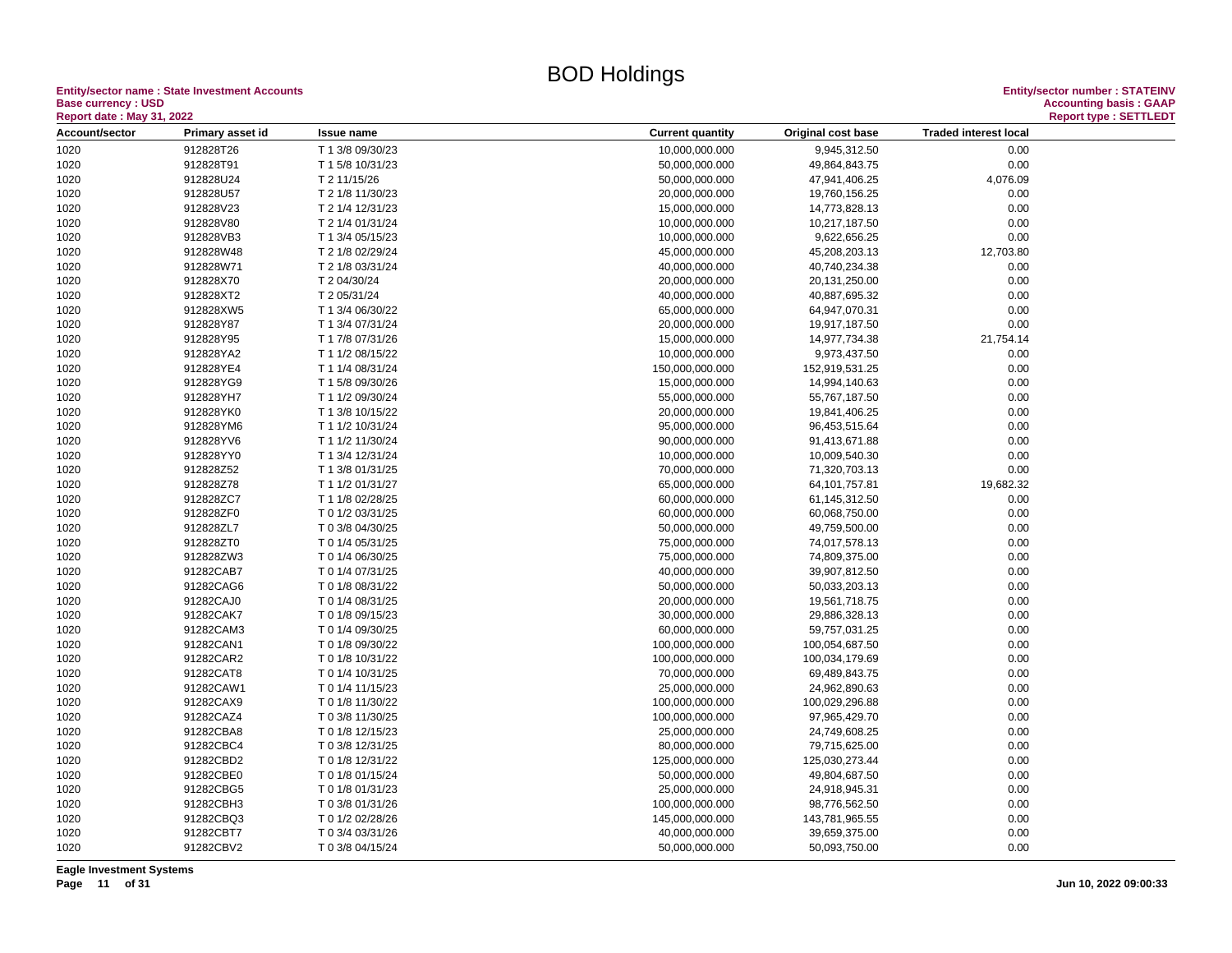**Entity/sector name : State Investment Accounts<br>Base currency : USD<br>Based date: May 24, 2000 Base currency : USD Accounting basis : GAAP**

| <b>Report date : May 31, 2022</b> |                        |                                      |                                                                               |  |
|-----------------------------------|------------------------|--------------------------------------|-------------------------------------------------------------------------------|--|
| Account/sector                    | Primary asset id       | <b>Issue name</b>                    | <b>Traded interest local</b><br><b>Current quantity</b><br>Original cost base |  |
| 1020                              | 912828T26              | T 1 3/8 09/30/23                     | 10,000,000.000<br>9,945,312.50<br>0.00                                        |  |
| 1020                              | 912828T91              | T 1 5/8 10/31/23                     | 0.00<br>50,000,000.000<br>49,864,843.75                                       |  |
| 1020                              | 912828U24              | T 2 11/15/26                         | 50,000,000.000<br>47,941,406.25<br>4,076.09                                   |  |
| 1020                              | 912828U57              | T 2 1/8 11/30/23                     | 20,000,000.000<br>19,760,156.25<br>0.00                                       |  |
| 1020                              | 912828V23              | T 2 1/4 12/31/23                     | 0.00<br>14,773,828.13<br>15,000,000.000                                       |  |
| 1020                              | 912828V80              | T 2 1/4 01/31/24                     | 0.00<br>10,000,000.000<br>10,217,187.50                                       |  |
| 1020                              | 912828VB3              | T 1 3/4 05/15/23                     | 10,000,000.000<br>9,622,656.25<br>0.00                                        |  |
| 1020                              | 912828W48              | T 2 1/8 02/29/24                     | 45,000,000.000<br>45,208,203.13<br>12,703.80                                  |  |
| 1020                              | 912828W71              | T 2 1/8 03/31/24                     | 40,000,000.000<br>40,740,234.38<br>0.00                                       |  |
| 1020                              | 912828X70              | T 2 04/30/24                         | 0.00<br>20,000,000.000<br>20,131,250.00                                       |  |
| 1020                              | 912828XT2              | T 2 05/31/24                         | 0.00<br>40,000,000.000<br>40,887,695.32                                       |  |
| 1020                              | 912828XW5              | T 1 3/4 06/30/22                     | 65,000,000.000<br>0.00<br>64,947,070.31                                       |  |
| 1020                              | 912828Y87              | T 1 3/4 07/31/24                     | 20,000,000.000<br>19,917,187.50<br>0.00                                       |  |
| 1020                              | 912828Y95              | T 1 7/8 07/31/26                     | 15,000,000.000<br>21,754.14<br>14,977,734.38                                  |  |
| 1020                              | 912828YA2              | T 1 1/2 08/15/22                     | 10,000,000.000<br>9,973,437.50<br>0.00                                        |  |
| 1020                              | 912828YE4              | T 1 1/4 08/31/24                     | 0.00<br>150,000,000.000<br>152,919,531.25                                     |  |
| 1020                              | 912828YG9              | T 1 5/8 09/30/26                     | 0.00<br>15,000,000.000<br>14,994,140.63                                       |  |
| 1020                              | 912828YH7              | T 1 1/2 09/30/24                     | 0.00<br>55,000,000.000<br>55,767,187.50                                       |  |
| 1020                              | 912828YK0              | T 1 3/8 10/15/22                     | 20,000,000.000<br>0.00<br>19,841,406.25                                       |  |
| 1020                              | 912828YM6              | T 1 1/2 10/31/24                     | 95,000,000.000<br>96,453,515.64<br>0.00                                       |  |
| 1020                              | 912828YV6              | T 1 1/2 11/30/24                     | 0.00<br>90,000,000.000<br>91,413,671.88                                       |  |
| 1020                              | 912828YY0              | T 1 3/4 12/31/24                     | 0.00<br>10,000,000.000<br>10,009,540.30                                       |  |
| 1020                              | 912828Z52              | T 1 3/8 01/31/25                     | 0.00<br>70,000,000.000<br>71,320,703.13                                       |  |
| 1020                              | 912828Z78              | T 1 1/2 01/31/27                     | 65,000,000.000<br>64, 101, 757.81<br>19,682.32                                |  |
| 1020                              | 912828ZC7              | T 1 1/8 02/28/25                     | 60,000,000.000<br>61,145,312.50<br>0.00                                       |  |
| 1020                              | 912828ZF0              | T 0 1/2 03/31/25                     | 60,000,000.000<br>0.00<br>60,068,750.00                                       |  |
| 1020                              | 912828ZL7              | T 0 3/8 04/30/25                     | 50,000,000.000<br>49,759,500.00<br>0.00                                       |  |
|                                   | 912828ZT0              | T 0 1/4 05/31/25                     | 0.00                                                                          |  |
| 1020                              | 912828ZW3              |                                      | 75,000,000.000<br>74,017,578.13<br>74,809,375.00<br>0.00                      |  |
| 1020<br>1020                      | 91282CAB7              | T 0 1/4 06/30/25<br>T 0 1/4 07/31/25 | 75,000,000.000<br>0.00<br>40,000,000.000<br>39,907,812.50                     |  |
|                                   |                        |                                      | 0.00                                                                          |  |
| 1020                              | 91282CAG6              | T 0 1/8 08/31/22                     | 50,000,000.000<br>50,033,203.13                                               |  |
| 1020                              | 91282CAJ0<br>91282CAK7 | T 0 1/4 08/31/25                     | 0.00<br>20,000,000.000<br>19,561,718.75                                       |  |
| 1020                              |                        | T 0 1/8 09/15/23                     | 30,000,000.000<br>0.00<br>29,886,328.13                                       |  |
| 1020                              | 91282CAM3<br>91282CAN1 | T 0 1/4 09/30/25                     | 0.00<br>60,000,000.000<br>59,757,031.25<br>0.00                               |  |
| 1020                              |                        | T 0 1/8 09/30/22                     | 100,000,000.000<br>100,054,687.50                                             |  |
| 1020                              | 91282CAR2              | T 0 1/8 10/31/22                     | 100,000,000.000<br>100,034,179.69<br>0.00                                     |  |
| 1020                              | 91282CAT8              | T 0 1/4 10/31/25                     | 0.00<br>70,000,000.000<br>69,489,843.75                                       |  |
| 1020                              | 91282CAW1              | T 0 1/4 11/15/23                     | 25,000,000.000<br>24,962,890.63<br>0.00                                       |  |
| 1020                              | 91282CAX9              | T 0 1/8 11/30/22                     | 0.00<br>100,000,000.000<br>100,029,296.88                                     |  |
| 1020                              | 91282CAZ4              | T 0 3/8 11/30/25                     | 97,965,429.70<br>0.00<br>100,000,000.000                                      |  |
| 1020                              | 91282CBA8              | T 0 1/8 12/15/23                     | 0.00<br>25,000,000.000<br>24,749,608.25                                       |  |
| 1020                              | 91282CBC4              | T 0 3/8 12/31/25                     | 80,000,000.000<br>79,715,625.00<br>0.00                                       |  |
| 1020                              | 91282CBD2              | T 0 1/8 12/31/22                     | 125,000,000.000<br>125,030,273.44<br>0.00                                     |  |
| 1020                              | 91282CBE0              | T 0 1/8 01/15/24                     | 50,000,000.000<br>49,804,687.50<br>0.00                                       |  |
| 1020                              | 91282CBG5              | T 0 1/8 01/31/23                     | 0.00<br>25,000,000.000<br>24,918,945.31                                       |  |
| 1020                              | 91282CBH3              | T 0 3/8 01/31/26                     | 100,000,000.000<br>98,776,562.50<br>0.00                                      |  |
| 1020                              | 91282CBQ3              | T 0 1/2 02/28/26                     | 0.00<br>145,000,000.000<br>143,781,965.55                                     |  |
| 1020                              | 91282CBT7              | T 0 3/4 03/31/26                     | 40,000,000.000<br>39,659,375.00<br>0.00                                       |  |
| 1020                              | 91282CBV2              | T 0 3/8 04/15/24                     | 0.00<br>50,000,000.000<br>50,093,750.00                                       |  |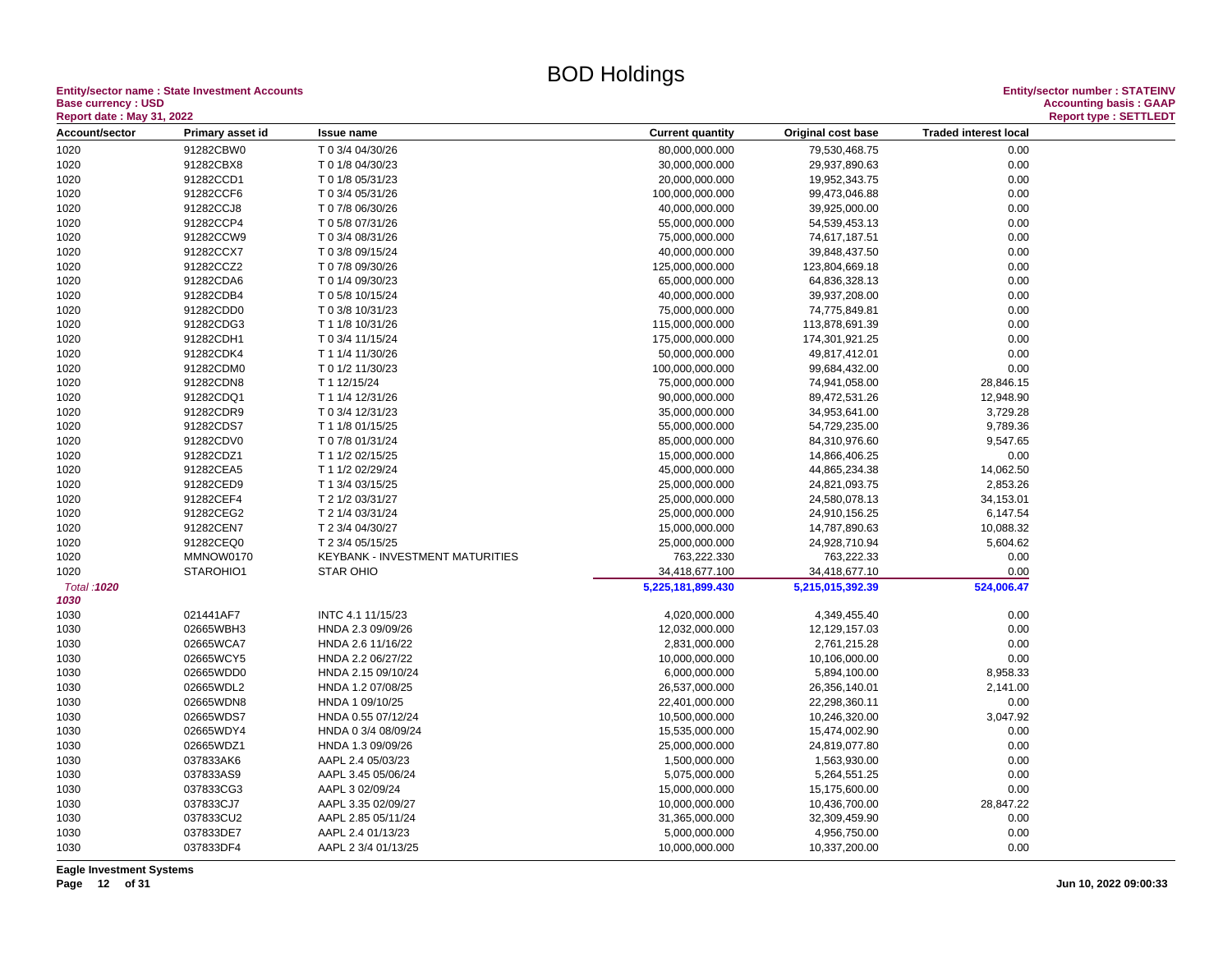**Entity/sector name : State Investment Accounts Entity/sector number : STATEINV Base currency : USD<br>
Report date : May 31, 2022** 

| Report date: May 31, 2022 |                  |                                 |                         |                    |                              | Report type : SETTLEDT |
|---------------------------|------------------|---------------------------------|-------------------------|--------------------|------------------------------|------------------------|
| Account/sector            | Primary asset id | Issue name                      | <b>Current quantity</b> | Original cost base | <b>Traded interest local</b> |                        |
| 1020                      | 91282CBW0        | T 0 3/4 04/30/26                | 80,000,000.000          | 79,530,468.75      | 0.00                         |                        |
| 1020                      | 91282CBX8        | T 0 1/8 04/30/23                | 30,000,000.000          | 29,937,890.63      | 0.00                         |                        |
| 1020                      | 91282CCD1        | T 0 1/8 05/31/23                | 20,000,000.000          | 19,952,343.75      | 0.00                         |                        |
| 1020                      | 91282CCF6        | T 0 3/4 05/31/26                | 100,000,000.000         | 99,473,046.88      | 0.00                         |                        |
| 1020                      | 91282CCJ8        | T 0 7/8 06/30/26                | 40,000,000.000          | 39,925,000.00      | 0.00                         |                        |
| 1020                      | 91282CCP4        | T 0 5/8 07/31/26                | 55,000,000.000          | 54,539,453.13      | 0.00                         |                        |
| 1020                      | 91282CCW9        | T 0 3/4 08/31/26                | 75,000,000.000          | 74,617,187.51      | 0.00                         |                        |
| 1020                      | 91282CCX7        | T 0 3/8 09/15/24                | 40,000,000.000          | 39,848,437.50      | 0.00                         |                        |
| 1020                      | 91282CCZ2        | T 0 7/8 09/30/26                | 125,000,000.000         | 123,804,669.18     | 0.00                         |                        |
| 1020                      | 91282CDA6        | T 0 1/4 09/30/23                | 65,000,000.000          | 64,836,328.13      | 0.00                         |                        |
| 1020                      | 91282CDB4        | T 0 5/8 10/15/24                | 40,000,000.000          | 39,937,208.00      | 0.00                         |                        |
| 1020                      | 91282CDD0        | T 0 3/8 10/31/23                | 75,000,000.000          | 74,775,849.81      | 0.00                         |                        |
| 1020                      | 91282CDG3        | T 1 1/8 10/31/26                | 115,000,000.000         | 113,878,691.39     | 0.00                         |                        |
| 1020                      | 91282CDH1        | T 0 3/4 11/15/24                | 175,000,000.000         | 174,301,921.25     | 0.00                         |                        |
| 1020                      | 91282CDK4        | T 1 1/4 11/30/26                | 50,000,000.000          | 49,817,412.01      | 0.00                         |                        |
| 1020                      | 91282CDM0        | T 0 1/2 11/30/23                | 100,000,000.000         | 99,684,432.00      | 0.00                         |                        |
| 1020                      | 91282CDN8        | T 1 12/15/24                    | 75,000,000.000          | 74,941,058.00      | 28,846.15                    |                        |
| 1020                      | 91282CDQ1        | T 1 1/4 12/31/26                | 90,000,000.000          | 89,472,531.26      | 12,948.90                    |                        |
| 1020                      | 91282CDR9        | T 0 3/4 12/31/23                | 35,000,000.000          | 34,953,641.00      | 3,729.28                     |                        |
| 1020                      | 91282CDS7        | T 1 1/8 01/15/25                | 55,000,000.000          | 54,729,235.00      | 9,789.36                     |                        |
| 1020                      | 91282CDV0        | T 0 7/8 01/31/24                | 85,000,000.000          | 84,310,976.60      | 9,547.65                     |                        |
| 1020                      | 91282CDZ1        | T 1 1/2 02/15/25                | 15,000,000.000          | 14,866,406.25      | 0.00                         |                        |
| 1020                      | 91282CEA5        | T 1 1/2 02/29/24                | 45,000,000.000          | 44,865,234.38      | 14,062.50                    |                        |
| 1020                      | 91282CED9        | T 1 3/4 03/15/25                | 25,000,000.000          | 24,821,093.75      | 2,853.26                     |                        |
| 1020                      | 91282CEF4        | T 2 1/2 03/31/27                | 25,000,000.000          | 24,580,078.13      | 34,153.01                    |                        |
| 1020                      | 91282CEG2        | T 2 1/4 03/31/24                | 25,000,000.000          | 24,910,156.25      | 6,147.54                     |                        |
| 1020                      | 91282CEN7        | T 2 3/4 04/30/27                | 15,000,000.000          | 14,787,890.63      | 10,088.32                    |                        |
| 1020                      | 91282CEQ0        | T 2 3/4 05/15/25                | 25,000,000.000          | 24,928,710.94      | 5,604.62                     |                        |
| 1020                      | MMNOW0170        | KEYBANK - INVESTMENT MATURITIES | 763,222.330             | 763,222.33         | 0.00                         |                        |
| 1020                      | STAROHIO1        | STAR OHIO                       | 34,418,677.100          | 34,418,677.10      | 0.00                         |                        |
| Total: 1020               |                  |                                 | 5,225,181,899.430       | 5,215,015,392.39   | 524,006.47                   |                        |
| 1030                      |                  |                                 |                         |                    |                              |                        |
| 1030                      | 021441AF7        | INTC 4.1 11/15/23               | 4,020,000.000           | 4,349,455.40       | 0.00                         |                        |
| 1030                      | 02665WBH3        | HNDA 2.3 09/09/26               | 12,032,000.000          | 12,129,157.03      | 0.00                         |                        |
| 1030                      | 02665WCA7        | HNDA 2.6 11/16/22               | 2,831,000.000           | 2,761,215.28       | 0.00                         |                        |
| 1030                      | 02665WCY5        | HNDA 2.2 06/27/22               | 10,000,000.000          | 10,106,000.00      | 0.00                         |                        |
| 1030                      | 02665WDD0        | HNDA 2.15 09/10/24              | 6,000,000.000           | 5,894,100.00       | 8,958.33                     |                        |
| 1030                      | 02665WDL2        | HNDA 1.2 07/08/25               | 26,537,000.000          | 26,356,140.01      | 2,141.00                     |                        |
| 1030                      | 02665WDN8        | HNDA 1 09/10/25                 | 22,401,000.000          | 22,298,360.11      | 0.00                         |                        |
| 1030                      | 02665WDS7        | HNDA 0.55 07/12/24              | 10,500,000.000          | 10,246,320.00      | 3,047.92                     |                        |
| 1030                      | 02665WDY4        | HNDA 0 3/4 08/09/24             | 15,535,000.000          | 15,474,002.90      | 0.00                         |                        |
| 1030                      | 02665WDZ1        | HNDA 1.3 09/09/26               | 25,000,000.000          | 24,819,077.80      | 0.00                         |                        |
| 1030                      | 037833AK6        | AAPL 2.4 05/03/23               | 1,500,000.000           | 1,563,930.00       | 0.00                         |                        |
| 1030                      | 037833AS9        | AAPL 3.45 05/06/24              | 5,075,000.000           | 5,264,551.25       | 0.00                         |                        |
| 1030                      | 037833CG3        | AAPL 3 02/09/24                 | 15,000,000.000          | 15,175,600.00      | 0.00                         |                        |
| 1030                      | 037833CJ7        | AAPL 3.35 02/09/27              | 10,000,000.000          | 10,436,700.00      | 28,847.22                    |                        |
| 1030                      | 037833CU2        | AAPL 2.85 05/11/24              | 31,365,000.000          | 32,309,459.90      | 0.00                         |                        |
| 1030                      | 037833DE7        | AAPL 2.4 01/13/23               | 5,000,000.000           | 4,956,750.00       | 0.00                         |                        |
| 1030                      | 037833DF4        | AAPL 2 3/4 01/13/25             | 10,000,000.000          | 10,337,200.00      | 0.00                         |                        |
|                           |                  |                                 |                         |                    |                              |                        |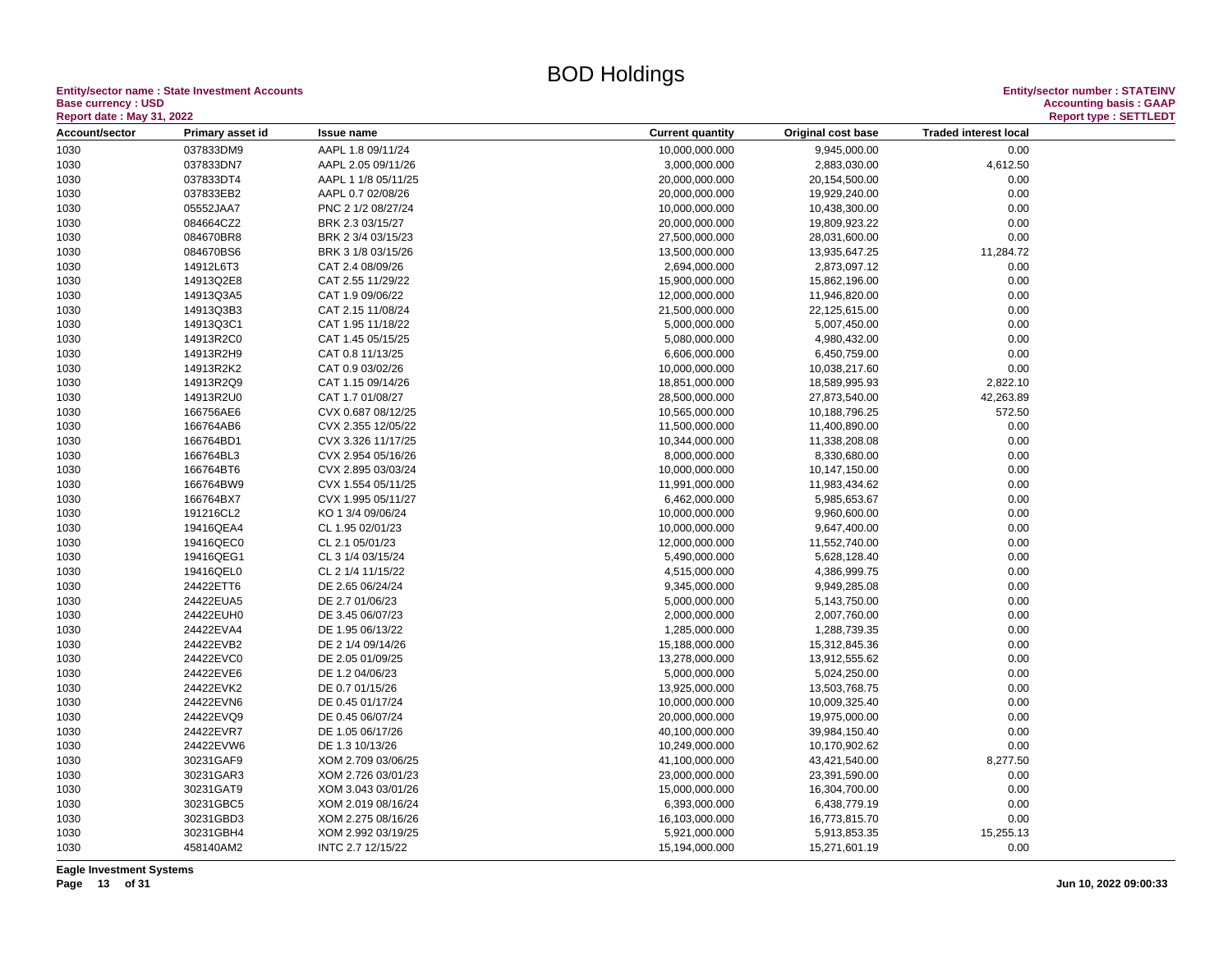**Entity/sector name : State Investment Accounts<br>Base currency : USD** 

| <b>Report date: May 31, 2022</b> |                        |                                        |                                |                              |                              | <b>Report type: SETTLEDT</b> |
|----------------------------------|------------------------|----------------------------------------|--------------------------------|------------------------------|------------------------------|------------------------------|
| Account/sector                   | Primary asset id       | <b>Issue name</b>                      | <b>Current quantity</b>        | Original cost base           | <b>Traded interest local</b> |                              |
| 1030                             | 037833DM9              | AAPL 1.8 09/11/24                      | 10,000,000.000                 | 9,945,000.00                 | 0.00                         |                              |
| 1030                             | 037833DN7              | AAPL 2.05 09/11/26                     | 3,000,000.000                  | 2,883,030.00                 | 4,612.50                     |                              |
| 1030                             | 037833DT4              | AAPL 1 1/8 05/11/25                    | 20,000,000.000                 | 20,154,500.00                | 0.00                         |                              |
| 1030                             | 037833EB2              | AAPL 0.7 02/08/26                      | 20,000,000.000                 | 19,929,240.00                | 0.00                         |                              |
| 1030                             | 05552JAA7              | PNC 2 1/2 08/27/24                     | 10,000,000.000                 | 10,438,300.00                | 0.00                         |                              |
| 1030                             | 084664CZ2              | BRK 2.3 03/15/27                       | 20,000,000.000                 | 19,809,923.22                | 0.00                         |                              |
| 1030                             | 084670BR8              | BRK 2 3/4 03/15/23                     | 27,500,000.000                 | 28,031,600.00                | 0.00                         |                              |
| 1030                             | 084670BS6              | BRK 3 1/8 03/15/26                     | 13,500,000.000                 | 13,935,647.25                | 11,284.72                    |                              |
| 1030                             | 14912L6T3              | CAT 2.4 08/09/26                       | 2,694,000.000                  | 2,873,097.12                 | 0.00                         |                              |
| 1030                             | 14913Q2E8              | CAT 2.55 11/29/22                      | 15,900,000.000                 | 15,862,196.00                | 0.00                         |                              |
| 1030                             | 14913Q3A5              | CAT 1.9 09/06/22                       | 12,000,000.000                 | 11,946,820.00                | 0.00                         |                              |
| 1030                             | 14913Q3B3              | CAT 2.15 11/08/24                      | 21,500,000.000                 | 22,125,615.00                | 0.00                         |                              |
| 1030                             | 14913Q3C1              | CAT 1.95 11/18/22                      | 5,000,000.000                  | 5,007,450.00                 | 0.00                         |                              |
| 1030                             | 14913R2C0              | CAT 1.45 05/15/25                      | 5,080,000.000                  | 4,980,432.00                 | 0.00                         |                              |
| 1030                             | 14913R2H9              | CAT 0.8 11/13/25                       | 6,606,000.000                  | 6,450,759.00                 | 0.00                         |                              |
| 1030                             | 14913R2K2              | CAT 0.9 03/02/26                       | 10,000,000.000                 | 10,038,217.60                | 0.00                         |                              |
| 1030                             | 14913R2Q9              | CAT 1.15 09/14/26                      | 18,851,000.000                 | 18,589,995.93                | 2,822.10                     |                              |
| 1030                             | 14913R2U0              | CAT 1.7 01/08/27                       | 28,500,000.000                 | 27,873,540.00                | 42,263.89                    |                              |
| 1030                             | 166756AE6              | CVX 0.687 08/12/25                     | 10,565,000.000                 | 10,188,796.25                | 572.50                       |                              |
| 1030                             | 166764AB6              | CVX 2.355 12/05/22                     | 11,500,000.000                 | 11,400,890.00                | 0.00                         |                              |
| 1030                             | 166764BD1              | CVX 3.326 11/17/25                     | 10,344,000.000                 | 11,338,208.08                | 0.00                         |                              |
| 1030                             | 166764BL3              | CVX 2.954 05/16/26                     | 8,000,000.000                  | 8,330,680.00                 | 0.00                         |                              |
| 1030                             | 166764BT6              | CVX 2.895 03/03/24                     | 10,000,000.000                 | 10,147,150.00                | 0.00                         |                              |
| 1030                             | 166764BW9              | CVX 1.554 05/11/25                     | 11,991,000.000                 | 11,983,434.62                | 0.00                         |                              |
| 1030                             | 166764BX7              | CVX 1.995 05/11/27                     | 6,462,000.000                  | 5,985,653.67                 | 0.00                         |                              |
| 1030                             | 191216CL2              | KO 1 3/4 09/06/24                      | 10,000,000.000                 | 9,960,600.00                 | 0.00                         |                              |
|                                  | 19416QEA4              | CL 1.95 02/01/23                       | 10,000,000.000                 | 9,647,400.00                 | 0.00                         |                              |
| 1030                             | 19416QEC0              |                                        |                                |                              | 0.00                         |                              |
| 1030                             | 19416QEG1              | CL 2.1 05/01/23                        | 12,000,000.000                 | 11,552,740.00                |                              |                              |
| 1030                             | 19416QEL0              | CL 3 1/4 03/15/24<br>CL 2 1/4 11/15/22 | 5,490,000.000                  | 5,628,128.40                 | 0.00<br>0.00                 |                              |
| 1030<br>1030                     | 24422ETT6              | DE 2.65 06/24/24                       | 4,515,000.000<br>9,345,000.000 | 4,386,999.75<br>9,949,285.08 | 0.00                         |                              |
|                                  |                        | DE 2.7 01/06/23                        |                                |                              |                              |                              |
| 1030                             | 24422EUA5              |                                        | 5,000,000.000                  | 5,143,750.00                 | 0.00                         |                              |
| 1030                             | 24422EUH0<br>24422EVA4 | DE 3.45 06/07/23                       | 2,000,000.000                  | 2,007,760.00                 | 0.00                         |                              |
| 1030                             |                        | DE 1.95 06/13/22                       | 1,285,000.000                  | 1,288,739.35                 | 0.00                         |                              |
| 1030                             | 24422EVB2              | DE 2 1/4 09/14/26                      | 15,188,000.000                 | 15,312,845.36                | 0.00                         |                              |
| 1030                             | 24422EVC0              | DE 2.05 01/09/25                       | 13,278,000.000                 | 13,912,555.62                | 0.00                         |                              |
| 1030                             | 24422EVE6              | DE 1.2 04/06/23                        | 5,000,000.000                  | 5,024,250.00                 | 0.00                         |                              |
| 1030                             | 24422EVK2              | DE 0.7 01/15/26                        | 13,925,000.000                 | 13,503,768.75                | 0.00                         |                              |
| 1030                             | 24422EVN6              | DE 0.45 01/17/24                       | 10,000,000.000                 | 10,009,325.40                | 0.00                         |                              |
| 1030                             | 24422EVQ9              | DE 0.45 06/07/24                       | 20,000,000.000                 | 19,975,000.00                | 0.00                         |                              |
| 1030                             | 24422EVR7              | DE 1.05 06/17/26                       | 40,100,000.000                 | 39,984,150.40                | 0.00                         |                              |
| 1030                             | 24422EVW6              | DE 1.3 10/13/26                        | 10,249,000.000                 | 10,170,902.62                | 0.00                         |                              |
| 1030                             | 30231GAF9              | XOM 2.709 03/06/25                     | 41,100,000.000                 | 43,421,540.00                | 8,277.50                     |                              |
| 1030                             | 30231GAR3              | XOM 2.726 03/01/23                     | 23,000,000.000                 | 23,391,590.00                | 0.00                         |                              |
| 1030                             | 30231GAT9              | XOM 3.043 03/01/26                     | 15,000,000.000                 | 16,304,700.00                | 0.00                         |                              |
| 1030                             | 30231GBC5              | XOM 2.019 08/16/24                     | 6,393,000.000                  | 6,438,779.19                 | 0.00                         |                              |
| 1030                             | 30231GBD3              | XOM 2.275 08/16/26                     | 16,103,000.000                 | 16,773,815.70                | 0.00                         |                              |
| 1030                             | 30231GBH4              | XOM 2.992 03/19/25                     | 5,921,000.000                  | 5,913,853.35                 | 15,255.13                    |                              |
| 1030                             | 458140AM2              | INTC 2.7 12/15/22                      | 15,194,000.000                 | 15,271,601.19                | 0.00                         |                              |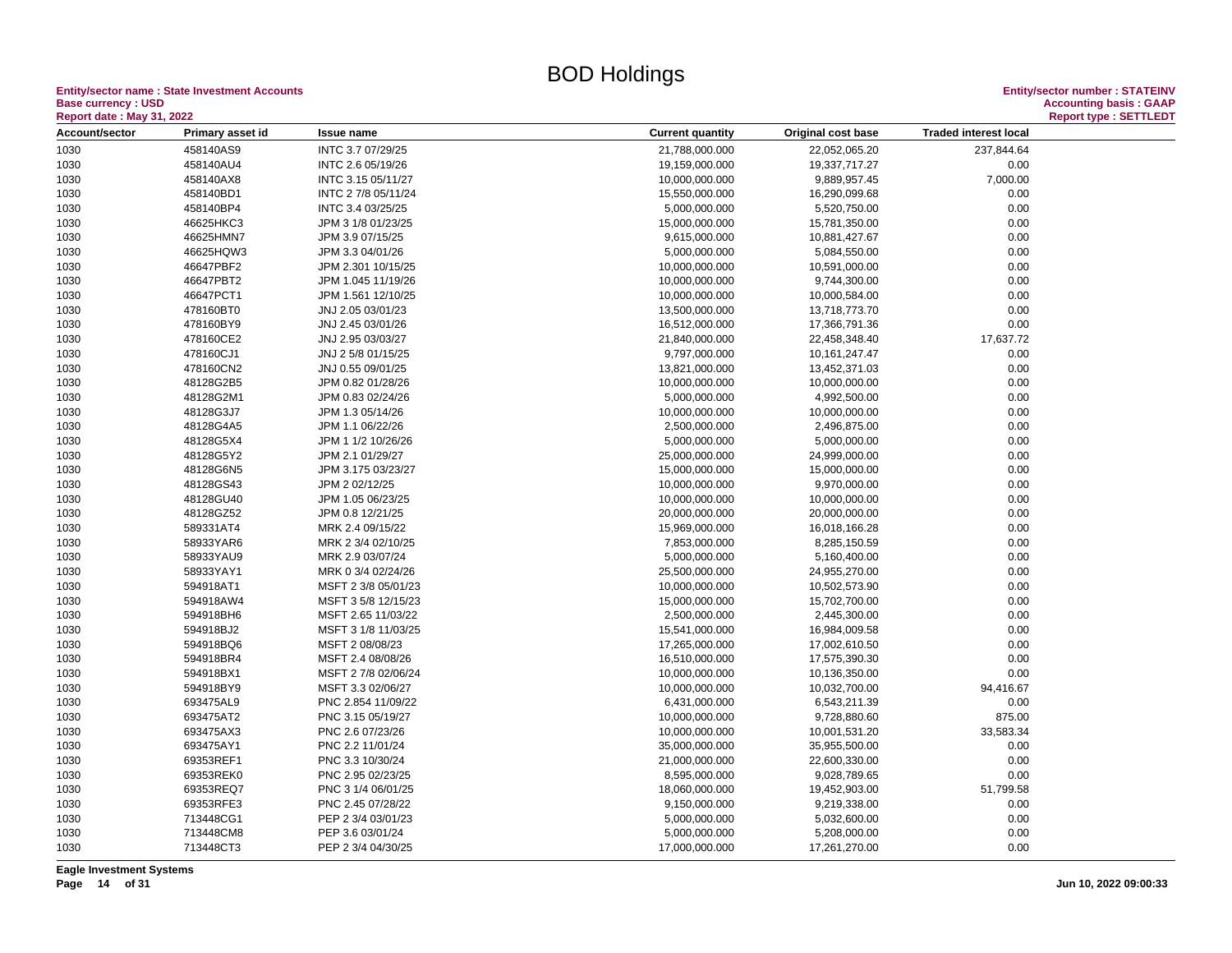**Entity/sector name : State Investment Accounts<br>Base currency : USD<br>Report date : May 31, 2022 Base currency : USD Accounting basis : GAAP**

| Account/sector<br><b>Traded interest local</b><br>Primary asset id<br><b>Current quantity</b><br>Original cost base<br><b>Issue name</b><br>INTC 3.7 07/29/25<br>1030<br>458140AS9<br>21,788,000.000<br>22,052,065.20<br>237,844.64<br>458140AU4<br>1030<br>INTC 2.6 05/19/26<br>19,159,000.000<br>19,337,717.27<br>0.00<br>1030<br>458140AX8<br>INTC 3.15 05/11/27<br>10,000,000.000<br>9,889,957.45<br>7,000.00<br>458140BD1<br>1030<br>INTC 2 7/8 05/11/24<br>15,550,000.000<br>16,290,099.68<br>0.00<br>458140BP4<br>0.00<br>1030<br>INTC 3.4 03/25/25<br>5,000,000.000<br>5,520,750.00<br>0.00<br>1030<br>46625HKC3<br>15,000,000.000<br>JPM 3 1/8 01/23/25<br>15,781,350.00<br>46625HMN7<br>9,615,000.000<br>0.00<br>1030<br>JPM 3.9 07/15/25<br>10,881,427.67<br>46625HQW3<br>0.00<br>1030<br>JPM 3.3 04/01/26<br>5,000,000.000<br>5,084,550.00<br>46647PBF2<br>10,000,000.000<br>10,591,000.00<br>0.00<br>1030<br>JPM 2.301 10/15/25<br>46647PBT2<br>10,000,000.000<br>1030<br>JPM 1.045 11/19/26<br>9,744,300.00<br>0.00<br>46647PCT1<br>0.00<br>1030<br>JPM 1.561 12/10/25<br>10,000,000.000<br>10,000,584.00<br>1030<br>478160BT0<br>13,500,000.000<br>0.00<br>JNJ 2.05 03/01/23<br>13,718,773.70<br>1030<br>478160BY9<br>JNJ 2.45 03/01/26<br>16,512,000.000<br>17,366,791.36<br>0.00<br>478160CE2<br>21,840,000.000<br>17,637.72<br>1030<br>JNJ 2.95 03/03/27<br>22,458,348.40<br>1030<br>478160CJ1<br>JNJ 2 5/8 01/15/25<br>9,797,000.000<br>10, 161, 247. 47<br>0.00<br>478160CN2<br>0.00<br>1030<br>JNJ 0.55 09/01/25<br>13,821,000.000<br>13,452,371.03<br>48128G2B5<br>0.00<br>1030<br>JPM 0.82 01/28/26<br>10,000,000.000<br>10,000,000.00<br>48128G2M1<br>4,992,500.00<br>0.00<br>1030<br>JPM 0.83 02/24/26<br>5,000,000.000<br>1030<br>48128G3J7<br>10,000,000.000<br>10,000,000.00<br>0.00<br>JPM 1.3 05/14/26<br>48128G4A5<br>JPM 1.1 06/22/26<br>2,500,000.000<br>2,496,875.00<br>0.00<br>1030<br>1030<br>48128G5X4<br>5,000,000.000<br>5,000,000.00<br>0.00<br>JPM 1 1/2 10/26/26<br>48128G5Y2<br>25,000,000.000<br>0.00<br>1030<br>JPM 2.1 01/29/27<br>24,999,000.00<br>48128G6N5<br>0.00<br>1030<br>JPM 3.175 03/23/27<br>15,000,000.000<br>15,000,000.00<br>48128GS43<br>JPM 2 02/12/25<br>10,000,000.000<br>9,970,000.00<br>0.00<br>1030<br>48128GU40<br>1030<br>JPM 1.05 06/23/25<br>10,000,000.000<br>10,000,000.00<br>0.00<br>48128GZ52<br>20,000,000.000<br>20,000,000.00<br>0.00<br>1030<br>JPM 0.8 12/21/25<br>1030<br>589331AT4<br>MRK 2.4 09/15/22<br>15,969,000.000<br>16,018,166.28<br>0.00<br>58933YAR6<br>7,853,000.000<br>0.00<br>1030<br>MRK 2 3/4 02/10/25<br>8,285,150.59<br>58933YAU9<br>0.00<br>1030<br>MRK 2.9 03/07/24<br>5,000,000.000<br>5,160,400.00<br>1030<br>58933YAY1<br>MRK 0 3/4 02/24/26<br>25,500,000.000<br>24,955,270.00<br>0.00<br>594918AT1<br>10,000,000.000<br>10,502,573.90<br>0.00<br>1030<br>MSFT 2 3/8 05/01/23<br>1030<br>594918AW4<br>MSFT 3 5/8 12/15/23<br>15,000,000.000<br>15,702,700.00<br>0.00<br>594918BH6<br>MSFT 2.65 11/03/22<br>2,500,000.000<br>2,445,300.00<br>0.00<br>1030<br>594918BJ2<br>0.00<br>1030<br>MSFT 3 1/8 11/03/25<br>15,541,000.000<br>16,984,009.58<br>594918BQ6<br>0.00<br>1030<br>MSFT 2 08/08/23<br>17,265,000.000<br>17,002,610.50<br>1030<br>594918BR4<br>MSFT 2.4 08/08/26<br>16,510,000.000<br>17,575,390.30<br>0.00<br>0.00<br>1030<br>594918BX1<br>MSFT 2 7/8 02/06/24<br>10,000,000.000<br>10,136,350.00<br>1030<br>594918BY9<br>MSFT 3.3 02/06/27<br>10,000,000.000<br>10,032,700.00<br>94,416.67<br>1030<br>693475AL9<br>PNC 2.854 11/09/22<br>6,431,000.000<br>6,543,211.39<br>0.00<br>693475AT2<br>875.00<br>1030<br>PNC 3.15 05/19/27<br>10,000,000.000<br>9,728,880.60<br>1030<br>693475AX3<br>33,583.34<br>PNC 2.6 07/23/26<br>10,000,000.000<br>10,001,531.20<br>693475AY1<br>1030<br>PNC 2.2 11/01/24<br>35,000,000.000<br>35,955,500.00<br>0.00<br>1030<br>69353REF1<br>PNC 3.3 10/30/24<br>21,000,000.000<br>22,600,330.00<br>0.00<br>69353REK0<br>1030<br>PNC 2.95 02/23/25<br>8,595,000.000<br>9,028,789.65<br>0.00<br>69353REQ7<br>1030<br>PNC 3 1/4 06/01/25<br>18,060,000.000<br>19,452,903.00<br>51,799.58<br>69353RFE3<br>PNC 2.45 07/28/22<br>9,150,000.000<br>1030<br>9,219,338.00<br>0.00<br>1030<br>713448CG1<br>0.00<br>PEP 2 3/4 03/01/23<br>5,000,000.000<br>5,032,600.00<br>1030<br>713448CM8<br>PEP 3.6 03/01/24<br>5,000,000.000<br>5,208,000.00<br>0.00<br>713448CT3<br>0.00<br>1030<br>PEP 2 3/4 04/30/25<br>17,000,000.000<br>17,261,270.00 | <b>Report date: May 31, 2022</b> |  |  |  |  |  | <b>Report type: SETTLEDT</b> |
|------------------------------------------------------------------------------------------------------------------------------------------------------------------------------------------------------------------------------------------------------------------------------------------------------------------------------------------------------------------------------------------------------------------------------------------------------------------------------------------------------------------------------------------------------------------------------------------------------------------------------------------------------------------------------------------------------------------------------------------------------------------------------------------------------------------------------------------------------------------------------------------------------------------------------------------------------------------------------------------------------------------------------------------------------------------------------------------------------------------------------------------------------------------------------------------------------------------------------------------------------------------------------------------------------------------------------------------------------------------------------------------------------------------------------------------------------------------------------------------------------------------------------------------------------------------------------------------------------------------------------------------------------------------------------------------------------------------------------------------------------------------------------------------------------------------------------------------------------------------------------------------------------------------------------------------------------------------------------------------------------------------------------------------------------------------------------------------------------------------------------------------------------------------------------------------------------------------------------------------------------------------------------------------------------------------------------------------------------------------------------------------------------------------------------------------------------------------------------------------------------------------------------------------------------------------------------------------------------------------------------------------------------------------------------------------------------------------------------------------------------------------------------------------------------------------------------------------------------------------------------------------------------------------------------------------------------------------------------------------------------------------------------------------------------------------------------------------------------------------------------------------------------------------------------------------------------------------------------------------------------------------------------------------------------------------------------------------------------------------------------------------------------------------------------------------------------------------------------------------------------------------------------------------------------------------------------------------------------------------------------------------------------------------------------------------------------------------------------------------------------------------------------------------------------------------------------------------------------------------------------------------------------------------------------------------------------------------------------------------------------------------------------------------------------------------------------------------------------------------------------------------------------------------------------------------------------------------------------------------------------------------------------------------------------------------------------------------------------------------------------------------------------------------------------------------------------------------------------------------|----------------------------------|--|--|--|--|--|------------------------------|
|                                                                                                                                                                                                                                                                                                                                                                                                                                                                                                                                                                                                                                                                                                                                                                                                                                                                                                                                                                                                                                                                                                                                                                                                                                                                                                                                                                                                                                                                                                                                                                                                                                                                                                                                                                                                                                                                                                                                                                                                                                                                                                                                                                                                                                                                                                                                                                                                                                                                                                                                                                                                                                                                                                                                                                                                                                                                                                                                                                                                                                                                                                                                                                                                                                                                                                                                                                                                                                                                                                                                                                                                                                                                                                                                                                                                                                                                                                                                                                                                                                                                                                                                                                                                                                                                                                                                                                                                                                                                                          |                                  |  |  |  |  |  |                              |
|                                                                                                                                                                                                                                                                                                                                                                                                                                                                                                                                                                                                                                                                                                                                                                                                                                                                                                                                                                                                                                                                                                                                                                                                                                                                                                                                                                                                                                                                                                                                                                                                                                                                                                                                                                                                                                                                                                                                                                                                                                                                                                                                                                                                                                                                                                                                                                                                                                                                                                                                                                                                                                                                                                                                                                                                                                                                                                                                                                                                                                                                                                                                                                                                                                                                                                                                                                                                                                                                                                                                                                                                                                                                                                                                                                                                                                                                                                                                                                                                                                                                                                                                                                                                                                                                                                                                                                                                                                                                                          |                                  |  |  |  |  |  |                              |
|                                                                                                                                                                                                                                                                                                                                                                                                                                                                                                                                                                                                                                                                                                                                                                                                                                                                                                                                                                                                                                                                                                                                                                                                                                                                                                                                                                                                                                                                                                                                                                                                                                                                                                                                                                                                                                                                                                                                                                                                                                                                                                                                                                                                                                                                                                                                                                                                                                                                                                                                                                                                                                                                                                                                                                                                                                                                                                                                                                                                                                                                                                                                                                                                                                                                                                                                                                                                                                                                                                                                                                                                                                                                                                                                                                                                                                                                                                                                                                                                                                                                                                                                                                                                                                                                                                                                                                                                                                                                                          |                                  |  |  |  |  |  |                              |
|                                                                                                                                                                                                                                                                                                                                                                                                                                                                                                                                                                                                                                                                                                                                                                                                                                                                                                                                                                                                                                                                                                                                                                                                                                                                                                                                                                                                                                                                                                                                                                                                                                                                                                                                                                                                                                                                                                                                                                                                                                                                                                                                                                                                                                                                                                                                                                                                                                                                                                                                                                                                                                                                                                                                                                                                                                                                                                                                                                                                                                                                                                                                                                                                                                                                                                                                                                                                                                                                                                                                                                                                                                                                                                                                                                                                                                                                                                                                                                                                                                                                                                                                                                                                                                                                                                                                                                                                                                                                                          |                                  |  |  |  |  |  |                              |
|                                                                                                                                                                                                                                                                                                                                                                                                                                                                                                                                                                                                                                                                                                                                                                                                                                                                                                                                                                                                                                                                                                                                                                                                                                                                                                                                                                                                                                                                                                                                                                                                                                                                                                                                                                                                                                                                                                                                                                                                                                                                                                                                                                                                                                                                                                                                                                                                                                                                                                                                                                                                                                                                                                                                                                                                                                                                                                                                                                                                                                                                                                                                                                                                                                                                                                                                                                                                                                                                                                                                                                                                                                                                                                                                                                                                                                                                                                                                                                                                                                                                                                                                                                                                                                                                                                                                                                                                                                                                                          |                                  |  |  |  |  |  |                              |
|                                                                                                                                                                                                                                                                                                                                                                                                                                                                                                                                                                                                                                                                                                                                                                                                                                                                                                                                                                                                                                                                                                                                                                                                                                                                                                                                                                                                                                                                                                                                                                                                                                                                                                                                                                                                                                                                                                                                                                                                                                                                                                                                                                                                                                                                                                                                                                                                                                                                                                                                                                                                                                                                                                                                                                                                                                                                                                                                                                                                                                                                                                                                                                                                                                                                                                                                                                                                                                                                                                                                                                                                                                                                                                                                                                                                                                                                                                                                                                                                                                                                                                                                                                                                                                                                                                                                                                                                                                                                                          |                                  |  |  |  |  |  |                              |
|                                                                                                                                                                                                                                                                                                                                                                                                                                                                                                                                                                                                                                                                                                                                                                                                                                                                                                                                                                                                                                                                                                                                                                                                                                                                                                                                                                                                                                                                                                                                                                                                                                                                                                                                                                                                                                                                                                                                                                                                                                                                                                                                                                                                                                                                                                                                                                                                                                                                                                                                                                                                                                                                                                                                                                                                                                                                                                                                                                                                                                                                                                                                                                                                                                                                                                                                                                                                                                                                                                                                                                                                                                                                                                                                                                                                                                                                                                                                                                                                                                                                                                                                                                                                                                                                                                                                                                                                                                                                                          |                                  |  |  |  |  |  |                              |
|                                                                                                                                                                                                                                                                                                                                                                                                                                                                                                                                                                                                                                                                                                                                                                                                                                                                                                                                                                                                                                                                                                                                                                                                                                                                                                                                                                                                                                                                                                                                                                                                                                                                                                                                                                                                                                                                                                                                                                                                                                                                                                                                                                                                                                                                                                                                                                                                                                                                                                                                                                                                                                                                                                                                                                                                                                                                                                                                                                                                                                                                                                                                                                                                                                                                                                                                                                                                                                                                                                                                                                                                                                                                                                                                                                                                                                                                                                                                                                                                                                                                                                                                                                                                                                                                                                                                                                                                                                                                                          |                                  |  |  |  |  |  |                              |
|                                                                                                                                                                                                                                                                                                                                                                                                                                                                                                                                                                                                                                                                                                                                                                                                                                                                                                                                                                                                                                                                                                                                                                                                                                                                                                                                                                                                                                                                                                                                                                                                                                                                                                                                                                                                                                                                                                                                                                                                                                                                                                                                                                                                                                                                                                                                                                                                                                                                                                                                                                                                                                                                                                                                                                                                                                                                                                                                                                                                                                                                                                                                                                                                                                                                                                                                                                                                                                                                                                                                                                                                                                                                                                                                                                                                                                                                                                                                                                                                                                                                                                                                                                                                                                                                                                                                                                                                                                                                                          |                                  |  |  |  |  |  |                              |
|                                                                                                                                                                                                                                                                                                                                                                                                                                                                                                                                                                                                                                                                                                                                                                                                                                                                                                                                                                                                                                                                                                                                                                                                                                                                                                                                                                                                                                                                                                                                                                                                                                                                                                                                                                                                                                                                                                                                                                                                                                                                                                                                                                                                                                                                                                                                                                                                                                                                                                                                                                                                                                                                                                                                                                                                                                                                                                                                                                                                                                                                                                                                                                                                                                                                                                                                                                                                                                                                                                                                                                                                                                                                                                                                                                                                                                                                                                                                                                                                                                                                                                                                                                                                                                                                                                                                                                                                                                                                                          |                                  |  |  |  |  |  |                              |
|                                                                                                                                                                                                                                                                                                                                                                                                                                                                                                                                                                                                                                                                                                                                                                                                                                                                                                                                                                                                                                                                                                                                                                                                                                                                                                                                                                                                                                                                                                                                                                                                                                                                                                                                                                                                                                                                                                                                                                                                                                                                                                                                                                                                                                                                                                                                                                                                                                                                                                                                                                                                                                                                                                                                                                                                                                                                                                                                                                                                                                                                                                                                                                                                                                                                                                                                                                                                                                                                                                                                                                                                                                                                                                                                                                                                                                                                                                                                                                                                                                                                                                                                                                                                                                                                                                                                                                                                                                                                                          |                                  |  |  |  |  |  |                              |
|                                                                                                                                                                                                                                                                                                                                                                                                                                                                                                                                                                                                                                                                                                                                                                                                                                                                                                                                                                                                                                                                                                                                                                                                                                                                                                                                                                                                                                                                                                                                                                                                                                                                                                                                                                                                                                                                                                                                                                                                                                                                                                                                                                                                                                                                                                                                                                                                                                                                                                                                                                                                                                                                                                                                                                                                                                                                                                                                                                                                                                                                                                                                                                                                                                                                                                                                                                                                                                                                                                                                                                                                                                                                                                                                                                                                                                                                                                                                                                                                                                                                                                                                                                                                                                                                                                                                                                                                                                                                                          |                                  |  |  |  |  |  |                              |
|                                                                                                                                                                                                                                                                                                                                                                                                                                                                                                                                                                                                                                                                                                                                                                                                                                                                                                                                                                                                                                                                                                                                                                                                                                                                                                                                                                                                                                                                                                                                                                                                                                                                                                                                                                                                                                                                                                                                                                                                                                                                                                                                                                                                                                                                                                                                                                                                                                                                                                                                                                                                                                                                                                                                                                                                                                                                                                                                                                                                                                                                                                                                                                                                                                                                                                                                                                                                                                                                                                                                                                                                                                                                                                                                                                                                                                                                                                                                                                                                                                                                                                                                                                                                                                                                                                                                                                                                                                                                                          |                                  |  |  |  |  |  |                              |
|                                                                                                                                                                                                                                                                                                                                                                                                                                                                                                                                                                                                                                                                                                                                                                                                                                                                                                                                                                                                                                                                                                                                                                                                                                                                                                                                                                                                                                                                                                                                                                                                                                                                                                                                                                                                                                                                                                                                                                                                                                                                                                                                                                                                                                                                                                                                                                                                                                                                                                                                                                                                                                                                                                                                                                                                                                                                                                                                                                                                                                                                                                                                                                                                                                                                                                                                                                                                                                                                                                                                                                                                                                                                                                                                                                                                                                                                                                                                                                                                                                                                                                                                                                                                                                                                                                                                                                                                                                                                                          |                                  |  |  |  |  |  |                              |
|                                                                                                                                                                                                                                                                                                                                                                                                                                                                                                                                                                                                                                                                                                                                                                                                                                                                                                                                                                                                                                                                                                                                                                                                                                                                                                                                                                                                                                                                                                                                                                                                                                                                                                                                                                                                                                                                                                                                                                                                                                                                                                                                                                                                                                                                                                                                                                                                                                                                                                                                                                                                                                                                                                                                                                                                                                                                                                                                                                                                                                                                                                                                                                                                                                                                                                                                                                                                                                                                                                                                                                                                                                                                                                                                                                                                                                                                                                                                                                                                                                                                                                                                                                                                                                                                                                                                                                                                                                                                                          |                                  |  |  |  |  |  |                              |
|                                                                                                                                                                                                                                                                                                                                                                                                                                                                                                                                                                                                                                                                                                                                                                                                                                                                                                                                                                                                                                                                                                                                                                                                                                                                                                                                                                                                                                                                                                                                                                                                                                                                                                                                                                                                                                                                                                                                                                                                                                                                                                                                                                                                                                                                                                                                                                                                                                                                                                                                                                                                                                                                                                                                                                                                                                                                                                                                                                                                                                                                                                                                                                                                                                                                                                                                                                                                                                                                                                                                                                                                                                                                                                                                                                                                                                                                                                                                                                                                                                                                                                                                                                                                                                                                                                                                                                                                                                                                                          |                                  |  |  |  |  |  |                              |
|                                                                                                                                                                                                                                                                                                                                                                                                                                                                                                                                                                                                                                                                                                                                                                                                                                                                                                                                                                                                                                                                                                                                                                                                                                                                                                                                                                                                                                                                                                                                                                                                                                                                                                                                                                                                                                                                                                                                                                                                                                                                                                                                                                                                                                                                                                                                                                                                                                                                                                                                                                                                                                                                                                                                                                                                                                                                                                                                                                                                                                                                                                                                                                                                                                                                                                                                                                                                                                                                                                                                                                                                                                                                                                                                                                                                                                                                                                                                                                                                                                                                                                                                                                                                                                                                                                                                                                                                                                                                                          |                                  |  |  |  |  |  |                              |
|                                                                                                                                                                                                                                                                                                                                                                                                                                                                                                                                                                                                                                                                                                                                                                                                                                                                                                                                                                                                                                                                                                                                                                                                                                                                                                                                                                                                                                                                                                                                                                                                                                                                                                                                                                                                                                                                                                                                                                                                                                                                                                                                                                                                                                                                                                                                                                                                                                                                                                                                                                                                                                                                                                                                                                                                                                                                                                                                                                                                                                                                                                                                                                                                                                                                                                                                                                                                                                                                                                                                                                                                                                                                                                                                                                                                                                                                                                                                                                                                                                                                                                                                                                                                                                                                                                                                                                                                                                                                                          |                                  |  |  |  |  |  |                              |
|                                                                                                                                                                                                                                                                                                                                                                                                                                                                                                                                                                                                                                                                                                                                                                                                                                                                                                                                                                                                                                                                                                                                                                                                                                                                                                                                                                                                                                                                                                                                                                                                                                                                                                                                                                                                                                                                                                                                                                                                                                                                                                                                                                                                                                                                                                                                                                                                                                                                                                                                                                                                                                                                                                                                                                                                                                                                                                                                                                                                                                                                                                                                                                                                                                                                                                                                                                                                                                                                                                                                                                                                                                                                                                                                                                                                                                                                                                                                                                                                                                                                                                                                                                                                                                                                                                                                                                                                                                                                                          |                                  |  |  |  |  |  |                              |
|                                                                                                                                                                                                                                                                                                                                                                                                                                                                                                                                                                                                                                                                                                                                                                                                                                                                                                                                                                                                                                                                                                                                                                                                                                                                                                                                                                                                                                                                                                                                                                                                                                                                                                                                                                                                                                                                                                                                                                                                                                                                                                                                                                                                                                                                                                                                                                                                                                                                                                                                                                                                                                                                                                                                                                                                                                                                                                                                                                                                                                                                                                                                                                                                                                                                                                                                                                                                                                                                                                                                                                                                                                                                                                                                                                                                                                                                                                                                                                                                                                                                                                                                                                                                                                                                                                                                                                                                                                                                                          |                                  |  |  |  |  |  |                              |
|                                                                                                                                                                                                                                                                                                                                                                                                                                                                                                                                                                                                                                                                                                                                                                                                                                                                                                                                                                                                                                                                                                                                                                                                                                                                                                                                                                                                                                                                                                                                                                                                                                                                                                                                                                                                                                                                                                                                                                                                                                                                                                                                                                                                                                                                                                                                                                                                                                                                                                                                                                                                                                                                                                                                                                                                                                                                                                                                                                                                                                                                                                                                                                                                                                                                                                                                                                                                                                                                                                                                                                                                                                                                                                                                                                                                                                                                                                                                                                                                                                                                                                                                                                                                                                                                                                                                                                                                                                                                                          |                                  |  |  |  |  |  |                              |
|                                                                                                                                                                                                                                                                                                                                                                                                                                                                                                                                                                                                                                                                                                                                                                                                                                                                                                                                                                                                                                                                                                                                                                                                                                                                                                                                                                                                                                                                                                                                                                                                                                                                                                                                                                                                                                                                                                                                                                                                                                                                                                                                                                                                                                                                                                                                                                                                                                                                                                                                                                                                                                                                                                                                                                                                                                                                                                                                                                                                                                                                                                                                                                                                                                                                                                                                                                                                                                                                                                                                                                                                                                                                                                                                                                                                                                                                                                                                                                                                                                                                                                                                                                                                                                                                                                                                                                                                                                                                                          |                                  |  |  |  |  |  |                              |
|                                                                                                                                                                                                                                                                                                                                                                                                                                                                                                                                                                                                                                                                                                                                                                                                                                                                                                                                                                                                                                                                                                                                                                                                                                                                                                                                                                                                                                                                                                                                                                                                                                                                                                                                                                                                                                                                                                                                                                                                                                                                                                                                                                                                                                                                                                                                                                                                                                                                                                                                                                                                                                                                                                                                                                                                                                                                                                                                                                                                                                                                                                                                                                                                                                                                                                                                                                                                                                                                                                                                                                                                                                                                                                                                                                                                                                                                                                                                                                                                                                                                                                                                                                                                                                                                                                                                                                                                                                                                                          |                                  |  |  |  |  |  |                              |
|                                                                                                                                                                                                                                                                                                                                                                                                                                                                                                                                                                                                                                                                                                                                                                                                                                                                                                                                                                                                                                                                                                                                                                                                                                                                                                                                                                                                                                                                                                                                                                                                                                                                                                                                                                                                                                                                                                                                                                                                                                                                                                                                                                                                                                                                                                                                                                                                                                                                                                                                                                                                                                                                                                                                                                                                                                                                                                                                                                                                                                                                                                                                                                                                                                                                                                                                                                                                                                                                                                                                                                                                                                                                                                                                                                                                                                                                                                                                                                                                                                                                                                                                                                                                                                                                                                                                                                                                                                                                                          |                                  |  |  |  |  |  |                              |
|                                                                                                                                                                                                                                                                                                                                                                                                                                                                                                                                                                                                                                                                                                                                                                                                                                                                                                                                                                                                                                                                                                                                                                                                                                                                                                                                                                                                                                                                                                                                                                                                                                                                                                                                                                                                                                                                                                                                                                                                                                                                                                                                                                                                                                                                                                                                                                                                                                                                                                                                                                                                                                                                                                                                                                                                                                                                                                                                                                                                                                                                                                                                                                                                                                                                                                                                                                                                                                                                                                                                                                                                                                                                                                                                                                                                                                                                                                                                                                                                                                                                                                                                                                                                                                                                                                                                                                                                                                                                                          |                                  |  |  |  |  |  |                              |
|                                                                                                                                                                                                                                                                                                                                                                                                                                                                                                                                                                                                                                                                                                                                                                                                                                                                                                                                                                                                                                                                                                                                                                                                                                                                                                                                                                                                                                                                                                                                                                                                                                                                                                                                                                                                                                                                                                                                                                                                                                                                                                                                                                                                                                                                                                                                                                                                                                                                                                                                                                                                                                                                                                                                                                                                                                                                                                                                                                                                                                                                                                                                                                                                                                                                                                                                                                                                                                                                                                                                                                                                                                                                                                                                                                                                                                                                                                                                                                                                                                                                                                                                                                                                                                                                                                                                                                                                                                                                                          |                                  |  |  |  |  |  |                              |
|                                                                                                                                                                                                                                                                                                                                                                                                                                                                                                                                                                                                                                                                                                                                                                                                                                                                                                                                                                                                                                                                                                                                                                                                                                                                                                                                                                                                                                                                                                                                                                                                                                                                                                                                                                                                                                                                                                                                                                                                                                                                                                                                                                                                                                                                                                                                                                                                                                                                                                                                                                                                                                                                                                                                                                                                                                                                                                                                                                                                                                                                                                                                                                                                                                                                                                                                                                                                                                                                                                                                                                                                                                                                                                                                                                                                                                                                                                                                                                                                                                                                                                                                                                                                                                                                                                                                                                                                                                                                                          |                                  |  |  |  |  |  |                              |
|                                                                                                                                                                                                                                                                                                                                                                                                                                                                                                                                                                                                                                                                                                                                                                                                                                                                                                                                                                                                                                                                                                                                                                                                                                                                                                                                                                                                                                                                                                                                                                                                                                                                                                                                                                                                                                                                                                                                                                                                                                                                                                                                                                                                                                                                                                                                                                                                                                                                                                                                                                                                                                                                                                                                                                                                                                                                                                                                                                                                                                                                                                                                                                                                                                                                                                                                                                                                                                                                                                                                                                                                                                                                                                                                                                                                                                                                                                                                                                                                                                                                                                                                                                                                                                                                                                                                                                                                                                                                                          |                                  |  |  |  |  |  |                              |
|                                                                                                                                                                                                                                                                                                                                                                                                                                                                                                                                                                                                                                                                                                                                                                                                                                                                                                                                                                                                                                                                                                                                                                                                                                                                                                                                                                                                                                                                                                                                                                                                                                                                                                                                                                                                                                                                                                                                                                                                                                                                                                                                                                                                                                                                                                                                                                                                                                                                                                                                                                                                                                                                                                                                                                                                                                                                                                                                                                                                                                                                                                                                                                                                                                                                                                                                                                                                                                                                                                                                                                                                                                                                                                                                                                                                                                                                                                                                                                                                                                                                                                                                                                                                                                                                                                                                                                                                                                                                                          |                                  |  |  |  |  |  |                              |
|                                                                                                                                                                                                                                                                                                                                                                                                                                                                                                                                                                                                                                                                                                                                                                                                                                                                                                                                                                                                                                                                                                                                                                                                                                                                                                                                                                                                                                                                                                                                                                                                                                                                                                                                                                                                                                                                                                                                                                                                                                                                                                                                                                                                                                                                                                                                                                                                                                                                                                                                                                                                                                                                                                                                                                                                                                                                                                                                                                                                                                                                                                                                                                                                                                                                                                                                                                                                                                                                                                                                                                                                                                                                                                                                                                                                                                                                                                                                                                                                                                                                                                                                                                                                                                                                                                                                                                                                                                                                                          |                                  |  |  |  |  |  |                              |
|                                                                                                                                                                                                                                                                                                                                                                                                                                                                                                                                                                                                                                                                                                                                                                                                                                                                                                                                                                                                                                                                                                                                                                                                                                                                                                                                                                                                                                                                                                                                                                                                                                                                                                                                                                                                                                                                                                                                                                                                                                                                                                                                                                                                                                                                                                                                                                                                                                                                                                                                                                                                                                                                                                                                                                                                                                                                                                                                                                                                                                                                                                                                                                                                                                                                                                                                                                                                                                                                                                                                                                                                                                                                                                                                                                                                                                                                                                                                                                                                                                                                                                                                                                                                                                                                                                                                                                                                                                                                                          |                                  |  |  |  |  |  |                              |
|                                                                                                                                                                                                                                                                                                                                                                                                                                                                                                                                                                                                                                                                                                                                                                                                                                                                                                                                                                                                                                                                                                                                                                                                                                                                                                                                                                                                                                                                                                                                                                                                                                                                                                                                                                                                                                                                                                                                                                                                                                                                                                                                                                                                                                                                                                                                                                                                                                                                                                                                                                                                                                                                                                                                                                                                                                                                                                                                                                                                                                                                                                                                                                                                                                                                                                                                                                                                                                                                                                                                                                                                                                                                                                                                                                                                                                                                                                                                                                                                                                                                                                                                                                                                                                                                                                                                                                                                                                                                                          |                                  |  |  |  |  |  |                              |
|                                                                                                                                                                                                                                                                                                                                                                                                                                                                                                                                                                                                                                                                                                                                                                                                                                                                                                                                                                                                                                                                                                                                                                                                                                                                                                                                                                                                                                                                                                                                                                                                                                                                                                                                                                                                                                                                                                                                                                                                                                                                                                                                                                                                                                                                                                                                                                                                                                                                                                                                                                                                                                                                                                                                                                                                                                                                                                                                                                                                                                                                                                                                                                                                                                                                                                                                                                                                                                                                                                                                                                                                                                                                                                                                                                                                                                                                                                                                                                                                                                                                                                                                                                                                                                                                                                                                                                                                                                                                                          |                                  |  |  |  |  |  |                              |
|                                                                                                                                                                                                                                                                                                                                                                                                                                                                                                                                                                                                                                                                                                                                                                                                                                                                                                                                                                                                                                                                                                                                                                                                                                                                                                                                                                                                                                                                                                                                                                                                                                                                                                                                                                                                                                                                                                                                                                                                                                                                                                                                                                                                                                                                                                                                                                                                                                                                                                                                                                                                                                                                                                                                                                                                                                                                                                                                                                                                                                                                                                                                                                                                                                                                                                                                                                                                                                                                                                                                                                                                                                                                                                                                                                                                                                                                                                                                                                                                                                                                                                                                                                                                                                                                                                                                                                                                                                                                                          |                                  |  |  |  |  |  |                              |
|                                                                                                                                                                                                                                                                                                                                                                                                                                                                                                                                                                                                                                                                                                                                                                                                                                                                                                                                                                                                                                                                                                                                                                                                                                                                                                                                                                                                                                                                                                                                                                                                                                                                                                                                                                                                                                                                                                                                                                                                                                                                                                                                                                                                                                                                                                                                                                                                                                                                                                                                                                                                                                                                                                                                                                                                                                                                                                                                                                                                                                                                                                                                                                                                                                                                                                                                                                                                                                                                                                                                                                                                                                                                                                                                                                                                                                                                                                                                                                                                                                                                                                                                                                                                                                                                                                                                                                                                                                                                                          |                                  |  |  |  |  |  |                              |
|                                                                                                                                                                                                                                                                                                                                                                                                                                                                                                                                                                                                                                                                                                                                                                                                                                                                                                                                                                                                                                                                                                                                                                                                                                                                                                                                                                                                                                                                                                                                                                                                                                                                                                                                                                                                                                                                                                                                                                                                                                                                                                                                                                                                                                                                                                                                                                                                                                                                                                                                                                                                                                                                                                                                                                                                                                                                                                                                                                                                                                                                                                                                                                                                                                                                                                                                                                                                                                                                                                                                                                                                                                                                                                                                                                                                                                                                                                                                                                                                                                                                                                                                                                                                                                                                                                                                                                                                                                                                                          |                                  |  |  |  |  |  |                              |
|                                                                                                                                                                                                                                                                                                                                                                                                                                                                                                                                                                                                                                                                                                                                                                                                                                                                                                                                                                                                                                                                                                                                                                                                                                                                                                                                                                                                                                                                                                                                                                                                                                                                                                                                                                                                                                                                                                                                                                                                                                                                                                                                                                                                                                                                                                                                                                                                                                                                                                                                                                                                                                                                                                                                                                                                                                                                                                                                                                                                                                                                                                                                                                                                                                                                                                                                                                                                                                                                                                                                                                                                                                                                                                                                                                                                                                                                                                                                                                                                                                                                                                                                                                                                                                                                                                                                                                                                                                                                                          |                                  |  |  |  |  |  |                              |
|                                                                                                                                                                                                                                                                                                                                                                                                                                                                                                                                                                                                                                                                                                                                                                                                                                                                                                                                                                                                                                                                                                                                                                                                                                                                                                                                                                                                                                                                                                                                                                                                                                                                                                                                                                                                                                                                                                                                                                                                                                                                                                                                                                                                                                                                                                                                                                                                                                                                                                                                                                                                                                                                                                                                                                                                                                                                                                                                                                                                                                                                                                                                                                                                                                                                                                                                                                                                                                                                                                                                                                                                                                                                                                                                                                                                                                                                                                                                                                                                                                                                                                                                                                                                                                                                                                                                                                                                                                                                                          |                                  |  |  |  |  |  |                              |
|                                                                                                                                                                                                                                                                                                                                                                                                                                                                                                                                                                                                                                                                                                                                                                                                                                                                                                                                                                                                                                                                                                                                                                                                                                                                                                                                                                                                                                                                                                                                                                                                                                                                                                                                                                                                                                                                                                                                                                                                                                                                                                                                                                                                                                                                                                                                                                                                                                                                                                                                                                                                                                                                                                                                                                                                                                                                                                                                                                                                                                                                                                                                                                                                                                                                                                                                                                                                                                                                                                                                                                                                                                                                                                                                                                                                                                                                                                                                                                                                                                                                                                                                                                                                                                                                                                                                                                                                                                                                                          |                                  |  |  |  |  |  |                              |
|                                                                                                                                                                                                                                                                                                                                                                                                                                                                                                                                                                                                                                                                                                                                                                                                                                                                                                                                                                                                                                                                                                                                                                                                                                                                                                                                                                                                                                                                                                                                                                                                                                                                                                                                                                                                                                                                                                                                                                                                                                                                                                                                                                                                                                                                                                                                                                                                                                                                                                                                                                                                                                                                                                                                                                                                                                                                                                                                                                                                                                                                                                                                                                                                                                                                                                                                                                                                                                                                                                                                                                                                                                                                                                                                                                                                                                                                                                                                                                                                                                                                                                                                                                                                                                                                                                                                                                                                                                                                                          |                                  |  |  |  |  |  |                              |
|                                                                                                                                                                                                                                                                                                                                                                                                                                                                                                                                                                                                                                                                                                                                                                                                                                                                                                                                                                                                                                                                                                                                                                                                                                                                                                                                                                                                                                                                                                                                                                                                                                                                                                                                                                                                                                                                                                                                                                                                                                                                                                                                                                                                                                                                                                                                                                                                                                                                                                                                                                                                                                                                                                                                                                                                                                                                                                                                                                                                                                                                                                                                                                                                                                                                                                                                                                                                                                                                                                                                                                                                                                                                                                                                                                                                                                                                                                                                                                                                                                                                                                                                                                                                                                                                                                                                                                                                                                                                                          |                                  |  |  |  |  |  |                              |
|                                                                                                                                                                                                                                                                                                                                                                                                                                                                                                                                                                                                                                                                                                                                                                                                                                                                                                                                                                                                                                                                                                                                                                                                                                                                                                                                                                                                                                                                                                                                                                                                                                                                                                                                                                                                                                                                                                                                                                                                                                                                                                                                                                                                                                                                                                                                                                                                                                                                                                                                                                                                                                                                                                                                                                                                                                                                                                                                                                                                                                                                                                                                                                                                                                                                                                                                                                                                                                                                                                                                                                                                                                                                                                                                                                                                                                                                                                                                                                                                                                                                                                                                                                                                                                                                                                                                                                                                                                                                                          |                                  |  |  |  |  |  |                              |
|                                                                                                                                                                                                                                                                                                                                                                                                                                                                                                                                                                                                                                                                                                                                                                                                                                                                                                                                                                                                                                                                                                                                                                                                                                                                                                                                                                                                                                                                                                                                                                                                                                                                                                                                                                                                                                                                                                                                                                                                                                                                                                                                                                                                                                                                                                                                                                                                                                                                                                                                                                                                                                                                                                                                                                                                                                                                                                                                                                                                                                                                                                                                                                                                                                                                                                                                                                                                                                                                                                                                                                                                                                                                                                                                                                                                                                                                                                                                                                                                                                                                                                                                                                                                                                                                                                                                                                                                                                                                                          |                                  |  |  |  |  |  |                              |
|                                                                                                                                                                                                                                                                                                                                                                                                                                                                                                                                                                                                                                                                                                                                                                                                                                                                                                                                                                                                                                                                                                                                                                                                                                                                                                                                                                                                                                                                                                                                                                                                                                                                                                                                                                                                                                                                                                                                                                                                                                                                                                                                                                                                                                                                                                                                                                                                                                                                                                                                                                                                                                                                                                                                                                                                                                                                                                                                                                                                                                                                                                                                                                                                                                                                                                                                                                                                                                                                                                                                                                                                                                                                                                                                                                                                                                                                                                                                                                                                                                                                                                                                                                                                                                                                                                                                                                                                                                                                                          |                                  |  |  |  |  |  |                              |
|                                                                                                                                                                                                                                                                                                                                                                                                                                                                                                                                                                                                                                                                                                                                                                                                                                                                                                                                                                                                                                                                                                                                                                                                                                                                                                                                                                                                                                                                                                                                                                                                                                                                                                                                                                                                                                                                                                                                                                                                                                                                                                                                                                                                                                                                                                                                                                                                                                                                                                                                                                                                                                                                                                                                                                                                                                                                                                                                                                                                                                                                                                                                                                                                                                                                                                                                                                                                                                                                                                                                                                                                                                                                                                                                                                                                                                                                                                                                                                                                                                                                                                                                                                                                                                                                                                                                                                                                                                                                                          |                                  |  |  |  |  |  |                              |
|                                                                                                                                                                                                                                                                                                                                                                                                                                                                                                                                                                                                                                                                                                                                                                                                                                                                                                                                                                                                                                                                                                                                                                                                                                                                                                                                                                                                                                                                                                                                                                                                                                                                                                                                                                                                                                                                                                                                                                                                                                                                                                                                                                                                                                                                                                                                                                                                                                                                                                                                                                                                                                                                                                                                                                                                                                                                                                                                                                                                                                                                                                                                                                                                                                                                                                                                                                                                                                                                                                                                                                                                                                                                                                                                                                                                                                                                                                                                                                                                                                                                                                                                                                                                                                                                                                                                                                                                                                                                                          |                                  |  |  |  |  |  |                              |
|                                                                                                                                                                                                                                                                                                                                                                                                                                                                                                                                                                                                                                                                                                                                                                                                                                                                                                                                                                                                                                                                                                                                                                                                                                                                                                                                                                                                                                                                                                                                                                                                                                                                                                                                                                                                                                                                                                                                                                                                                                                                                                                                                                                                                                                                                                                                                                                                                                                                                                                                                                                                                                                                                                                                                                                                                                                                                                                                                                                                                                                                                                                                                                                                                                                                                                                                                                                                                                                                                                                                                                                                                                                                                                                                                                                                                                                                                                                                                                                                                                                                                                                                                                                                                                                                                                                                                                                                                                                                                          |                                  |  |  |  |  |  |                              |
|                                                                                                                                                                                                                                                                                                                                                                                                                                                                                                                                                                                                                                                                                                                                                                                                                                                                                                                                                                                                                                                                                                                                                                                                                                                                                                                                                                                                                                                                                                                                                                                                                                                                                                                                                                                                                                                                                                                                                                                                                                                                                                                                                                                                                                                                                                                                                                                                                                                                                                                                                                                                                                                                                                                                                                                                                                                                                                                                                                                                                                                                                                                                                                                                                                                                                                                                                                                                                                                                                                                                                                                                                                                                                                                                                                                                                                                                                                                                                                                                                                                                                                                                                                                                                                                                                                                                                                                                                                                                                          |                                  |  |  |  |  |  |                              |
|                                                                                                                                                                                                                                                                                                                                                                                                                                                                                                                                                                                                                                                                                                                                                                                                                                                                                                                                                                                                                                                                                                                                                                                                                                                                                                                                                                                                                                                                                                                                                                                                                                                                                                                                                                                                                                                                                                                                                                                                                                                                                                                                                                                                                                                                                                                                                                                                                                                                                                                                                                                                                                                                                                                                                                                                                                                                                                                                                                                                                                                                                                                                                                                                                                                                                                                                                                                                                                                                                                                                                                                                                                                                                                                                                                                                                                                                                                                                                                                                                                                                                                                                                                                                                                                                                                                                                                                                                                                                                          |                                  |  |  |  |  |  |                              |
|                                                                                                                                                                                                                                                                                                                                                                                                                                                                                                                                                                                                                                                                                                                                                                                                                                                                                                                                                                                                                                                                                                                                                                                                                                                                                                                                                                                                                                                                                                                                                                                                                                                                                                                                                                                                                                                                                                                                                                                                                                                                                                                                                                                                                                                                                                                                                                                                                                                                                                                                                                                                                                                                                                                                                                                                                                                                                                                                                                                                                                                                                                                                                                                                                                                                                                                                                                                                                                                                                                                                                                                                                                                                                                                                                                                                                                                                                                                                                                                                                                                                                                                                                                                                                                                                                                                                                                                                                                                                                          |                                  |  |  |  |  |  |                              |
|                                                                                                                                                                                                                                                                                                                                                                                                                                                                                                                                                                                                                                                                                                                                                                                                                                                                                                                                                                                                                                                                                                                                                                                                                                                                                                                                                                                                                                                                                                                                                                                                                                                                                                                                                                                                                                                                                                                                                                                                                                                                                                                                                                                                                                                                                                                                                                                                                                                                                                                                                                                                                                                                                                                                                                                                                                                                                                                                                                                                                                                                                                                                                                                                                                                                                                                                                                                                                                                                                                                                                                                                                                                                                                                                                                                                                                                                                                                                                                                                                                                                                                                                                                                                                                                                                                                                                                                                                                                                                          |                                  |  |  |  |  |  |                              |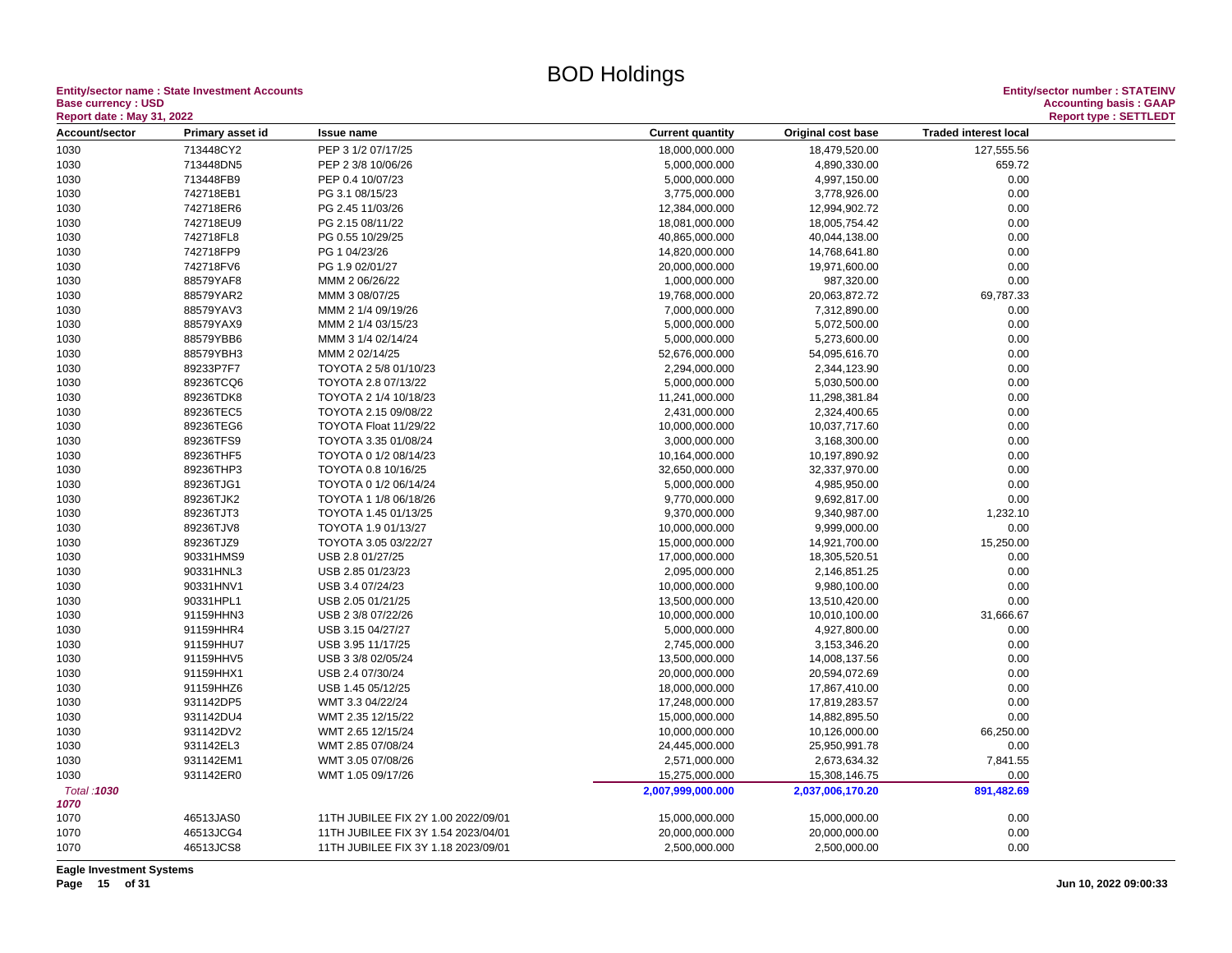**Entity/sector name : State Investment Accounts<br>Base currency : USD<br>Report date : May 31, 2022 Base currency : USD Accounting basis : GAAP**

| <b>Report date: May 31, 2022</b> |                  |                                     |                         |                    |                              | <b>Report type: SETTLEDT</b> |
|----------------------------------|------------------|-------------------------------------|-------------------------|--------------------|------------------------------|------------------------------|
| Account/sector                   | Primary asset id | <b>Issue name</b>                   | <b>Current quantity</b> | Original cost base | <b>Traded interest local</b> |                              |
| 1030                             | 713448CY2        | PEP 3 1/2 07/17/25                  | 18,000,000.000          | 18,479,520.00      | 127,555.56                   |                              |
| 1030                             | 713448DN5        | PEP 2 3/8 10/06/26                  | 5,000,000.000           | 4,890,330.00       | 659.72                       |                              |
| 1030                             | 713448FB9        | PEP 0.4 10/07/23                    | 5,000,000.000           | 4,997,150.00       | 0.00                         |                              |
| 1030                             | 742718EB1        | PG 3.1 08/15/23                     | 3,775,000.000           | 3,778,926.00       | 0.00                         |                              |
| 1030                             | 742718ER6        | PG 2.45 11/03/26                    | 12,384,000.000          | 12,994,902.72      | 0.00                         |                              |
| 1030                             | 742718EU9        | PG 2.15 08/11/22                    | 18,081,000.000          | 18,005,754.42      | 0.00                         |                              |
| 1030                             | 742718FL8        | PG 0.55 10/29/25                    | 40,865,000.000          | 40,044,138.00      | 0.00                         |                              |
| 1030                             | 742718FP9        | PG 1 04/23/26                       | 14,820,000.000          | 14,768,641.80      | 0.00                         |                              |
| 1030                             | 742718FV6        | PG 1.9 02/01/27                     | 20,000,000.000          | 19,971,600.00      | 0.00                         |                              |
| 1030                             | 88579YAF8        | MMM 2 06/26/22                      | 1,000,000.000           | 987,320.00         | 0.00                         |                              |
| 1030                             | 88579YAR2        | MMM 3 08/07/25                      | 19,768,000.000          | 20,063,872.72      | 69,787.33                    |                              |
| 1030                             | 88579YAV3        | MMM 2 1/4 09/19/26                  | 7,000,000.000           | 7,312,890.00       | 0.00                         |                              |
| 1030                             | 88579YAX9        | MMM 2 1/4 03/15/23                  | 5,000,000.000           | 5,072,500.00       | 0.00                         |                              |
| 1030                             | 88579YBB6        | MMM 3 1/4 02/14/24                  | 5,000,000.000           | 5,273,600.00       | 0.00                         |                              |
| 1030                             | 88579YBH3        | MMM 2 02/14/25                      | 52,676,000.000          | 54,095,616.70      | 0.00                         |                              |
| 1030                             | 89233P7F7        | TOYOTA 2 5/8 01/10/23               | 2,294,000.000           | 2,344,123.90       | 0.00                         |                              |
| 1030                             | 89236TCQ6        | TOYOTA 2.8 07/13/22                 | 5,000,000.000           | 5,030,500.00       | 0.00                         |                              |
| 1030                             | 89236TDK8        | TOYOTA 2 1/4 10/18/23               | 11,241,000.000          | 11,298,381.84      | 0.00                         |                              |
| 1030                             | 89236TEC5        | TOYOTA 2.15 09/08/22                | 2,431,000.000           | 2,324,400.65       | 0.00                         |                              |
| 1030                             | 89236TEG6        | TOYOTA Float 11/29/22               | 10,000,000.000          | 10,037,717.60      | 0.00                         |                              |
| 1030                             | 89236TFS9        | TOYOTA 3.35 01/08/24                | 3,000,000.000           | 3,168,300.00       | 0.00                         |                              |
| 1030                             | 89236THF5        | TOYOTA 0 1/2 08/14/23               | 10,164,000.000          | 10,197,890.92      | 0.00                         |                              |
| 1030                             | 89236THP3        | TOYOTA 0.8 10/16/25                 | 32,650,000.000          | 32,337,970.00      | 0.00                         |                              |
|                                  | 89236TJG1        | TOYOTA 0 1/2 06/14/24               | 5,000,000.000           |                    | 0.00                         |                              |
| 1030                             |                  |                                     |                         | 4,985,950.00       |                              |                              |
| 1030                             | 89236TJK2        | TOYOTA 1 1/8 06/18/26               | 9,770,000.000           | 9,692,817.00       | 0.00                         |                              |
| 1030                             | 89236TJT3        | TOYOTA 1.45 01/13/25                | 9,370,000.000           | 9,340,987.00       | 1,232.10                     |                              |
| 1030                             | 89236TJV8        | TOYOTA 1.9 01/13/27                 | 10,000,000.000          | 9,999,000.00       | 0.00                         |                              |
| 1030                             | 89236TJZ9        | TOYOTA 3.05 03/22/27                | 15,000,000.000          | 14,921,700.00      | 15,250.00                    |                              |
| 1030                             | 90331HMS9        | USB 2.8 01/27/25                    | 17,000,000.000          | 18,305,520.51      | 0.00                         |                              |
| 1030                             | 90331HNL3        | USB 2.85 01/23/23                   | 2,095,000.000           | 2,146,851.25       | 0.00                         |                              |
| 1030                             | 90331HNV1        | USB 3.4 07/24/23                    | 10,000,000.000          | 9,980,100.00       | 0.00                         |                              |
| 1030                             | 90331HPL1        | USB 2.05 01/21/25                   | 13,500,000.000          | 13,510,420.00      | 0.00                         |                              |
| 1030                             | 91159HHN3        | USB 2 3/8 07/22/26                  | 10,000,000.000          | 10,010,100.00      | 31,666.67                    |                              |
| 1030                             | 91159HHR4        | USB 3.15 04/27/27                   | 5,000,000.000           | 4,927,800.00       | 0.00                         |                              |
| 1030                             | 91159HHU7        | USB 3.95 11/17/25                   | 2,745,000.000           | 3,153,346.20       | 0.00                         |                              |
| 1030                             | 91159HHV5        | USB 3 3/8 02/05/24                  | 13,500,000.000          | 14,008,137.56      | 0.00                         |                              |
| 1030                             | 91159HHX1        | USB 2.4 07/30/24                    | 20,000,000.000          | 20,594,072.69      | 0.00                         |                              |
| 1030                             | 91159HHZ6        | USB 1.45 05/12/25                   | 18,000,000.000          | 17,867,410.00      | 0.00                         |                              |
| 1030                             | 931142DP5        | WMT 3.3 04/22/24                    | 17,248,000.000          | 17,819,283.57      | 0.00                         |                              |
| 1030                             | 931142DU4        | WMT 2.35 12/15/22                   | 15,000,000.000          | 14,882,895.50      | 0.00                         |                              |
| 1030                             | 931142DV2        | WMT 2.65 12/15/24                   | 10,000,000.000          | 10,126,000.00      | 66,250.00                    |                              |
| 1030                             | 931142EL3        | WMT 2.85 07/08/24                   | 24,445,000.000          | 25,950,991.78      | 0.00                         |                              |
| 1030                             | 931142EM1        | WMT 3.05 07/08/26                   | 2,571,000.000           | 2,673,634.32       | 7,841.55                     |                              |
| 1030                             | 931142ER0        | WMT 1.05 09/17/26                   | 15,275,000.000          | 15,308,146.75      | 0.00                         |                              |
| Total: 1030                      |                  |                                     | 2,007,999,000.000       | 2,037,006,170.20   | 891,482.69                   |                              |
| 1070                             |                  |                                     |                         |                    |                              |                              |
| 1070                             | 46513JAS0        | 11TH JUBILEE FIX 2Y 1.00 2022/09/01 | 15,000,000.000          | 15,000,000.00      | 0.00                         |                              |
| 1070                             | 46513JCG4        | 11TH JUBILEE FIX 3Y 1.54 2023/04/01 | 20,000,000.000          | 20,000,000.00      | 0.00                         |                              |
| 1070                             | 46513JCS8        | 11TH JUBILEE FIX 3Y 1.18 2023/09/01 | 2,500,000.000           | 2,500,000.00       | 0.00                         |                              |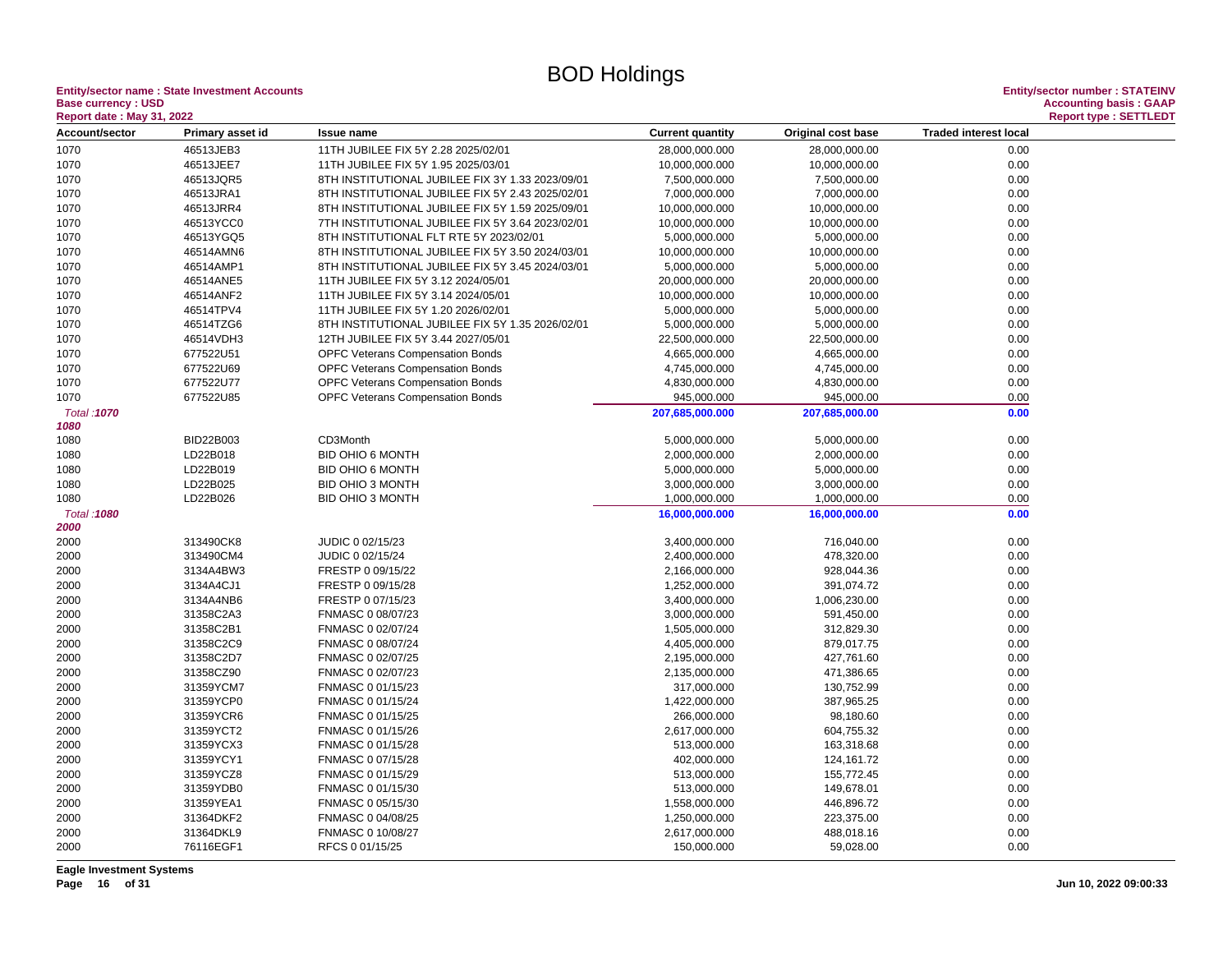**Entity/sector name : State Investment Accounts Entity/sector number : STATEINV Base currency : USD**<br>**Report date : May 31, 2022** 

| Acport date. May 91, 2022<br><b>Account/sector</b> | Primary asset id       | <b>Issue name</b>                                | <b>Current quantity</b>          | Original cost base             | <b>Traded interest local</b> | $n$ epontly personal reads. |
|----------------------------------------------------|------------------------|--------------------------------------------------|----------------------------------|--------------------------------|------------------------------|-----------------------------|
|                                                    |                        |                                                  |                                  |                                | 0.00                         |                             |
| 1070                                               | 46513JEB3<br>46513JEE7 | 11TH JUBILEE FIX 5Y 2.28 2025/02/01              | 28,000,000.000<br>10,000,000.000 | 28,000,000.00<br>10,000,000.00 | 0.00                         |                             |
| 1070                                               | 46513JQR5              | 11TH JUBILEE FIX 5Y 1.95 2025/03/01              |                                  |                                |                              |                             |
| 1070                                               | 46513JRA1              | 8TH INSTITUTIONAL JUBILEE FIX 3Y 1.33 2023/09/01 | 7,500,000.000                    | 7,500,000.00                   | 0.00                         |                             |
| 1070                                               | 46513JRR4              | 8TH INSTITUTIONAL JUBILEE FIX 5Y 2.43 2025/02/01 | 7,000,000.000                    | 7,000,000.00                   | 0.00<br>0.00                 |                             |
| 1070                                               |                        | 8TH INSTITUTIONAL JUBILEE FIX 5Y 1.59 2025/09/01 | 10,000,000.000                   | 10,000,000.00                  |                              |                             |
| 1070                                               | 46513YCC0              | 7TH INSTITUTIONAL JUBILEE FIX 5Y 3.64 2023/02/01 | 10,000,000.000                   | 10,000,000.00                  | 0.00                         |                             |
| 1070                                               | 46513YGQ5              | 8TH INSTITUTIONAL FLT RTE 5Y 2023/02/01          | 5,000,000.000                    | 5,000,000.00                   | 0.00                         |                             |
| 1070                                               | 46514AMN6              | 8TH INSTITUTIONAL JUBILEE FIX 5Y 3.50 2024/03/01 | 10,000,000.000                   | 10,000,000.00                  | 0.00                         |                             |
| 1070                                               | 46514AMP1              | 8TH INSTITUTIONAL JUBILEE FIX 5Y 3.45 2024/03/01 | 5,000,000.000                    | 5,000,000.00                   | 0.00                         |                             |
| 1070                                               | 46514ANE5              | 11TH JUBILEE FIX 5Y 3.12 2024/05/01              | 20,000,000.000                   | 20,000,000.00                  | 0.00                         |                             |
| 1070                                               | 46514ANF2              | 11TH JUBILEE FIX 5Y 3.14 2024/05/01              | 10,000,000.000                   | 10,000,000.00                  | 0.00                         |                             |
| 1070                                               | 46514TPV4              | 11TH JUBILEE FIX 5Y 1.20 2026/02/01              | 5,000,000.000                    | 5,000,000.00                   | 0.00                         |                             |
| 1070                                               | 46514TZG6              | 8TH INSTITUTIONAL JUBILEE FIX 5Y 1.35 2026/02/01 | 5,000,000.000                    | 5,000,000.00                   | 0.00                         |                             |
| 1070                                               | 46514VDH3              | 12TH JUBILEE FIX 5Y 3.44 2027/05/01              | 22,500,000.000                   | 22,500,000.00                  | 0.00                         |                             |
| 1070                                               | 677522U51              | <b>OPFC Veterans Compensation Bonds</b>          | 4,665,000.000                    | 4,665,000.00                   | 0.00                         |                             |
| 1070                                               | 677522U69              | <b>OPFC Veterans Compensation Bonds</b>          | 4,745,000.000                    | 4,745,000.00                   | 0.00                         |                             |
| 1070                                               | 677522U77              | <b>OPFC Veterans Compensation Bonds</b>          | 4,830,000.000                    | 4,830,000.00                   | 0.00                         |                             |
| 1070                                               | 677522U85              | <b>OPFC Veterans Compensation Bonds</b>          | 945,000.000                      | 945,000.00                     | 0.00                         |                             |
| Total: 1070<br>1080                                |                        |                                                  | 207,685,000.000                  | 207,685,000.00                 | 0.00                         |                             |
| 1080                                               | BID22B003              | CD3Month                                         | 5,000,000.000                    | 5,000,000.00                   | 0.00                         |                             |
| 1080                                               | LD22B018               | BID OHIO 6 MONTH                                 | 2,000,000.000                    | 2,000,000.00                   | 0.00                         |                             |
| 1080                                               | LD22B019               | BID OHIO 6 MONTH                                 | 5,000,000.000                    | 5,000,000.00                   | 0.00                         |                             |
| 1080                                               | LD22B025               | <b>BID OHIO 3 MONTH</b>                          | 3,000,000.000                    | 3,000,000.00                   | 0.00                         |                             |
| 1080                                               | LD22B026               | <b>BID OHIO 3 MONTH</b>                          | 1,000,000.000                    | 1,000,000.00                   | 0.00                         |                             |
| Total: 1080                                        |                        |                                                  | 16,000,000.000                   | 16,000,000.00                  | 0.00                         |                             |
| 2000                                               |                        |                                                  |                                  |                                |                              |                             |
| 2000                                               | 313490CK8              | JUDIC 0 02/15/23                                 | 3,400,000.000                    | 716,040.00                     | 0.00                         |                             |
| 2000                                               | 313490CM4              | JUDIC 0 02/15/24                                 | 2,400,000.000                    | 478,320.00                     | 0.00                         |                             |
| 2000                                               | 3134A4BW3              | FRESTP 0 09/15/22                                | 2,166,000.000                    | 928,044.36                     | 0.00                         |                             |
| 2000                                               | 3134A4CJ1              | FRESTP 0 09/15/28                                | 1,252,000.000                    | 391,074.72                     | 0.00                         |                             |
| 2000                                               | 3134A4NB6              | FRESTP 0 07/15/23                                | 3,400,000.000                    | 1,006,230.00                   | 0.00                         |                             |
| 2000                                               | 31358C2A3              | FNMASC 0 08/07/23                                | 3,000,000.000                    | 591,450.00                     | 0.00                         |                             |
| 2000                                               | 31358C2B1              | FNMASC 0 02/07/24                                | 1,505,000.000                    | 312,829.30                     | 0.00                         |                             |
| 2000                                               | 31358C2C9              | FNMASC 0 08/07/24                                | 4,405,000.000                    | 879,017.75                     | 0.00                         |                             |
| 2000                                               | 31358C2D7              | FNMASC 0 02/07/25                                | 2,195,000.000                    | 427,761.60                     | 0.00                         |                             |
| 2000                                               | 31358CZ90              | FNMASC 0 02/07/23                                | 2,135,000.000                    | 471,386.65                     | 0.00                         |                             |
| 2000                                               | 31359YCM7              | FNMASC 0 01/15/23                                | 317,000.000                      | 130,752.99                     | 0.00                         |                             |
| 2000                                               | 31359YCP0              | FNMASC 0 01/15/24                                | 1,422,000.000                    | 387,965.25                     | 0.00                         |                             |
| 2000                                               | 31359YCR6              | FNMASC 0 01/15/25                                | 266,000.000                      | 98,180.60                      | 0.00                         |                             |
| 2000                                               | 31359YCT2              | FNMASC 0 01/15/26                                | 2,617,000.000                    | 604,755.32                     | 0.00                         |                             |
| 2000                                               | 31359YCX3              | FNMASC 0 01/15/28                                | 513,000.000                      | 163,318.68                     | 0.00                         |                             |
| 2000                                               | 31359YCY1              | FNMASC 0 07/15/28                                | 402,000.000                      | 124,161.72                     | 0.00                         |                             |
| 2000                                               | 31359YCZ8              | FNMASC 0 01/15/29                                | 513,000.000                      | 155,772.45                     | 0.00                         |                             |
| 2000                                               | 31359YDB0              | FNMASC 0 01/15/30                                | 513,000.000                      | 149,678.01                     | 0.00                         |                             |
|                                                    | 31359YEA1              | FNMASC 0 05/15/30                                | 1,558,000.000                    | 446,896.72                     | 0.00                         |                             |
| 2000<br>2000                                       | 31364DKF2              | FNMASC 0 04/08/25                                | 1,250,000.000                    | 223,375.00                     | 0.00                         |                             |
| 2000                                               | 31364DKL9              | FNMASC 0 10/08/27                                | 2,617,000.000                    |                                | 0.00                         |                             |
|                                                    | 76116EGF1              | RFCS 0 01/15/25                                  | 150,000.000                      | 488,018.16                     | 0.00                         |                             |
| 2000                                               |                        |                                                  |                                  | 59,028.00                      |                              |                             |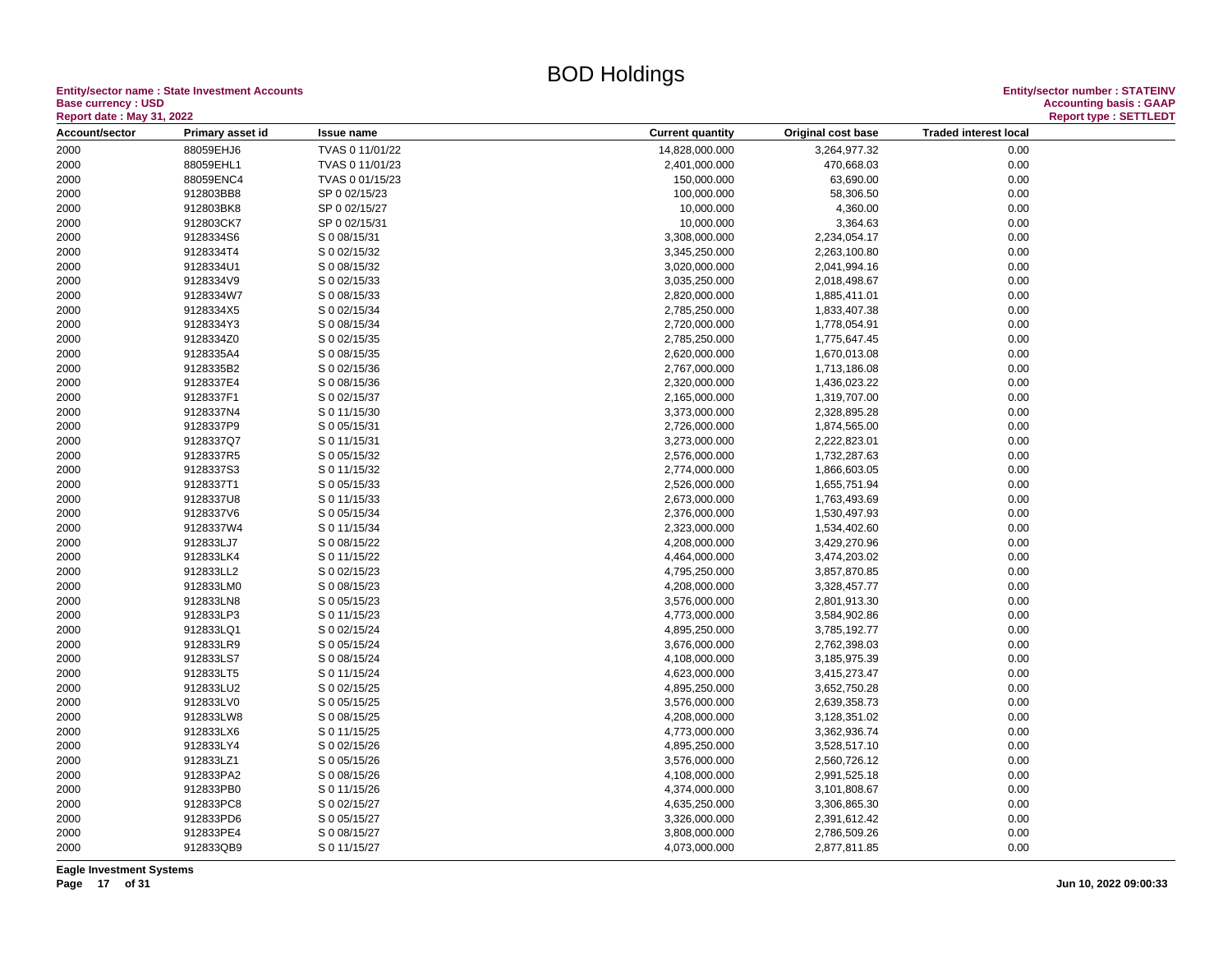**Entity/sector name : State Investment Accounts<br>Base currency : USD<br>Based date: May 24, 2000 Base currency : USD Accounting basis : GAAP**

| <b>Report date : May 31, 2022</b> |                        |                              |                                |                              |                              | <b>Report type: SETTLEDT</b> |
|-----------------------------------|------------------------|------------------------------|--------------------------------|------------------------------|------------------------------|------------------------------|
| Account/sector                    | Primary asset id       | <b>Issue name</b>            | <b>Current quantity</b>        | Original cost base           | <b>Traded interest local</b> |                              |
| 2000                              | 88059EHJ6              | TVAS 0 11/01/22              | 14,828,000.000                 | 3,264,977.32                 | 0.00                         |                              |
| 2000                              | 88059EHL1              | TVAS 0 11/01/23              | 2,401,000.000                  | 470,668.03                   | 0.00                         |                              |
| 2000                              | 88059ENC4              | TVAS 0 01/15/23              | 150,000.000                    | 63,690.00                    | 0.00                         |                              |
| 2000                              | 912803BB8              | SP 0 02/15/23                | 100,000.000                    | 58,306.50                    | 0.00                         |                              |
| 2000                              | 912803BK8              | SP 0 02/15/27                | 10,000.000                     | 4,360.00                     | 0.00                         |                              |
| 2000                              | 912803CK7              | SP 0 02/15/31                | 10,000.000                     | 3,364.63                     | 0.00                         |                              |
| 2000                              | 9128334S6              | S 0 08/15/31                 | 3,308,000.000                  | 2,234,054.17                 | 0.00                         |                              |
| 2000                              | 9128334T4              | S 0 02/15/32                 | 3,345,250.000                  | 2,263,100.80                 | 0.00                         |                              |
| 2000                              | 9128334U1              | S 0 08/15/32                 | 3,020,000.000                  | 2,041,994.16                 | 0.00                         |                              |
| 2000                              | 9128334V9              | S 0 02/15/33                 | 3,035,250.000                  | 2,018,498.67                 | 0.00                         |                              |
| 2000                              | 9128334W7              | S 0 08/15/33                 | 2,820,000.000                  | 1,885,411.01                 | 0.00                         |                              |
| 2000                              | 9128334X5              | S 0 02/15/34                 | 2,785,250.000                  | 1,833,407.38                 | 0.00                         |                              |
| 2000                              | 9128334Y3              | S 0 08/15/34                 | 2,720,000.000                  | 1,778,054.91                 | 0.00                         |                              |
| 2000                              | 9128334Z0              | S 0 02/15/35                 | 2,785,250.000                  | 1,775,647.45                 | 0.00                         |                              |
| 2000                              | 9128335A4              | S 0 08/15/35                 | 2,620,000.000                  | 1,670,013.08                 | 0.00                         |                              |
| 2000                              | 9128335B2              | S 0 02/15/36                 | 2,767,000.000                  | 1,713,186.08                 | 0.00                         |                              |
| 2000                              | 9128337E4              | S 0 08/15/36                 | 2,320,000.000                  | 1,436,023.22                 | 0.00                         |                              |
| 2000                              | 9128337F1              | S 0 02/15/37                 | 2,165,000.000                  | 1,319,707.00                 | 0.00                         |                              |
| 2000                              | 9128337N4              | S 0 11/15/30                 | 3,373,000.000                  | 2,328,895.28                 | 0.00                         |                              |
| 2000                              | 9128337P9              | S 0 05/15/31                 | 2,726,000.000                  | 1,874,565.00                 | 0.00                         |                              |
| 2000                              | 9128337Q7              | S 0 11/15/31                 | 3,273,000.000                  | 2,222,823.01                 | 0.00                         |                              |
| 2000                              | 9128337R5              | S 0 05/15/32                 | 2,576,000.000                  | 1,732,287.63                 | 0.00                         |                              |
| 2000                              | 9128337S3              | S 0 11/15/32                 | 2,774,000.000                  | 1,866,603.05                 | 0.00                         |                              |
| 2000                              | 9128337T1              | S 0 05/15/33                 | 2,526,000.000                  | 1,655,751.94                 | 0.00                         |                              |
| 2000                              | 9128337U8              | S 0 11/15/33                 | 2,673,000.000                  | 1,763,493.69                 | 0.00                         |                              |
| 2000                              | 9128337V6              | S 0 05/15/34                 | 2,376,000.000                  | 1,530,497.93                 | 0.00                         |                              |
|                                   |                        |                              |                                |                              |                              |                              |
| 2000                              | 9128337W4              | S 0 11/15/34<br>S 0 08/15/22 | 2,323,000.000                  | 1,534,402.60                 | 0.00<br>0.00                 |                              |
| 2000                              | 912833LJ7              |                              | 4,208,000.000                  | 3,429,270.96                 |                              |                              |
| 2000<br>2000                      | 912833LK4<br>912833LL2 | S 0 11/15/22<br>S 0 02/15/23 | 4,464,000.000<br>4,795,250.000 | 3,474,203.02<br>3,857,870.85 | 0.00<br>0.00                 |                              |
|                                   |                        |                              |                                |                              |                              |                              |
| 2000                              | 912833LM0              | S 0 08/15/23                 | 4,208,000.000                  | 3,328,457.77                 | 0.00                         |                              |
| 2000                              | 912833LN8              | S 0 05/15/23                 | 3,576,000.000                  | 2,801,913.30                 | 0.00                         |                              |
| 2000                              | 912833LP3              | S 0 11/15/23                 | 4,773,000.000                  | 3,584,902.86                 | 0.00                         |                              |
| 2000                              | 912833LQ1              | S 0 02/15/24                 | 4,895,250.000                  | 3,785,192.77                 | 0.00                         |                              |
| 2000                              | 912833LR9              | S 0 05/15/24                 | 3,676,000.000                  | 2,762,398.03                 | 0.00                         |                              |
| 2000                              | 912833LS7              | S 0 08/15/24                 | 4,108,000.000                  | 3,185,975.39                 | 0.00                         |                              |
| 2000                              | 912833LT5              | S 0 11/15/24                 | 4,623,000.000                  | 3,415,273.47                 | 0.00                         |                              |
| 2000                              | 912833LU2              | S 0 02/15/25                 | 4,895,250.000                  | 3,652,750.28                 | 0.00                         |                              |
| 2000                              | 912833LV0              | S 0 05/15/25                 | 3,576,000.000                  | 2,639,358.73                 | 0.00                         |                              |
| 2000                              | 912833LW8              | S 0 08/15/25                 | 4,208,000.000                  | 3,128,351.02                 | 0.00                         |                              |
| 2000                              | 912833LX6              | S 0 11/15/25                 | 4,773,000.000                  | 3,362,936.74                 | 0.00                         |                              |
| 2000                              | 912833LY4              | S 0 02/15/26                 | 4,895,250.000                  | 3,528,517.10                 | 0.00                         |                              |
| 2000                              | 912833LZ1              | S 0 05/15/26                 | 3,576,000.000                  | 2,560,726.12                 | 0.00                         |                              |
| 2000                              | 912833PA2              | S 0 08/15/26                 | 4,108,000.000                  | 2,991,525.18                 | 0.00                         |                              |
| 2000                              | 912833PB0              | S 0 11/15/26                 | 4,374,000.000                  | 3,101,808.67                 | 0.00                         |                              |
| 2000                              | 912833PC8              | S 0 02/15/27                 | 4,635,250.000                  | 3,306,865.30                 | 0.00                         |                              |
| 2000                              | 912833PD6              | S 0 05/15/27                 | 3,326,000.000                  | 2,391,612.42                 | 0.00                         |                              |
| 2000                              | 912833PE4              | S 0 08/15/27                 | 3,808,000.000                  | 2,786,509.26                 | 0.00                         |                              |
| 2000                              | 912833QB9              | S 0 11/15/27                 | 4,073,000.000                  | 2,877,811.85                 | 0.00                         |                              |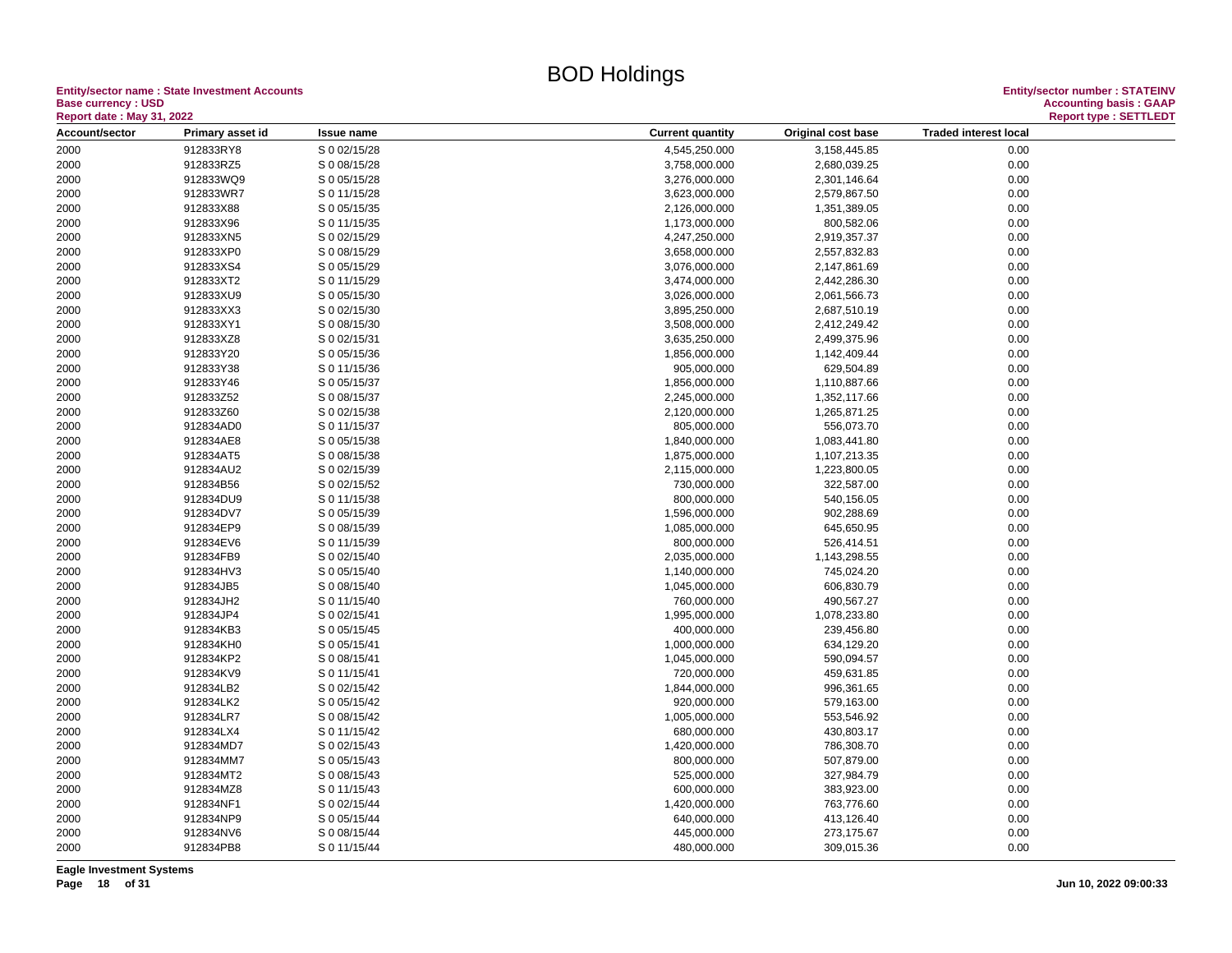**Entity/sector name : State Investment Accounts<br>Base currency : USD<br>Report date : May 31, 2022 Base currency : USD Accounting basis : GAAP**

| <b>Report date : May 31, 2022</b> |                  |                              |                                                                                | <b>Report type: SETTLEDT</b> |
|-----------------------------------|------------------|------------------------------|--------------------------------------------------------------------------------|------------------------------|
| Account/sector                    | Primary asset id | <b>Issue name</b>            | <b>Current quantity</b><br>Original cost base<br><b>Traded interest local</b>  |                              |
| 2000                              | 912833RY8        | S 0 02/15/28                 | 4,545,250.000<br>3,158,445.85<br>0.00                                          |                              |
| 2000                              | 912833RZ5        | S 0 08/15/28                 | 3,758,000.000<br>2,680,039.25<br>0.00                                          |                              |
| 2000                              | 912833WQ9        | S 0 05/15/28                 | 3,276,000.000<br>0.00<br>2,301,146.64                                          |                              |
| 2000                              | 912833WR7        | S 0 11/15/28                 | 3,623,000.000<br>2,579,867.50<br>0.00                                          |                              |
| 2000                              | 912833X88        | S 0 05/15/35                 | 0.00<br>2,126,000.000<br>1,351,389.05                                          |                              |
| 2000                              | 912833X96        | S 0 11/15/35                 | 0.00<br>1,173,000.000<br>800,582.06                                            |                              |
| 2000                              | 912833XN5        | S 0 02/15/29                 | 4,247,250.000<br>2,919,357.37<br>0.00                                          |                              |
| 2000                              | 912833XP0        | S 0 08/15/29                 | 3,658,000.000<br>2,557,832.83<br>0.00                                          |                              |
| 2000                              | 912833XS4        | S 0 05/15/29                 | 3,076,000.000<br>2,147,861.69<br>0.00                                          |                              |
| 2000                              | 912833XT2        | S 0 11/15/29                 | 3,474,000.000<br>2,442,286.30<br>0.00                                          |                              |
| 2000                              | 912833XU9        | S 0 05/15/30                 | 3,026,000.000<br>0.00<br>2,061,566.73                                          |                              |
| 2000                              | 912833XX3        | S 0 02/15/30                 | 3,895,250.000<br>2,687,510.19<br>0.00                                          |                              |
| 2000                              | 912833XY1        | S 0 08/15/30                 | 3,508,000.000<br>2,412,249.42<br>0.00                                          |                              |
| 2000                              | 912833XZ8        | S 0 02/15/31                 | 3,635,250.000<br>2,499,375.96<br>0.00                                          |                              |
| 2000                              | 912833Y20        | S 0 05/15/36                 | 1,856,000.000<br>0.00<br>1,142,409.44                                          |                              |
| 2000                              | 912833Y38        | S 0 11/15/36                 | 905,000.000<br>629,504.89<br>0.00                                              |                              |
| 2000                              | 912833Y46        | S 0 05/15/37                 | 1,856,000.000<br>1,110,887.66<br>0.00                                          |                              |
| 2000                              | 912833Z52        | S 0 08/15/37                 | 2,245,000.000<br>1,352,117.66<br>0.00                                          |                              |
| 2000                              | 912833Z60        | S 0 02/15/38                 | 2,120,000.000<br>1,265,871.25<br>0.00                                          |                              |
| 2000                              | 912834AD0        | S 0 11/15/37                 | 805,000.000<br>556,073.70<br>0.00                                              |                              |
| 2000                              | 912834AE8        | S 0 05/15/38                 | 1,840,000.000<br>1,083,441.80<br>0.00                                          |                              |
|                                   | 912834AT5        |                              |                                                                                |                              |
| 2000                              | 912834AU2        | S 0 08/15/38<br>S 0 02/15/39 | 1,875,000.000<br>1,107,213.35<br>0.00<br>2,115,000.000<br>1,223,800.05<br>0.00 |                              |
| 2000                              | 912834B56        | S 0 02/15/52                 | 0.00                                                                           |                              |
| 2000                              |                  |                              | 322,587.00<br>730,000.000                                                      |                              |
| 2000                              | 912834DU9        | S 0 11/15/38                 | 0.00<br>800,000.000<br>540,156.05                                              |                              |
| 2000                              | 912834DV7        | S 0 05/15/39                 | 1,596,000.000<br>902,288.69<br>0.00                                            |                              |
| 2000                              | 912834EP9        | S 0 08/15/39                 | 1,085,000.000<br>645,650.95<br>0.00                                            |                              |
| 2000                              | 912834EV6        | S 0 11/15/39                 | 800,000.000<br>0.00<br>526,414.51                                              |                              |
| 2000                              | 912834FB9        | S 0 02/15/40                 | 2,035,000.000<br>1,143,298.55<br>0.00                                          |                              |
| 2000                              | 912834HV3        | S 0 05/15/40                 | 0.00<br>1,140,000.000<br>745,024.20                                            |                              |
| 2000                              | 912834JB5        | S 0 08/15/40                 | 0.00<br>1,045,000.000<br>606,830.79                                            |                              |
| 2000                              | 912834JH2        | S 0 11/15/40                 | 760,000.000<br>490,567.27<br>0.00                                              |                              |
| 2000                              | 912834JP4        | S 0 02/15/41                 | 1,995,000.000<br>1,078,233.80<br>0.00                                          |                              |
| 2000                              | 912834KB3        | S 0 05/15/45                 | 400,000.000<br>239,456.80<br>0.00                                              |                              |
| 2000                              | 912834KH0        | S 0 05/15/41                 | 1,000,000.000<br>634,129.20<br>0.00                                            |                              |
| 2000                              | 912834KP2        | S 0 08/15/41                 | 1,045,000.000<br>590,094.57<br>0.00                                            |                              |
| 2000                              | 912834KV9        | S 0 11/15/41                 | 720,000.000<br>459,631.85<br>0.00                                              |                              |
| 2000                              | 912834LB2        | S 0 02/15/42                 | 0.00<br>1,844,000.000<br>996,361.65                                            |                              |
| 2000                              | 912834LK2        | S 0 05/15/42                 | 920,000.000<br>579,163.00<br>0.00                                              |                              |
| 2000                              | 912834LR7        | S 0 08/15/42                 | 1,005,000.000<br>553,546.92<br>0.00                                            |                              |
| 2000                              | 912834LX4        | S 0 11/15/42                 | 0.00<br>680,000.000<br>430,803.17                                              |                              |
| 2000                              | 912834MD7        | S 0 02/15/43                 | 1,420,000.000<br>786,308.70<br>0.00                                            |                              |
| 2000                              | 912834MM7        | S 0 05/15/43                 | 800,000.000<br>507,879.00<br>0.00                                              |                              |
| 2000                              | 912834MT2        | S 0 08/15/43                 | 525,000.000<br>327,984.79<br>0.00                                              |                              |
| 2000                              | 912834MZ8        | S 0 11/15/43                 | 0.00<br>600,000.000<br>383,923.00                                              |                              |
| 2000                              | 912834NF1        | S 0 02/15/44                 | 1,420,000.000<br>763,776.60<br>0.00                                            |                              |
| 2000                              | 912834NP9        | S 0 05/15/44                 | 640,000.000<br>413,126.40<br>0.00                                              |                              |
| 2000                              | 912834NV6        | S 0 08/15/44                 | 445,000.000<br>273,175.67<br>0.00                                              |                              |
| 2000                              | 912834PB8        | S 0 11/15/44                 | 480,000.000<br>309,015.36<br>0.00                                              |                              |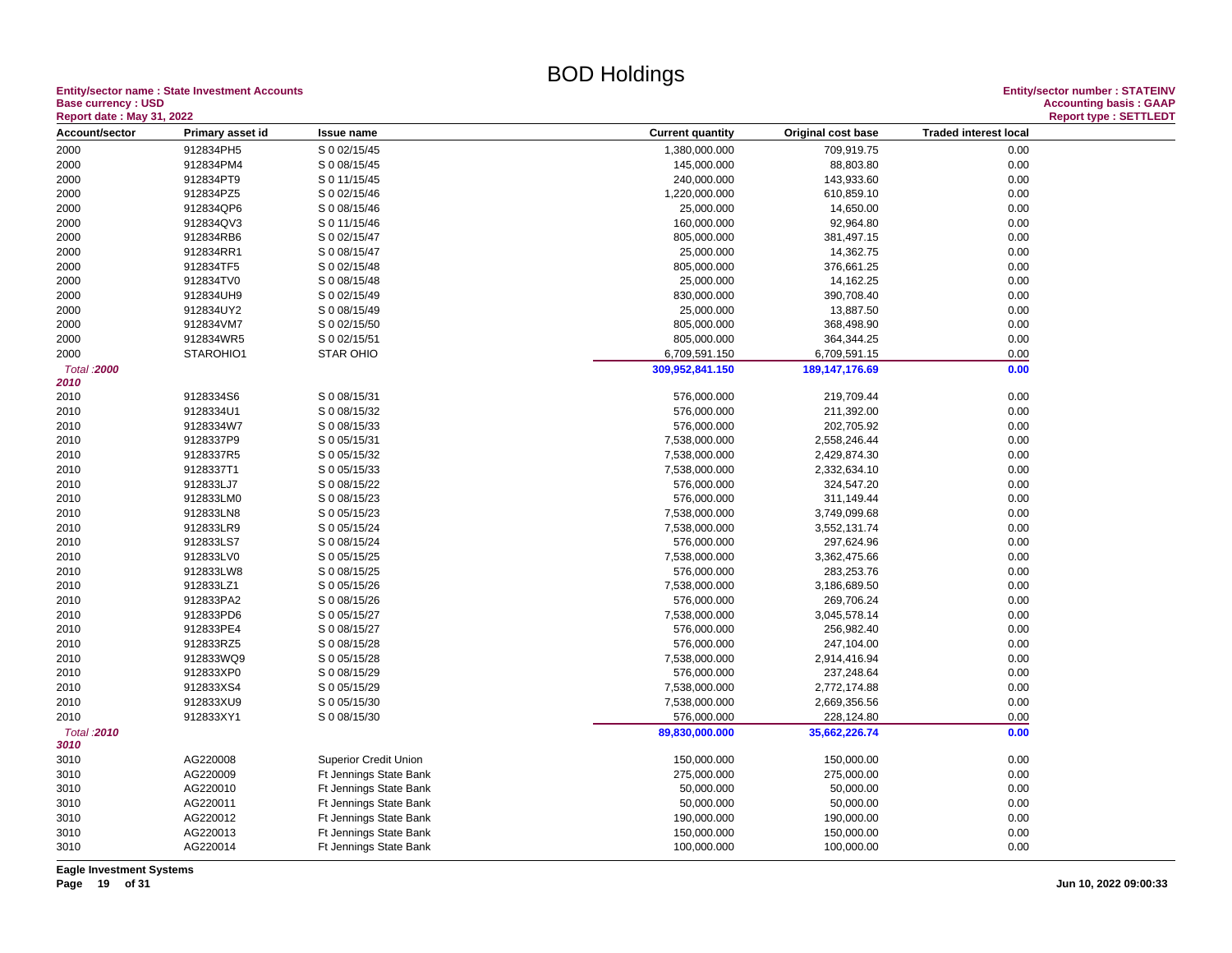**Entity/sector name : State Investment Accounts<br>Base currency : USD** 

| <b>Report date: May 31, 2022</b> |                  |                        |                         |                    |                              | <b>Report type: SETTLEDT</b> |
|----------------------------------|------------------|------------------------|-------------------------|--------------------|------------------------------|------------------------------|
| Account/sector                   | Primary asset id | Issue name             | <b>Current quantity</b> | Original cost base | <b>Traded interest local</b> |                              |
| 2000                             | 912834PH5        | S 0 02/15/45           | 1,380,000.000           | 709,919.75         | 0.00                         |                              |
| 2000                             | 912834PM4        | S 0 08/15/45           | 145,000.000             | 88,803.80          | 0.00                         |                              |
| 2000                             | 912834PT9        | S 0 11/15/45           | 240,000.000             | 143,933.60         | 0.00                         |                              |
| 2000                             | 912834PZ5        | S 0 02/15/46           | 1,220,000.000           | 610,859.10         | 0.00                         |                              |
| 2000                             | 912834QP6        | S 0 08/15/46           | 25,000.000              | 14,650.00          | 0.00                         |                              |
| 2000                             | 912834QV3        | S 0 11/15/46           | 160,000.000             | 92,964.80          | 0.00                         |                              |
| 2000                             | 912834RB6        | S 0 02/15/47           | 805,000.000             | 381,497.15         | 0.00                         |                              |
| 2000                             | 912834RR1        | S 0 08/15/47           | 25,000.000              | 14,362.75          | 0.00                         |                              |
| 2000                             | 912834TF5        | S 0 02/15/48           | 805,000.000             | 376,661.25         | 0.00                         |                              |
| 2000                             | 912834TV0        | S 0 08/15/48           | 25,000.000              | 14,162.25          | 0.00                         |                              |
| 2000                             | 912834UH9        | S 0 02/15/49           | 830,000.000             | 390,708.40         | 0.00                         |                              |
| 2000                             | 912834UY2        | S 0 08/15/49           | 25,000.000              | 13,887.50          | 0.00                         |                              |
| 2000                             | 912834VM7        | S 0 02/15/50           | 805,000.000             | 368,498.90         | 0.00                         |                              |
| 2000                             | 912834WR5        | S 0 02/15/51           | 805,000.000             | 364,344.25         | 0.00                         |                              |
| 2000                             | STAROHIO1        | <b>STAR OHIO</b>       | 6,709,591.150           | 6,709,591.15       | 0.00                         |                              |
| Total : 2000                     |                  |                        | 309,952,841.150         | 189, 147, 176.69   | 0.00                         |                              |
| 2010                             |                  |                        |                         |                    |                              |                              |
| 2010                             | 9128334S6        | S 0 08/15/31           | 576,000.000             | 219,709.44         | 0.00                         |                              |
| 2010                             | 9128334U1        | S 0 08/15/32           | 576,000.000             | 211,392.00         | 0.00                         |                              |
| 2010                             | 9128334W7        | S 0 08/15/33           | 576,000.000             | 202,705.92         | 0.00                         |                              |
| 2010                             | 9128337P9        | S 0 05/15/31           | 7,538,000.000           | 2,558,246.44       | 0.00                         |                              |
| 2010                             | 9128337R5        | S 0 05/15/32           | 7,538,000.000           | 2,429,874.30       | 0.00                         |                              |
| 2010                             | 9128337T1        | S 0 05/15/33           | 7,538,000.000           | 2,332,634.10       | 0.00                         |                              |
| 2010                             | 912833LJ7        | S 0 08/15/22           | 576,000.000             | 324,547.20         | 0.00                         |                              |
| 2010                             | 912833LM0        | S 0 08/15/23           | 576,000.000             | 311,149.44         | 0.00                         |                              |
| 2010                             | 912833LN8        | S 0 05/15/23           | 7,538,000.000           | 3,749,099.68       | 0.00                         |                              |
| 2010                             | 912833LR9        | S 0 05/15/24           | 7,538,000.000           | 3,552,131.74       | 0.00                         |                              |
| 2010                             | 912833LS7        | S 0 08/15/24           | 576,000.000             | 297,624.96         | 0.00                         |                              |
| 2010                             | 912833LV0        | S 0 05/15/25           | 7,538,000.000           | 3,362,475.66       | 0.00                         |                              |
| 2010                             | 912833LW8        | S 0 08/15/25           | 576,000.000             | 283,253.76         | 0.00                         |                              |
| 2010                             | 912833LZ1        | S 0 05/15/26           | 7,538,000.000           | 3,186,689.50       | 0.00                         |                              |
| 2010                             | 912833PA2        | S 0 08/15/26           | 576,000.000             | 269,706.24         | 0.00                         |                              |
| 2010                             | 912833PD6        | S 0 05/15/27           | 7,538,000.000           | 3,045,578.14       | 0.00                         |                              |
| 2010                             | 912833PE4        | S 0 08/15/27           | 576,000.000             | 256,982.40         | 0.00                         |                              |
| 2010                             | 912833RZ5        | S 0 08/15/28           | 576,000.000             | 247,104.00         | 0.00                         |                              |
| 2010                             | 912833WQ9        | S 0 05/15/28           | 7,538,000.000           | 2,914,416.94       | 0.00                         |                              |
| 2010                             | 912833XP0        | S 0 08/15/29           | 576,000.000             | 237,248.64         | 0.00                         |                              |
| 2010                             | 912833XS4        | S 0 05/15/29           | 7,538,000.000           | 2,772,174.88       | 0.00                         |                              |
| 2010                             | 912833XU9        | S 0 05/15/30           | 7,538,000.000           | 2,669,356.56       | 0.00                         |                              |
| 2010                             | 912833XY1        | S 0 08/15/30           | 576,000.000             | 228,124.80         | 0.00                         |                              |
| Total : 2010                     |                  |                        | 89,830,000.000          | 35,662,226.74      | 0.00                         |                              |
| 3010                             |                  |                        |                         |                    |                              |                              |
| 3010                             | AG220008         | Superior Credit Union  | 150,000.000             | 150,000.00         | 0.00                         |                              |
| 3010                             | AG220009         | Ft Jennings State Bank | 275,000.000             | 275,000.00         | 0.00                         |                              |
| 3010                             | AG220010         | Ft Jennings State Bank | 50,000.000              | 50,000.00          | 0.00                         |                              |
| 3010                             | AG220011         | Ft Jennings State Bank | 50,000.000              | 50,000.00          | 0.00                         |                              |
| 3010                             | AG220012         | Ft Jennings State Bank | 190,000.000             | 190,000.00         | 0.00                         |                              |
| 3010                             | AG220013         | Ft Jennings State Bank | 150,000.000             | 150,000.00         | 0.00                         |                              |
| 3010                             | AG220014         | Ft Jennings State Bank | 100,000.000             | 100,000.00         | 0.00                         |                              |
|                                  |                  |                        |                         |                    |                              |                              |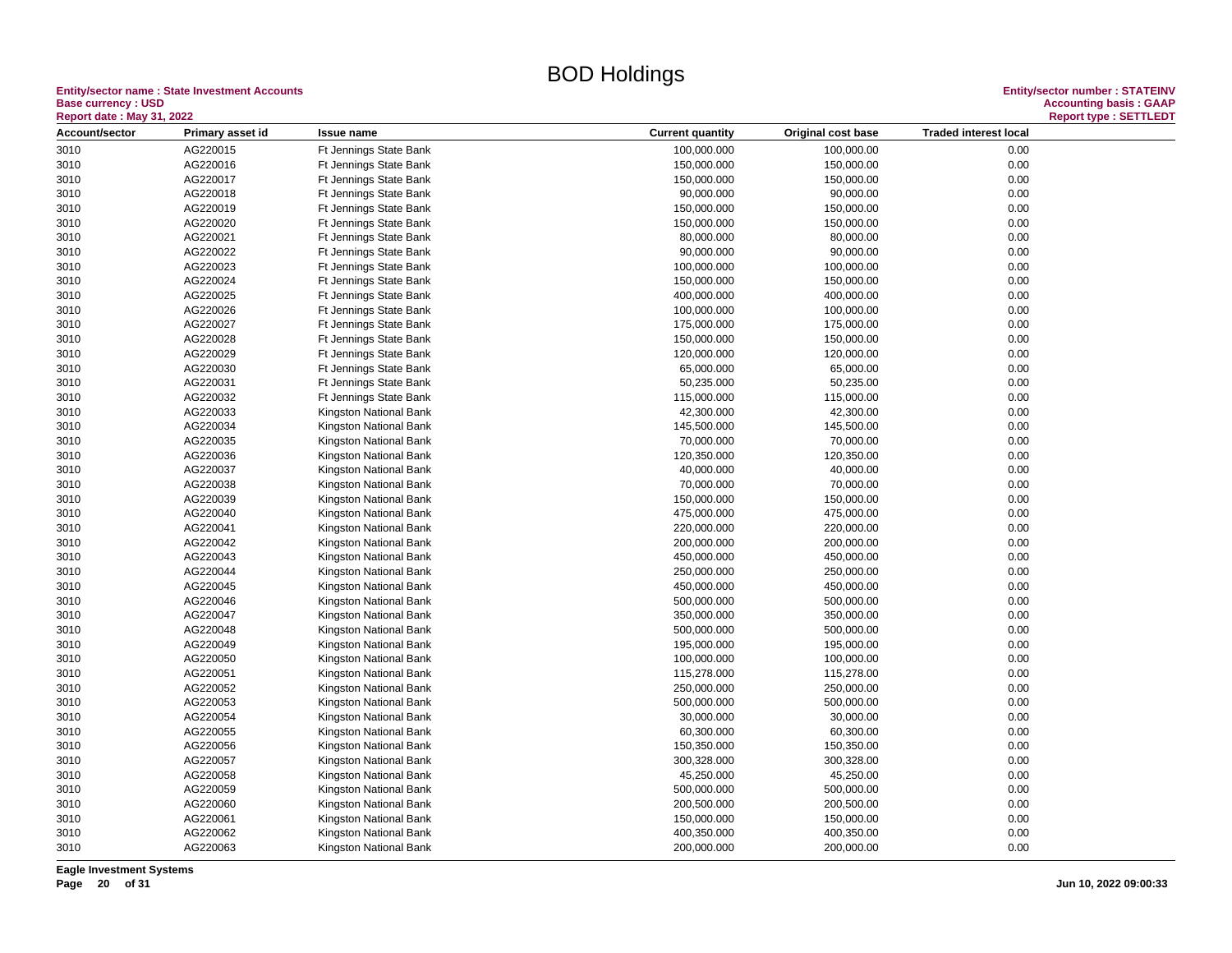#### **Entity/sector name : State Investment Accounts<br>Base currency : USD<br>Based date: May 24, 2000 Base currency : USD Accounting basis : GAAP**

| <b>Report date: May 31, 2022</b> |                      |                        |                           |                         |                              | <b>Report type: SETTLEDT</b> |
|----------------------------------|----------------------|------------------------|---------------------------|-------------------------|------------------------------|------------------------------|
| Account/sector                   | Primary asset id     | <b>Issue name</b>      | <b>Current quantity</b>   | Original cost base      | <b>Traded interest local</b> |                              |
| 3010                             | AG220015             | Ft Jennings State Bank | 100,000.000               | 100,000.00              | 0.00                         |                              |
| 3010                             | AG220016             | Ft Jennings State Bank | 150,000.000               | 150,000.00              | 0.00                         |                              |
| 3010                             | AG220017             | Ft Jennings State Bank | 150,000.000               | 150,000.00              | 0.00                         |                              |
| 3010                             | AG220018             | Ft Jennings State Bank | 90,000.000                | 90,000.00               | 0.00                         |                              |
| 3010                             | AG220019             | Ft Jennings State Bank | 150,000.000               | 150,000.00              | 0.00                         |                              |
| 3010                             | AG220020             | Ft Jennings State Bank | 150,000.000               | 150,000.00              | 0.00                         |                              |
| 3010                             | AG220021             | Ft Jennings State Bank | 80,000.000                | 80,000.00               | 0.00                         |                              |
| 3010                             | AG220022             | Ft Jennings State Bank | 90,000.000                | 90,000.00               | 0.00                         |                              |
| 3010                             | AG220023             | Ft Jennings State Bank | 100,000.000               | 100,000.00              | 0.00                         |                              |
| 3010                             | AG220024             | Ft Jennings State Bank | 150,000.000               | 150,000.00              | 0.00                         |                              |
| 3010                             | AG220025             | Ft Jennings State Bank | 400,000.000               | 400,000.00              | 0.00                         |                              |
| 3010                             | AG220026             | Ft Jennings State Bank | 100,000.000               | 100,000.00              | 0.00                         |                              |
| 3010                             | AG220027             | Ft Jennings State Bank | 175,000.000               | 175,000.00              | 0.00                         |                              |
| 3010                             | AG220028             | Ft Jennings State Bank | 150,000.000               | 150,000.00              | 0.00                         |                              |
| 3010                             | AG220029             | Ft Jennings State Bank | 120,000.000               | 120,000.00              | 0.00                         |                              |
| 3010                             | AG220030             | Ft Jennings State Bank | 65,000.000                | 65,000.00               | 0.00                         |                              |
| 3010                             | AG220031             | Ft Jennings State Bank | 50,235.000                | 50,235.00               | 0.00                         |                              |
|                                  | AG220032             | Ft Jennings State Bank |                           |                         | 0.00                         |                              |
| 3010<br>3010                     | AG220033             | Kingston National Bank | 115,000.000<br>42,300.000 | 115,000.00<br>42,300.00 | 0.00                         |                              |
|                                  | AG220034             |                        |                           |                         |                              |                              |
| 3010<br>3010                     | AG220035             | Kingston National Bank | 145,500.000<br>70,000.000 | 145,500.00<br>70,000.00 | 0.00<br>0.00                 |                              |
|                                  |                      | Kingston National Bank |                           |                         |                              |                              |
| 3010                             | AG220036<br>AG220037 | Kingston National Bank | 120,350.000               | 120,350.00              | 0.00<br>0.00                 |                              |
| 3010                             |                      | Kingston National Bank | 40,000.000                | 40,000.00               |                              |                              |
| 3010                             | AG220038             | Kingston National Bank | 70,000.000                | 70,000.00               | 0.00                         |                              |
| 3010                             | AG220039             | Kingston National Bank | 150,000.000               | 150,000.00              | 0.00                         |                              |
| 3010                             | AG220040             | Kingston National Bank | 475,000.000               | 475,000.00              | 0.00                         |                              |
| 3010                             | AG220041             | Kingston National Bank | 220,000.000               | 220,000.00              | 0.00                         |                              |
| 3010                             | AG220042             | Kingston National Bank | 200,000.000               | 200,000.00              | 0.00                         |                              |
| 3010                             | AG220043             | Kingston National Bank | 450,000.000               | 450,000.00              | 0.00                         |                              |
| 3010                             | AG220044             | Kingston National Bank | 250,000.000               | 250,000.00              | 0.00                         |                              |
| 3010                             | AG220045             | Kingston National Bank | 450,000.000               | 450,000.00              | 0.00                         |                              |
| 3010                             | AG220046             | Kingston National Bank | 500,000.000               | 500,000.00              | 0.00                         |                              |
| 3010                             | AG220047             | Kingston National Bank | 350,000.000               | 350,000.00              | 0.00                         |                              |
| 3010                             | AG220048             | Kingston National Bank | 500,000.000               | 500,000.00              | 0.00                         |                              |
| 3010                             | AG220049             | Kingston National Bank | 195,000.000               | 195,000.00              | 0.00                         |                              |
| 3010                             | AG220050             | Kingston National Bank | 100,000.000               | 100,000.00              | 0.00                         |                              |
| 3010                             | AG220051             | Kingston National Bank | 115,278.000               | 115,278.00              | 0.00                         |                              |
| 3010                             | AG220052             | Kingston National Bank | 250,000.000               | 250,000.00              | 0.00                         |                              |
| 3010                             | AG220053             | Kingston National Bank | 500,000.000               | 500,000.00              | 0.00                         |                              |
| 3010                             | AG220054             | Kingston National Bank | 30,000.000                | 30,000.00               | 0.00                         |                              |
| 3010                             | AG220055             | Kingston National Bank | 60,300.000                | 60,300.00               | 0.00                         |                              |
| 3010                             | AG220056             | Kingston National Bank | 150,350.000               | 150,350.00              | 0.00                         |                              |
| 3010                             | AG220057             | Kingston National Bank | 300,328.000               | 300,328.00              | 0.00                         |                              |
| 3010                             | AG220058             | Kingston National Bank | 45,250.000                | 45,250.00               | 0.00                         |                              |
| 3010                             | AG220059             | Kingston National Bank | 500,000.000               | 500,000.00              | 0.00                         |                              |
| 3010                             | AG220060             | Kingston National Bank | 200,500.000               | 200,500.00              | 0.00                         |                              |
| 3010                             | AG220061             | Kingston National Bank | 150,000.000               | 150,000.00              | 0.00                         |                              |
| 3010                             | AG220062             | Kingston National Bank | 400,350.000               | 400,350.00              | 0.00                         |                              |
| 3010                             | AG220063             | Kingston National Bank | 200,000.000               | 200,000.00              | 0.00                         |                              |

**Eagle Investment Systems**

**Page 20 of 31 Jun 10, 2022 09:00:33**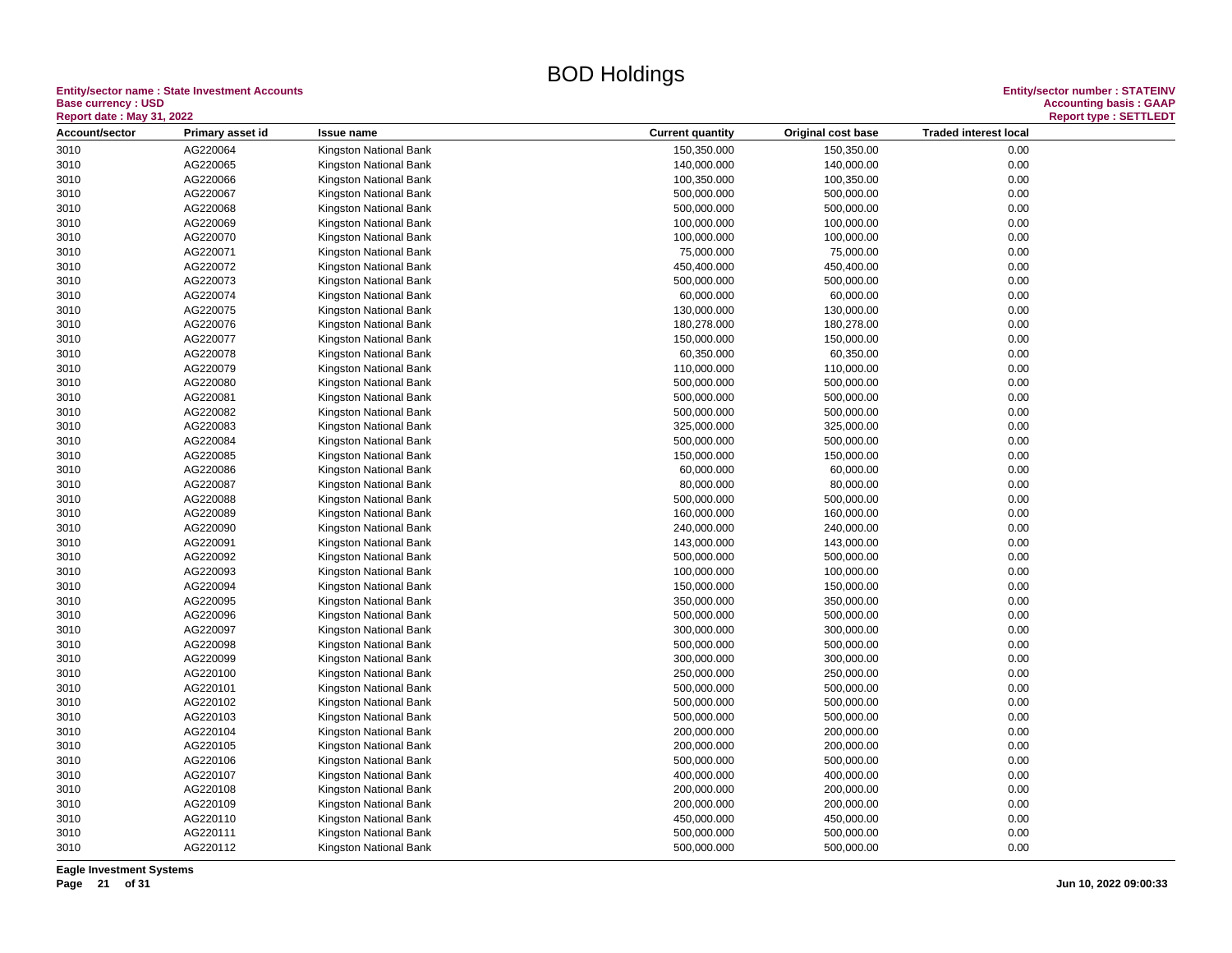## **Entity/sector name : State Investment Accounts<br>Base currency : USD**

| <b>Report date : May 31, 2022</b> |                  |                        |                         |                    |                              | <b>Report type: SETTLEDT</b> |
|-----------------------------------|------------------|------------------------|-------------------------|--------------------|------------------------------|------------------------------|
| Account/sector                    | Primary asset id | <b>Issue name</b>      | <b>Current quantity</b> | Original cost base | <b>Traded interest local</b> |                              |
| 3010                              | AG220064         | Kingston National Bank | 150,350.000             | 150,350.00         | 0.00                         |                              |
| 3010                              | AG220065         | Kingston National Bank | 140,000.000             | 140,000.00         | 0.00                         |                              |
| 3010                              | AG220066         | Kingston National Bank | 100,350.000             | 100,350.00         | 0.00                         |                              |
| 3010                              | AG220067         | Kingston National Bank | 500,000.000             | 500,000.00         | 0.00                         |                              |
| 3010                              | AG220068         | Kingston National Bank | 500,000.000             | 500,000.00         | 0.00                         |                              |
| 3010                              | AG220069         | Kingston National Bank | 100,000.000             | 100,000.00         | 0.00                         |                              |
| 3010                              | AG220070         | Kingston National Bank | 100,000.000             | 100,000.00         | 0.00                         |                              |
| 3010                              | AG220071         | Kingston National Bank | 75,000.000              | 75,000.00          | 0.00                         |                              |
| 3010                              | AG220072         | Kingston National Bank | 450,400.000             | 450,400.00         | 0.00                         |                              |
| 3010                              | AG220073         | Kingston National Bank | 500,000.000             | 500,000.00         | 0.00                         |                              |
| 3010                              | AG220074         | Kingston National Bank | 60,000.000              | 60,000.00          | 0.00                         |                              |
| 3010                              | AG220075         | Kingston National Bank | 130,000.000             | 130,000.00         | 0.00                         |                              |
| 3010                              | AG220076         | Kingston National Bank | 180,278.000             | 180,278.00         | 0.00                         |                              |
| 3010                              | AG220077         | Kingston National Bank | 150,000.000             | 150,000.00         | 0.00                         |                              |
| 3010                              | AG220078         | Kingston National Bank | 60,350.000              | 60,350.00          | 0.00                         |                              |
| 3010                              | AG220079         | Kingston National Bank | 110,000.000             | 110,000.00         | 0.00                         |                              |
| 3010                              | AG220080         | Kingston National Bank | 500,000.000             | 500,000.00         | 0.00                         |                              |
| 3010                              | AG220081         | Kingston National Bank | 500,000.000             | 500,000.00         | 0.00                         |                              |
| 3010                              | AG220082         | Kingston National Bank | 500,000.000             | 500,000.00         | 0.00                         |                              |
| 3010                              | AG220083         | Kingston National Bank | 325,000.000             | 325,000.00         | 0.00                         |                              |
| 3010                              | AG220084         | Kingston National Bank | 500,000.000             | 500,000.00         | 0.00                         |                              |
| 3010                              | AG220085         | Kingston National Bank | 150,000.000             | 150,000.00         | 0.00                         |                              |
| 3010                              | AG220086         | Kingston National Bank | 60,000.000              | 60,000.00          | 0.00                         |                              |
| 3010                              | AG220087         | Kingston National Bank | 80,000.000              | 80,000.00          | 0.00                         |                              |
| 3010                              | AG220088         | Kingston National Bank | 500,000.000             | 500,000.00         | 0.00                         |                              |
| 3010                              | AG220089         | Kingston National Bank | 160,000.000             | 160,000.00         | 0.00                         |                              |
| 3010                              | AG220090         | Kingston National Bank | 240,000.000             | 240,000.00         | 0.00                         |                              |
| 3010                              | AG220091         | Kingston National Bank | 143,000.000             | 143,000.00         | 0.00                         |                              |
| 3010                              | AG220092         | Kingston National Bank | 500,000.000             | 500,000.00         | 0.00                         |                              |
| 3010                              | AG220093         | Kingston National Bank | 100,000.000             | 100,000.00         | 0.00                         |                              |
| 3010                              | AG220094         | Kingston National Bank | 150,000.000             | 150,000.00         | 0.00                         |                              |
| 3010                              | AG220095         | Kingston National Bank | 350,000.000             | 350,000.00         | 0.00                         |                              |
| 3010                              | AG220096         | Kingston National Bank | 500,000.000             | 500,000.00         | 0.00                         |                              |
| 3010                              | AG220097         | Kingston National Bank | 300,000.000             | 300,000.00         | 0.00                         |                              |
| 3010                              | AG220098         | Kingston National Bank | 500,000.000             | 500,000.00         | 0.00                         |                              |
| 3010                              | AG220099         | Kingston National Bank | 300,000.000             | 300,000.00         | 0.00                         |                              |
| 3010                              | AG220100         | Kingston National Bank | 250,000.000             | 250,000.00         | 0.00                         |                              |
| 3010                              | AG220101         | Kingston National Bank | 500,000.000             | 500,000.00         | 0.00                         |                              |
| 3010                              | AG220102         | Kingston National Bank | 500,000.000             | 500,000.00         | 0.00                         |                              |
| 3010                              | AG220103         | Kingston National Bank | 500,000.000             | 500,000.00         | 0.00                         |                              |
| 3010                              | AG220104         | Kingston National Bank | 200,000.000             | 200,000.00         | 0.00                         |                              |
| 3010                              | AG220105         | Kingston National Bank | 200,000.000             | 200,000.00         | 0.00                         |                              |
| 3010                              | AG220106         | Kingston National Bank | 500,000.000             | 500,000.00         | 0.00                         |                              |
| 3010                              | AG220107         | Kingston National Bank | 400,000.000             | 400,000.00         | 0.00                         |                              |
| 3010                              | AG220108         | Kingston National Bank | 200,000.000             | 200,000.00         | 0.00                         |                              |
| 3010                              | AG220109         | Kingston National Bank | 200,000.000             | 200,000.00         | 0.00                         |                              |
| 3010                              | AG220110         | Kingston National Bank | 450,000.000             | 450,000.00         | 0.00                         |                              |
| 3010                              | AG220111         | Kingston National Bank | 500,000.000             | 500,000.00         | 0.00                         |                              |
| 3010                              | AG220112         | Kingston National Bank | 500,000.000             | 500,000.00         | 0.00                         |                              |
|                                   |                  |                        |                         |                    |                              |                              |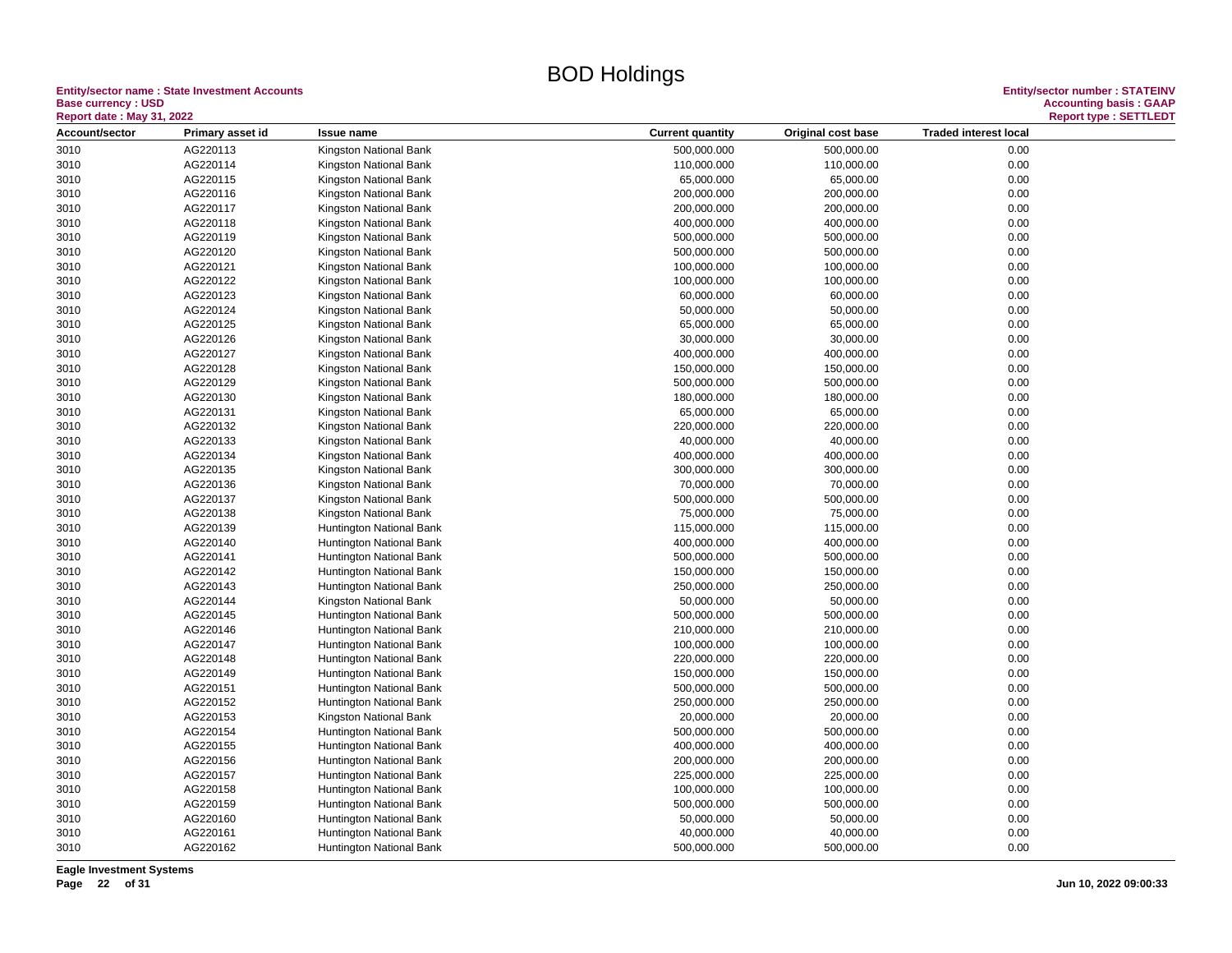#### **Entity/sector name : State Investment Accounts<br>Base currency : USD<br>Based date: May 24, 2000 Base currency : USD Accounting basis : GAAP**

| <b>Report date: May 31, 2022</b> |                      |                                                  |                           |                         |                              | <b>Report type: SETTLEDT</b> |
|----------------------------------|----------------------|--------------------------------------------------|---------------------------|-------------------------|------------------------------|------------------------------|
| Account/sector                   | Primary asset id     | <b>Issue name</b>                                | <b>Current quantity</b>   | Original cost base      | <b>Traded interest local</b> |                              |
| 3010                             | AG220113             | Kingston National Bank                           | 500,000.000               | 500,000.00              | 0.00                         |                              |
| 3010                             | AG220114             | Kingston National Bank                           | 110,000.000               | 110,000.00              | 0.00                         |                              |
| 3010                             | AG220115             | Kingston National Bank                           | 65,000.000                | 65,000.00               | 0.00                         |                              |
| 3010                             | AG220116             | Kingston National Bank                           | 200,000.000               | 200,000.00              | 0.00                         |                              |
| 3010                             | AG220117             | Kingston National Bank                           | 200,000.000               | 200,000.00              | 0.00                         |                              |
| 3010                             | AG220118             | Kingston National Bank                           | 400,000.000               | 400,000.00              | 0.00                         |                              |
| 3010                             | AG220119             | Kingston National Bank                           | 500,000.000               | 500,000.00              | 0.00                         |                              |
| 3010                             | AG220120             | Kingston National Bank                           | 500,000.000               | 500,000.00              | 0.00                         |                              |
| 3010                             | AG220121             | Kingston National Bank                           | 100,000.000               | 100,000.00              | 0.00                         |                              |
| 3010                             | AG220122             | Kingston National Bank                           | 100,000.000               | 100,000.00              | 0.00                         |                              |
| 3010                             | AG220123             | Kingston National Bank                           | 60,000.000                | 60,000.00               | 0.00                         |                              |
| 3010                             | AG220124             | Kingston National Bank                           | 50,000.000                | 50,000.00               | 0.00                         |                              |
| 3010                             | AG220125             | Kingston National Bank                           | 65,000.000                | 65,000.00               | 0.00                         |                              |
| 3010                             | AG220126             | Kingston National Bank                           | 30,000.000                | 30,000.00               | 0.00                         |                              |
| 3010                             | AG220127             | Kingston National Bank                           | 400,000.000               | 400,000.00              | 0.00                         |                              |
| 3010                             | AG220128             | Kingston National Bank                           | 150,000.000               | 150,000.00              | 0.00                         |                              |
| 3010                             | AG220129             | Kingston National Bank                           | 500,000.000               | 500,000.00              | 0.00                         |                              |
|                                  | AG220130             |                                                  |                           |                         | 0.00                         |                              |
| 3010<br>3010                     | AG220131             | Kingston National Bank<br>Kingston National Bank | 180,000.000<br>65,000.000 | 180,000.00<br>65,000.00 | 0.00                         |                              |
|                                  | AG220132             |                                                  |                           |                         | 0.00                         |                              |
| 3010<br>3010                     | AG220133             | Kingston National Bank                           | 220,000.000<br>40,000.000 | 220,000.00<br>40,000.00 |                              |                              |
|                                  |                      | Kingston National Bank                           |                           |                         | 0.00                         |                              |
| 3010                             | AG220134<br>AG220135 | Kingston National Bank                           | 400,000.000               | 400,000.00              | 0.00<br>0.00                 |                              |
| 3010                             |                      | Kingston National Bank                           | 300,000.000               | 300,000.00              |                              |                              |
| 3010                             | AG220136             | Kingston National Bank                           | 70,000.000                | 70,000.00               | 0.00                         |                              |
| 3010                             | AG220137             | Kingston National Bank                           | 500,000.000               | 500,000.00              | 0.00                         |                              |
| 3010                             | AG220138             | Kingston National Bank                           | 75,000.000                | 75,000.00               | 0.00                         |                              |
| 3010                             | AG220139             | Huntington National Bank                         | 115,000.000               | 115,000.00              | 0.00                         |                              |
| 3010                             | AG220140             | Huntington National Bank                         | 400,000.000               | 400,000.00              | 0.00                         |                              |
| 3010                             | AG220141             | Huntington National Bank                         | 500,000.000               | 500,000.00              | 0.00                         |                              |
| 3010                             | AG220142             | Huntington National Bank                         | 150,000.000               | 150,000.00              | 0.00                         |                              |
| 3010                             | AG220143             | Huntington National Bank                         | 250,000.000               | 250,000.00              | 0.00                         |                              |
| 3010                             | AG220144             | Kingston National Bank                           | 50,000.000                | 50,000.00               | 0.00                         |                              |
| 3010                             | AG220145             | Huntington National Bank                         | 500,000.000               | 500,000.00              | 0.00                         |                              |
| 3010                             | AG220146             | Huntington National Bank                         | 210,000.000               | 210,000.00              | 0.00                         |                              |
| 3010                             | AG220147             | Huntington National Bank                         | 100,000.000               | 100,000.00              | 0.00                         |                              |
| 3010                             | AG220148             | Huntington National Bank                         | 220,000.000               | 220,000.00              | 0.00                         |                              |
| 3010                             | AG220149             | Huntington National Bank                         | 150,000.000               | 150,000.00              | 0.00                         |                              |
| 3010                             | AG220151             | Huntington National Bank                         | 500,000.000               | 500,000.00              | 0.00                         |                              |
| 3010                             | AG220152             | <b>Huntington National Bank</b>                  | 250,000.000               | 250,000.00              | 0.00                         |                              |
| 3010                             | AG220153             | Kingston National Bank                           | 20,000.000                | 20,000.00               | 0.00                         |                              |
| 3010                             | AG220154             | Huntington National Bank                         | 500,000.000               | 500,000.00              | 0.00                         |                              |
| 3010                             | AG220155             | Huntington National Bank                         | 400,000.000               | 400,000.00              | 0.00                         |                              |
| 3010                             | AG220156             | Huntington National Bank                         | 200,000.000               | 200,000.00              | 0.00                         |                              |
| 3010                             | AG220157             | Huntington National Bank                         | 225,000.000               | 225,000.00              | 0.00                         |                              |
| 3010                             | AG220158             | Huntington National Bank                         | 100,000.000               | 100,000.00              | 0.00                         |                              |
| 3010                             | AG220159             | Huntington National Bank                         | 500,000.000               | 500,000.00              | 0.00                         |                              |
| 3010                             | AG220160             | Huntington National Bank                         | 50,000.000                | 50,000.00               | 0.00                         |                              |
| 3010                             | AG220161             | Huntington National Bank                         | 40,000.000                | 40,000.00               | 0.00                         |                              |
| 3010                             | AG220162             | Huntington National Bank                         | 500,000.000               | 500,000.00              | 0.00                         |                              |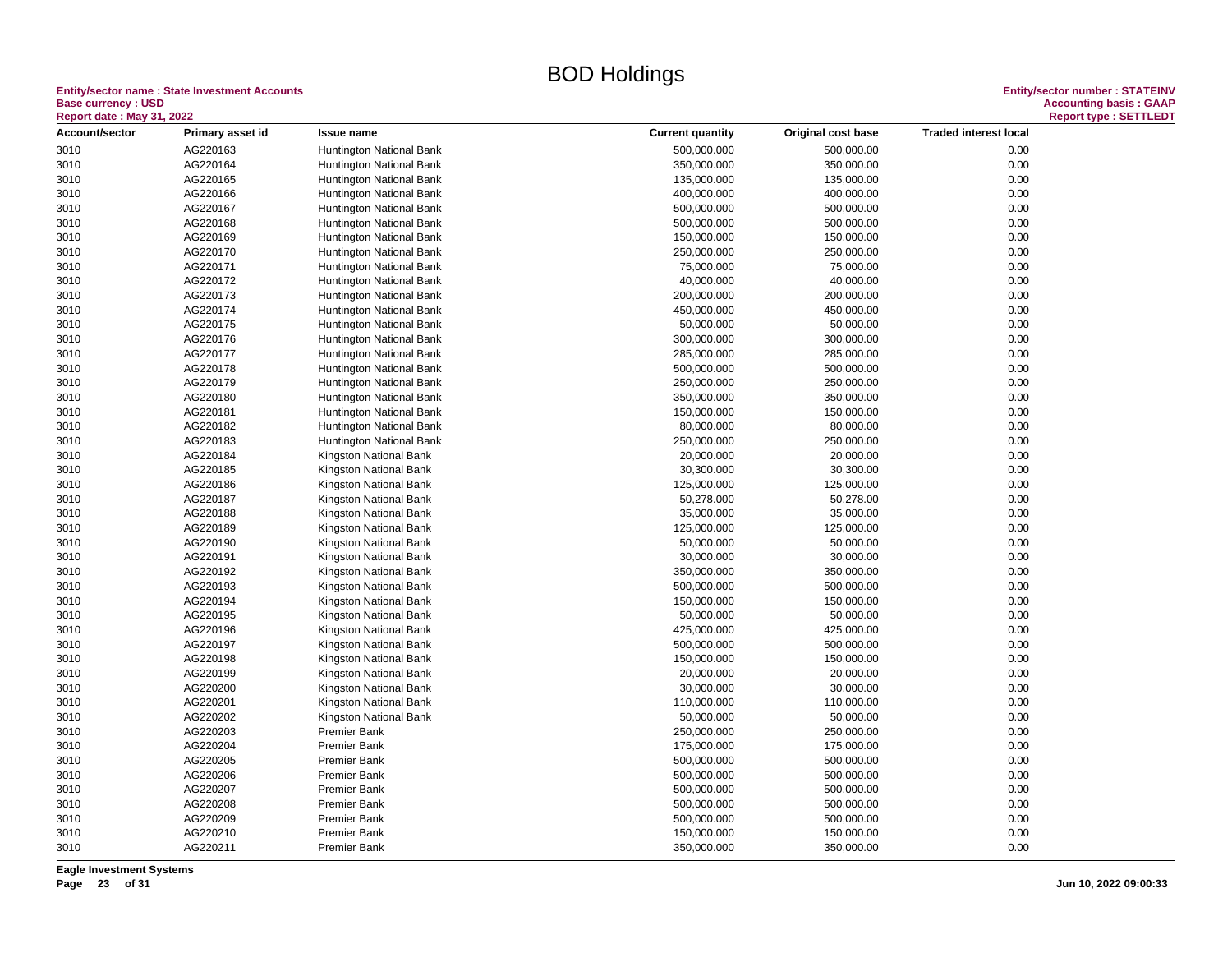#### **Entity/sector name : State Investment Accounts<br>Base currency : USD<br>Based date: May 24, 2000 Base currency : USD Accounting basis : GAAP**

| <b>Report date: May 31, 2022</b> |                      |                                            |                         |                    | <b>Report type: SETTLEDT</b> |  |
|----------------------------------|----------------------|--------------------------------------------|-------------------------|--------------------|------------------------------|--|
| Account/sector                   | Primary asset id     | <b>Issue name</b>                          | <b>Current quantity</b> | Original cost base | <b>Traded interest local</b> |  |
| 3010                             | AG220163             | Huntington National Bank                   | 500,000.000             | 500,000.00         | 0.00                         |  |
| 3010                             | AG220164             | Huntington National Bank                   | 350,000.000             | 350,000.00         | 0.00                         |  |
| 3010                             | AG220165             | Huntington National Bank                   | 135,000.000             | 135,000.00         | 0.00                         |  |
| 3010                             | AG220166             | Huntington National Bank                   | 400,000.000             | 400,000.00         | 0.00                         |  |
| 3010                             | AG220167             | Huntington National Bank                   | 500,000.000             | 500,000.00         | 0.00                         |  |
| 3010                             | AG220168             | Huntington National Bank                   | 500,000.000             | 500,000.00         | 0.00                         |  |
| 3010                             | AG220169             | Huntington National Bank                   | 150,000.000             | 150,000.00         | 0.00                         |  |
| 3010                             | AG220170             | Huntington National Bank                   | 250,000.000             | 250,000.00         | 0.00                         |  |
| 3010                             | AG220171             | Huntington National Bank                   | 75,000.000              | 75,000.00          | 0.00                         |  |
| 3010                             | AG220172             | Huntington National Bank                   | 40,000.000              | 40,000.00          | 0.00                         |  |
| 3010                             | AG220173             | Huntington National Bank                   | 200,000.000             | 200,000.00         | 0.00                         |  |
| 3010                             | AG220174             | Huntington National Bank                   | 450,000.000             | 450,000.00         | 0.00                         |  |
| 3010                             | AG220175             | Huntington National Bank                   | 50,000.000              | 50,000.00          | 0.00                         |  |
| 3010                             | AG220176             | Huntington National Bank                   | 300,000.000             | 300,000.00         | 0.00                         |  |
| 3010                             | AG220177             | Huntington National Bank                   | 285,000.000             | 285,000.00         | 0.00                         |  |
| 3010                             | AG220178             | Huntington National Bank                   | 500,000.000             | 500,000.00         | 0.00                         |  |
| 3010                             | AG220179             | Huntington National Bank                   | 250,000.000             | 250,000.00         | 0.00                         |  |
| 3010                             | AG220180             | Huntington National Bank                   | 350,000.000             | 350,000.00         | 0.00                         |  |
| 3010                             | AG220181             | Huntington National Bank                   | 150,000.000             | 150,000.00         | 0.00                         |  |
| 3010                             | AG220182             | Huntington National Bank                   | 80,000.000              | 80,000.00          | 0.00                         |  |
| 3010                             | AG220183             | Huntington National Bank                   | 250,000.000             | 250,000.00         | 0.00                         |  |
| 3010                             | AG220184             | Kingston National Bank                     | 20,000.000              | 20,000.00          | 0.00                         |  |
| 3010                             | AG220185             | Kingston National Bank                     | 30,300.000              | 30,300.00          | 0.00                         |  |
| 3010                             | AG220186             | Kingston National Bank                     | 125,000.000             | 125,000.00         | 0.00                         |  |
| 3010                             | AG220187             | Kingston National Bank                     | 50,278.000              | 50,278.00          | 0.00                         |  |
| 3010                             | AG220188             | Kingston National Bank                     | 35,000.000              | 35,000.00          | 0.00                         |  |
| 3010                             | AG220189             | Kingston National Bank                     | 125,000.000             | 125,000.00         | 0.00                         |  |
| 3010                             | AG220190             | Kingston National Bank                     | 50,000.000              | 50,000.00          | 0.00                         |  |
| 3010                             | AG220191             | Kingston National Bank                     | 30,000.000              | 30,000.00          | 0.00                         |  |
| 3010                             | AG220192             | Kingston National Bank                     | 350,000.000             | 350,000.00         | 0.00                         |  |
| 3010                             | AG220193             | Kingston National Bank                     | 500,000.000             | 500,000.00         | 0.00                         |  |
| 3010                             | AG220194             | Kingston National Bank                     | 150,000.000             | 150,000.00         | 0.00                         |  |
| 3010                             | AG220195             | Kingston National Bank                     | 50,000.000              | 50,000.00          | 0.00                         |  |
| 3010                             | AG220196             | Kingston National Bank                     | 425,000.000             | 425,000.00         | 0.00                         |  |
| 3010                             | AG220197             | Kingston National Bank                     | 500,000.000             | 500,000.00         | 0.00                         |  |
| 3010                             | AG220198             | Kingston National Bank                     | 150,000.000             | 150,000.00         | 0.00                         |  |
| 3010                             | AG220199             | Kingston National Bank                     | 20,000.000              | 20,000.00          | 0.00                         |  |
| 3010                             | AG220200             | Kingston National Bank                     | 30,000.000              | 30,000.00          | 0.00                         |  |
| 3010                             | AG220201             | Kingston National Bank                     | 110,000.000             | 110,000.00         | 0.00                         |  |
| 3010                             | AG220202             | Kingston National Bank                     | 50,000.000              | 50,000.00          | 0.00                         |  |
| 3010                             | AG220203             | <b>Premier Bank</b>                        | 250,000.000             | 250,000.00         | 0.00                         |  |
| 3010                             | AG220204             | <b>Premier Bank</b>                        | 175,000.000             | 175,000.00         | 0.00                         |  |
| 3010                             | AG220205             | <b>Premier Bank</b>                        | 500,000.000             | 500,000.00         | 0.00                         |  |
| 3010                             | AG220206             | <b>Premier Bank</b>                        | 500,000.000             | 500,000.00         | 0.00                         |  |
| 3010                             | AG220207             | <b>Premier Bank</b>                        | 500,000.000             | 500,000.00         | 0.00                         |  |
| 3010                             | AG220208             | <b>Premier Bank</b>                        | 500,000.000             | 500,000.00         | 0.00                         |  |
|                                  |                      |                                            |                         |                    |                              |  |
| 3010                             | AG220209             | <b>Premier Bank</b><br><b>Premier Bank</b> | 500,000.000             | 500,000.00         | 0.00                         |  |
| 3010                             | AG220210<br>AG220211 |                                            | 150,000.000             | 150,000.00         | 0.00<br>0.00                 |  |
| 3010                             |                      | <b>Premier Bank</b>                        | 350,000.000             | 350,000.00         |                              |  |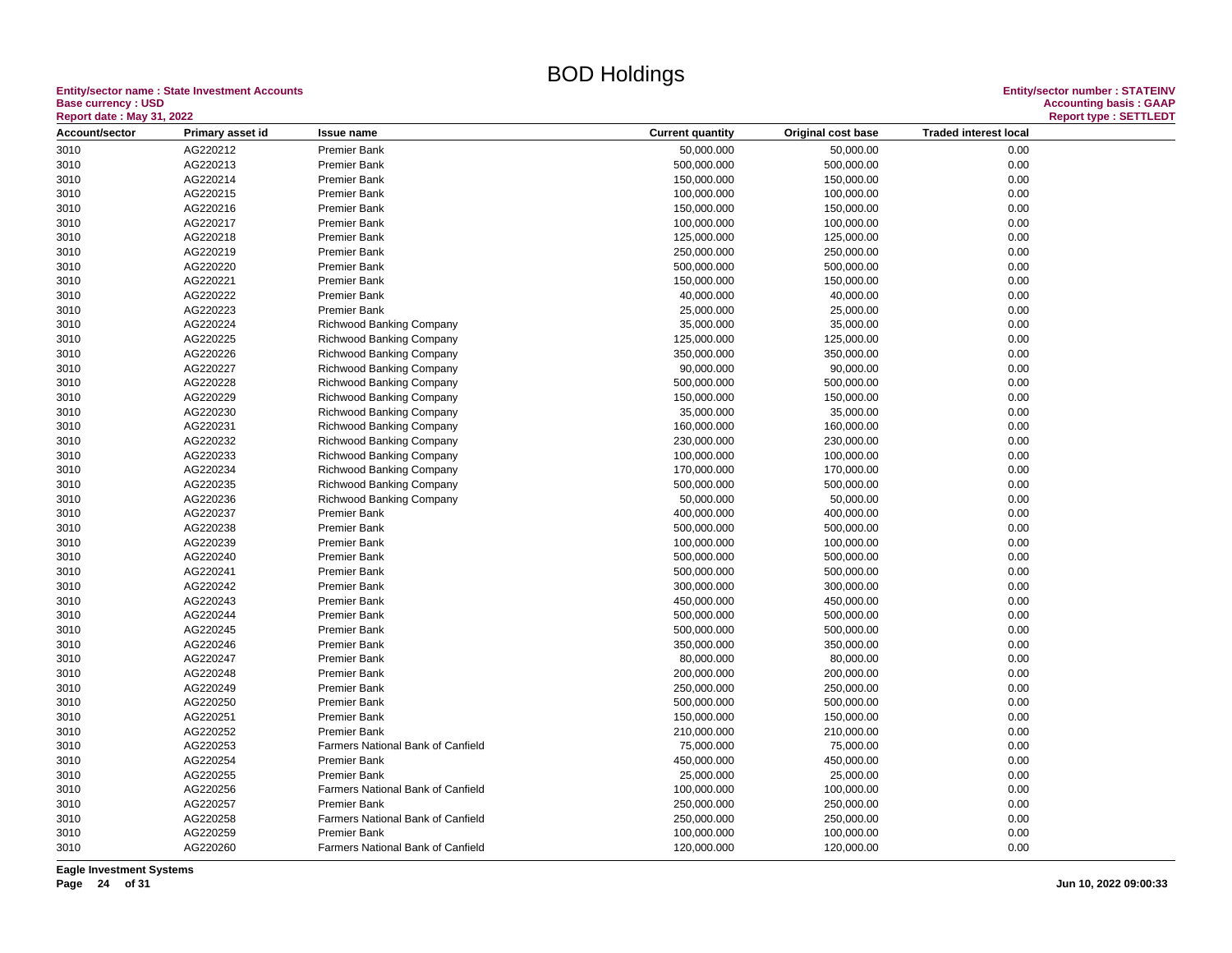#### **Entity/sector name : State Investment Accounts<br>Base currency : USD<br>Report date : May 31, 2022 Base currency : USD Accounting basis : GAAP**

| <b>Report date: May 31, 2022</b> |                  |                                          |                         |                    | <b>Report type: SETTLEDT</b> |  |
|----------------------------------|------------------|------------------------------------------|-------------------------|--------------------|------------------------------|--|
| Account/sector                   | Primary asset id | <b>Issue name</b>                        | <b>Current quantity</b> | Original cost base | <b>Traded interest local</b> |  |
| 3010                             | AG220212         | <b>Premier Bank</b>                      | 50,000.000              | 50,000.00          | 0.00                         |  |
| 3010                             | AG220213         | <b>Premier Bank</b>                      | 500,000.000             | 500,000.00         | 0.00                         |  |
| 3010                             | AG220214         | <b>Premier Bank</b>                      | 150,000.000             | 150,000.00         | 0.00                         |  |
| 3010                             | AG220215         | <b>Premier Bank</b>                      | 100,000.000             | 100,000.00         | 0.00                         |  |
| 3010                             | AG220216         | <b>Premier Bank</b>                      | 150,000.000             | 150,000.00         | 0.00                         |  |
| 3010                             | AG220217         | <b>Premier Bank</b>                      | 100,000.000             | 100,000.00         | 0.00                         |  |
| 3010                             | AG220218         | <b>Premier Bank</b>                      | 125,000.000             | 125,000.00         | 0.00                         |  |
| 3010                             | AG220219         | <b>Premier Bank</b>                      | 250,000.000             | 250,000.00         | 0.00                         |  |
| 3010                             | AG220220         | <b>Premier Bank</b>                      | 500,000.000             | 500,000.00         | 0.00                         |  |
| 3010                             | AG220221         | <b>Premier Bank</b>                      | 150,000.000             | 150,000.00         | 0.00                         |  |
| 3010                             | AG220222         | <b>Premier Bank</b>                      | 40,000.000              | 40,000.00          | 0.00                         |  |
| 3010                             | AG220223         | <b>Premier Bank</b>                      | 25,000.000              | 25,000.00          | 0.00                         |  |
| 3010                             | AG220224         | <b>Richwood Banking Company</b>          | 35,000.000              | 35,000.00          | 0.00                         |  |
| 3010                             | AG220225         | Richwood Banking Company                 | 125,000.000             | 125,000.00         | 0.00                         |  |
| 3010                             | AG220226         | <b>Richwood Banking Company</b>          | 350,000.000             | 350,000.00         | 0.00                         |  |
| 3010                             | AG220227         | Richwood Banking Company                 | 90,000.000              | 90,000.00          | 0.00                         |  |
| 3010                             | AG220228         | <b>Richwood Banking Company</b>          | 500,000.000             | 500,000.00         | 0.00                         |  |
| 3010                             | AG220229         | <b>Richwood Banking Company</b>          | 150,000.000             | 150,000.00         | 0.00                         |  |
| 3010                             | AG220230         | <b>Richwood Banking Company</b>          | 35,000.000              | 35,000.00          | 0.00                         |  |
| 3010                             | AG220231         | <b>Richwood Banking Company</b>          | 160,000.000             | 160,000.00         | 0.00                         |  |
| 3010                             | AG220232         | <b>Richwood Banking Company</b>          | 230,000.000             | 230,000.00         | 0.00                         |  |
| 3010                             | AG220233         | <b>Richwood Banking Company</b>          | 100,000.000             | 100,000.00         | 0.00                         |  |
| 3010                             | AG220234         | <b>Richwood Banking Company</b>          | 170,000.000             | 170,000.00         | 0.00                         |  |
| 3010                             | AG220235         | <b>Richwood Banking Company</b>          | 500,000.000             | 500,000.00         | 0.00                         |  |
| 3010                             | AG220236         | <b>Richwood Banking Company</b>          | 50,000.000              | 50,000.00          | 0.00                         |  |
| 3010                             | AG220237         | <b>Premier Bank</b>                      | 400,000.000             | 400,000.00         | 0.00                         |  |
| 3010                             | AG220238         | <b>Premier Bank</b>                      | 500,000.000             | 500,000.00         | 0.00                         |  |
| 3010                             | AG220239         | <b>Premier Bank</b>                      | 100,000.000             | 100,000.00         | 0.00                         |  |
| 3010                             | AG220240         | <b>Premier Bank</b>                      | 500,000.000             | 500,000.00         | 0.00                         |  |
| 3010                             | AG220241         | <b>Premier Bank</b>                      | 500,000.000             | 500,000.00         | 0.00                         |  |
| 3010                             | AG220242         | <b>Premier Bank</b>                      | 300,000.000             | 300,000.00         | 0.00                         |  |
| 3010                             | AG220243         | <b>Premier Bank</b>                      | 450,000.000             | 450,000.00         | 0.00                         |  |
| 3010                             | AG220244         | <b>Premier Bank</b>                      | 500,000.000             | 500,000.00         | 0.00                         |  |
| 3010                             | AG220245         | <b>Premier Bank</b>                      | 500,000.000             | 500,000.00         | 0.00                         |  |
| 3010                             | AG220246         | <b>Premier Bank</b>                      | 350,000.000             | 350,000.00         | 0.00                         |  |
| 3010                             | AG220247         | <b>Premier Bank</b>                      | 80,000.000              | 80,000.00          | 0.00                         |  |
| 3010                             | AG220248         | <b>Premier Bank</b>                      | 200,000.000             | 200,000.00         | 0.00                         |  |
| 3010                             | AG220249         | <b>Premier Bank</b>                      | 250,000.000             | 250,000.00         | 0.00                         |  |
| 3010                             | AG220250         | <b>Premier Bank</b>                      | 500,000.000             | 500,000.00         | 0.00                         |  |
| 3010                             | AG220251         | <b>Premier Bank</b>                      | 150,000.000             | 150,000.00         | 0.00                         |  |
| 3010                             | AG220252         | <b>Premier Bank</b>                      | 210,000.000             | 210,000.00         | 0.00                         |  |
| 3010                             | AG220253         | Farmers National Bank of Canfield        | 75,000.000              | 75,000.00          | 0.00                         |  |
| 3010                             | AG220254         | <b>Premier Bank</b>                      | 450,000.000             | 450,000.00         | 0.00                         |  |
| 3010                             | AG220255         | <b>Premier Bank</b>                      | 25,000.000              | 25,000.00          | 0.00                         |  |
| 3010                             | AG220256         | Farmers National Bank of Canfield        | 100,000.000             | 100,000.00         | 0.00                         |  |
| 3010                             | AG220257         | <b>Premier Bank</b>                      | 250,000.000             | 250,000.00         | 0.00                         |  |
| 3010                             | AG220258         | Farmers National Bank of Canfield        | 250,000.000             | 250,000.00         | 0.00                         |  |
| 3010                             | AG220259         | <b>Premier Bank</b>                      | 100,000.000             | 100,000.00         | 0.00                         |  |
| 3010                             | AG220260         | <b>Farmers National Bank of Canfield</b> | 120,000.000             | 120,000.00         | 0.00                         |  |
|                                  |                  |                                          |                         |                    |                              |  |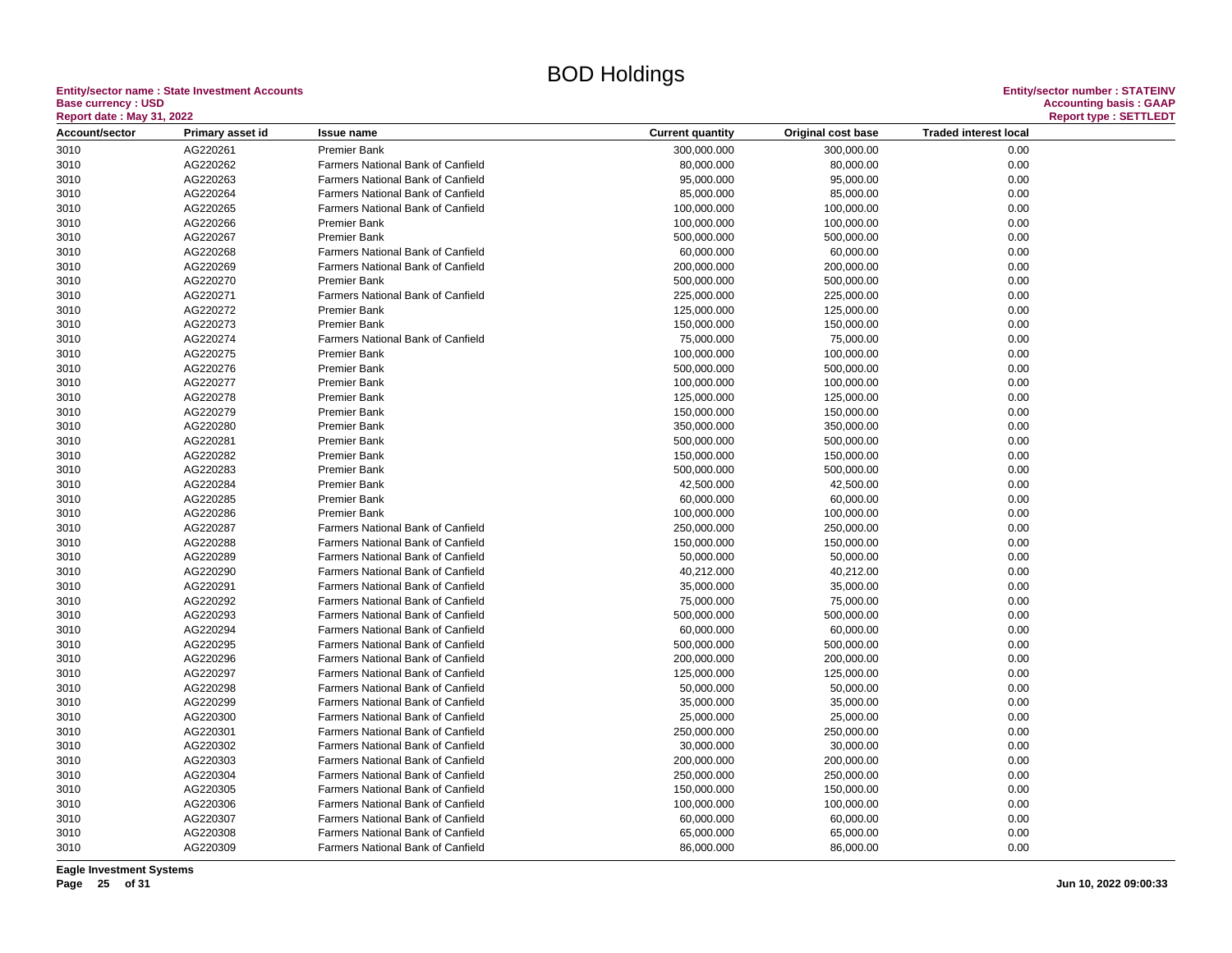**Entity/sector name : State Investment Accounts<br>Base currency : USD** 

| <b>Report date: May 31, 2022</b> |                  |                                          |                         | <b>Report type: SETTLEDT</b> |                              |  |
|----------------------------------|------------------|------------------------------------------|-------------------------|------------------------------|------------------------------|--|
| Account/sector                   | Primary asset id | <b>Issue name</b>                        | <b>Current quantity</b> | Original cost base           | <b>Traded interest local</b> |  |
| 3010                             | AG220261         | <b>Premier Bank</b>                      | 300,000.000             | 300,000.00                   | 0.00                         |  |
| 3010                             | AG220262         | Farmers National Bank of Canfield        | 80,000.000              | 80,000.00                    | 0.00                         |  |
| 3010                             | AG220263         | <b>Farmers National Bank of Canfield</b> | 95,000.000              | 95,000.00                    | 0.00                         |  |
| 3010                             | AG220264         | <b>Farmers National Bank of Canfield</b> | 85,000.000              | 85,000.00                    | 0.00                         |  |
| 3010                             | AG220265         | Farmers National Bank of Canfield        | 100,000.000             | 100,000.00                   | 0.00                         |  |
| 3010                             | AG220266         | <b>Premier Bank</b>                      | 100,000.000             | 100,000.00                   | 0.00                         |  |
| 3010                             | AG220267         | <b>Premier Bank</b>                      | 500,000.000             | 500,000.00                   | 0.00                         |  |
| 3010                             | AG220268         | Farmers National Bank of Canfield        | 60,000.000              | 60,000.00                    | 0.00                         |  |
| 3010                             | AG220269         | <b>Farmers National Bank of Canfield</b> | 200,000.000             | 200,000.00                   | 0.00                         |  |
| 3010                             | AG220270         | <b>Premier Bank</b>                      | 500,000.000             | 500,000.00                   | 0.00                         |  |
| 3010                             | AG220271         | Farmers National Bank of Canfield        | 225,000.000             | 225,000.00                   | 0.00                         |  |
| 3010                             | AG220272         | <b>Premier Bank</b>                      | 125,000.000             | 125,000.00                   | 0.00                         |  |
| 3010                             | AG220273         | <b>Premier Bank</b>                      | 150,000.000             | 150,000.00                   | 0.00                         |  |
| 3010                             | AG220274         | Farmers National Bank of Canfield        | 75,000.000              | 75,000.00                    | 0.00                         |  |
| 3010                             | AG220275         | <b>Premier Bank</b>                      | 100,000.000             | 100,000.00                   | 0.00                         |  |
| 3010                             | AG220276         | Premier Bank                             | 500,000.000             | 500,000.00                   | 0.00                         |  |
| 3010                             | AG220277         | <b>Premier Bank</b>                      | 100,000.000             | 100,000.00                   | 0.00                         |  |
| 3010                             | AG220278         | <b>Premier Bank</b>                      | 125,000.000             | 125,000.00                   | 0.00                         |  |
| 3010                             | AG220279         | <b>Premier Bank</b>                      | 150,000.000             | 150,000.00                   | 0.00                         |  |
| 3010                             | AG220280         | <b>Premier Bank</b>                      | 350,000.000             | 350,000.00                   | 0.00                         |  |
| 3010                             | AG220281         | <b>Premier Bank</b>                      | 500,000.000             | 500,000.00                   | 0.00                         |  |
| 3010                             | AG220282         | <b>Premier Bank</b>                      | 150,000.000             | 150,000.00                   | 0.00                         |  |
| 3010                             | AG220283         | <b>Premier Bank</b>                      | 500,000.000             | 500,000.00                   | 0.00                         |  |
| 3010                             | AG220284         | <b>Premier Bank</b>                      | 42,500.000              | 42,500.00                    | 0.00                         |  |
| 3010                             | AG220285         | <b>Premier Bank</b>                      | 60,000.000              | 60,000.00                    | 0.00                         |  |
| 3010                             | AG220286         | <b>Premier Bank</b>                      | 100,000.000             | 100,000.00                   | 0.00                         |  |
| 3010                             | AG220287         | Farmers National Bank of Canfield        | 250,000.000             | 250,000.00                   | 0.00                         |  |
| 3010                             | AG220288         | Farmers National Bank of Canfield        | 150,000.000             | 150,000.00                   | 0.00                         |  |
| 3010                             | AG220289         | Farmers National Bank of Canfield        | 50,000.000              | 50,000.00                    | 0.00                         |  |
| 3010                             | AG220290         | Farmers National Bank of Canfield        | 40,212.000              | 40,212.00                    | 0.00                         |  |
| 3010                             | AG220291         | Farmers National Bank of Canfield        | 35,000.000              | 35,000.00                    | 0.00                         |  |
| 3010                             | AG220292         | Farmers National Bank of Canfield        | 75,000.000              | 75,000.00                    | 0.00                         |  |
| 3010                             | AG220293         | Farmers National Bank of Canfield        | 500,000.000             | 500,000.00                   | 0.00                         |  |
| 3010                             | AG220294         | <b>Farmers National Bank of Canfield</b> | 60,000.000              | 60,000.00                    | 0.00                         |  |
| 3010                             | AG220295         | Farmers National Bank of Canfield        | 500,000.000             | 500,000.00                   | 0.00                         |  |
| 3010                             | AG220296         | Farmers National Bank of Canfield        | 200,000.000             | 200,000.00                   | 0.00                         |  |
| 3010                             | AG220297         | Farmers National Bank of Canfield        | 125,000.000             | 125,000.00                   | 0.00                         |  |
| 3010                             | AG220298         | <b>Farmers National Bank of Canfield</b> | 50,000.000              | 50,000.00                    | 0.00                         |  |
| 3010                             | AG220299         | <b>Farmers National Bank of Canfield</b> | 35,000.000              | 35,000.00                    | 0.00                         |  |
| 3010                             | AG220300         | Farmers National Bank of Canfield        | 25,000.000              | 25,000.00                    | 0.00                         |  |
| 3010                             | AG220301         | Farmers National Bank of Canfield        | 250,000.000             | 250,000.00                   | 0.00                         |  |
| 3010                             | AG220302         | Farmers National Bank of Canfield        | 30,000.000              | 30,000.00                    | 0.00                         |  |
| 3010                             | AG220303         | Farmers National Bank of Canfield        | 200,000.000             | 200,000.00                   | 0.00                         |  |
| 3010                             | AG220304         | Farmers National Bank of Canfield        | 250,000.000             | 250,000.00                   | 0.00                         |  |
| 3010                             | AG220305         | Farmers National Bank of Canfield        | 150,000.000             | 150,000.00                   | 0.00                         |  |
| 3010                             | AG220306         | Farmers National Bank of Canfield        | 100,000.000             | 100,000.00                   | 0.00                         |  |
| 3010                             | AG220307         | Farmers National Bank of Canfield        | 60,000.000              | 60,000.00                    | 0.00                         |  |
| 3010                             | AG220308         | <b>Farmers National Bank of Canfield</b> | 65,000.000              | 65,000.00                    | 0.00                         |  |
| 3010                             | AG220309         | <b>Farmers National Bank of Canfield</b> | 86,000.000              | 86,000.00                    | 0.00                         |  |
|                                  |                  |                                          |                         |                              |                              |  |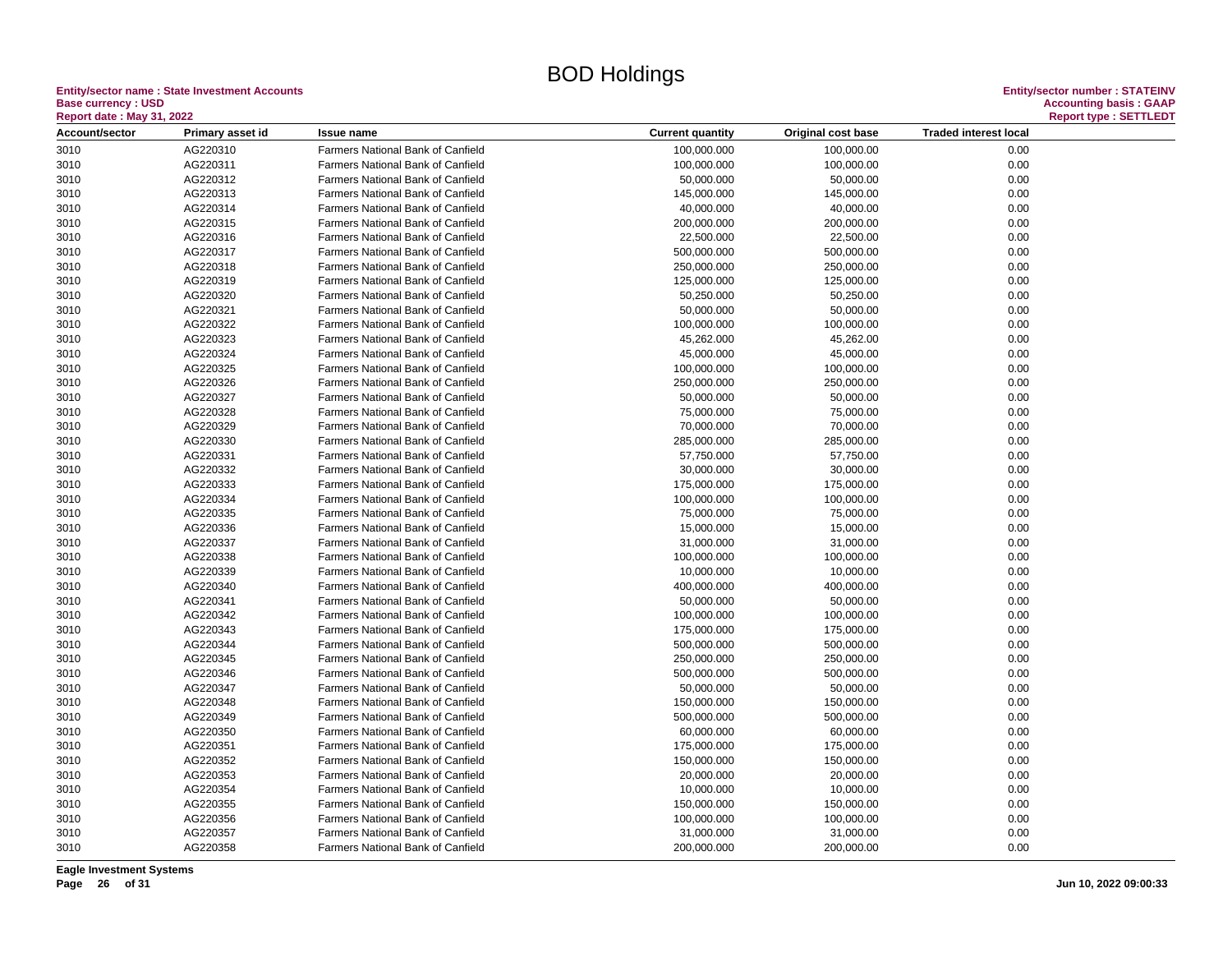#### **Entity/sector name : State Investment Accounts<br>Base currency : USD<br>Report date : May 31, 2022 Base currency : USD Accounting basis : GAAP**

| <b>Report date: May 31, 2022</b> |                      |                                                                        |                          |                        |                              | <b>Report type: SETTLEDT</b> |
|----------------------------------|----------------------|------------------------------------------------------------------------|--------------------------|------------------------|------------------------------|------------------------------|
| Account/sector                   | Primary asset id     | <b>Issue name</b>                                                      | <b>Current quantity</b>  | Original cost base     | <b>Traded interest local</b> |                              |
| 3010                             | AG220310             | Farmers National Bank of Canfield                                      | 100,000.000              | 100,000.00             | 0.00                         |                              |
| 3010                             | AG220311             | <b>Farmers National Bank of Canfield</b>                               | 100,000.000              | 100,000.00             | 0.00                         |                              |
| 3010                             | AG220312             | <b>Farmers National Bank of Canfield</b>                               | 50,000.000               | 50,000.00              | 0.00                         |                              |
| 3010                             | AG220313             | <b>Farmers National Bank of Canfield</b>                               | 145,000.000              | 145,000.00             | 0.00                         |                              |
| 3010                             | AG220314             | Farmers National Bank of Canfield                                      | 40,000.000               | 40,000.00              | 0.00                         |                              |
| 3010                             | AG220315             | Farmers National Bank of Canfield                                      | 200,000.000              | 200,000.00             | 0.00                         |                              |
| 3010                             | AG220316             | Farmers National Bank of Canfield                                      | 22,500.000               | 22,500.00              | 0.00                         |                              |
| 3010                             | AG220317             | Farmers National Bank of Canfield                                      | 500,000.000              | 500,000.00             | 0.00                         |                              |
| 3010                             | AG220318             | <b>Farmers National Bank of Canfield</b>                               | 250,000.000              | 250,000.00             | 0.00                         |                              |
| 3010                             | AG220319             | Farmers National Bank of Canfield                                      | 125,000.000              | 125,000.00             | 0.00                         |                              |
| 3010                             | AG220320             | Farmers National Bank of Canfield                                      | 50,250.000               | 50,250.00              | 0.00                         |                              |
| 3010                             | AG220321             | Farmers National Bank of Canfield                                      | 50,000.000               | 50,000.00              | 0.00                         |                              |
| 3010                             | AG220322             | <b>Farmers National Bank of Canfield</b>                               | 100,000.000              | 100,000.00             | 0.00                         |                              |
| 3010                             | AG220323             | <b>Farmers National Bank of Canfield</b>                               | 45,262.000               | 45,262.00              | 0.00                         |                              |
| 3010                             | AG220324             | Farmers National Bank of Canfield                                      | 45,000.000               | 45,000.00              | 0.00                         |                              |
| 3010                             | AG220325             | Farmers National Bank of Canfield                                      | 100,000.000              | 100,000.00             | 0.00                         |                              |
| 3010                             | AG220326             | Farmers National Bank of Canfield                                      | 250,000.000              | 250,000.00             | 0.00                         |                              |
| 3010                             | AG220327             | Farmers National Bank of Canfield                                      | 50,000.000               | 50,000.00              | 0.00                         |                              |
| 3010                             | AG220328             | Farmers National Bank of Canfield                                      | 75,000.000               | 75,000.00              | 0.00                         |                              |
| 3010                             | AG220329             | Farmers National Bank of Canfield                                      | 70,000.000               | 70,000.00              | 0.00                         |                              |
| 3010                             | AG220330             | Farmers National Bank of Canfield                                      | 285,000.000              | 285,000.00             | 0.00                         |                              |
| 3010                             | AG220331             | Farmers National Bank of Canfield                                      | 57,750.000               | 57,750.00              | 0.00                         |                              |
| 3010                             | AG220332             | <b>Farmers National Bank of Canfield</b>                               | 30,000.000               | 30,000.00              | 0.00                         |                              |
| 3010                             | AG220333             | <b>Farmers National Bank of Canfield</b>                               | 175,000.000              | 175,000.00             | 0.00                         |                              |
| 3010                             | AG220334             | Farmers National Bank of Canfield                                      | 100,000.000              | 100,000.00             | 0.00                         |                              |
| 3010                             | AG220335             | Farmers National Bank of Canfield                                      | 75,000.000               | 75,000.00              | 0.00                         |                              |
| 3010                             | AG220336             | <b>Farmers National Bank of Canfield</b>                               | 15,000.000               | 15,000.00              | 0.00                         |                              |
| 3010                             | AG220337             | Farmers National Bank of Canfield                                      | 31,000.000               | 31,000.00              | 0.00                         |                              |
| 3010                             | AG220338             | <b>Farmers National Bank of Canfield</b>                               | 100,000.000              | 100,000.00             | 0.00                         |                              |
| 3010                             | AG220339             | Farmers National Bank of Canfield                                      | 10,000.000               | 10,000.00              | 0.00                         |                              |
| 3010                             | AG220340             | Farmers National Bank of Canfield                                      | 400,000.000              | 400,000.00             | 0.00                         |                              |
| 3010                             | AG220341             | Farmers National Bank of Canfield                                      | 50,000.000               | 50,000.00              | 0.00                         |                              |
| 3010                             | AG220342             | Farmers National Bank of Canfield                                      | 100,000.000              | 100,000.00             | 0.00                         |                              |
| 3010                             | AG220343             | <b>Farmers National Bank of Canfield</b>                               | 175,000.000              | 175,000.00             | 0.00                         |                              |
| 3010                             | AG220344             | Farmers National Bank of Canfield                                      | 500,000.000              | 500,000.00             | 0.00                         |                              |
| 3010                             | AG220345             | Farmers National Bank of Canfield                                      | 250,000.000              | 250,000.00             | 0.00                         |                              |
| 3010                             | AG220346             | Farmers National Bank of Canfield                                      | 500,000.000              | 500,000.00             | 0.00                         |                              |
| 3010                             | AG220347             | <b>Farmers National Bank of Canfield</b>                               | 50,000.000               | 50,000.00              | 0.00                         |                              |
| 3010                             | AG220348             | <b>Farmers National Bank of Canfield</b>                               | 150,000.000              | 150,000.00             | 0.00                         |                              |
| 3010                             | AG220349             | Farmers National Bank of Canfield                                      | 500,000.000              | 500,000.00             | 0.00                         |                              |
| 3010                             | AG220350             | Farmers National Bank of Canfield                                      | 60,000.000               | 60,000.00              | 0.00                         |                              |
| 3010                             | AG220351             | <b>Farmers National Bank of Canfield</b>                               | 175,000.000              | 175,000.00             | 0.00                         |                              |
| 3010                             | AG220352             | <b>Farmers National Bank of Canfield</b>                               | 150,000.000              | 150,000.00             | 0.00                         |                              |
|                                  | AG220353             | Farmers National Bank of Canfield                                      |                          |                        | 0.00                         |                              |
| 3010<br>3010                     | AG220354             | Farmers National Bank of Canfield                                      | 20,000.000<br>10,000.000 | 20,000.00<br>10,000.00 | 0.00                         |                              |
| 3010                             | AG220355             | Farmers National Bank of Canfield                                      | 150,000.000              |                        | 0.00                         |                              |
|                                  |                      |                                                                        |                          | 150,000.00             |                              |                              |
| 3010                             | AG220356             | Farmers National Bank of Canfield<br>Farmers National Bank of Canfield | 100,000.000              | 100,000.00             | 0.00                         |                              |
| 3010                             | AG220357<br>AG220358 | Farmers National Bank of Canfield                                      | 31,000.000               | 31,000.00              | 0.00<br>0.00                 |                              |
| 3010                             |                      |                                                                        | 200,000.000              | 200,000.00             |                              |                              |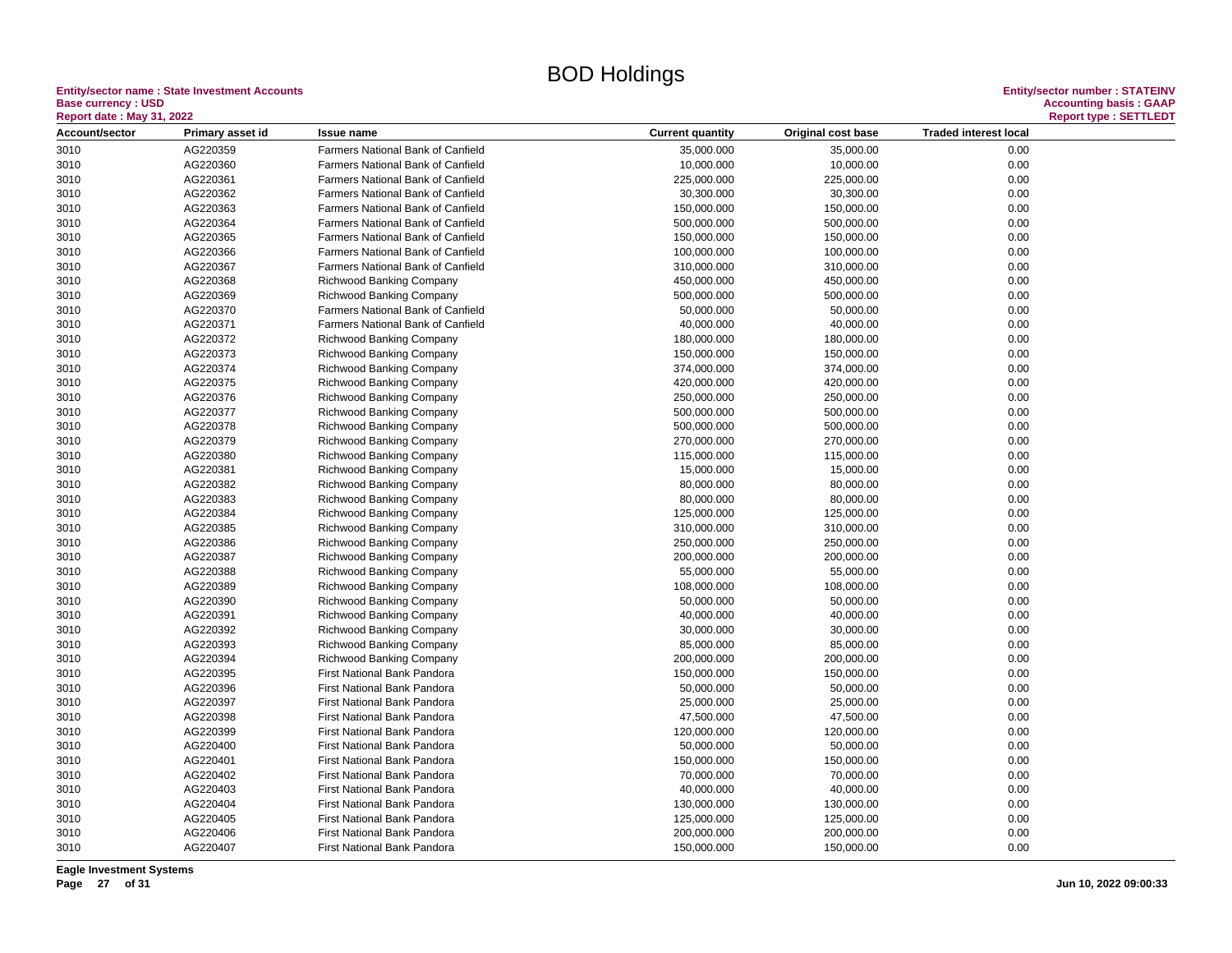#### **Entity/sector name : State Investment Accounts<br>Base currency : USD<br>Based date: May 24, 2000 Base currency : USD Accounting basis : GAAP**

| <b>Report date: May 31, 2022</b> |                  |                                          |                         |                    |                              | <b>Report type: SETTLEDT</b> |
|----------------------------------|------------------|------------------------------------------|-------------------------|--------------------|------------------------------|------------------------------|
| Account/sector                   | Primary asset id | <b>Issue name</b>                        | <b>Current quantity</b> | Original cost base | <b>Traded interest local</b> |                              |
| 3010                             | AG220359         | Farmers National Bank of Canfield        | 35,000.000              | 35,000.00          | 0.00                         |                              |
| 3010                             | AG220360         | <b>Farmers National Bank of Canfield</b> | 10,000.000              | 10,000.00          | 0.00                         |                              |
| 3010                             | AG220361         | Farmers National Bank of Canfield        | 225,000.000             | 225,000.00         | 0.00                         |                              |
| 3010                             | AG220362         | Farmers National Bank of Canfield        | 30,300.000              | 30,300.00          | 0.00                         |                              |
| 3010                             | AG220363         | Farmers National Bank of Canfield        | 150,000.000             | 150,000.00         | 0.00                         |                              |
| 3010                             | AG220364         | Farmers National Bank of Canfield        | 500,000.000             | 500,000.00         | 0.00                         |                              |
| 3010                             | AG220365         | Farmers National Bank of Canfield        | 150,000.000             | 150,000.00         | 0.00                         |                              |
| 3010                             | AG220366         | Farmers National Bank of Canfield        | 100,000.000             | 100,000.00         | 0.00                         |                              |
| 3010                             | AG220367         | <b>Farmers National Bank of Canfield</b> | 310,000.000             | 310,000.00         | 0.00                         |                              |
| 3010                             | AG220368         | <b>Richwood Banking Company</b>          | 450,000.000             | 450,000.00         | 0.00                         |                              |
| 3010                             | AG220369         | <b>Richwood Banking Company</b>          | 500,000.000             | 500,000.00         | 0.00                         |                              |
| 3010                             | AG220370         | Farmers National Bank of Canfield        | 50,000.000              | 50,000.00          | 0.00                         |                              |
| 3010                             | AG220371         | Farmers National Bank of Canfield        | 40,000.000              | 40,000.00          | 0.00                         |                              |
| 3010                             | AG220372         | Richwood Banking Company                 | 180,000.000             | 180,000.00         | 0.00                         |                              |
| 3010                             | AG220373         | <b>Richwood Banking Company</b>          | 150,000.000             | 150,000.00         | 0.00                         |                              |
| 3010                             | AG220374         | <b>Richwood Banking Company</b>          | 374,000.000             | 374,000.00         | 0.00                         |                              |
| 3010                             | AG220375         | <b>Richwood Banking Company</b>          | 420,000.000             | 420,000.00         | 0.00                         |                              |
| 3010                             | AG220376         | <b>Richwood Banking Company</b>          | 250,000.000             | 250,000.00         | 0.00                         |                              |
| 3010                             | AG220377         | <b>Richwood Banking Company</b>          | 500,000.000             | 500,000.00         | 0.00                         |                              |
| 3010                             | AG220378         | <b>Richwood Banking Company</b>          | 500,000.000             | 500,000.00         | 0.00                         |                              |
| 3010                             | AG220379         | <b>Richwood Banking Company</b>          | 270,000.000             | 270,000.00         | 0.00                         |                              |
| 3010                             | AG220380         | <b>Richwood Banking Company</b>          | 115,000.000             | 115,000.00         | 0.00                         |                              |
| 3010                             | AG220381         | <b>Richwood Banking Company</b>          | 15,000.000              | 15,000.00          | 0.00                         |                              |
| 3010                             | AG220382         | Richwood Banking Company                 | 80,000.000              | 80,000.00          | 0.00                         |                              |
| 3010                             | AG220383         | <b>Richwood Banking Company</b>          | 80,000.000              | 80,000.00          | 0.00                         |                              |
| 3010                             | AG220384         | <b>Richwood Banking Company</b>          | 125,000.000             | 125,000.00         | 0.00                         |                              |
| 3010                             | AG220385         | Richwood Banking Company                 | 310,000.000             | 310,000.00         | 0.00                         |                              |
| 3010                             | AG220386         | <b>Richwood Banking Company</b>          | 250,000.000             | 250,000.00         | 0.00                         |                              |
| 3010                             | AG220387         | <b>Richwood Banking Company</b>          | 200,000.000             | 200,000.00         | 0.00                         |                              |
| 3010                             | AG220388         | <b>Richwood Banking Company</b>          | 55,000.000              | 55,000.00          | 0.00                         |                              |
| 3010                             | AG220389         | <b>Richwood Banking Company</b>          | 108,000.000             | 108,000.00         | 0.00                         |                              |
| 3010                             | AG220390         | Richwood Banking Company                 | 50,000.000              | 50,000.00          | 0.00                         |                              |
| 3010                             | AG220391         | <b>Richwood Banking Company</b>          | 40,000.000              | 40,000.00          | 0.00                         |                              |
| 3010                             | AG220392         | Richwood Banking Company                 | 30,000.000              | 30,000.00          | 0.00                         |                              |
| 3010                             | AG220393         | Richwood Banking Company                 | 85,000.000              | 85,000.00          | 0.00                         |                              |
| 3010                             | AG220394         | Richwood Banking Company                 | 200,000.000             | 200,000.00         | 0.00                         |                              |
| 3010                             | AG220395         | First National Bank Pandora              | 150,000.000             | 150,000.00         | 0.00                         |                              |
| 3010                             | AG220396         | <b>First National Bank Pandora</b>       | 50,000.000              | 50,000.00          | 0.00                         |                              |
| 3010                             | AG220397         | <b>First National Bank Pandora</b>       | 25,000.000              | 25,000.00          | 0.00                         |                              |
| 3010                             | AG220398         | First National Bank Pandora              | 47,500.000              | 47,500.00          | 0.00                         |                              |
| 3010                             | AG220399         | First National Bank Pandora              | 120,000.000             | 120,000.00         | 0.00                         |                              |
| 3010                             | AG220400         | First National Bank Pandora              | 50,000.000              | 50,000.00          | 0.00                         |                              |
| 3010                             | AG220401         | First National Bank Pandora              | 150,000.000             | 150,000.00         | 0.00                         |                              |
| 3010                             | AG220402         | First National Bank Pandora              | 70,000.000              | 70,000.00          | 0.00                         |                              |
|                                  | AG220403         |                                          |                         |                    |                              |                              |
| 3010                             |                  | First National Bank Pandora              | 40,000.000              | 40,000.00          | 0.00                         |                              |
| 3010                             | AG220404         | First National Bank Pandora              | 130,000.000             | 130,000.00         | 0.00                         |                              |
| 3010                             | AG220405         | First National Bank Pandora              | 125,000.000             | 125,000.00         | 0.00                         |                              |
| 3010                             | AG220406         | <b>First National Bank Pandora</b>       | 200,000.000             | 200,000.00         | 0.00                         |                              |
| 3010                             | AG220407         | First National Bank Pandora              | 150,000.000             | 150,000.00         | 0.00                         |                              |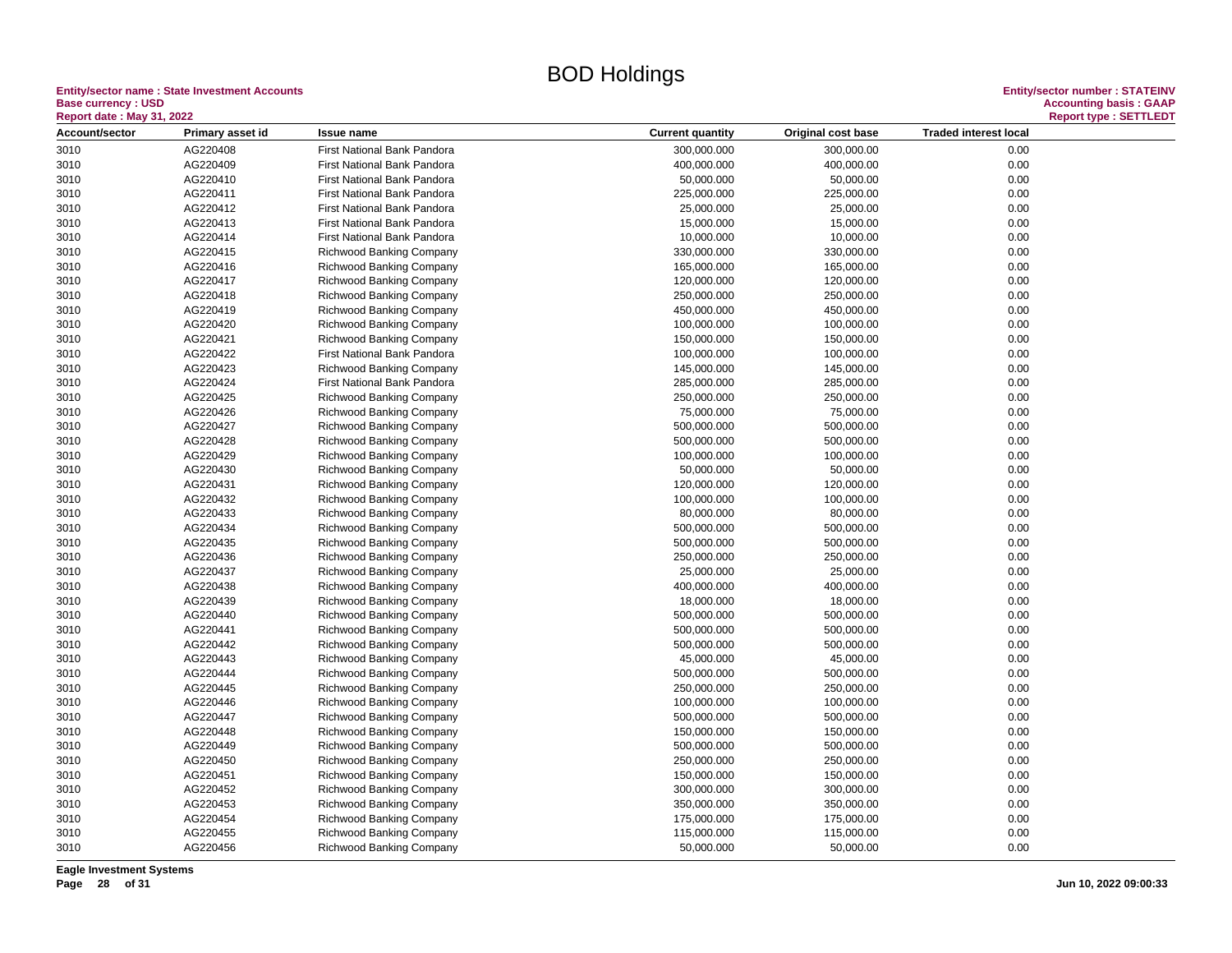#### **Entity/sector name : State Investment Accounts<br>Base currency : USD<br>Based date: May 24, 2000 Base currency : USD Accounting basis : GAAP**

| <b>Report date: May 31, 2022</b> |                      |                                                      |                            |                          |                              | <b>Report type: SETTLEDT</b> |
|----------------------------------|----------------------|------------------------------------------------------|----------------------------|--------------------------|------------------------------|------------------------------|
| Account/sector                   | Primary asset id     | <b>Issue name</b>                                    | <b>Current quantity</b>    | Original cost base       | <b>Traded interest local</b> |                              |
| 3010                             | AG220408             | First National Bank Pandora                          | 300,000.000                | 300,000.00               | 0.00                         |                              |
| 3010                             | AG220409             | First National Bank Pandora                          | 400,000.000                | 400,000.00               | 0.00                         |                              |
| 3010                             | AG220410             | First National Bank Pandora                          | 50,000.000                 | 50,000.00                | 0.00                         |                              |
| 3010                             | AG220411             | First National Bank Pandora                          | 225,000.000                | 225,000.00               | 0.00                         |                              |
| 3010                             | AG220412             | First National Bank Pandora                          | 25,000.000                 | 25,000.00                | 0.00                         |                              |
| 3010                             | AG220413             | First National Bank Pandora                          | 15,000.000                 | 15,000.00                | 0.00                         |                              |
| 3010                             | AG220414             | First National Bank Pandora                          | 10,000.000                 | 10,000.00                | 0.00                         |                              |
| 3010                             | AG220415             | Richwood Banking Company                             | 330,000.000                | 330,000.00               | 0.00                         |                              |
| 3010                             | AG220416             | Richwood Banking Company                             | 165,000.000                | 165,000.00               | 0.00                         |                              |
| 3010                             | AG220417             | Richwood Banking Company                             | 120,000.000                | 120,000.00               | 0.00                         |                              |
| 3010                             | AG220418             | Richwood Banking Company                             | 250,000.000                | 250,000.00               | 0.00                         |                              |
| 3010                             | AG220419             | <b>Richwood Banking Company</b>                      | 450,000.000                | 450,000.00               | 0.00                         |                              |
| 3010                             | AG220420             | Richwood Banking Company                             | 100,000.000                | 100,000.00               | 0.00                         |                              |
| 3010                             | AG220421             | <b>Richwood Banking Company</b>                      | 150,000.000                | 150,000.00               | 0.00                         |                              |
| 3010                             | AG220422             | First National Bank Pandora                          | 100,000.000                | 100,000.00               | 0.00                         |                              |
| 3010                             | AG220423             | Richwood Banking Company                             | 145,000.000                | 145,000.00               | 0.00                         |                              |
| 3010                             | AG220424             | First National Bank Pandora                          | 285,000.000                | 285,000.00               | 0.00                         |                              |
| 3010                             | AG220425             | Richwood Banking Company                             | 250,000.000                | 250,000.00               | 0.00                         |                              |
| 3010                             | AG220426             | Richwood Banking Company                             | 75,000.000                 | 75,000.00                | 0.00                         |                              |
| 3010                             | AG220427             | <b>Richwood Banking Company</b>                      | 500,000.000                | 500,000.00               | 0.00                         |                              |
| 3010                             | AG220428             | <b>Richwood Banking Company</b>                      | 500,000.000                | 500,000.00               | 0.00                         |                              |
| 3010                             | AG220429             | <b>Richwood Banking Company</b>                      | 100,000.000                | 100,000.00               | 0.00                         |                              |
| 3010                             | AG220430             | Richwood Banking Company                             | 50,000.000                 | 50,000.00                | 0.00                         |                              |
| 3010                             | AG220431             | <b>Richwood Banking Company</b>                      | 120,000.000                | 120,000.00               | 0.00                         |                              |
| 3010                             | AG220432             | <b>Richwood Banking Company</b>                      | 100,000.000                | 100,000.00               | 0.00                         |                              |
| 3010                             | AG220433             | <b>Richwood Banking Company</b>                      | 80,000.000                 | 80,000.00                | 0.00                         |                              |
| 3010                             | AG220434             | <b>Richwood Banking Company</b>                      | 500,000.000                | 500,000.00               | 0.00                         |                              |
| 3010                             | AG220435             |                                                      | 500,000.000                | 500,000.00               | 0.00                         |                              |
| 3010                             | AG220436             | Richwood Banking Company<br>Richwood Banking Company | 250,000.000                | 250,000.00               | 0.00                         |                              |
| 3010                             | AG220437             | Richwood Banking Company                             | 25,000.000                 | 25,000.00                | 0.00                         |                              |
| 3010                             | AG220438             | <b>Richwood Banking Company</b>                      | 400,000.000                | 400,000.00               | 0.00                         |                              |
| 3010                             | AG220439             | <b>Richwood Banking Company</b>                      | 18,000.000                 | 18,000.00                | 0.00                         |                              |
| 3010                             | AG220440             | Richwood Banking Company                             | 500,000.000                | 500,000.00               | 0.00                         |                              |
|                                  | AG220441             | <b>Richwood Banking Company</b>                      |                            |                          | 0.00                         |                              |
| 3010<br>3010                     | AG220442             | Richwood Banking Company                             | 500,000.000<br>500,000.000 | 500,000.00<br>500,000.00 | 0.00                         |                              |
| 3010                             | AG220443             | Richwood Banking Company                             | 45,000.000                 | 45,000.00                | 0.00                         |                              |
|                                  |                      |                                                      |                            |                          |                              |                              |
| 3010                             | AG220444             | <b>Richwood Banking Company</b>                      | 500,000.000                | 500,000.00               | 0.00                         |                              |
| 3010                             | AG220445             | Richwood Banking Company                             | 250,000.000                | 250,000.00               | 0.00                         |                              |
| 3010                             | AG220446<br>AG220447 | Richwood Banking Company                             | 100,000.000                | 100,000.00               | 0.00<br>0.00                 |                              |
| 3010                             |                      | Richwood Banking Company                             | 500,000.000                | 500,000.00               |                              |                              |
| 3010                             | AG220448             | <b>Richwood Banking Company</b>                      | 150,000.000                | 150,000.00               | 0.00                         |                              |
| 3010                             | AG220449             | <b>Richwood Banking Company</b>                      | 500,000.000                | 500,000.00               | 0.00                         |                              |
| 3010                             | AG220450             | <b>Richwood Banking Company</b>                      | 250,000.000                | 250,000.00               | 0.00                         |                              |
| 3010                             | AG220451             | <b>Richwood Banking Company</b>                      | 150,000.000                | 150,000.00               | 0.00                         |                              |
| 3010                             | AG220452             | Richwood Banking Company                             | 300,000.000                | 300,000.00               | 0.00                         |                              |
| 3010                             | AG220453             | <b>Richwood Banking Company</b>                      | 350,000.000                | 350,000.00               | 0.00                         |                              |
| 3010                             | AG220454             | <b>Richwood Banking Company</b>                      | 175,000.000                | 175,000.00               | 0.00                         |                              |
| 3010                             | AG220455             | Richwood Banking Company                             | 115,000.000                | 115,000.00               | 0.00                         |                              |
| 3010                             | AG220456             | <b>Richwood Banking Company</b>                      | 50,000.000                 | 50,000.00                | 0.00                         |                              |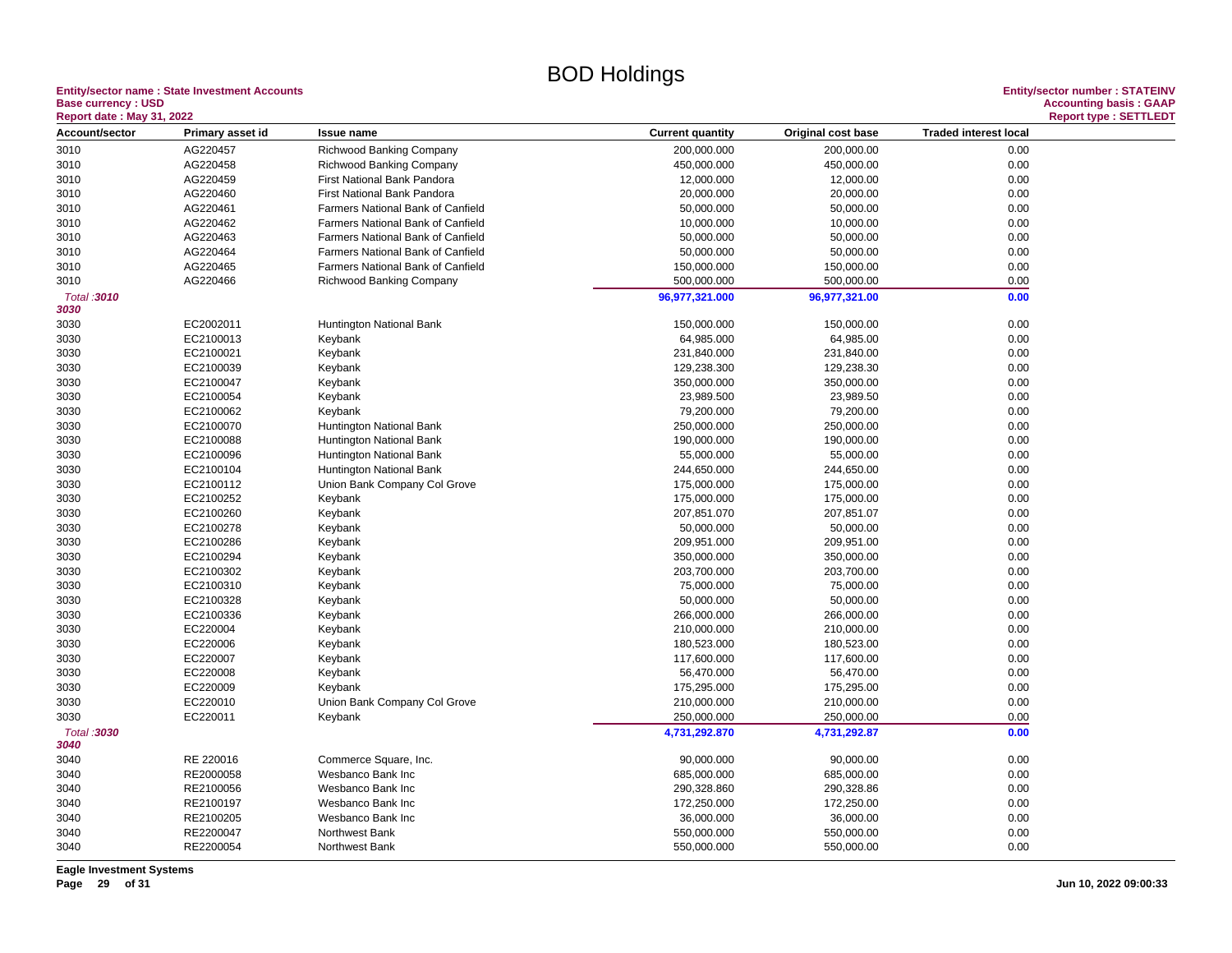#### **Entity/sector name : State Investment Accounts<br>Base currency : USD<br>Based date: May 24, 2000 Base currency : USD Accounting basis : GAAP**

| <b>Report date: May 31, 2022</b> |                  |                                          |                         |                    |                              | <b>Report type: SETTLEDT</b> |
|----------------------------------|------------------|------------------------------------------|-------------------------|--------------------|------------------------------|------------------------------|
| Account/sector                   | Primary asset id | <b>Issue name</b>                        | <b>Current quantity</b> | Original cost base | <b>Traded interest local</b> |                              |
| 3010                             | AG220457         | Richwood Banking Company                 | 200,000.000             | 200,000.00         | 0.00                         |                              |
| 3010                             | AG220458         | Richwood Banking Company                 | 450,000.000             | 450,000.00         | 0.00                         |                              |
| 3010                             | AG220459         | First National Bank Pandora              | 12,000.000              | 12,000.00          | 0.00                         |                              |
| 3010                             | AG220460         | <b>First National Bank Pandora</b>       | 20,000.000              | 20,000.00          | 0.00                         |                              |
| 3010                             | AG220461         | Farmers National Bank of Canfield        | 50,000.000              | 50,000.00          | 0.00                         |                              |
| 3010                             | AG220462         | Farmers National Bank of Canfield        | 10,000.000              | 10,000.00          | 0.00                         |                              |
| 3010                             | AG220463         | Farmers National Bank of Canfield        | 50,000.000              | 50,000.00          | 0.00                         |                              |
| 3010                             | AG220464         | Farmers National Bank of Canfield        | 50,000.000              | 50,000.00          | 0.00                         |                              |
| 3010                             | AG220465         | <b>Farmers National Bank of Canfield</b> | 150,000.000             | 150,000.00         | 0.00                         |                              |
| 3010                             | AG220466         | Richwood Banking Company                 | 500,000.000             | 500,000.00         | 0.00                         |                              |
| Total : 3010                     |                  |                                          | 96,977,321.000          | 96,977,321.00      | 0.00                         |                              |
| 3030                             |                  |                                          |                         |                    |                              |                              |
| 3030                             | EC2002011        | Huntington National Bank                 | 150,000.000             | 150,000.00         | 0.00                         |                              |
| 3030                             | EC2100013        | Keybank                                  | 64,985.000              | 64,985.00          | 0.00                         |                              |
| 3030                             | EC2100021        | Keybank                                  | 231,840.000             | 231,840.00         | 0.00                         |                              |
| 3030                             | EC2100039        | Keybank                                  | 129,238.300             | 129,238.30         | 0.00                         |                              |
| 3030                             | EC2100047        | Keybank                                  | 350,000.000             | 350,000.00         | 0.00                         |                              |
| 3030                             | EC2100054        | Keybank                                  | 23,989.500              | 23,989.50          | 0.00                         |                              |
| 3030                             | EC2100062        | Keybank                                  | 79,200.000              | 79,200.00          | 0.00                         |                              |
| 3030                             | EC2100070        | Huntington National Bank                 | 250,000.000             | 250,000.00         | 0.00                         |                              |
| 3030                             | EC2100088        | Huntington National Bank                 | 190,000.000             | 190,000.00         | 0.00                         |                              |
| 3030                             | EC2100096        | Huntington National Bank                 | 55,000.000              | 55,000.00          | 0.00                         |                              |
| 3030                             | EC2100104        | <b>Huntington National Bank</b>          | 244,650.000             | 244,650.00         | 0.00                         |                              |
| 3030                             | EC2100112        | Union Bank Company Col Grove             | 175,000.000             | 175,000.00         | 0.00                         |                              |
| 3030                             | EC2100252        | Keybank                                  | 175,000.000             | 175,000.00         | 0.00                         |                              |
| 3030                             | EC2100260        | Keybank                                  | 207,851.070             | 207,851.07         | 0.00                         |                              |
| 3030                             | EC2100278        | Keybank                                  | 50,000.000              | 50,000.00          | 0.00                         |                              |
| 3030                             | EC2100286        | Keybank                                  | 209,951.000             | 209,951.00         | 0.00                         |                              |
| 3030                             | EC2100294        | Keybank                                  | 350,000.000             | 350,000.00         | 0.00                         |                              |
| 3030                             | EC2100302        | Keybank                                  | 203,700.000             | 203,700.00         | 0.00                         |                              |
| 3030                             | EC2100310        | Keybank                                  | 75,000.000              | 75,000.00          | 0.00                         |                              |
| 3030                             | EC2100328        | Keybank                                  | 50,000.000              | 50,000.00          | 0.00                         |                              |
| 3030                             | EC2100336        | Keybank                                  | 266,000.000             | 266,000.00         | 0.00                         |                              |
| 3030                             | EC220004         | Keybank                                  | 210,000.000             | 210,000.00         | 0.00                         |                              |
| 3030                             | EC220006         | Keybank                                  | 180,523.000             | 180,523.00         | 0.00                         |                              |
| 3030                             | EC220007         | Keybank                                  | 117,600.000             | 117,600.00         | 0.00                         |                              |
| 3030                             | EC220008         | Keybank                                  | 56,470.000              | 56,470.00          | 0.00                         |                              |
| 3030                             | EC220009         | Keybank                                  | 175,295.000             | 175,295.00         | 0.00                         |                              |
| 3030                             | EC220010         | Union Bank Company Col Grove             | 210,000.000             | 210,000.00         | 0.00                         |                              |
| 3030                             | EC220011         | Keybank                                  | 250,000.000             | 250,000.00         | 0.00                         |                              |
| <b>Total</b><br>: 3030           |                  |                                          | 4,731,292.870           | 4,731,292.87       | 0.00                         |                              |
| 3040                             |                  |                                          |                         |                    |                              |                              |
| 3040                             | RE 220016        | Commerce Square, Inc.                    | 90,000.000              | 90,000.00          | 0.00                         |                              |
| 3040                             | RE2000058        | Wesbanco Bank Inc                        | 685,000.000             | 685,000.00         | 0.00                         |                              |
| 3040                             | RE2100056        | Wesbanco Bank Inc                        | 290,328.860             | 290,328.86         | 0.00                         |                              |
| 3040                             | RE2100197        | Wesbanco Bank Inc                        | 172,250.000             | 172,250.00         | 0.00                         |                              |
| 3040                             | RE2100205        | Wesbanco Bank Inc                        | 36,000.000              | 36,000.00          | 0.00                         |                              |
| 3040                             | RE2200047        | Northwest Bank                           | 550,000.000             | 550,000.00         | 0.00                         |                              |
| 3040                             | RE2200054        | Northwest Bank                           | 550,000.000             | 550,000.00         | 0.00                         |                              |
|                                  |                  |                                          |                         |                    |                              |                              |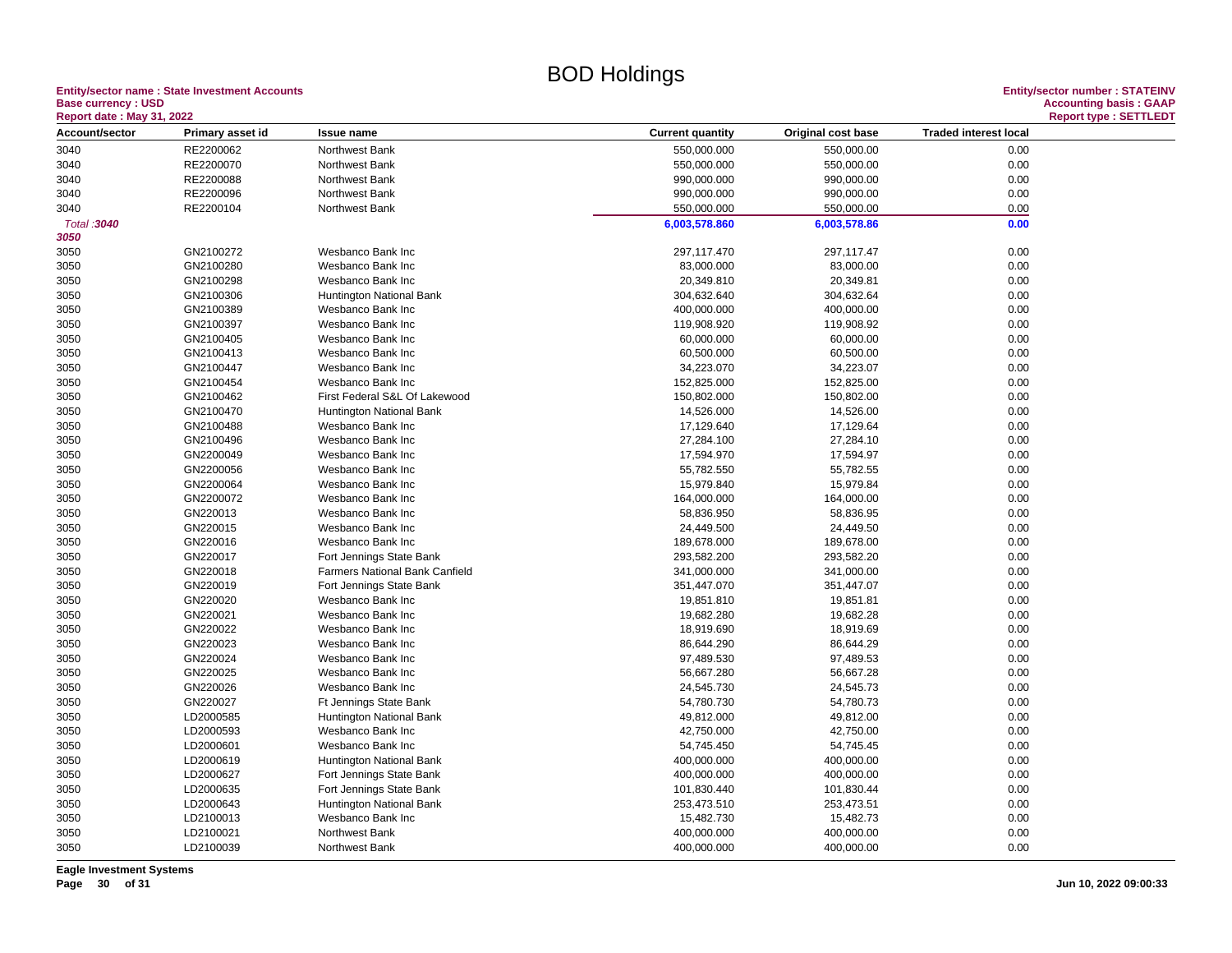## **Entity/sector name : State Investment Accounts<br>Base currency : USD**

| <b>Report date: May 31, 2022</b> |                  |                                |                          |                        |                              | <b>Report type: SETTLEDT</b> |
|----------------------------------|------------------|--------------------------------|--------------------------|------------------------|------------------------------|------------------------------|
| Account/sector                   | Primary asset id | <b>Issue name</b>              | <b>Current quantity</b>  | Original cost base     | <b>Traded interest local</b> |                              |
| 3040                             | RE2200062        | Northwest Bank                 | 550,000.000              | 550,000.00             | 0.00                         |                              |
| 3040                             | RE2200070        | Northwest Bank                 | 550,000.000              | 550,000.00             | 0.00                         |                              |
| 3040                             | RE2200088        | Northwest Bank                 | 990,000.000              | 990,000.00             | 0.00                         |                              |
| 3040                             | RE2200096        | Northwest Bank                 | 990,000.000              | 990,000.00             | 0.00                         |                              |
| 3040                             | RE2200104        | Northwest Bank                 | 550,000.000              | 550,000.00             | 0.00                         |                              |
| Total: 3040                      |                  |                                | 6,003,578.860            | 6,003,578.86           | 0.00                         |                              |
| 3050                             |                  |                                |                          |                        |                              |                              |
| 3050                             | GN2100272        | Wesbanco Bank Inc              | 297,117.470              | 297,117.47             | 0.00                         |                              |
| 3050                             | GN2100280        | Wesbanco Bank Inc              | 83,000.000               | 83,000.00              | 0.00                         |                              |
| 3050                             | GN2100298        | Wesbanco Bank Inc              | 20,349.810               | 20,349.81              | 0.00                         |                              |
| 3050                             | GN2100306        | Huntington National Bank       | 304,632.640              | 304,632.64             | 0.00                         |                              |
| 3050                             | GN2100389        | Wesbanco Bank Inc              | 400,000.000              | 400,000.00             | 0.00                         |                              |
| 3050                             | GN2100397        | Wesbanco Bank Inc              | 119,908.920              | 119,908.92             | 0.00                         |                              |
| 3050                             | GN2100405        | Wesbanco Bank Inc              | 60,000.000               | 60,000.00              | 0.00                         |                              |
| 3050                             | GN2100413        | Wesbanco Bank Inc              | 60,500.000               | 60,500.00              | 0.00                         |                              |
| 3050                             | GN2100447        | Wesbanco Bank Inc              | 34,223.070               | 34,223.07              | 0.00                         |                              |
| 3050                             | GN2100454        | Wesbanco Bank Inc              | 152,825.000              | 152,825.00             | 0.00                         |                              |
| 3050                             | GN2100462        | First Federal S&L Of Lakewood  | 150,802.000              | 150,802.00             | 0.00                         |                              |
| 3050                             | GN2100470        | Huntington National Bank       | 14,526.000               | 14,526.00              | 0.00                         |                              |
| 3050                             | GN2100488        | Wesbanco Bank Inc              | 17,129.640               | 17,129.64              | 0.00                         |                              |
| 3050                             | GN2100496        | Wesbanco Bank Inc              | 27,284.100               | 27,284.10              | 0.00                         |                              |
| 3050                             | GN2200049        | Wesbanco Bank Inc              | 17,594.970               | 17,594.97              | 0.00                         |                              |
| 3050                             | GN2200056        | Wesbanco Bank Inc              | 55,782.550               | 55,782.55              | 0.00                         |                              |
| 3050                             | GN2200064        | Wesbanco Bank Inc              | 15,979.840               | 15,979.84              | 0.00                         |                              |
| 3050                             | GN2200072        | Wesbanco Bank Inc              | 164,000.000              | 164,000.00             | 0.00                         |                              |
| 3050                             | GN220013         | Wesbanco Bank Inc              | 58,836.950               | 58,836.95              | 0.00                         |                              |
| 3050                             | GN220015         | Wesbanco Bank Inc              | 24,449.500               | 24,449.50              | 0.00                         |                              |
| 3050                             | GN220016         | Wesbanco Bank Inc              | 189,678.000              | 189,678.00             | 0.00                         |                              |
| 3050                             | GN220017         | Fort Jennings State Bank       | 293,582.200              | 293,582.20             | 0.00                         |                              |
| 3050                             | GN220018         | Farmers National Bank Canfield | 341,000.000              | 341,000.00             | 0.00                         |                              |
| 3050                             | GN220019         | Fort Jennings State Bank       | 351,447.070              | 351,447.07             | 0.00                         |                              |
| 3050                             | GN220020         | Wesbanco Bank Inc              | 19,851.810               | 19,851.81              | 0.00                         |                              |
|                                  | GN220021         | Wesbanco Bank Inc              |                          |                        | 0.00                         |                              |
| 3050<br>3050                     | GN220022         | Wesbanco Bank Inc              | 19,682.280<br>18,919.690 | 19,682.28<br>18,919.69 | 0.00                         |                              |
| 3050                             | GN220023         | Wesbanco Bank Inc              | 86,644.290               | 86,644.29              | 0.00                         |                              |
|                                  | GN220024         | Wesbanco Bank Inc              |                          |                        | 0.00                         |                              |
| 3050                             | GN220025         | Wesbanco Bank Inc              | 97,489.530<br>56,667.280 | 97,489.53<br>56,667.28 | 0.00                         |                              |
| 3050                             | GN220026         | Wesbanco Bank Inc              |                          |                        | 0.00                         |                              |
| 3050                             | GN220027         |                                | 24,545.730               | 24,545.73              |                              |                              |
| 3050                             |                  | Ft Jennings State Bank         | 54,780.730               | 54,780.73              | 0.00                         |                              |
| 3050                             | LD2000585        | Huntington National Bank       | 49,812.000               | 49,812.00              | 0.00                         |                              |
| 3050                             | LD2000593        | Wesbanco Bank Inc              | 42,750.000               | 42,750.00              | 0.00                         |                              |
| 3050                             | LD2000601        | Wesbanco Bank Inc              | 54,745.450               | 54,745.45              | 0.00                         |                              |
| 3050                             | LD2000619        | Huntington National Bank       | 400,000.000              | 400,000.00             | 0.00                         |                              |
| 3050                             | LD2000627        | Fort Jennings State Bank       | 400,000.000              | 400,000.00             | 0.00                         |                              |
| 3050                             | LD2000635        | Fort Jennings State Bank       | 101,830.440              | 101,830.44             | 0.00                         |                              |
| 3050                             | LD2000643        | Huntington National Bank       | 253,473.510              | 253,473.51             | 0.00                         |                              |
| 3050                             | LD2100013        | Wesbanco Bank Inc              | 15,482.730               | 15,482.73              | 0.00                         |                              |
| 3050                             | LD2100021        | Northwest Bank                 | 400,000.000              | 400,000.00             | 0.00                         |                              |
| 3050                             | LD2100039        | Northwest Bank                 | 400,000.000              | 400,000.00             | 0.00                         |                              |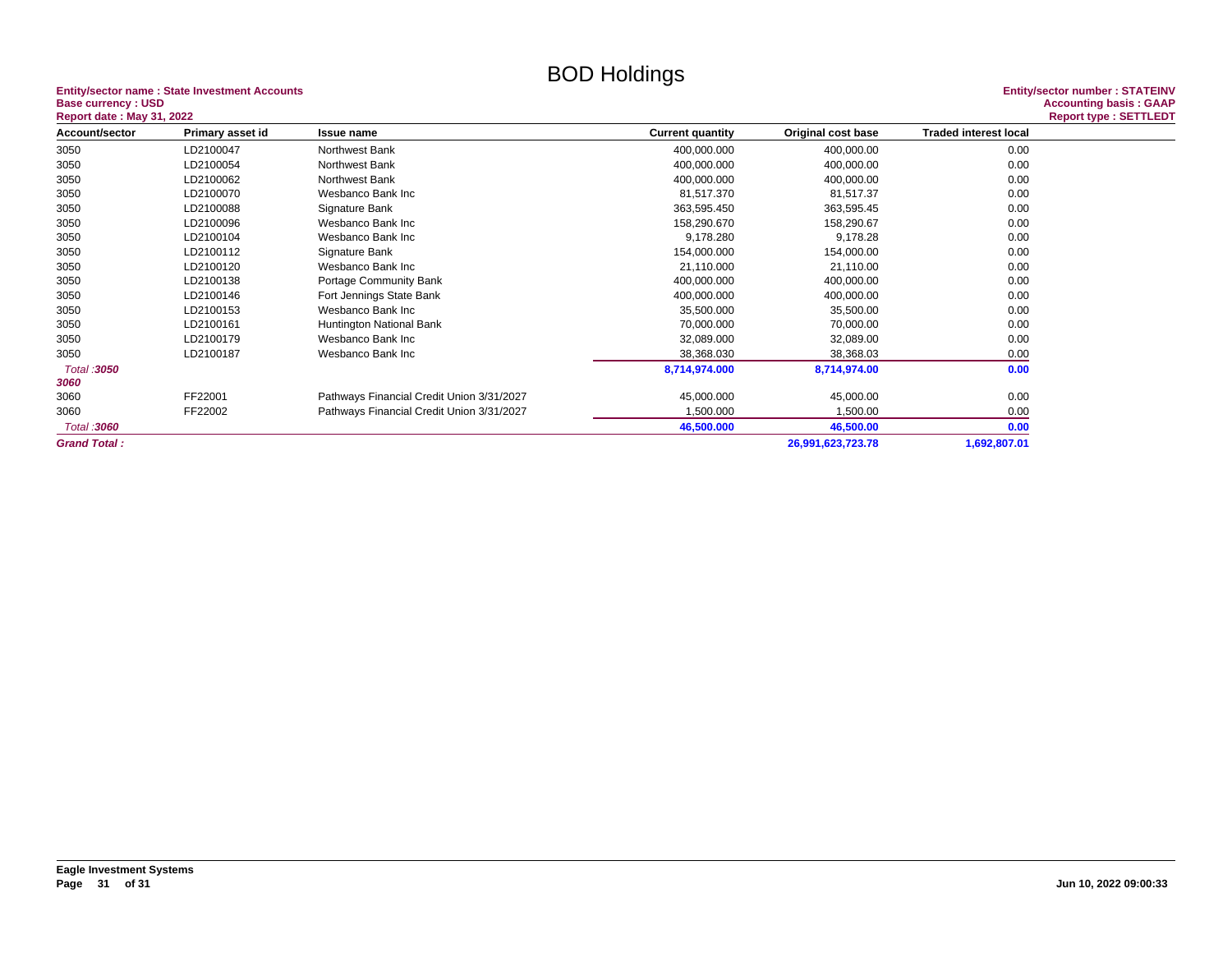## **Entity/sector name : State Investment Accounts<br>Base currency : USD**

| <b>Report date: May 31, 2022</b> |                  |                                           |                         |                    |                              | <b>Report type: SETTLEDT</b> |
|----------------------------------|------------------|-------------------------------------------|-------------------------|--------------------|------------------------------|------------------------------|
| Account/sector                   | Primary asset id | <b>Issue name</b>                         | <b>Current quantity</b> | Original cost base | <b>Traded interest local</b> |                              |
| 3050                             | LD2100047        | Northwest Bank                            | 400,000.000             | 400,000.00         | 0.00                         |                              |
| 3050                             | LD2100054        | Northwest Bank                            | 400,000.000             | 400,000.00         | 0.00                         |                              |
| 3050                             | LD2100062        | Northwest Bank                            | 400,000.000             | 400,000.00         | 0.00                         |                              |
| 3050                             | LD2100070        | Wesbanco Bank Inc                         | 81,517.370              | 81,517.37          | 0.00                         |                              |
| 3050                             | LD2100088        | Signature Bank                            | 363,595.450             | 363,595.45         | 0.00                         |                              |
| 3050                             | LD2100096        | Wesbanco Bank Inc                         | 158,290.670             | 158,290.67         | 0.00                         |                              |
| 3050                             | LD2100104        | Wesbanco Bank Inc                         | 9,178.280               | 9,178.28           | 0.00                         |                              |
| 3050                             | LD2100112        | Signature Bank                            | 154,000.000             | 154,000.00         | 0.00                         |                              |
| 3050                             | LD2100120        | Wesbanco Bank Inc                         | 21,110.000              | 21,110.00          | 0.00                         |                              |
| 3050                             | LD2100138        | Portage Community Bank                    | 400,000.000             | 400,000.00         | 0.00                         |                              |
| 3050                             | LD2100146        | Fort Jennings State Bank                  | 400,000.000             | 400,000.00         | 0.00                         |                              |
| 3050                             | LD2100153        | Wesbanco Bank Inc                         | 35,500.000              | 35,500.00          | 0.00                         |                              |
| 3050                             | LD2100161        | Huntington National Bank                  | 70,000.000              | 70,000.00          | 0.00                         |                              |
| 3050                             | LD2100179        | Wesbanco Bank Inc                         | 32,089.000              | 32,089.00          | 0.00                         |                              |
| 3050                             | LD2100187        | Wesbanco Bank Inc                         | 38,368.030              | 38,368.03          | 0.00                         |                              |
| Total : 3050<br>3060             |                  |                                           | 8,714,974.000           | 8,714,974.00       | 0.00                         |                              |
| 3060                             | FF22001          | Pathways Financial Credit Union 3/31/2027 | 45,000.000              | 45,000.00          | 0.00                         |                              |
| 3060                             | FF22002          | Pathways Financial Credit Union 3/31/2027 | 1,500.000               | 1,500.00           | 0.00                         |                              |
| Total: 3060                      |                  |                                           | 46,500.000              | 46,500.00          | 0.00                         |                              |
| <b>Grand Total:</b>              |                  |                                           |                         | 26,991,623,723.78  | 1,692,807.01                 |                              |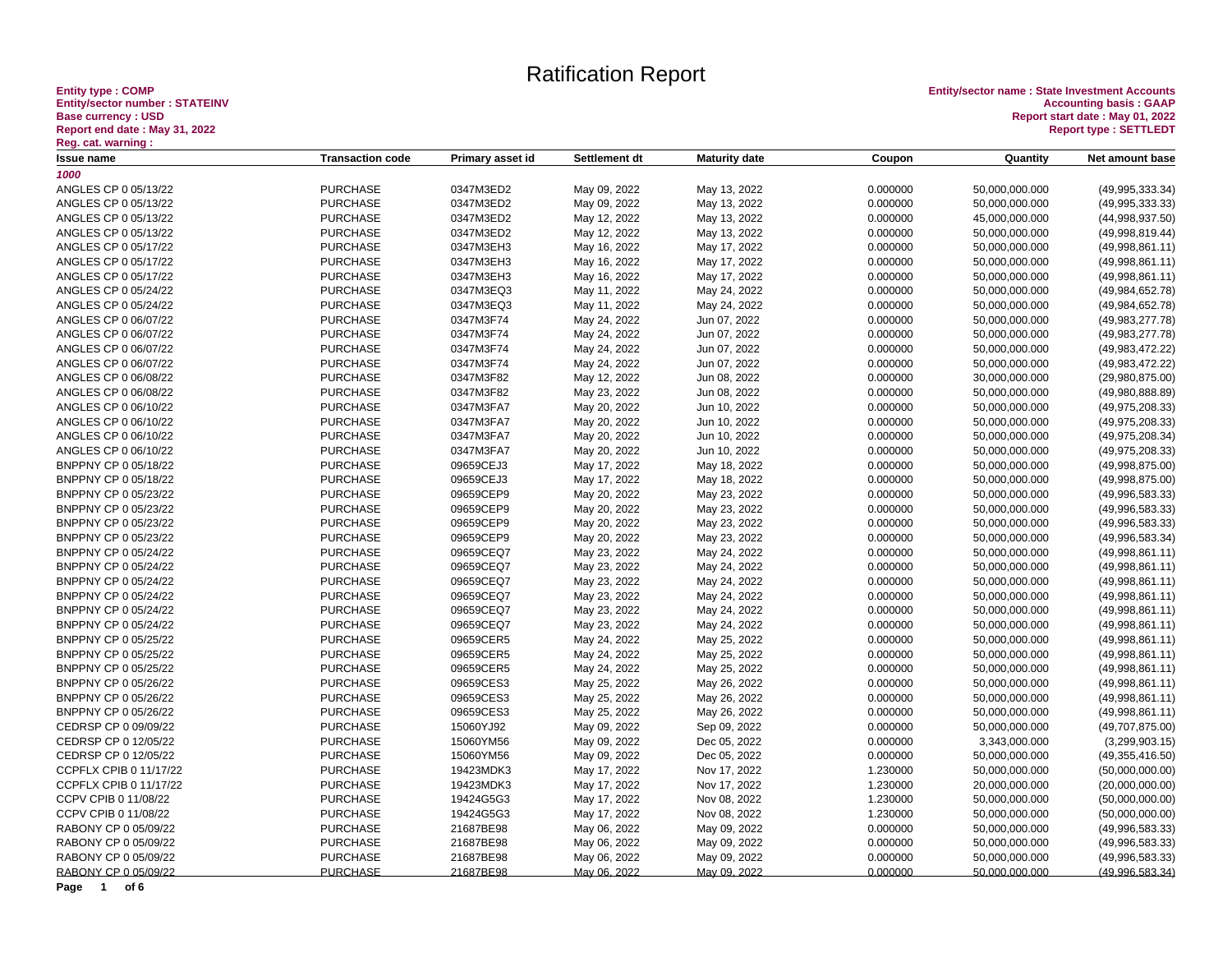# Entity type : COMP<br>Entity/sector number : STATEINV<br>Base currency : USD<br>Report end date : May 31, 2022<br><u>Reg. cat. warning :</u>

**Entity type : COMP Entity/sector name : State Investment Accounts Entity/sector number : STATEINV Accounting basis : GAAP Base currency : USD Report start date : May 01, 2022 Report end date : May 31, 2022 Report type : SETTLEDT**

| <b>Transaction code</b><br>Primary asset id<br>Settlement dt<br><b>Maturity date</b><br>Coupon<br><b>Issue name</b> | Quantity       | Net amount base   |
|---------------------------------------------------------------------------------------------------------------------|----------------|-------------------|
| 1000                                                                                                                |                |                   |
| ANGLES CP 0 05/13/22<br><b>PURCHASE</b><br>0347M3ED2<br>May 09, 2022<br>May 13, 2022<br>0.000000                    | 50,000,000.000 | (49,995,333.34)   |
| ANGLES CP 0 05/13/22<br><b>PURCHASE</b><br>0347M3ED2<br>May 09, 2022<br>0.000000<br>May 13, 2022                    | 50,000,000.000 | (49,995,333.33)   |
| <b>PURCHASE</b><br>ANGLES CP 0 05/13/22<br>0347M3ED2<br>May 12, 2022<br>May 13, 2022<br>0.000000                    | 45,000,000.000 | (44,998,937.50)   |
| <b>PURCHASE</b><br>0347M3ED2<br>ANGLES CP 0 05/13/22<br>May 12, 2022<br>May 13, 2022<br>0.000000                    | 50,000,000.000 | (49,998,819.44)   |
| <b>PURCHASE</b><br>0347M3EH3<br>0.000000<br>ANGLES CP 0 05/17/22<br>May 16, 2022<br>May 17, 2022                    | 50,000,000.000 | (49,998,861.11)   |
| <b>PURCHASE</b><br>0347M3EH3<br>ANGLES CP 0 05/17/22<br>May 16, 2022<br>May 17, 2022<br>0.000000                    | 50,000,000.000 | (49,998,861.11)   |
| <b>PURCHASE</b><br>0347M3EH3<br>May 16, 2022<br>May 17, 2022<br>0.000000<br>ANGLES CP 0 05/17/22                    | 50,000,000.000 | (49,998,861.11)   |
| <b>PURCHASE</b><br>0347M3EQ3<br>ANGLES CP 0 05/24/22<br>May 11, 2022<br>0.000000<br>May 24, 2022                    | 50,000,000.000 | (49, 984, 652.78) |
| <b>PURCHASE</b><br>0347M3EQ3<br>0.000000<br>ANGLES CP 0 05/24/22<br>May 11, 2022<br>May 24, 2022                    | 50,000,000.000 | (49, 984, 652.78) |
| <b>PURCHASE</b><br>0347M3F74<br>ANGLES CP 0 06/07/22<br>May 24, 2022<br>Jun 07, 2022<br>0.000000                    | 50,000,000.000 | (49, 983, 277.78) |
| ANGLES CP 0 06/07/22<br><b>PURCHASE</b><br>0347M3F74<br>0.000000<br>May 24, 2022<br>Jun 07, 2022                    | 50,000,000.000 | (49, 983, 277.78) |
| <b>PURCHASE</b><br>ANGLES CP 0 06/07/22<br>0347M3F74<br>May 24, 2022<br>Jun 07, 2022<br>0.000000                    | 50,000,000.000 | (49,983,472.22)   |
| <b>PURCHASE</b><br>0347M3F74<br>0.000000<br>ANGLES CP 0 06/07/22<br>May 24, 2022<br>Jun 07, 2022                    | 50,000,000.000 | (49,983,472.22)   |
| <b>PURCHASE</b><br>0347M3F82<br>ANGLES CP 0 06/08/22<br>May 12, 2022<br>Jun 08, 2022<br>0.000000                    | 30,000,000.000 | (29,980,875.00)   |
| ANGLES CP 0 06/08/22<br><b>PURCHASE</b><br>0347M3F82<br>May 23, 2022<br>Jun 08, 2022<br>0.000000                    | 50,000,000.000 | (49,980,888.89)   |
| ANGLES CP 0 06/10/22<br><b>PURCHASE</b><br>0347M3FA7<br>May 20, 2022<br>Jun 10, 2022<br>0.000000                    | 50,000,000.000 | (49, 975, 208.33) |
| <b>PURCHASE</b><br>0347M3FA7<br>Jun 10, 2022<br>0.000000<br>ANGLES CP 0 06/10/22<br>May 20, 2022                    | 50,000,000.000 | (49, 975, 208.33) |
| ANGLES CP 0 06/10/22<br><b>PURCHASE</b><br>0347M3FA7<br>May 20, 2022<br>Jun 10, 2022<br>0.000000                    | 50,000,000.000 | (49, 975, 208.34) |
| <b>PURCHASE</b><br>0347M3FA7<br>ANGLES CP 0 06/10/22<br>May 20, 2022<br>Jun 10, 2022<br>0.000000                    | 50,000,000.000 | (49, 975, 208.33) |
| <b>PURCHASE</b><br>09659CEJ3<br>BNPPNY CP 0 05/18/22<br>May 17, 2022<br>May 18, 2022<br>0.000000                    | 50,000,000.000 | (49,998,875.00)   |
| <b>PURCHASE</b><br>09659CEJ3<br>BNPPNY CP 0 05/18/22<br>May 17, 2022<br>May 18, 2022<br>0.000000                    | 50,000,000.000 | (49,998,875.00)   |
| <b>PURCHASE</b><br>09659CEP9<br>BNPPNY CP 0 05/23/22<br>May 20, 2022<br>May 23, 2022<br>0.000000                    | 50,000,000.000 | (49,996,583.33)   |
| <b>PURCHASE</b><br>09659CEP9<br>BNPPNY CP 0 05/23/22<br>May 20, 2022<br>May 23, 2022<br>0.000000                    | 50,000,000.000 | (49,996,583.33)   |
| <b>PURCHASE</b><br>09659CEP9<br>BNPPNY CP 0 05/23/22<br>May 20, 2022<br>May 23, 2022<br>0.000000                    | 50,000,000.000 | (49, 996, 583.33) |
| <b>PURCHASE</b><br>09659CEP9<br>BNPPNY CP 0 05/23/22<br>May 20, 2022<br>May 23, 2022<br>0.000000                    | 50,000,000.000 | (49,996,583.34)   |
| <b>PURCHASE</b><br>09659CEQ7<br>0.000000<br>BNPPNY CP 0 05/24/22<br>May 23, 2022<br>May 24, 2022                    | 50,000,000.000 | (49,998,861.11)   |
| BNPPNY CP 0 05/24/22<br><b>PURCHASE</b><br>09659CEQ7<br>May 23, 2022<br>0.000000<br>May 24, 2022                    | 50,000,000.000 | (49,998,861.11)   |
| 09659CEQ7<br>BNPPNY CP 0 05/24/22<br><b>PURCHASE</b><br>May 23, 2022<br>May 24, 2022<br>0.000000                    | 50,000,000.000 | (49,998,861.11)   |
| <b>PURCHASE</b><br>09659CEQ7<br>BNPPNY CP 0 05/24/22<br>May 23, 2022<br>May 24, 2022<br>0.000000                    | 50,000,000.000 | (49,998,861.11)   |
| <b>PURCHASE</b><br>09659CEQ7<br>0.000000<br>BNPPNY CP 0 05/24/22<br>May 23, 2022<br>May 24, 2022                    | 50,000,000.000 | (49,998,861.11)   |
| <b>PURCHASE</b><br>09659CEQ7<br>May 24, 2022<br>0.000000<br>BNPPNY CP 0 05/24/22<br>May 23, 2022                    | 50,000,000.000 | (49,998,861.11)   |
| BNPPNY CP 0 05/25/22<br><b>PURCHASE</b><br>09659CER5<br>May 24, 2022<br>May 25, 2022<br>0.000000                    | 50,000,000.000 | (49,998,861.11)   |
| <b>PURCHASE</b><br>09659CER5<br>BNPPNY CP 0 05/25/22<br>May 24, 2022<br>May 25, 2022<br>0.000000                    | 50,000,000.000 | (49,998,861.11)   |
| <b>PURCHASE</b><br>09659CER5<br>0.000000<br>BNPPNY CP 0 05/25/22<br>May 24, 2022<br>May 25, 2022                    | 50,000,000.000 | (49,998,861.11)   |
| <b>PURCHASE</b><br>09659CES3<br>BNPPNY CP 0 05/26/22<br>May 25, 2022<br>May 26, 2022<br>0.000000                    | 50,000,000.000 | (49,998,861.11)   |
| <b>PURCHASE</b><br>09659CES3<br>0.000000<br>BNPPNY CP 0 05/26/22<br>May 25, 2022<br>May 26, 2022                    | 50,000,000.000 | (49,998,861.11)   |
| <b>PURCHASE</b><br>09659CES3<br>BNPPNY CP 0 05/26/22<br>May 25, 2022<br>0.000000<br>May 26, 2022                    | 50,000,000.000 | (49,998,861.11)   |
| CEDRSP CP 0 09/09/22<br><b>PURCHASE</b><br>15060YJ92<br>0.000000<br>May 09, 2022<br>Sep 09, 2022                    | 50,000,000.000 | (49, 707, 875.00) |
| CEDRSP CP 0 12/05/22<br><b>PURCHASE</b><br>15060YM56<br>0.000000<br>May 09, 2022<br>Dec 05, 2022                    | 3,343,000.000  | (3,299,903.15)    |
| CEDRSP CP 0 12/05/22<br><b>PURCHASE</b><br>15060YM56<br>May 09, 2022<br>0.000000<br>Dec 05, 2022                    | 50,000,000.000 | (49, 355, 416.50) |
| CCPFLX CPIB 0 11/17/22<br><b>PURCHASE</b><br>19423MDK3<br>May 17, 2022<br>Nov 17, 2022<br>1.230000                  | 50,000,000.000 | (50,000,000.00)   |
| CCPFLX CPIB 0 11/17/22<br><b>PURCHASE</b><br>19423MDK3<br>May 17, 2022<br>Nov 17, 2022<br>1.230000                  | 20,000,000.000 | (20,000,000.00)   |
| 19424G5G3<br>CCPV CPIB 0 11/08/22<br><b>PURCHASE</b><br>May 17, 2022<br>Nov 08, 2022<br>1.230000                    | 50,000,000.000 | (50,000,000.00)   |
| <b>PURCHASE</b><br>19424G5G3<br>CCPV CPIB 0 11/08/22<br>May 17, 2022<br>Nov 08, 2022<br>1.230000                    | 50,000,000.000 | (50,000,000.00)   |
| <b>PURCHASE</b><br>21687BE98<br>0.000000<br>RABONY CP 0 05/09/22<br>May 06, 2022<br>May 09, 2022                    | 50,000,000.000 | (49,996,583.33)   |
| RABONY CP 0 05/09/22<br><b>PURCHASE</b><br>21687BE98<br>May 06, 2022<br>May 09, 2022<br>0.000000                    | 50,000,000.000 | (49,996,583.33)   |
| <b>PURCHASE</b><br>RABONY CP 0 05/09/22<br>21687BE98<br>May 06, 2022<br>May 09, 2022<br>0.000000                    | 50,000,000.000 | (49,996,583.33)   |
| RABONY CP 0 05/09/22<br><b>PURCHASE</b><br>21687BE98<br>0.000000<br>May 06, 2022<br>May 09, 2022                    | 50,000,000.000 | (49,996,583.34)   |

**Page 1 of 6**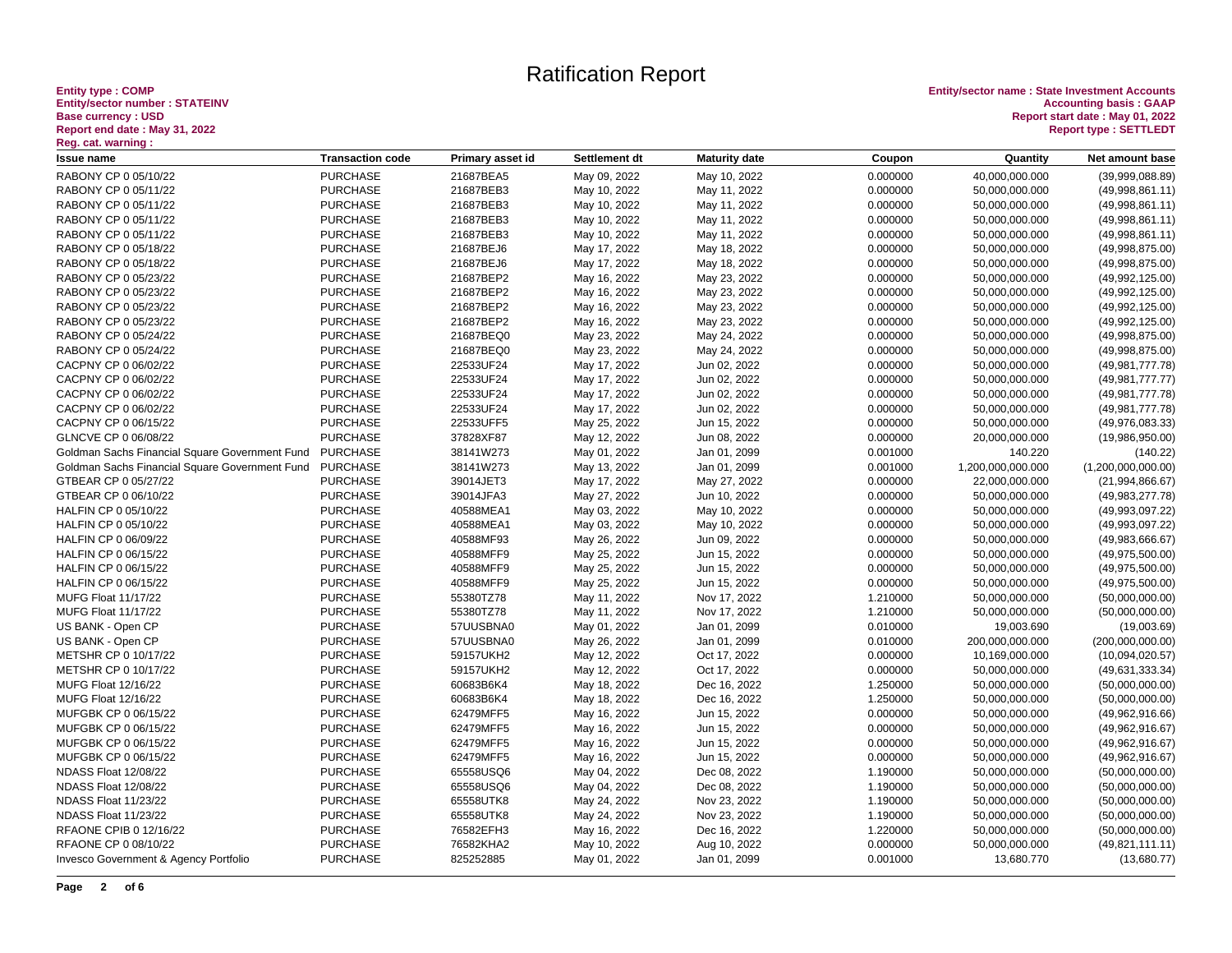# Entity type : COMP<br>Entity/sector number : STATEINV<br>Base currency : USD<br>Report end date : May 31, 2022<br><u>Reg.</u> cat. warning :

| n <del>o</del> y. van warmny .                 |                         |                  |               |                      |          |                   |                    |
|------------------------------------------------|-------------------------|------------------|---------------|----------------------|----------|-------------------|--------------------|
| Issue name                                     | <b>Transaction code</b> | Primary asset id | Settlement dt | <b>Maturity date</b> | Coupon   | Quantity          | Net amount base    |
| RABONY CP 0 05/10/22                           | <b>PURCHASE</b>         | 21687BEA5        | May 09, 2022  | May 10, 2022         | 0.000000 | 40,000,000.000    | (39,999,088.89)    |
| RABONY CP 0 05/11/22                           | <b>PURCHASE</b>         | 21687BEB3        | May 10, 2022  | May 11, 2022         | 0.000000 | 50,000,000.000    | (49,998,861.11)    |
| RABONY CP 0 05/11/22                           | <b>PURCHASE</b>         | 21687BEB3        | May 10, 2022  | May 11, 2022         | 0.000000 | 50,000,000.000    | (49,998,861.11)    |
| RABONY CP 0 05/11/22                           | <b>PURCHASE</b>         | 21687BEB3        | May 10, 2022  | May 11, 2022         | 0.000000 | 50,000,000.000    | (49,998,861.11)    |
| RABONY CP 0 05/11/22                           | <b>PURCHASE</b>         | 21687BEB3        | May 10, 2022  | May 11, 2022         | 0.000000 | 50,000,000.000    | (49,998,861.11)    |
| RABONY CP 0 05/18/22                           | <b>PURCHASE</b>         | 21687BEJ6        | May 17, 2022  | May 18, 2022         | 0.000000 | 50,000,000.000    | (49,998,875.00)    |
| RABONY CP 0 05/18/22                           | <b>PURCHASE</b>         | 21687BEJ6        | May 17, 2022  | May 18, 2022         | 0.000000 | 50,000,000.000    | (49,998,875.00)    |
| RABONY CP 0 05/23/22                           | <b>PURCHASE</b>         | 21687BEP2        | May 16, 2022  | May 23, 2022         | 0.000000 | 50,000,000.000    | (49,992,125.00)    |
| RABONY CP 0 05/23/22                           | <b>PURCHASE</b>         | 21687BEP2        | May 16, 2022  | May 23, 2022         | 0.000000 | 50,000,000.000    | (49,992,125.00)    |
| RABONY CP 0 05/23/22                           | <b>PURCHASE</b>         | 21687BEP2        | May 16, 2022  | May 23, 2022         | 0.000000 | 50,000,000.000    | (49,992,125.00)    |
| RABONY CP 0 05/23/22                           | <b>PURCHASE</b>         | 21687BEP2        | May 16, 2022  | May 23, 2022         | 0.000000 | 50,000,000.000    | (49,992,125.00)    |
| RABONY CP 0 05/24/22                           | <b>PURCHASE</b>         | 21687BEQ0        | May 23, 2022  | May 24, 2022         | 0.000000 | 50,000,000.000    | (49,998,875.00)    |
| RABONY CP 0 05/24/22                           | <b>PURCHASE</b>         | 21687BEQ0        | May 23, 2022  | May 24, 2022         | 0.000000 | 50,000,000.000    | (49,998,875.00)    |
| CACPNY CP 0 06/02/22                           | <b>PURCHASE</b>         | 22533UF24        | May 17, 2022  | Jun 02, 2022         | 0.000000 | 50,000,000.000    | (49,981,777.78)    |
| CACPNY CP 0 06/02/22                           | <b>PURCHASE</b>         | 22533UF24        | May 17, 2022  | Jun 02, 2022         | 0.000000 | 50,000,000.000    | (49, 981, 777.77)  |
| CACPNY CP 0 06/02/22                           | <b>PURCHASE</b>         | 22533UF24        | May 17, 2022  | Jun 02, 2022         | 0.000000 | 50,000,000.000    | (49,981,777.78)    |
| CACPNY CP 0 06/02/22                           | <b>PURCHASE</b>         | 22533UF24        | May 17, 2022  | Jun 02, 2022         | 0.000000 | 50,000,000.000    | (49,981,777.78)    |
| CACPNY CP 0 06/15/22                           | <b>PURCHASE</b>         | 22533UFF5        | May 25, 2022  | Jun 15, 2022         | 0.000000 | 50,000,000.000    | (49, 976, 083.33)  |
| GLNCVE CP 0 06/08/22                           | <b>PURCHASE</b>         | 37828XF87        | May 12, 2022  | Jun 08, 2022         | 0.000000 | 20,000,000.000    | (19,986,950.00)    |
| Goldman Sachs Financial Square Government Fund | <b>PURCHASE</b>         | 38141W273        | May 01, 2022  | Jan 01, 2099         | 0.001000 | 140.220           | (140.22)           |
| Goldman Sachs Financial Square Government Fund | <b>PURCHASE</b>         | 38141W273        | May 13, 2022  | Jan 01, 2099         | 0.001000 | 1,200,000,000.000 | (1,200,000,000.00) |
| GTBEAR CP 0 05/27/22                           | <b>PURCHASE</b>         | 39014JET3        | May 17, 2022  | May 27, 2022         | 0.000000 | 22,000,000.000    | (21, 994, 866.67)  |
| GTBEAR CP 0 06/10/22                           | <b>PURCHASE</b>         | 39014JFA3        | May 27, 2022  | Jun 10, 2022         | 0.000000 | 50,000,000.000    | (49,983,277.78)    |
| HALFIN CP 0 05/10/22                           | <b>PURCHASE</b>         | 40588MEA1        | May 03, 2022  | May 10, 2022         | 0.000000 | 50,000,000.000    | (49,993,097.22)    |
| HALFIN CP 0 05/10/22                           | <b>PURCHASE</b>         | 40588MEA1        | May 03, 2022  | May 10, 2022         | 0.000000 | 50,000,000.000    | (49,993,097.22)    |
| HALFIN CP 0 06/09/22                           | <b>PURCHASE</b>         | 40588MF93        | May 26, 2022  | Jun 09, 2022         | 0.000000 | 50,000,000.000    | (49,983,666.67)    |
| HALFIN CP 0 06/15/22                           | <b>PURCHASE</b>         | 40588MFF9        | May 25, 2022  | Jun 15, 2022         | 0.000000 | 50,000,000.000    | (49, 975, 500.00)  |
| HALFIN CP 0 06/15/22                           | <b>PURCHASE</b>         | 40588MFF9        | May 25, 2022  | Jun 15, 2022         | 0.000000 | 50,000,000.000    | (49, 975, 500.00)  |
| HALFIN CP 0 06/15/22                           | <b>PURCHASE</b>         | 40588MFF9        | May 25, 2022  | Jun 15, 2022         | 0.000000 | 50,000,000.000    | (49, 975, 500.00)  |
| MUFG Float 11/17/22                            | <b>PURCHASE</b>         | 55380TZ78        | May 11, 2022  | Nov 17, 2022         | 1.210000 | 50,000,000.000    | (50,000,000.00)    |
| <b>MUFG Float 11/17/22</b>                     | <b>PURCHASE</b>         | 55380TZ78        | May 11, 2022  | Nov 17, 2022         | 1.210000 | 50,000,000.000    | (50,000,000.00)    |
| US BANK - Open CP                              | <b>PURCHASE</b>         | 57UUSBNA0        | May 01, 2022  | Jan 01, 2099         | 0.010000 | 19,003.690        | (19,003.69)        |
| US BANK - Open CP                              | <b>PURCHASE</b>         | 57UUSBNA0        | May 26, 2022  | Jan 01, 2099         | 0.010000 | 200,000,000.000   | (200,000,000.00)   |
| METSHR CP 0 10/17/22                           | <b>PURCHASE</b>         | 59157UKH2        | May 12, 2022  | Oct 17, 2022         | 0.000000 | 10,169,000.000    | (10,094,020.57)    |
| METSHR CP 0 10/17/22                           | <b>PURCHASE</b>         | 59157UKH2        | May 12, 2022  | Oct 17, 2022         | 0.000000 | 50,000,000.000    | (49, 631, 333.34)  |
| MUFG Float 12/16/22                            | <b>PURCHASE</b>         | 60683B6K4        | May 18, 2022  | Dec 16, 2022         | 1.250000 | 50,000,000.000    | (50,000,000.00)    |
| MUFG Float 12/16/22                            | <b>PURCHASE</b>         | 60683B6K4        | May 18, 2022  | Dec 16, 2022         | 1.250000 | 50,000,000.000    | (50,000,000.00)    |
| MUFGBK CP 0 06/15/22                           | <b>PURCHASE</b>         | 62479MFF5        | May 16, 2022  | Jun 15, 2022         | 0.000000 | 50,000,000.000    | (49,962,916.66)    |
| MUFGBK CP 0 06/15/22                           | <b>PURCHASE</b>         | 62479MFF5        | May 16, 2022  | Jun 15, 2022         | 0.000000 | 50,000,000.000    | (49,962,916.67)    |
| MUFGBK CP 0 06/15/22                           | <b>PURCHASE</b>         | 62479MFF5        | May 16, 2022  | Jun 15, 2022         | 0.000000 | 50,000,000.000    | (49,962,916.67)    |
|                                                | <b>PURCHASE</b>         | 62479MFF5        |               |                      |          |                   |                    |
| MUFGBK CP 0 06/15/22                           |                         |                  | May 16, 2022  | Jun 15, 2022         | 0.000000 | 50,000,000.000    | (49,962,916.67)    |
| NDASS Float 12/08/22                           | <b>PURCHASE</b>         | 65558USQ6        | May 04, 2022  | Dec 08, 2022         | 1.190000 | 50,000,000.000    | (50,000,000.00)    |
| NDASS Float 12/08/22                           | <b>PURCHASE</b>         | 65558USQ6        | May 04, 2022  | Dec 08, 2022         | 1.190000 | 50,000,000.000    | (50,000,000.00)    |
| <b>NDASS Float 11/23/22</b>                    | <b>PURCHASE</b>         | 65558UTK8        | May 24, 2022  | Nov 23, 2022         | 1.190000 | 50,000,000.000    | (50,000,000.00)    |
| <b>NDASS Float 11/23/22</b>                    | <b>PURCHASE</b>         | 65558UTK8        | May 24, 2022  | Nov 23, 2022         | 1.190000 | 50,000,000.000    | (50,000,000.00)    |
| RFAONE CPIB 0 12/16/22                         | <b>PURCHASE</b>         | 76582EFH3        | May 16, 2022  | Dec 16, 2022         | 1.220000 | 50,000,000.000    | (50,000,000.00)    |
| RFAONE CP 0 08/10/22                           | <b>PURCHASE</b>         | 76582KHA2        | May 10, 2022  | Aug 10, 2022         | 0.000000 | 50,000,000.000    | (49, 821, 111.11)  |
| Invesco Government & Agency Portfolio          | <b>PURCHASE</b>         | 825252885        | May 01, 2022  | Jan 01, 2099         | 0.001000 | 13,680.770        | (13,680.77)        |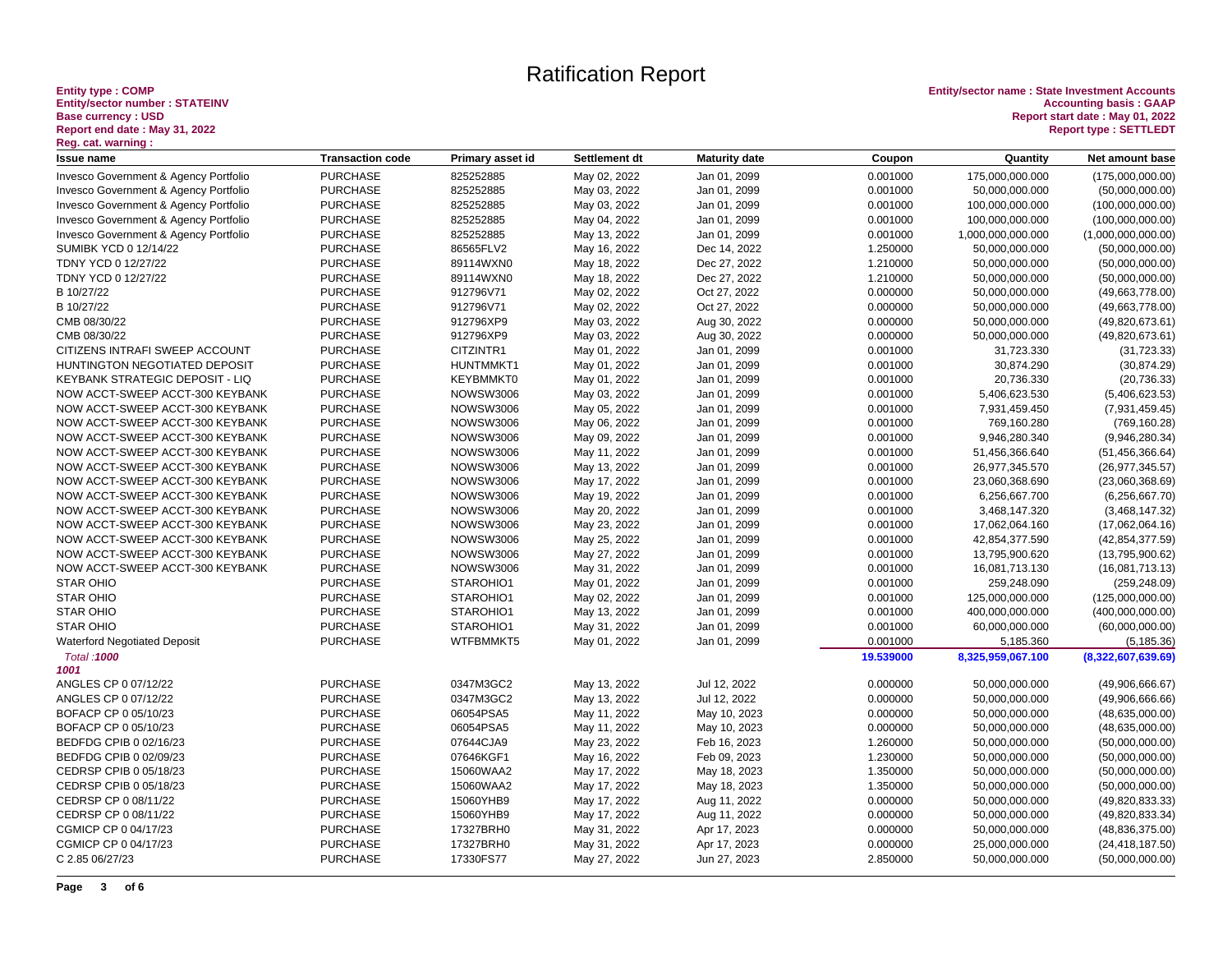# Entity type : COMP<br>Entity/sector number : STATEINV<br>Base currency : USD<br>Report end date : May 31, 2022<br><u>Reg.</u> cat. warning :

| <b>Issue name</b>                     | <b>Transaction code</b> | Primary asset id | Settlement dt | <b>Maturity date</b> | Coupon    | Quantity          | Net amount base    |
|---------------------------------------|-------------------------|------------------|---------------|----------------------|-----------|-------------------|--------------------|
| Invesco Government & Agency Portfolio | <b>PURCHASE</b>         | 825252885        | May 02, 2022  | Jan 01, 2099         | 0.001000  | 175,000,000.000   | (175,000,000.00)   |
| Invesco Government & Agency Portfolio | <b>PURCHASE</b>         | 825252885        | May 03, 2022  | Jan 01, 2099         | 0.001000  | 50,000,000.000    | (50,000,000.00)    |
| Invesco Government & Agency Portfolio | <b>PURCHASE</b>         | 825252885        | May 03, 2022  | Jan 01, 2099         | 0.001000  | 100,000,000.000   | (100,000,000.00)   |
| Invesco Government & Agency Portfolio | <b>PURCHASE</b>         | 825252885        | May 04, 2022  | Jan 01, 2099         | 0.001000  | 100,000,000.000   | (100,000,000.00)   |
| Invesco Government & Agency Portfolio | <b>PURCHASE</b>         | 825252885        | May 13, 2022  | Jan 01, 2099         | 0.001000  | 1,000,000,000.000 | (1,000,000,000.00) |
| <b>SUMIBK YCD 0 12/14/22</b>          | <b>PURCHASE</b>         | 86565FLV2        | May 16, 2022  | Dec 14, 2022         | 1.250000  | 50,000,000.000    | (50,000,000.00)    |
| TDNY YCD 0 12/27/22                   | <b>PURCHASE</b>         | 89114WXN0        | May 18, 2022  | Dec 27, 2022         | 1.210000  | 50,000,000.000    | (50,000,000.00)    |
| TDNY YCD 0 12/27/22                   | <b>PURCHASE</b>         | 89114WXN0        | May 18, 2022  | Dec 27, 2022         | 1.210000  | 50,000,000.000    | (50,000,000.00)    |
| B 10/27/22                            | <b>PURCHASE</b>         | 912796V71        | May 02, 2022  | Oct 27, 2022         | 0.000000  | 50,000,000.000    | (49,663,778.00)    |
| B 10/27/22                            | <b>PURCHASE</b>         | 912796V71        | May 02, 2022  | Oct 27, 2022         | 0.000000  | 50,000,000.000    | (49,663,778.00)    |
| CMB 08/30/22                          | <b>PURCHASE</b>         | 912796XP9        | May 03, 2022  | Aug 30, 2022         | 0.000000  | 50,000,000.000    | (49,820,673.61)    |
| CMB 08/30/22                          | <b>PURCHASE</b>         | 912796XP9        | May 03, 2022  | Aug 30, 2022         | 0.000000  | 50,000,000.000    | (49,820,673.61)    |
| CITIZENS INTRAFI SWEEP ACCOUNT        | <b>PURCHASE</b>         | CITZINTR1        | May 01, 2022  | Jan 01, 2099         | 0.001000  | 31,723.330        | (31, 723.33)       |
| HUNTINGTON NEGOTIATED DEPOSIT         | <b>PURCHASE</b>         | HUNTMMKT1        | May 01, 2022  | Jan 01, 2099         | 0.001000  | 30,874.290        | (30, 874.29)       |
| KEYBANK STRATEGIC DEPOSIT - LIQ       | <b>PURCHASE</b>         | KEYBMMKT0        | May 01, 2022  | Jan 01, 2099         | 0.001000  | 20,736.330        | (20, 736.33)       |
| NOW ACCT-SWEEP ACCT-300 KEYBANK       | <b>PURCHASE</b>         | <b>NOWSW3006</b> | May 03, 2022  | Jan 01, 2099         | 0.001000  | 5,406,623.530     | (5,406,623.53)     |
| NOW ACCT-SWEEP ACCT-300 KEYBANK       | <b>PURCHASE</b>         | <b>NOWSW3006</b> | May 05, 2022  | Jan 01, 2099         | 0.001000  | 7,931,459.450     | (7,931,459.45)     |
| NOW ACCT-SWEEP ACCT-300 KEYBANK       | <b>PURCHASE</b>         | <b>NOWSW3006</b> | May 06, 2022  | Jan 01, 2099         | 0.001000  | 769,160.280       | (769, 160.28)      |
| NOW ACCT-SWEEP ACCT-300 KEYBANK       | <b>PURCHASE</b>         | <b>NOWSW3006</b> | May 09, 2022  | Jan 01, 2099         | 0.001000  | 9,946,280.340     | (9,946,280.34)     |
| NOW ACCT-SWEEP ACCT-300 KEYBANK       | <b>PURCHASE</b>         | <b>NOWSW3006</b> | May 11, 2022  | Jan 01, 2099         | 0.001000  | 51,456,366.640    | (51, 456, 366.64)  |
| NOW ACCT-SWEEP ACCT-300 KEYBANK       | <b>PURCHASE</b>         | <b>NOWSW3006</b> | May 13, 2022  | Jan 01, 2099         | 0.001000  | 26,977,345.570    | (26, 977, 345.57)  |
| NOW ACCT-SWEEP ACCT-300 KEYBANK       | <b>PURCHASE</b>         | <b>NOWSW3006</b> | May 17, 2022  | Jan 01, 2099         | 0.001000  | 23,060,368.690    | (23,060,368.69)    |
| NOW ACCT-SWEEP ACCT-300 KEYBANK       | <b>PURCHASE</b>         | <b>NOWSW3006</b> | May 19, 2022  | Jan 01, 2099         | 0.001000  | 6,256,667.700     | (6, 256, 667.70)   |
| NOW ACCT-SWEEP ACCT-300 KEYBANK       | <b>PURCHASE</b>         | <b>NOWSW3006</b> | May 20, 2022  | Jan 01, 2099         | 0.001000  | 3,468,147.320     | (3,468,147.32)     |
| NOW ACCT-SWEEP ACCT-300 KEYBANK       | <b>PURCHASE</b>         | <b>NOWSW3006</b> | May 23, 2022  | Jan 01, 2099         | 0.001000  | 17,062,064.160    | (17,062,064.16)    |
| NOW ACCT-SWEEP ACCT-300 KEYBANK       | <b>PURCHASE</b>         | <b>NOWSW3006</b> | May 25, 2022  | Jan 01, 2099         | 0.001000  | 42,854,377.590    | (42, 854, 377.59)  |
| NOW ACCT-SWEEP ACCT-300 KEYBANK       | <b>PURCHASE</b>         | <b>NOWSW3006</b> | May 27, 2022  | Jan 01, 2099         | 0.001000  | 13,795,900.620    | (13,795,900.62)    |
| NOW ACCT-SWEEP ACCT-300 KEYBANK       | <b>PURCHASE</b>         | <b>NOWSW3006</b> | May 31, 2022  | Jan 01, 2099         | 0.001000  | 16,081,713.130    | (16,081,713.13)    |
| <b>STAR OHIO</b>                      | <b>PURCHASE</b>         | STAROHIO1        | May 01, 2022  | Jan 01, 2099         | 0.001000  | 259,248.090       | (259, 248.09)      |
| <b>STAR OHIO</b>                      | <b>PURCHASE</b>         | STAROHIO1        | May 02, 2022  | Jan 01, 2099         | 0.001000  | 125,000,000.000   | (125,000,000.00)   |
| <b>STAR OHIO</b>                      | <b>PURCHASE</b>         | STAROHIO1        | May 13, 2022  | Jan 01, 2099         | 0.001000  | 400,000,000.000   | (400,000,000.00)   |
| <b>STAR OHIO</b>                      | <b>PURCHASE</b>         | STAROHIO1        | May 31, 2022  | Jan 01, 2099         | 0.001000  | 60,000,000.000    | (60,000,000.00)    |
| <b>Waterford Negotiated Deposit</b>   | <b>PURCHASE</b>         | WTFBMMKT5        | May 01, 2022  | Jan 01, 2099         | 0.001000  | 5,185.360         | (5, 185.36)        |
| Total: 1000<br>1001                   |                         |                  |               |                      | 19.539000 | 8,325,959,067.100 | (8,322,607,639.69) |
| ANGLES CP 0 07/12/22                  | <b>PURCHASE</b>         | 0347M3GC2        | May 13, 2022  | Jul 12, 2022         | 0.000000  | 50,000,000.000    | (49,906,666.67)    |
| ANGLES CP 0 07/12/22                  | <b>PURCHASE</b>         | 0347M3GC2        | May 13, 2022  | Jul 12, 2022         | 0.000000  | 50,000,000.000    | (49,906,666.66)    |
| BOFACP CP 0 05/10/23                  | <b>PURCHASE</b>         | 06054PSA5        | May 11, 2022  | May 10, 2023         | 0.000000  | 50,000,000.000    | (48, 635, 000.00)  |
| BOFACP CP 0 05/10/23                  | <b>PURCHASE</b>         | 06054PSA5        | May 11, 2022  | May 10, 2023         | 0.000000  | 50,000,000.000    | (48, 635, 000.00)  |
| BEDFDG CPIB 0 02/16/23                | <b>PURCHASE</b>         | 07644CJA9        | May 23, 2022  | Feb 16, 2023         | 1.260000  | 50,000,000.000    | (50,000,000.00)    |
| BEDFDG CPIB 0 02/09/23                | <b>PURCHASE</b>         | 07646KGF1        | May 16, 2022  | Feb 09, 2023         | 1.230000  | 50,000,000.000    | (50,000,000.00)    |
| CEDRSP CPIB 0 05/18/23                | <b>PURCHASE</b>         | 15060WAA2        | May 17, 2022  | May 18, 2023         | 1.350000  | 50,000,000.000    | (50,000,000.00)    |
| CEDRSP CPIB 0 05/18/23                | <b>PURCHASE</b>         | 15060WAA2        | May 17, 2022  | May 18, 2023         | 1.350000  | 50,000,000.000    | (50,000,000.00)    |
| CEDRSP CP 0 08/11/22                  | <b>PURCHASE</b>         | 15060YHB9        | May 17, 2022  | Aug 11, 2022         | 0.000000  | 50,000,000.000    | (49,820,833.33)    |
| CEDRSP CP 0 08/11/22                  | <b>PURCHASE</b>         | 15060YHB9        | May 17, 2022  | Aug 11, 2022         | 0.000000  | 50,000,000.000    | (49,820,833.34)    |
| CGMICP CP 0 04/17/23                  | <b>PURCHASE</b>         | 17327BRH0        | May 31, 2022  | Apr 17, 2023         | 0.000000  | 50,000,000.000    | (48, 836, 375.00)  |
| CGMICP CP 0 04/17/23                  | <b>PURCHASE</b>         | 17327BRH0        | May 31, 2022  | Apr 17, 2023         | 0.000000  | 25,000,000.000    | (24, 418, 187.50)  |
| C 2.85 06/27/23                       | <b>PURCHASE</b>         | 17330FS77        | May 27, 2022  | Jun 27, 2023         | 2.850000  | 50,000,000.000    | (50,000,000.00)    |
|                                       |                         |                  |               |                      |           |                   |                    |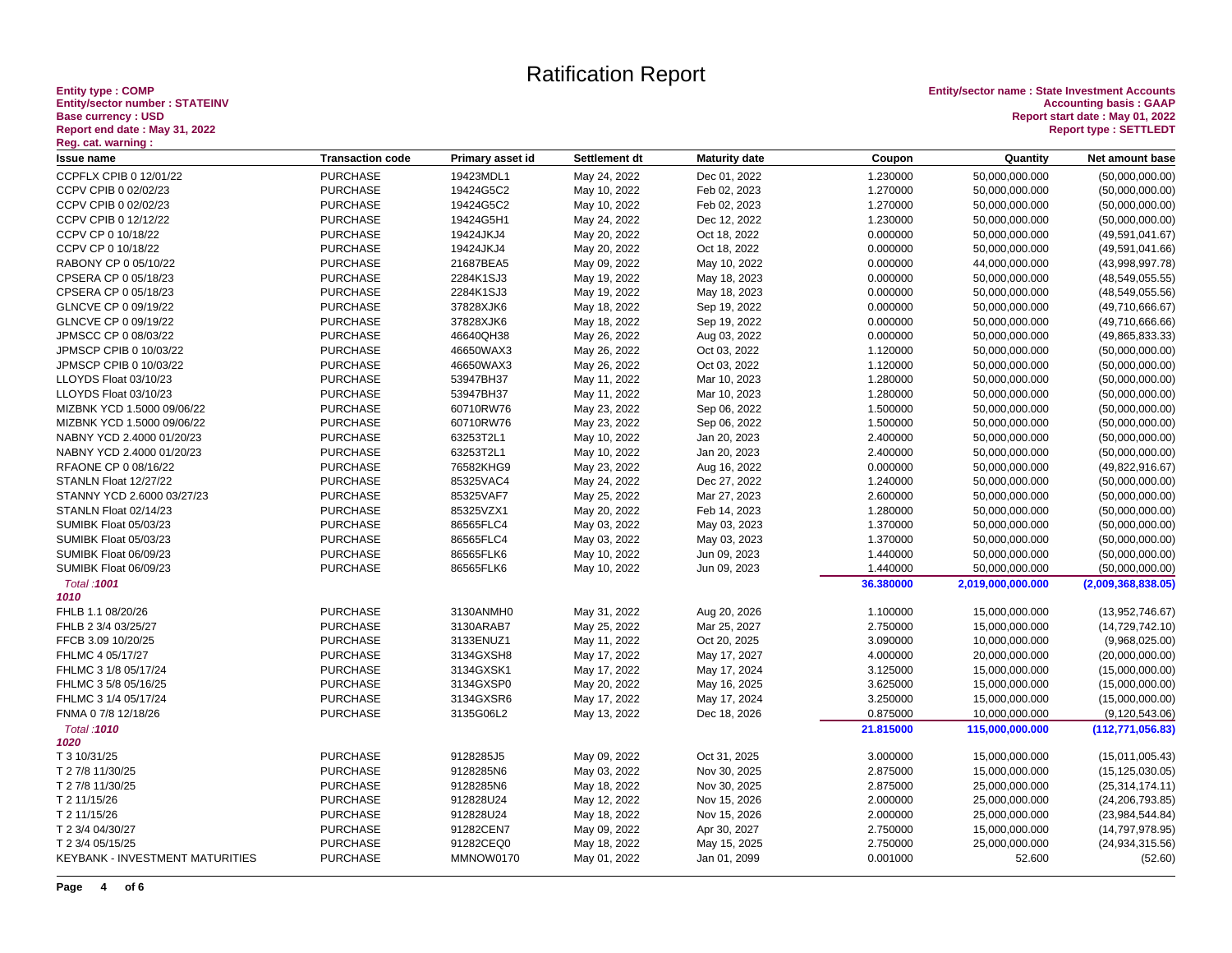# Entity type : COMP<br>Entity/sector number : STATEINV<br>Base currency : USD<br>Report end date : May 31, 2022<br><u>Reg.</u> cat. warning :

| <b>Issue name</b>                      | <b>Transaction code</b> | Primary asset id | Settlement dt | <b>Maturity date</b> | Coupon    | Quantity          | Net amount base    |
|----------------------------------------|-------------------------|------------------|---------------|----------------------|-----------|-------------------|--------------------|
| CCPFLX CPIB 0 12/01/22                 | <b>PURCHASE</b>         | 19423MDL1        | May 24, 2022  | Dec 01, 2022         | 1.230000  | 50,000,000.000    | (50,000,000.00)    |
| CCPV CPIB 0 02/02/23                   | <b>PURCHASE</b>         | 19424G5C2        | May 10, 2022  | Feb 02, 2023         | 1.270000  | 50,000,000.000    | (50,000,000.00)    |
| CCPV CPIB 0 02/02/23                   | <b>PURCHASE</b>         | 19424G5C2        | May 10, 2022  | Feb 02, 2023         | 1.270000  | 50,000,000.000    | (50,000,000.00)    |
| CCPV CPIB 0 12/12/22                   | <b>PURCHASE</b>         | 19424G5H1        | May 24, 2022  | Dec 12, 2022         | 1.230000  | 50,000,000.000    | (50,000,000.00)    |
| CCPV CP 0 10/18/22                     | <b>PURCHASE</b>         | 19424JKJ4        | May 20, 2022  | Oct 18, 2022         | 0.000000  | 50,000,000.000    | (49,591,041.67)    |
| CCPV CP 0 10/18/22                     | <b>PURCHASE</b>         | 19424JKJ4        | May 20, 2022  | Oct 18, 2022         | 0.000000  | 50,000,000.000    | (49,591,041.66)    |
| RABONY CP 0 05/10/22                   | <b>PURCHASE</b>         | 21687BEA5        | May 09, 2022  | May 10, 2022         | 0.000000  | 44,000,000.000    | (43,998,997.78)    |
| CPSERA CP 0 05/18/23                   | <b>PURCHASE</b>         | 2284K1SJ3        | May 19, 2022  | May 18, 2023         | 0.000000  | 50,000,000.000    | (48, 549, 055.55)  |
| CPSERA CP 0 05/18/23                   | <b>PURCHASE</b>         | 2284K1SJ3        | May 19, 2022  | May 18, 2023         | 0.000000  | 50,000,000.000    | (48, 549, 055.56)  |
| GLNCVE CP 0 09/19/22                   | <b>PURCHASE</b>         | 37828XJK6        | May 18, 2022  | Sep 19, 2022         | 0.000000  | 50,000,000.000    | (49,710,666.67)    |
| GLNCVE CP 0 09/19/22                   | <b>PURCHASE</b>         | 37828XJK6        | May 18, 2022  | Sep 19, 2022         | 0.000000  | 50,000,000.000    | (49,710,666.66)    |
| JPMSCC CP 0 08/03/22                   | <b>PURCHASE</b>         | 46640QH38        | May 26, 2022  | Aug 03, 2022         | 0.000000  | 50,000,000.000    | (49, 865, 833.33)  |
| JPMSCP CPIB 0 10/03/22                 | <b>PURCHASE</b>         | 46650WAX3        | May 26, 2022  | Oct 03, 2022         | 1.120000  | 50,000,000.000    | (50,000,000.00)    |
| JPMSCP CPIB 0 10/03/22                 | <b>PURCHASE</b>         | 46650WAX3        | May 26, 2022  | Oct 03, 2022         | 1.120000  | 50,000,000.000    | (50,000,000.00)    |
| LLOYDS Float 03/10/23                  | <b>PURCHASE</b>         | 53947BH37        | May 11, 2022  | Mar 10, 2023         | 1.280000  | 50,000,000.000    | (50,000,000.00)    |
| LLOYDS Float 03/10/23                  | <b>PURCHASE</b>         | 53947BH37        | May 11, 2022  | Mar 10, 2023         | 1.280000  | 50,000,000.000    | (50,000,000.00)    |
| MIZBNK YCD 1.5000 09/06/22             | <b>PURCHASE</b>         | 60710RW76        | May 23, 2022  | Sep 06, 2022         | 1.500000  | 50,000,000.000    | (50,000,000.00)    |
| MIZBNK YCD 1.5000 09/06/22             | <b>PURCHASE</b>         | 60710RW76        | May 23, 2022  | Sep 06, 2022         | 1.500000  | 50,000,000.000    | (50,000,000.00)    |
| NABNY YCD 2.4000 01/20/23              | <b>PURCHASE</b>         | 63253T2L1        | May 10, 2022  | Jan 20, 2023         | 2.400000  | 50,000,000.000    | (50,000,000.00)    |
| NABNY YCD 2.4000 01/20/23              | <b>PURCHASE</b>         | 63253T2L1        | May 10, 2022  | Jan 20, 2023         | 2.400000  | 50,000,000.000    | (50,000,000.00)    |
| RFAONE CP 0 08/16/22                   | <b>PURCHASE</b>         | 76582KHG9        | May 23, 2022  | Aug 16, 2022         | 0.000000  | 50,000,000.000    | (49, 822, 916.67)  |
| STANLN Float 12/27/22                  | <b>PURCHASE</b>         | 85325VAC4        | May 24, 2022  | Dec 27, 2022         | 1.240000  | 50,000,000.000    | (50,000,000.00)    |
| STANNY YCD 2.6000 03/27/23             | <b>PURCHASE</b>         | 85325VAF7        | May 25, 2022  | Mar 27, 2023         | 2.600000  | 50,000,000.000    | (50,000,000.00)    |
| STANLN Float 02/14/23                  | <b>PURCHASE</b>         | 85325VZX1        | May 20, 2022  | Feb 14, 2023         | 1.280000  | 50,000,000.000    | (50,000,000.00)    |
| SUMIBK Float 05/03/23                  | <b>PURCHASE</b>         | 86565FLC4        | May 03, 2022  | May 03, 2023         | 1.370000  | 50,000,000.000    | (50,000,000.00)    |
| SUMIBK Float 05/03/23                  | <b>PURCHASE</b>         | 86565FLC4        | May 03, 2022  | May 03, 2023         | 1.370000  | 50,000,000.000    | (50,000,000.00)    |
| SUMIBK Float 06/09/23                  | <b>PURCHASE</b>         | 86565FLK6        | May 10, 2022  | Jun 09, 2023         | 1.440000  | 50,000,000.000    | (50,000,000.00)    |
| SUMIBK Float 06/09/23                  | <b>PURCHASE</b>         | 86565FLK6        | May 10, 2022  | Jun 09, 2023         | 1.440000  | 50,000,000.000    | (50,000,000.00)    |
|                                        |                         |                  |               |                      |           |                   |                    |
| Total: 1001<br>1010                    |                         |                  |               |                      | 36.380000 | 2,019,000,000.000 | (2,009,368,838.05) |
| FHLB 1.1 08/20/26                      | <b>PURCHASE</b>         | 3130ANMH0        | May 31, 2022  | Aug 20, 2026         | 1.100000  | 15,000,000.000    | (13,952,746.67)    |
| FHLB 2 3/4 03/25/27                    | <b>PURCHASE</b>         | 3130ARAB7        | May 25, 2022  | Mar 25, 2027         | 2.750000  | 15,000,000.000    | (14, 729, 742.10)  |
| FFCB 3.09 10/20/25                     | <b>PURCHASE</b>         | 3133ENUZ1        | May 11, 2022  | Oct 20, 2025         | 3.090000  | 10,000,000.000    | (9,968,025.00)     |
| FHLMC 4 05/17/27                       | <b>PURCHASE</b>         | 3134GXSH8        | May 17, 2022  | May 17, 2027         | 4.000000  | 20,000,000.000    | (20,000,000.00)    |
| FHLMC 3 1/8 05/17/24                   | <b>PURCHASE</b>         | 3134GXSK1        | May 17, 2022  | May 17, 2024         | 3.125000  | 15,000,000.000    | (15,000,000.00)    |
| FHLMC 3 5/8 05/16/25                   | <b>PURCHASE</b>         | 3134GXSP0        | May 20, 2022  | May 16, 2025         | 3.625000  | 15,000,000.000    | (15,000,000.00)    |
| FHLMC 3 1/4 05/17/24                   | <b>PURCHASE</b>         | 3134GXSR6        | May 17, 2022  | May 17, 2024         | 3.250000  | 15,000,000.000    | (15,000,000.00)    |
| FNMA 0 7/8 12/18/26                    | <b>PURCHASE</b>         | 3135G06L2        | May 13, 2022  | Dec 18, 2026         | 0.875000  | 10,000,000.000    | (9, 120, 543.06)   |
|                                        |                         |                  |               |                      |           |                   |                    |
| Total: 1010<br>1020                    |                         |                  |               |                      | 21.815000 | 115,000,000.000   | (112, 771, 056.83) |
| T 3 10/31/25                           | <b>PURCHASE</b>         | 9128285J5        | May 09, 2022  | Oct 31, 2025         | 3.000000  | 15,000,000.000    | (15,011,005.43)    |
|                                        |                         |                  |               |                      |           |                   |                    |
| T 2 7/8 11/30/25                       | <b>PURCHASE</b>         | 9128285N6        | May 03, 2022  | Nov 30, 2025         | 2.875000  | 15,000,000.000    | (15, 125, 030.05)  |
| T 2 7/8 11/30/25                       | <b>PURCHASE</b>         | 9128285N6        | May 18, 2022  | Nov 30, 2025         | 2.875000  | 25,000,000.000    | (25, 314, 174.11)  |
| T 2 11/15/26                           | <b>PURCHASE</b>         | 912828U24        | May 12, 2022  | Nov 15, 2026         | 2.000000  | 25,000,000.000    | (24, 206, 793.85)  |
| T 2 11/15/26                           | <b>PURCHASE</b>         | 912828U24        | May 18, 2022  | Nov 15, 2026         | 2.000000  | 25,000,000.000    | (23,984,544.84)    |
| T 2 3/4 04/30/27                       | <b>PURCHASE</b>         | 91282CEN7        | May 09, 2022  | Apr 30, 2027         | 2.750000  | 15,000,000.000    | (14, 797, 978.95)  |
| T 2 3/4 05/15/25                       | <b>PURCHASE</b>         | 91282CEQ0        | May 18, 2022  | May 15, 2025         | 2.750000  | 25,000,000.000    | (24, 934, 315.56)  |
| <b>KEYBANK - INVESTMENT MATURITIES</b> | <b>PURCHASE</b>         | MMNOW0170        | May 01, 2022  | Jan 01, 2099         | 0.001000  | 52.600            | (52.60)            |
|                                        |                         |                  |               |                      |           |                   |                    |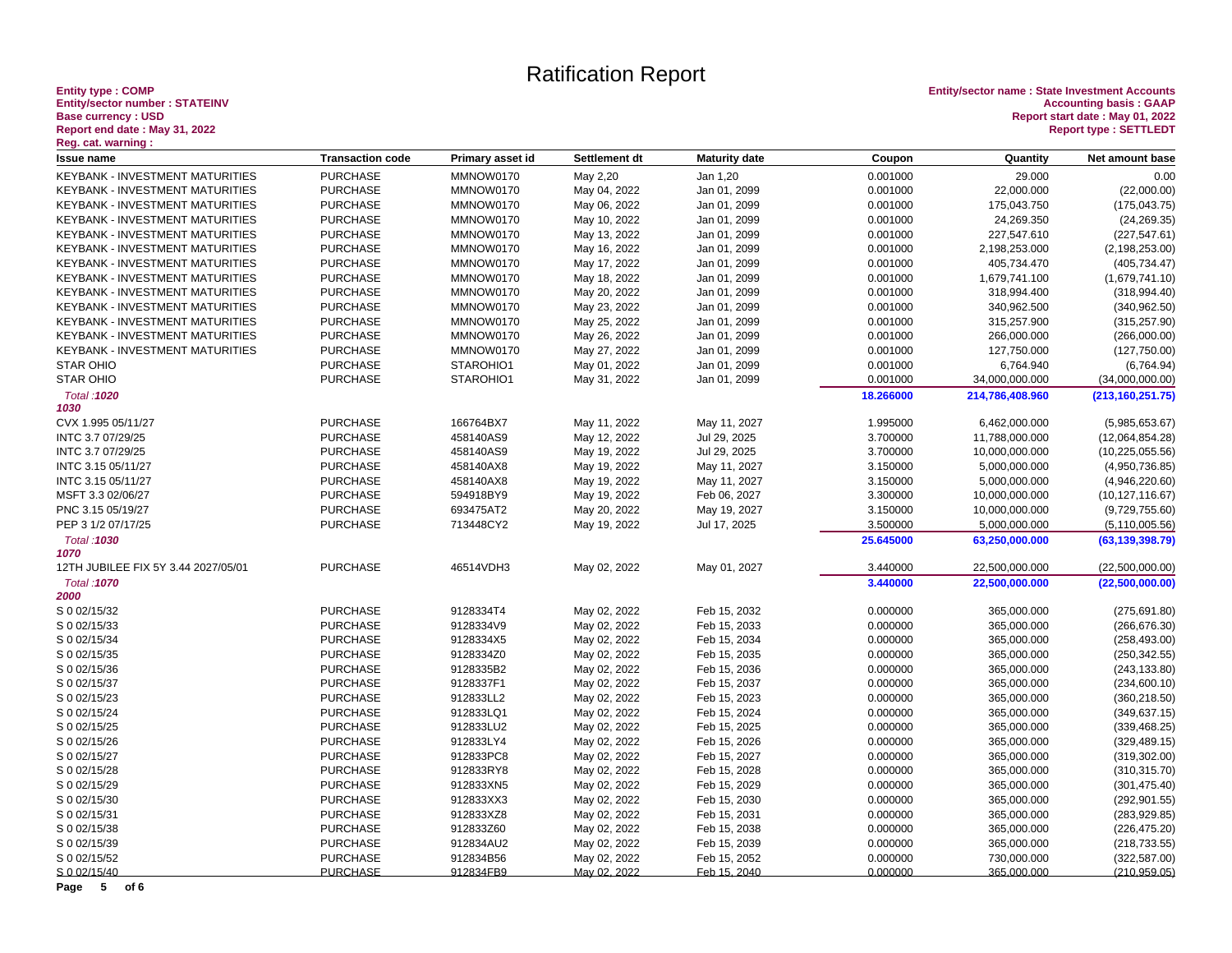# Entity type : COMP<br>Entity/sector number : STATEINV<br>Base currency : USD<br>Report end date : May 31, 2022<br><u>Reg. cat. warning :</u>

**Entity type : COMP Entity/sector name : State Investment Accounts Entity/sector number : STATEINV Accounting basis : GAAP Base currency : USD Report start date : May 01, 2022 Report end date : May 31, 2022 Report type : SETTLEDT**

| nog. oan warning .<br><b>Issue name</b> | <b>Transaction code</b> | Primary asset id | Settlement dt | <b>Maturity date</b> | Coupon    | Quantity        | Net amount base    |
|-----------------------------------------|-------------------------|------------------|---------------|----------------------|-----------|-----------------|--------------------|
| KEYBANK - INVESTMENT MATURITIES         | <b>PURCHASE</b>         | MMNOW0170        | May 2,20      | Jan 1,20             | 0.001000  | 29.000          | 0.00               |
| <b>KEYBANK - INVESTMENT MATURITIES</b>  | <b>PURCHASE</b>         | MMNOW0170        | May 04, 2022  | Jan 01, 2099         | 0.001000  | 22,000.000      | (22,000.00)        |
| <b>KEYBANK - INVESTMENT MATURITIES</b>  | <b>PURCHASE</b>         | MMNOW0170        | May 06, 2022  | Jan 01, 2099         | 0.001000  | 175,043.750     | (175, 043.75)      |
| <b>KEYBANK - INVESTMENT MATURITIES</b>  | <b>PURCHASE</b>         | MMNOW0170        | May 10, 2022  | Jan 01, 2099         | 0.001000  | 24,269.350      | (24, 269.35)       |
| <b>KEYBANK - INVESTMENT MATURITIES</b>  | <b>PURCHASE</b>         | MMNOW0170        | May 13, 2022  | Jan 01, 2099         | 0.001000  | 227,547.610     | (227, 547.61)      |
| KEYBANK - INVESTMENT MATURITIES         | <b>PURCHASE</b>         | MMNOW0170        | May 16, 2022  | Jan 01, 2099         | 0.001000  | 2,198,253.000   | (2, 198, 253.00)   |
| KEYBANK - INVESTMENT MATURITIES         | <b>PURCHASE</b>         | MMNOW0170        | May 17, 2022  | Jan 01, 2099         | 0.001000  | 405,734.470     | (405, 734.47)      |
| KEYBANK - INVESTMENT MATURITIES         | <b>PURCHASE</b>         | MMNOW0170        | May 18, 2022  | Jan 01, 2099         | 0.001000  | 1,679,741.100   | (1,679,741.10)     |
| KEYBANK - INVESTMENT MATURITIES         | <b>PURCHASE</b>         | MMNOW0170        | May 20, 2022  | Jan 01, 2099         | 0.001000  | 318,994.400     | (318, 994.40)      |
| KEYBANK - INVESTMENT MATURITIES         | <b>PURCHASE</b>         | MMNOW0170        | May 23, 2022  | Jan 01, 2099         | 0.001000  | 340,962.500     | (340, 962.50)      |
| KEYBANK - INVESTMENT MATURITIES         | <b>PURCHASE</b>         | MMNOW0170        | May 25, 2022  | Jan 01, 2099         | 0.001000  | 315,257.900     | (315, 257.90)      |
| <b>KEYBANK - INVESTMENT MATURITIES</b>  | <b>PURCHASE</b>         | MMNOW0170        | May 26, 2022  | Jan 01, 2099         | 0.001000  | 266,000.000     | (266,000.00)       |
| KEYBANK - INVESTMENT MATURITIES         | <b>PURCHASE</b>         | MMNOW0170        | May 27, 2022  | Jan 01, 2099         | 0.001000  | 127,750.000     | (127, 750.00)      |
| <b>STAR OHIO</b>                        | <b>PURCHASE</b>         | STAROHIO1        | May 01, 2022  | Jan 01, 2099         | 0.001000  | 6,764.940       | (6,764.94)         |
| <b>STAR OHIO</b>                        | <b>PURCHASE</b>         | STAROHIO1        | May 31, 2022  | Jan 01, 2099         | 0.001000  | 34,000,000.000  | (34,000,000.00)    |
| Total: 1020                             |                         |                  |               |                      | 18.266000 | 214,786,408.960 | (213, 160, 251.75) |
| 1030                                    |                         |                  |               |                      |           |                 |                    |
| CVX 1.995 05/11/27                      | <b>PURCHASE</b>         | 166764BX7        | May 11, 2022  | May 11, 2027         | 1.995000  | 6,462,000.000   | (5,985,653.67)     |
| INTC 3.7 07/29/25                       | <b>PURCHASE</b>         | 458140AS9        | May 12, 2022  | Jul 29, 2025         | 3.700000  | 11,788,000.000  | (12,064,854.28)    |
| INTC 3.7 07/29/25                       | <b>PURCHASE</b>         | 458140AS9        | May 19, 2022  | Jul 29, 2025         | 3.700000  | 10,000,000.000  | (10, 225, 055.56)  |
| INTC 3.15 05/11/27                      | <b>PURCHASE</b>         | 458140AX8        | May 19, 2022  | May 11, 2027         | 3.150000  | 5,000,000.000   | (4,950,736.85)     |
| INTC 3.15 05/11/27                      | <b>PURCHASE</b>         | 458140AX8        | May 19, 2022  | May 11, 2027         | 3.150000  | 5,000,000.000   | (4,946,220.60)     |
| MSFT 3.3 02/06/27                       | <b>PURCHASE</b>         | 594918BY9        | May 19, 2022  | Feb 06, 2027         | 3.300000  | 10,000,000.000  | (10, 127, 116.67)  |
| PNC 3.15 05/19/27                       | <b>PURCHASE</b>         | 693475AT2        | May 20, 2022  | May 19, 2027         | 3.150000  | 10,000,000.000  | (9,729,755.60)     |
| PEP 3 1/2 07/17/25                      | <b>PURCHASE</b>         | 713448CY2        | May 19, 2022  | Jul 17, 2025         | 3.500000  | 5,000,000.000   | (5, 110, 005.56)   |
| Total: <b>1030</b><br>1070              |                         |                  |               |                      | 25.645000 | 63,250,000.000  | (63, 139, 398.79)  |
| 12TH JUBILEE FIX 5Y 3.44 2027/05/01     | <b>PURCHASE</b>         | 46514VDH3        | May 02, 2022  | May 01, 2027         | 3.440000  | 22,500,000.000  | (22,500,000.00)    |
| Total: 1070                             |                         |                  |               |                      | 3.440000  | 22,500,000.000  | (22,500,000.00)    |
| 2000                                    |                         |                  |               |                      |           |                 |                    |
| S 0 02/15/32                            | <b>PURCHASE</b>         | 9128334T4        | May 02, 2022  | Feb 15, 2032         | 0.000000  | 365,000.000     | (275, 691.80)      |
| S 0 02/15/33                            | <b>PURCHASE</b>         | 9128334V9        | May 02, 2022  | Feb 15, 2033         | 0.000000  | 365,000.000     | (266, 676.30)      |
| S 0 02/15/34                            | <b>PURCHASE</b>         | 9128334X5        | May 02, 2022  | Feb 15, 2034         | 0.000000  | 365,000.000     | (258, 493.00)      |
| S 0 02/15/35                            | <b>PURCHASE</b>         | 9128334Z0        | May 02, 2022  | Feb 15, 2035         | 0.000000  | 365,000.000     | (250, 342.55)      |
| S 0 02/15/36                            | <b>PURCHASE</b>         | 9128335B2        | May 02, 2022  | Feb 15, 2036         | 0.000000  | 365,000.000     | (243, 133.80)      |
| S 0 02/15/37                            | <b>PURCHASE</b>         | 9128337F1        | May 02, 2022  | Feb 15, 2037         | 0.000000  | 365,000.000     | (234, 600.10)      |
| S 0 02/15/23                            | <b>PURCHASE</b>         | 912833LL2        | May 02, 2022  | Feb 15, 2023         | 0.000000  | 365,000.000     | (360, 218.50)      |
| S 0 02/15/24                            | <b>PURCHASE</b>         | 912833LQ1        | May 02, 2022  | Feb 15, 2024         | 0.000000  | 365,000.000     | (349.637.15)       |
| S 0 02/15/25                            | <b>PURCHASE</b>         | 912833LU2        | May 02, 2022  | Feb 15, 2025         | 0.000000  | 365,000.000     | (339, 468.25)      |
| S 0 02/15/26                            | <b>PURCHASE</b>         | 912833LY4        | May 02, 2022  | Feb 15, 2026         | 0.000000  | 365,000.000     | (329, 489.15)      |
| S 0 02/15/27                            | <b>PURCHASE</b>         | 912833PC8        | May 02, 2022  | Feb 15, 2027         | 0.000000  | 365,000.000     | (319, 302.00)      |
| S 0 02/15/28                            | <b>PURCHASE</b>         | 912833RY8        | May 02, 2022  | Feb 15, 2028         | 0.000000  | 365,000.000     | (310, 315.70)      |
| S 0 02/15/29                            | <b>PURCHASE</b>         | 912833XN5        | May 02, 2022  | Feb 15, 2029         | 0.000000  | 365,000.000     | (301, 475.40)      |
| S 0 02/15/30                            | <b>PURCHASE</b>         | 912833XX3        | May 02, 2022  | Feb 15, 2030         | 0.000000  | 365,000.000     | (292, 901.55)      |
| S 0 02/15/31                            | <b>PURCHASE</b>         | 912833XZ8        | May 02, 2022  | Feb 15, 2031         | 0.000000  | 365,000.000     | (283, 929.85)      |
| S 0 02/15/38                            | <b>PURCHASE</b>         | 912833Z60        | May 02, 2022  | Feb 15, 2038         | 0.000000  | 365,000.000     | (226, 475.20)      |
| S 0 02/15/39                            | <b>PURCHASE</b>         | 912834AU2        | May 02, 2022  | Feb 15, 2039         | 0.000000  | 365,000.000     | (218, 733.55)      |
| S 0 02/15/52                            | <b>PURCHASE</b>         | 912834B56        | May 02, 2022  | Feb 15, 2052         | 0.000000  | 730,000.000     | (322, 587.00)      |
| S 0 02/15/40                            | <b>PURCHASE</b>         | 912834FB9        | May 02, 2022  | Feb 15, 2040         | 0.000000  | 365,000,000     | (210.959.05)       |